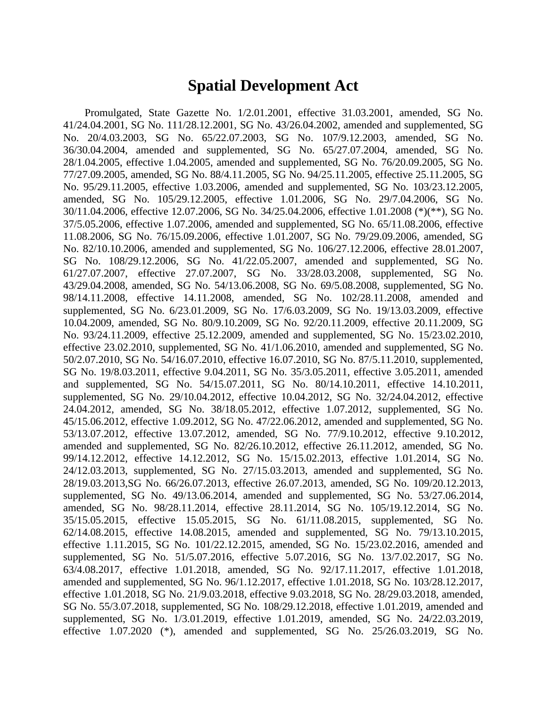#### **Spatial Development Act**

Promulgated, State Gazette No. 1/2.01.2001, effective 31.03.2001, amended, SG No. 41/24.04.2001, SG No. 111/28.12.2001, SG No. 43/26.04.2002, amended and supplemented, SG No. 20/4.03.2003, SG No. 65/22.07.2003, SG No. 107/9.12.2003, amended, SG No. 36/30.04.2004, amended and supplemented, SG No. 65/27.07.2004, amended, SG No. 28/1.04.2005, effective 1.04.2005, amended and supplemented, SG No. 76/20.09.2005, SG No. 77/27.09.2005, amended, SG No. 88/4.11.2005, SG No. 94/25.11.2005, effective 25.11.2005, SG No. 95/29.11.2005, effective 1.03.2006, amended and supplemented, SG No. 103/23.12.2005, amended, SG No. 105/29.12.2005, effective 1.01.2006, SG No. 29/7.04.2006, SG No. 30/11.04.2006, effective 12.07.2006, SG No. 34/25.04.2006, effective 1.01.2008 (\*)(\*\*), SG No. 37/5.05.2006, effective 1.07.2006, amended and supplemented, SG No. 65/11.08.2006, effective 11.08.2006, SG No. 76/15.09.2006, effective 1.01.2007, SG No. 79/29.09.2006, amended, SG No. 82/10.10.2006, amended and supplemented, SG No. 106/27.12.2006, effective 28.01.2007, SG No. 108/29.12.2006, SG No. 41/22.05.2007, amended and supplemented, SG No. 61/27.07.2007, effective 27.07.2007, SG No. 33/28.03.2008, supplemented, SG No. 43/29.04.2008, amended, SG No. 54/13.06.2008, SG No. 69/5.08.2008, supplemented, SG No. 98/14.11.2008, effective 14.11.2008, amended, SG No. 102/28.11.2008, amended and supplemented, SG No. 6/23.01.2009, SG No. 17/6.03.2009, SG No. 19/13.03.2009, effective 10.04.2009, amended, SG No. 80/9.10.2009, SG No. 92/20.11.2009, effective 20.11.2009, SG No. 93/24.11.2009, effective 25.12.2009, amended and supplemented, SG No. 15/23.02.2010, effective 23.02.2010, supplemented, SG No. 41/1.06.2010, amended and supplemented, SG No. 50/2.07.2010, SG No. 54/16.07.2010, effective 16.07.2010, SG No. 87/5.11.2010, supplemented, SG No. 19/8.03.2011, effective 9.04.2011, SG No. 35/3.05.2011, effective 3.05.2011, amended and supplemented, SG No. 54/15.07.2011, SG No. 80/14.10.2011, effective 14.10.2011, supplemented, SG No. 29/10.04.2012, effective 10.04.2012, SG No. 32/24.04.2012, effective 24.04.2012, amended, SG No. 38/18.05.2012, effective 1.07.2012, supplemented, SG No. 45/15.06.2012, effective 1.09.2012, SG No. 47/22.06.2012, amended and supplemented, SG No. 53/13.07.2012, effective 13.07.2012, amended, SG No. 77/9.10.2012, effective 9.10.2012, amended and supplemented, SG No. 82/26.10.2012, effective 26.11.2012, amended, SG No. 99/14.12.2012, effective 14.12.2012, SG No. 15/15.02.2013, effective 1.01.2014, SG No. 24/12.03.2013, supplemented, SG No. 27/15.03.2013, amended and supplemented, SG No. 28/19.03.2013,SG No. 66/26.07.2013, effective 26.07.2013, amended, SG No. 109/20.12.2013, supplemented, SG No. 49/13.06.2014, amended and supplemented, SG No. 53/27.06.2014, amended, SG No. 98/28.11.2014, effective 28.11.2014, SG No. 105/19.12.2014, SG No. 35/15.05.2015, effective 15.05.2015, SG No. 61/11.08.2015, supplemented, SG No. 62/14.08.2015, effective 14.08.2015, amended and supplemented, SG No. 79/13.10.2015, effective 1.11.2015, SG No. 101/22.12.2015, amended, SG No. 15/23.02.2016, amended and supplemented, SG No. 51/5.07.2016, effective 5.07.2016, SG No. 13/7.02.2017, SG No. 63/4.08.2017, effective 1.01.2018, amended, SG No. 92/17.11.2017, effective 1.01.2018, amended and supplemented, SG No. 96/1.12.2017, effective 1.01.2018, SG No. 103/28.12.2017, effective 1.01.2018, SG No. 21/9.03.2018, effective 9.03.2018, SG No. 28/29.03.2018, amended, SG No. 55/3.07.2018, supplemented, SG No. 108/29.12.2018, effective 1.01.2019, amended and supplemented, SG No. 1/3.01.2019, effective 1.01.2019, amended, SG No. 24/22.03.2019, effective 1.07.2020 (\*), amended and supplemented, SG No. 25/26.03.2019, SG No.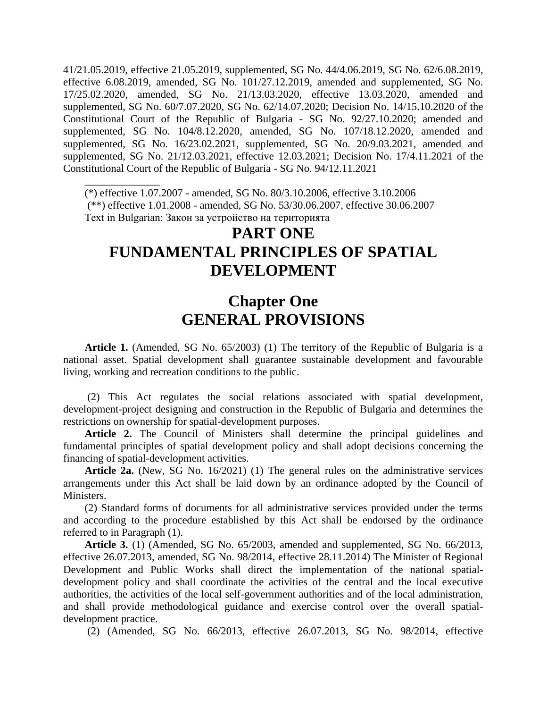41/21.05.2019, effective 21.05.2019, supplemented, SG No. 44/4.06.2019, SG No. 62/6.08.2019, effective 6.08.2019, amended, SG No. 101/27.12.2019, amended and supplemented, SG No. 17/25.02.2020, amended, SG No. 21/13.03.2020, effective 13.03.2020, amended and supplemented, SG No. 60/7.07.2020, SG No. 62/14.07.2020; Decision No. 14/15.10.2020 of the Constitutional Court of the Republic of Bulgaria - SG No. 92/27.10.2020; amended and supplemented, SG No. 104/8.12.2020, amended, SG No. 107/18.12.2020, amended and supplemented, SG No. 16/23.02.2021, supplemented, SG No. 20/9.03.2021, amended and supplemented, SG No. 21/12.03.2021, effective 12.03.2021; Decision No. 17/4.11.2021 of the Constitutional Court of the Republic of Bulgaria - SG No. 94/12.11.2021

(\*) effective 1.07.2007 - amended, SG No. 80/3.10.2006, effective 3.10.2006 (\*\*) effective 1.01.2008 - amended, SG No. 53/30.06.2007, effective 30.06.2007 Text in Bulgarian: Закон за устройство на територията

\_\_\_\_\_\_\_\_\_\_\_\_\_\_

## **PART ONE FUNDAMENTAL PRINCIPLES OF SPATIAL DEVELOPMENT**

### **Chapter One GENERAL PROVISIONS**

**Article 1.** (Amended, SG No. 65/2003) (1) The territory of the Republic of Bulgaria is a national asset. Spatial development shall guarantee sustainable development and favourable living, working and recreation conditions to the public.

(2) This Act regulates the social relations associated with spatial development, development-project designing and construction in the Republic of Bulgaria and determines the restrictions on ownership for spatial-development purposes.

**Article 2.** The Council of Ministers shall determine the principal guidelines and fundamental principles of spatial development policy and shall adopt decisions concerning the financing of spatial-development activities.

**Article 2a.** (New, SG No. 16/2021) (1) The general rules on the administrative services arrangements under this Act shall be laid down by an ordinance adopted by the Council of Ministers.

(2) Standard forms of documents for all administrative services provided under the terms and according to the procedure established by this Act shall be endorsed by the ordinance referred to in Paragraph (1).

**Article 3.** (1) (Amended, SG No. 65/2003, amended and supplemented, SG No. 66/2013, effective 26.07.2013, amended, SG No. 98/2014, effective 28.11.2014) The Minister of Regional Development and Public Works shall direct the implementation of the national spatialdevelopment policy and shall coordinate the activities of the central and the local executive authorities, the activities of the local self-government authorities and of the local administration, and shall provide methodological guidance and exercise control over the overall spatialdevelopment practice.

(2) (Amended, SG No. 66/2013, effective 26.07.2013, SG No. 98/2014, effective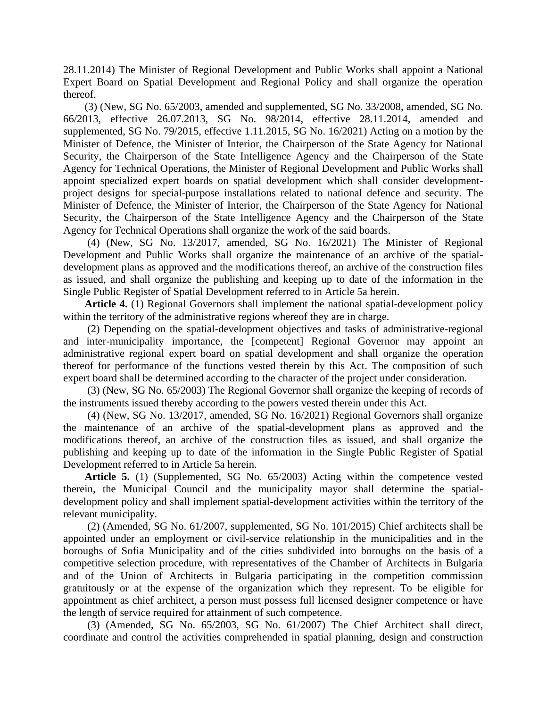28.11.2014) The Minister of Regional Development and Public Works shall appoint a National Expert Board on Spatial Development and Regional Policy and shall organize the operation thereof.

(3) (New, SG No. 65/2003, amended and supplemented, SG No. 33/2008, amended, SG No. 66/2013, effective 26.07.2013, SG No. 98/2014, effective 28.11.2014, amended and supplemented, SG No. 79/2015, effective 1.11.2015, SG No. 16/2021) Acting on a motion by the Minister of Defence, the Minister of Interior, the Chairperson of the State Agency for National Security, the Chairperson of the State Intelligence Agency and the Chairperson of the State Agency for Technical Operations, the Minister of Regional Development and Public Works shall appoint specialized expert boards on spatial development which shall consider developmentproject designs for special-purpose installations related to national defence and security. The Minister of Defence, the Minister of Interior, the Chairperson of the State Agency for National Security, the Chairperson of the State Intelligence Agency and the Chairperson of the State Agency for Technical Operations shall organize the work of the said boards.

(4) (New, SG No. 13/2017, amended, SG No. 16/2021) The Minister of Regional Development and Public Works shall organize the maintenance of an archive of the spatialdevelopment plans as approved and the modifications thereof, an archive of the construction files as issued, and shall organize the publishing and keeping up to date of the information in the Single Public Register of Spatial Development referred to in Article 5a herein.

**Article 4.** (1) Regional Governors shall implement the national spatial-development policy within the territory of the administrative regions whereof they are in charge.

(2) Depending on the spatial-development objectives and tasks of administrative-regional and inter-municipality importance, the [competent] Regional Governor may appoint an administrative regional expert board on spatial development and shall organize the operation thereof for performance of the functions vested therein by this Act. The composition of such expert board shall be determined according to the character of the project under consideration.

(3) (New, SG No. 65/2003) The Regional Governor shall organize the keeping of records of the instruments issued thereby according to the powers vested therein under this Act.

(4) (New, SG No. 13/2017, amended, SG No. 16/2021) Regional Governors shall organize the maintenance of an archive of the spatial-development plans as approved and the modifications thereof, an archive of the construction files as issued, and shall organize the publishing and keeping up to date of the information in the Single Public Register of Spatial Development referred to in Article 5a herein.

**Article 5.** (1) (Supplemented, SG No. 65/2003) Acting within the competence vested therein, the Municipal Council and the municipality mayor shall determine the spatialdevelopment policy and shall implement spatial-development activities within the territory of the relevant municipality.

(2) (Amended, SG No. 61/2007, supplemented, SG No. 101/2015) Chief architects shall be appointed under an employment or civil-service relationship in the municipalities and in the boroughs of Sofia Municipality and of the cities subdivided into boroughs on the basis of a competitive selection procedure, with representatives of the Chamber of Architects in Bulgaria and of the Union of Architects in Bulgaria participating in the competition commission gratuitously or at the expense of the organization which they represent. To be eligible for appointment as chief architect, a person must possess full licensed designer competence or have the length of service required for attainment of such competence.

(3) (Amended, SG No. 65/2003, SG No. 61/2007) The Chief Architect shall direct, coordinate and control the activities comprehended in spatial planning, design and construction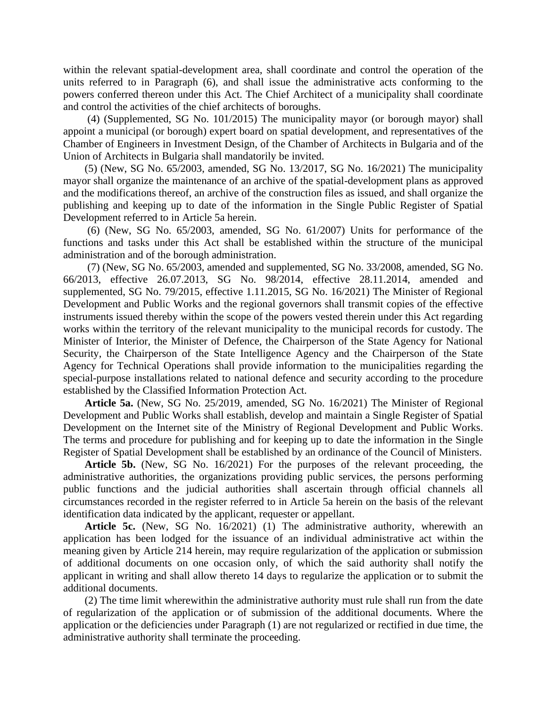within the relevant spatial-development area, shall coordinate and control the operation of the units referred to in Paragraph (6), and shall issue the administrative acts conforming to the powers conferred thereon under this Act. The Chief Architect of a municipality shall coordinate and control the activities of the chief architects of boroughs.

(4) (Supplemented, SG No. 101/2015) The municipality mayor (or borough mayor) shall appoint a municipal (or borough) expert board on spatial development, and representatives of the Chamber of Engineers in Investment Design, of the Chamber of Architects in Bulgaria and of the Union of Architects in Bulgaria shall mandatorily be invited.

(5) (New, SG No. 65/2003, amended, SG No. 13/2017, SG No. 16/2021) The municipality mayor shall organize the maintenance of an archive of the spatial-development plans as approved and the modifications thereof, an archive of the construction files as issued, and shall organize the publishing and keeping up to date of the information in the Single Public Register of Spatial Development referred to in Article 5a herein.

(6) (New, SG No. 65/2003, amended, SG No. 61/2007) Units for performance of the functions and tasks under this Act shall be established within the structure of the municipal administration and of the borough administration.

(7) (New, SG No. 65/2003, amended and supplemented, SG No. 33/2008, amended, SG No. 66/2013, effective 26.07.2013, SG No. 98/2014, effective 28.11.2014, amended and supplemented, SG No. 79/2015, effective 1.11.2015, SG No. 16/2021) The Minister of Regional Development and Public Works and the regional governors shall transmit copies of the effective instruments issued thereby within the scope of the powers vested therein under this Act regarding works within the territory of the relevant municipality to the municipal records for custody. The Minister of Interior, the Minister of Defence, the Chairperson of the State Agency for National Security, the Chairperson of the State Intelligence Agency and the Chairperson of the State Agency for Technical Operations shall provide information to the municipalities regarding the special-purpose installations related to national defence and security according to the procedure established by the Classified Information Protection Act.

**Article 5a.** (New, SG No. 25/2019, amended, SG No. 16/2021) The Minister of Regional Development and Public Works shall establish, develop and maintain a Single Register of Spatial Development on the Internet site of the Ministry of Regional Development and Public Works. The terms and procedure for publishing and for keeping up to date the information in the Single Register of Spatial Development shall be established by an ordinance of the Council of Ministers.

**Article 5b.** (New, SG No. 16/2021) For the purposes of the relevant proceeding, the administrative authorities, the organizations providing public services, the persons performing public functions and the judicial authorities shall ascertain through official channels all circumstances recorded in the register referred to in Article 5a herein on the basis of the relevant identification data indicated by the applicant, requester or appellant.

**Article 5c.** (New, SG No. 16/2021) (1) The administrative authority, wherewith an application has been lodged for the issuance of an individual administrative act within the meaning given by Article 214 herein, may require regularization of the application or submission of additional documents on one occasion only, of which the said authority shall notify the applicant in writing and shall allow thereto 14 days to regularize the application or to submit the additional documents.

(2) The time limit wherewithin the administrative authority must rule shall run from the date of regularization of the application or of submission of the additional documents. Where the application or the deficiencies under Paragraph (1) are not regularized or rectified in due time, the administrative authority shall terminate the proceeding.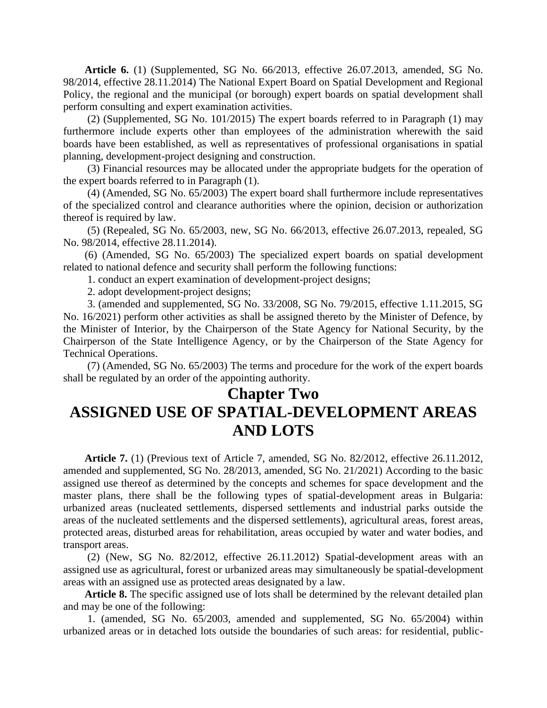**Article 6.** (1) (Supplemented, SG No. 66/2013, effective 26.07.2013, amended, SG No. 98/2014, effective 28.11.2014) The National Expert Board on Spatial Development and Regional Policy, the regional and the municipal (or borough) expert boards on spatial development shall perform consulting and expert examination activities.

(2) (Supplemented, SG No. 101/2015) The expert boards referred to in Paragraph (1) may furthermore include experts other than employees of the administration wherewith the said boards have been established, as well as representatives of professional organisations in spatial planning, development-project designing and construction.

(3) Financial resources may be allocated under the appropriate budgets for the operation of the expert boards referred to in Paragraph (1).

(4) (Amended, SG No. 65/2003) The expert board shall furthermore include representatives of the specialized control and clearance authorities where the opinion, decision or authorization thereof is required by law.

(5) (Repealed, SG No. 65/2003, new, SG No. 66/2013, effective 26.07.2013, repealed, SG No. 98/2014, effective 28.11.2014).

(6) (Amended, SG No. 65/2003) The specialized expert boards on spatial development related to national defence and security shall perform the following functions:

1. conduct an expert examination of development-project designs;

2. adopt development-project designs;

3. (amended and supplemented, SG No. 33/2008, SG No. 79/2015, effective 1.11.2015, SG No. 16/2021) perform other activities as shall be assigned thereto by the Minister of Defence, by the Minister of Interior, by the Chairperson of the State Agency for National Security, by the Chairperson of the State Intelligence Agency, or by the Chairperson of the State Agency for Technical Operations.

(7) (Amended, SG No. 65/2003) The terms and procedure for the work of the expert boards shall be regulated by an order of the appointing authority.

## **Chapter Two ASSIGNED USE OF SPATIAL-DEVELOPMENT AREAS AND LOTS**

**Article 7.** (1) (Previous text of Article 7, amended, SG No. 82/2012, effective 26.11.2012, amended and supplemented, SG No. 28/2013, amended, SG No. 21/2021) According to the basic assigned use thereof as determined by the concepts and schemes for space development and the master plans, there shall be the following types of spatial-development areas in Bulgaria: urbanized areas (nucleated settlements, dispersed settlements and industrial parks outside the areas of the nucleated settlements and the dispersed settlements), agricultural areas, forest areas, protected areas, disturbed areas for rehabilitation, areas occupied by water and water bodies, and transport areas.

(2) (New, SG No. 82/2012, effective 26.11.2012) Spatial-development areas with an assigned use as agricultural, forest or urbanized areas may simultaneously be spatial-development areas with an assigned use as protected areas designated by a law.

**Article 8.** The specific assigned use of lots shall be determined by the relevant detailed plan and may be one of the following:

1. (amended, SG No. 65/2003, amended and supplemented, SG No. 65/2004) within urbanized areas or in detached lots outside the boundaries of such areas: for residential, public-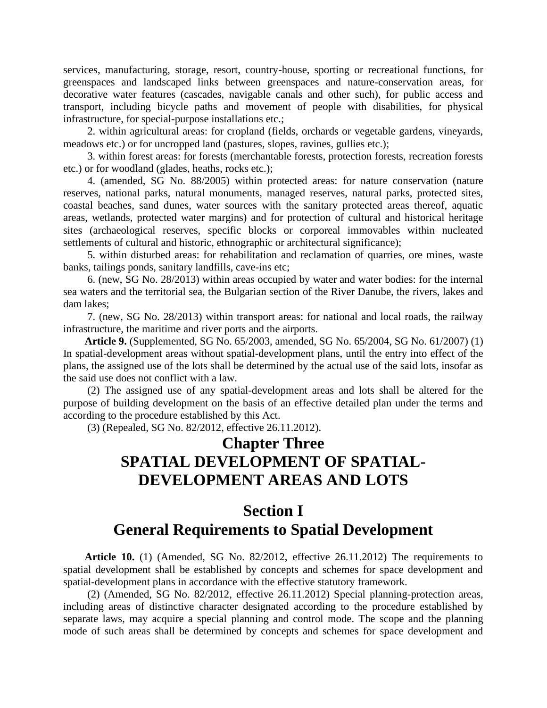services, manufacturing, storage, resort, country-house, sporting or recreational functions, for greenspaces and landscaped links between greenspaces and nature-conservation areas, for decorative water features (cascades, navigable canals and other such), for public access and transport, including bicycle paths and movement of people with disabilities, for physical infrastructure, for special-purpose installations etc.;

2. within agricultural areas: for cropland (fields, orchards or vegetable gardens, vineyards, meadows etc.) or for uncropped land (pastures, slopes, ravines, gullies etc.);

3. within forest areas: for forests (merchantable forests, protection forests, recreation forests etc.) or for woodland (glades, heaths, rocks etc.);

4. (amended, SG No. 88/2005) within protected areas: for nature conservation (nature reserves, national parks, natural monuments, managed reserves, natural parks, protected sites, coastal beaches, sand dunes, water sources with the sanitary protected areas thereof, aquatic areas, wetlands, protected water margins) and for protection of cultural and historical heritage sites (archaeological reserves, specific blocks or corporeal immovables within nucleated settlements of cultural and historic, ethnographic or architectural significance);

5. within disturbed areas: for rehabilitation and reclamation of quarries, ore mines, waste banks, tailings ponds, sanitary landfills, cave-ins etc;

6. (new, SG No. 28/2013) within areas occupied by water and water bodies: for the internal sea waters and the territorial sea, the Bulgarian section of the River Danube, the rivers, lakes and dam lakes;

7. (new, SG No. 28/2013) within transport areas: for national and local roads, the railway infrastructure, the maritime and river ports and the airports.

**Article 9.** (Supplemented, SG No. 65/2003, amended, SG No. 65/2004, SG No. 61/2007) (1) In spatial-development areas without spatial-development plans, until the entry into effect of the plans, the assigned use of the lots shall be determined by the actual use of the said lots, insofar as the said use does not conflict with a law.

(2) The assigned use of any spatial-development areas and lots shall be altered for the purpose of building development on the basis of an effective detailed plan under the terms and according to the procedure established by this Act.

(3) (Repealed, SG No. 82/2012, effective 26.11.2012).

## **Chapter Three SPATIAL DEVELOPMENT OF SPATIAL-DEVELOPMENT AREAS AND LOTS**

### **Section I General Requirements to Spatial Development**

**Article 10.** (1) (Amended, SG No. 82/2012, effective 26.11.2012) The requirements to spatial development shall be established by concepts and schemes for space development and spatial-development plans in accordance with the effective statutory framework.

(2) (Amended, SG No. 82/2012, effective 26.11.2012) Special planning-protection areas, including areas of distinctive character designated according to the procedure established by separate laws, may acquire a special planning and control mode. The scope and the planning mode of such areas shall be determined by concepts and schemes for space development and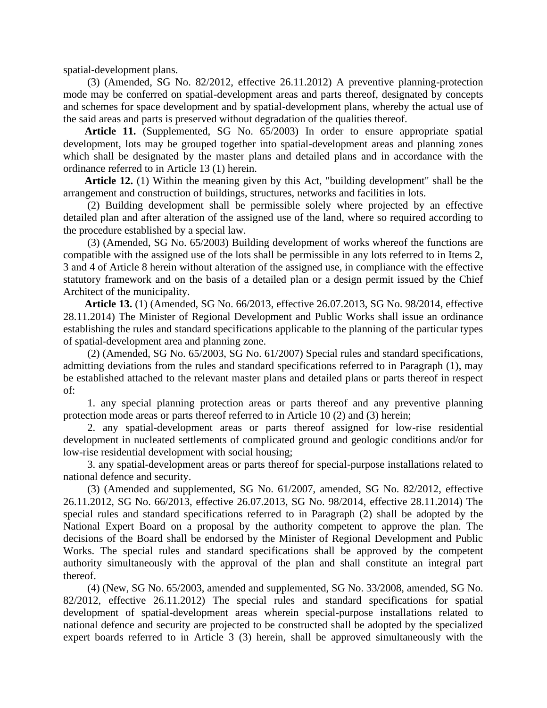spatial-development plans.

(3) (Amended, SG No. 82/2012, effective 26.11.2012) A preventive planning-protection mode may be conferred on spatial-development areas and parts thereof, designated by concepts and schemes for space development and by spatial-development plans, whereby the actual use of the said areas and parts is preserved without degradation of the qualities thereof.

**Article 11.** (Supplemented, SG No. 65/2003) In order to ensure appropriate spatial development, lots may be grouped together into spatial-development areas and planning zones which shall be designated by the master plans and detailed plans and in accordance with the ordinance referred to in Article 13 (1) herein.

**Article 12.** (1) Within the meaning given by this Act, "building development" shall be the arrangement and construction of buildings, structures, networks and facilities in lots.

(2) Building development shall be permissible solely where projected by an effective detailed plan and after alteration of the assigned use of the land, where so required according to the procedure established by a special law.

(3) (Amended, SG No. 65/2003) Building development of works whereof the functions are compatible with the assigned use of the lots shall be permissible in any lots referred to in Items 2, 3 and 4 of Article 8 herein without alteration of the assigned use, in compliance with the effective statutory framework and on the basis of a detailed plan or a design permit issued by the Chief Architect of the municipality.

**Article 13.** (1) (Amended, SG No. 66/2013, effective 26.07.2013, SG No. 98/2014, effective 28.11.2014) The Minister of Regional Development and Public Works shall issue an ordinance establishing the rules and standard specifications applicable to the planning of the particular types of spatial-development area and planning zone.

(2) (Amended, SG No. 65/2003, SG No. 61/2007) Special rules and standard specifications, admitting deviations from the rules and standard specifications referred to in Paragraph (1), may be established attached to the relevant master plans and detailed plans or parts thereof in respect of:

1. any special planning protection areas or parts thereof and any preventive planning protection mode areas or parts thereof referred to in Article 10 (2) and (3) herein;

2. any spatial-development areas or parts thereof assigned for low-rise residential development in nucleated settlements of complicated ground and geologic conditions and/or for low-rise residential development with social housing;

3. any spatial-development areas or parts thereof for special-purpose installations related to national defence and security.

(3) (Amended and supplemented, SG No. 61/2007, amended, SG No. 82/2012, effective 26.11.2012, SG No. 66/2013, effective 26.07.2013, SG No. 98/2014, effective 28.11.2014) The special rules and standard specifications referred to in Paragraph (2) shall be adopted by the National Expert Board on a proposal by the authority competent to approve the plan. The decisions of the Board shall be endorsed by the Minister of Regional Development and Public Works. The special rules and standard specifications shall be approved by the competent authority simultaneously with the approval of the plan and shall constitute an integral part thereof.

(4) (New, SG No. 65/2003, amended and supplemented, SG No. 33/2008, amended, SG No. 82/2012, effective 26.11.2012) The special rules and standard specifications for spatial development of spatial-development areas wherein special-purpose installations related to national defence and security are projected to be constructed shall be adopted by the specialized expert boards referred to in Article 3 (3) herein, shall be approved simultaneously with the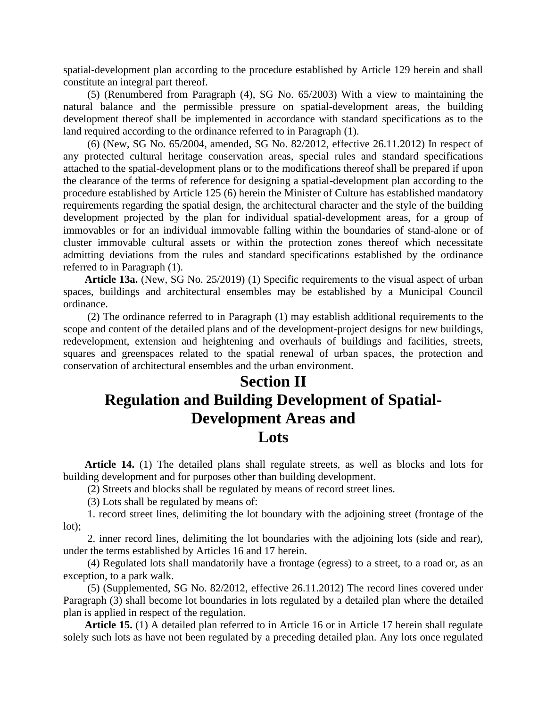spatial-development plan according to the procedure established by Article 129 herein and shall constitute an integral part thereof.

(5) (Renumbered from Paragraph (4), SG No. 65/2003) With a view to maintaining the natural balance and the permissible pressure on spatial-development areas, the building development thereof shall be implemented in accordance with standard specifications as to the land required according to the ordinance referred to in Paragraph (1).

(6) (New, SG No. 65/2004, amended, SG No. 82/2012, effective 26.11.2012) In respect of any protected cultural heritage conservation areas, special rules and standard specifications attached to the spatial-development plans or to the modifications thereof shall be prepared if upon the clearance of the terms of reference for designing a spatial-development plan according to the procedure established by Article 125 (6) herein the Minister of Culture has established mandatory requirements regarding the spatial design, the architectural character and the style of the building development projected by the plan for individual spatial-development areas, for a group of immovables or for an individual immovable falling within the boundaries of stand-alone or of cluster immovable cultural assets or within the protection zones thereof which necessitate admitting deviations from the rules and standard specifications established by the ordinance referred to in Paragraph (1).

**Article 13a.** (New, SG No. 25/2019) (1) Specific requirements to the visual aspect of urban spaces, buildings and architectural ensembles may be established by a Municipal Council ordinance.

(2) The ordinance referred to in Paragraph (1) may establish additional requirements to the scope and content of the detailed plans and of the development-project designs for new buildings, redevelopment, extension and heightening and overhauls of buildings and facilities, streets, squares and greenspaces related to the spatial renewal of urban spaces, the protection and conservation of architectural ensembles and the urban environment.

## **Section II Regulation and Building Development of Spatial-Development Areas and Lots**

**Article 14.** (1) The detailed plans shall regulate streets, as well as blocks and lots for building development and for purposes other than building development.

(2) Streets and blocks shall be regulated by means of record street lines.

(3) Lots shall be regulated by means of:

1. record street lines, delimiting the lot boundary with the adjoining street (frontage of the lot);

2. inner record lines, delimiting the lot boundaries with the adjoining lots (side and rear), under the terms established by Articles 16 and 17 herein.

(4) Regulated lots shall mandatorily have a frontage (egress) to a street, to a road or, as an exception, to a park walk.

(5) (Supplemented, SG No. 82/2012, effective 26.11.2012) The record lines covered under Paragraph (3) shall become lot boundaries in lots regulated by a detailed plan where the detailed plan is applied in respect of the regulation.

**Article 15.** (1) A detailed plan referred to in Article 16 or in Article 17 herein shall regulate solely such lots as have not been regulated by a preceding detailed plan. Any lots once regulated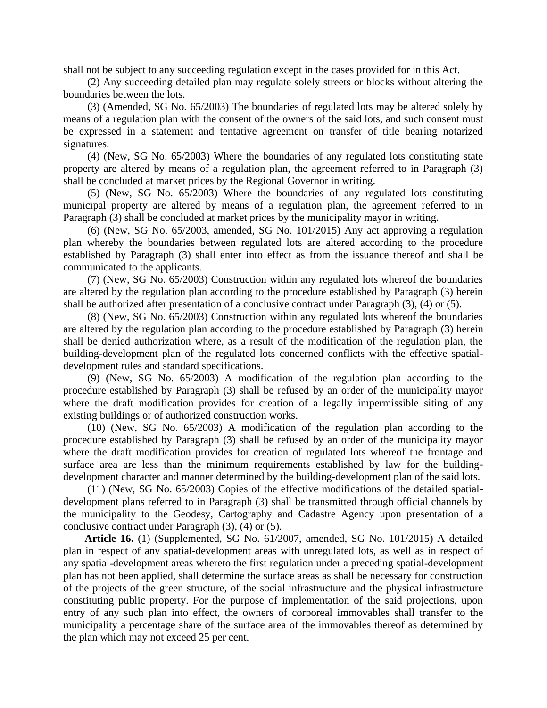shall not be subject to any succeeding regulation except in the cases provided for in this Act.

(2) Any succeeding detailed plan may regulate solely streets or blocks without altering the boundaries between the lots.

(3) (Amended, SG No. 65/2003) The boundaries of regulated lots may be altered solely by means of a regulation plan with the consent of the owners of the said lots, and such consent must be expressed in a statement and tentative agreement on transfer of title bearing notarized signatures.

(4) (New, SG No. 65/2003) Where the boundaries of any regulated lots constituting state property are altered by means of a regulation plan, the agreement referred to in Paragraph (3) shall be concluded at market prices by the Regional Governor in writing.

(5) (New, SG No. 65/2003) Where the boundaries of any regulated lots constituting municipal property are altered by means of a regulation plan, the agreement referred to in Paragraph (3) shall be concluded at market prices by the municipality mayor in writing.

(6) (New, SG No. 65/2003, amended, SG No. 101/2015) Any act approving a regulation plan whereby the boundaries between regulated lots are altered according to the procedure established by Paragraph (3) shall enter into effect as from the issuance thereof and shall be communicated to the applicants.

(7) (New, SG No. 65/2003) Construction within any regulated lots whereof the boundaries are altered by the regulation plan according to the procedure established by Paragraph (3) herein shall be authorized after presentation of a conclusive contract under Paragraph (3), (4) or (5).

(8) (New, SG No. 65/2003) Construction within any regulated lots whereof the boundaries are altered by the regulation plan according to the procedure established by Paragraph (3) herein shall be denied authorization where, as a result of the modification of the regulation plan, the building-development plan of the regulated lots concerned conflicts with the effective spatialdevelopment rules and standard specifications.

(9) (New, SG No. 65/2003) A modification of the regulation plan according to the procedure established by Paragraph (3) shall be refused by an order of the municipality mayor where the draft modification provides for creation of a legally impermissible siting of any existing buildings or of authorized construction works.

(10) (New, SG No. 65/2003) A modification of the regulation plan according to the procedure established by Paragraph (3) shall be refused by an order of the municipality mayor where the draft modification provides for creation of regulated lots whereof the frontage and surface area are less than the minimum requirements established by law for the buildingdevelopment character and manner determined by the building-development plan of the said lots.

(11) (New, SG No. 65/2003) Copies of the effective modifications of the detailed spatialdevelopment plans referred to in Paragraph (3) shall be transmitted through official channels by the municipality to the Geodesy, Cartography and Cadastre Agency upon presentation of a conclusive contract under Paragraph (3), (4) or (5).

**Article 16.** (1) (Supplemented, SG No. 61/2007, amended, SG No. 101/2015) A detailed plan in respect of any spatial-development areas with unregulated lots, as well as in respect of any spatial-development areas whereto the first regulation under a preceding spatial-development plan has not been applied, shall determine the surface areas as shall be necessary for construction of the projects of the green structure, of the social infrastructure and the physical infrastructure constituting public property. For the purpose of implementation of the said projections, upon entry of any such plan into effect, the owners of corporeal immovables shall transfer to the municipality a percentage share of the surface area of the immovables thereof as determined by the plan which may not exceed 25 per cent.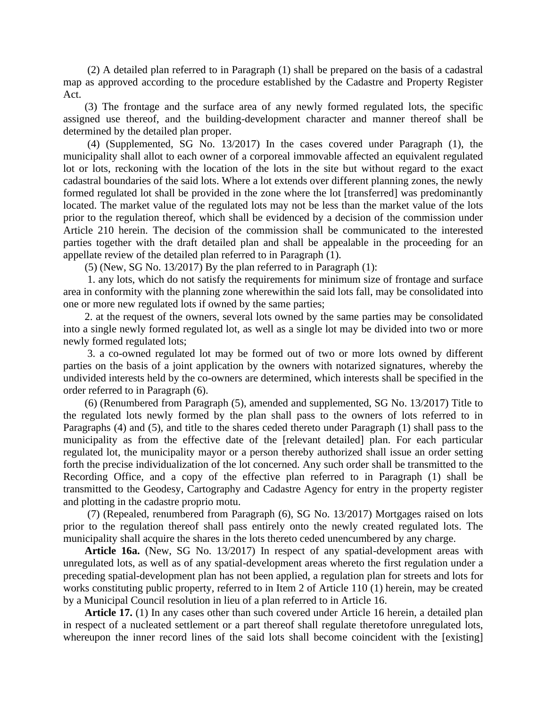(2) A detailed plan referred to in Paragraph (1) shall be prepared on the basis of a cadastral map as approved according to the procedure established by the Cadastre and Property Register Act.

(3) The frontage and the surface area of any newly formed regulated lots, the specific assigned use thereof, and the building-development character and manner thereof shall be determined by the detailed plan proper.

(4) (Supplemented, SG No. 13/2017) In the cases covered under Paragraph (1), the municipality shall allot to each owner of a corporeal immovable affected an equivalent regulated lot or lots, reckoning with the location of the lots in the site but without regard to the exact cadastral boundaries of the said lots. Where a lot extends over different planning zones, the newly formed regulated lot shall be provided in the zone where the lot [transferred] was predominantly located. The market value of the regulated lots may not be less than the market value of the lots prior to the regulation thereof, which shall be evidenced by a decision of the commission under Article 210 herein. The decision of the commission shall be communicated to the interested parties together with the draft detailed plan and shall be appealable in the proceeding for an appellate review of the detailed plan referred to in Paragraph (1).

(5) (New, SG No. 13/2017) By the plan referred to in Paragraph (1):

1. any lots, which do not satisfy the requirements for minimum size of frontage and surface area in conformity with the planning zone wherewithin the said lots fall, may be consolidated into one or more new regulated lots if owned by the same parties;

2. at the request of the owners, several lots owned by the same parties may be consolidated into a single newly formed regulated lot, as well as a single lot may be divided into two or more newly formed regulated lots;

3. a co-owned regulated lot may be formed out of two or more lots owned by different parties on the basis of a joint application by the owners with notarized signatures, whereby the undivided interests held by the co-owners are determined, which interests shall be specified in the order referred to in Paragraph (6).

(6) (Renumbered from Paragraph (5), amended and supplemented, SG No. 13/2017) Title to the regulated lots newly formed by the plan shall pass to the owners of lots referred to in Paragraphs (4) and (5), and title to the shares ceded thereto under Paragraph (1) shall pass to the municipality as from the effective date of the [relevant detailed] plan. For each particular regulated lot, the municipality mayor or a person thereby authorized shall issue an order setting forth the precise individualization of the lot concerned. Any such order shall be transmitted to the Recording Office, and a copy of the effective plan referred to in Paragraph (1) shall be transmitted to the Geodesy, Cartography and Cadastre Agency for entry in the property register and plotting in the cadastre proprio motu.

(7) (Repealed, renumbered from Paragraph (6), SG No. 13/2017) Mortgages raised on lots prior to the regulation thereof shall pass entirely onto the newly created regulated lots. The municipality shall acquire the shares in the lots thereto ceded unencumbered by any charge.

**Article 16a.** (New, SG No. 13/2017) In respect of any spatial-development areas with unregulated lots, as well as of any spatial-development areas whereto the first regulation under a preceding spatial-development plan has not been applied, a regulation plan for streets and lots for works constituting public property, referred to in Item 2 of Article 110 (1) herein, may be created by a Municipal Council resolution in lieu of a plan referred to in Article 16.

**Article 17.** (1) In any cases other than such covered under Article 16 herein, a detailed plan in respect of a nucleated settlement or a part thereof shall regulate theretofore unregulated lots, whereupon the inner record lines of the said lots shall become coincident with the [existing]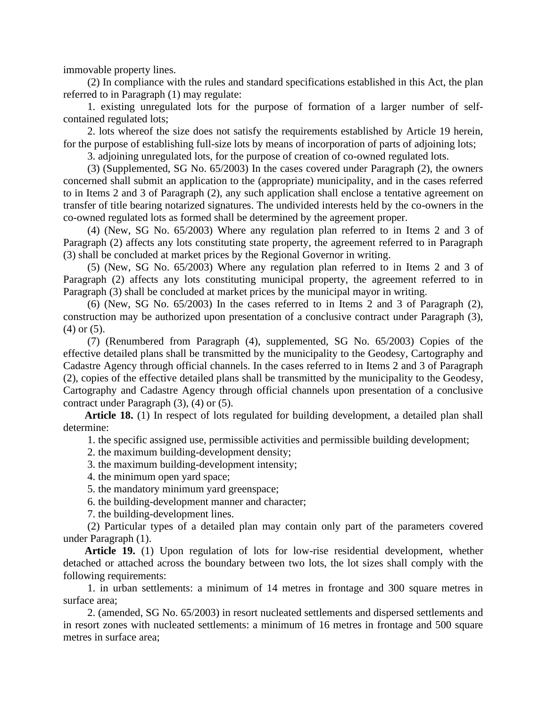immovable property lines.

(2) In compliance with the rules and standard specifications established in this Act, the plan referred to in Paragraph (1) may regulate:

1. existing unregulated lots for the purpose of formation of a larger number of selfcontained regulated lots;

2. lots whereof the size does not satisfy the requirements established by Article 19 herein, for the purpose of establishing full-size lots by means of incorporation of parts of adjoining lots;

3. adjoining unregulated lots, for the purpose of creation of co-owned regulated lots.

(3) (Supplemented, SG No. 65/2003) In the cases covered under Paragraph (2), the owners concerned shall submit an application to the (appropriate) municipality, and in the cases referred to in Items 2 and 3 of Paragraph (2), any such application shall enclose a tentative agreement on transfer of title bearing notarized signatures. The undivided interests held by the co-owners in the co-owned regulated lots as formed shall be determined by the agreement proper.

(4) (New, SG No. 65/2003) Where any regulation plan referred to in Items 2 and 3 of Paragraph (2) affects any lots constituting state property, the agreement referred to in Paragraph (3) shall be concluded at market prices by the Regional Governor in writing.

(5) (New, SG No. 65/2003) Where any regulation plan referred to in Items 2 and 3 of Paragraph (2) affects any lots constituting municipal property, the agreement referred to in Paragraph (3) shall be concluded at market prices by the municipal mayor in writing.

(6) (New, SG No. 65/2003) In the cases referred to in Items 2 and 3 of Paragraph (2), construction may be authorized upon presentation of a conclusive contract under Paragraph (3), (4) or (5).

(7) (Renumbered from Paragraph (4), supplemented, SG No. 65/2003) Copies of the effective detailed plans shall be transmitted by the municipality to the Geodesy, Cartography and Cadastre Agency through official channels. In the cases referred to in Items 2 and 3 of Paragraph (2), copies of the effective detailed plans shall be transmitted by the municipality to the Geodesy, Cartography and Cadastre Agency through official channels upon presentation of a conclusive contract under Paragraph (3), (4) or (5).

**Article 18.** (1) In respect of lots regulated for building development, a detailed plan shall determine:

1. the specific assigned use, permissible activities and permissible building development;

2. the maximum building-development density;

3. the maximum building-development intensity;

4. the minimum open yard space;

5. the mandatory minimum yard greenspace;

6. the building-development manner and character;

7. the building-development lines.

(2) Particular types of a detailed plan may contain only part of the parameters covered under Paragraph (1).

**Article 19.** (1) Upon regulation of lots for low-rise residential development, whether detached or attached across the boundary between two lots, the lot sizes shall comply with the following requirements:

1. in urban settlements: a minimum of 14 metres in frontage and 300 square metres in surface area;

2. (amended, SG No. 65/2003) in resort nucleated settlements and dispersed settlements and in resort zones with nucleated settlements: a minimum of 16 metres in frontage and 500 square metres in surface area;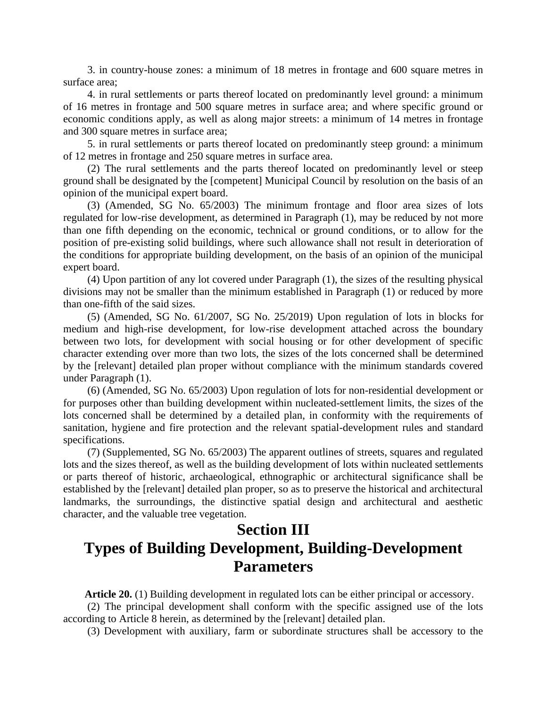3. in country-house zones: a minimum of 18 metres in frontage and 600 square metres in surface area;

4. in rural settlements or parts thereof located on predominantly level ground: a minimum of 16 metres in frontage and 500 square metres in surface area; and where specific ground or economic conditions apply, as well as along major streets: a minimum of 14 metres in frontage and 300 square metres in surface area;

5. in rural settlements or parts thereof located on predominantly steep ground: a minimum of 12 metres in frontage and 250 square metres in surface area.

(2) The rural settlements and the parts thereof located on predominantly level or steep ground shall be designated by the [competent] Municipal Council by resolution on the basis of an opinion of the municipal expert board.

(3) (Amended, SG No. 65/2003) The minimum frontage and floor area sizes of lots regulated for low-rise development, as determined in Paragraph (1), may be reduced by not more than one fifth depending on the economic, technical or ground conditions, or to allow for the position of pre-existing solid buildings, where such allowance shall not result in deterioration of the conditions for appropriate building development, on the basis of an opinion of the municipal expert board.

(4) Upon partition of any lot covered under Paragraph (1), the sizes of the resulting physical divisions may not be smaller than the minimum established in Paragraph (1) or reduced by more than one-fifth of the said sizes.

(5) (Amended, SG No. 61/2007, SG No. 25/2019) Upon regulation of lots in blocks for medium and high-rise development, for low-rise development attached across the boundary between two lots, for development with social housing or for other development of specific character extending over more than two lots, the sizes of the lots concerned shall be determined by the [relevant] detailed plan proper without compliance with the minimum standards covered under Paragraph (1).

(6) (Amended, SG No. 65/2003) Upon regulation of lots for non-residential development or for purposes other than building development within nucleated-settlement limits, the sizes of the lots concerned shall be determined by a detailed plan, in conformity with the requirements of sanitation, hygiene and fire protection and the relevant spatial-development rules and standard specifications.

(7) (Supplemented, SG No. 65/2003) The apparent outlines of streets, squares and regulated lots and the sizes thereof, as well as the building development of lots within nucleated settlements or parts thereof of historic, archaeological, ethnographic or architectural significance shall be established by the [relevant] detailed plan proper, so as to preserve the historical and architectural landmarks, the surroundings, the distinctive spatial design and architectural and aesthetic character, and the valuable tree vegetation.

## **Section III Types of Building Development, Building-Development Parameters**

**Article 20.** (1) Building development in regulated lots can be either principal or accessory.

(2) The principal development shall conform with the specific assigned use of the lots according to Article 8 herein, as determined by the [relevant] detailed plan.

(3) Development with auxiliary, farm or subordinate structures shall be accessory to the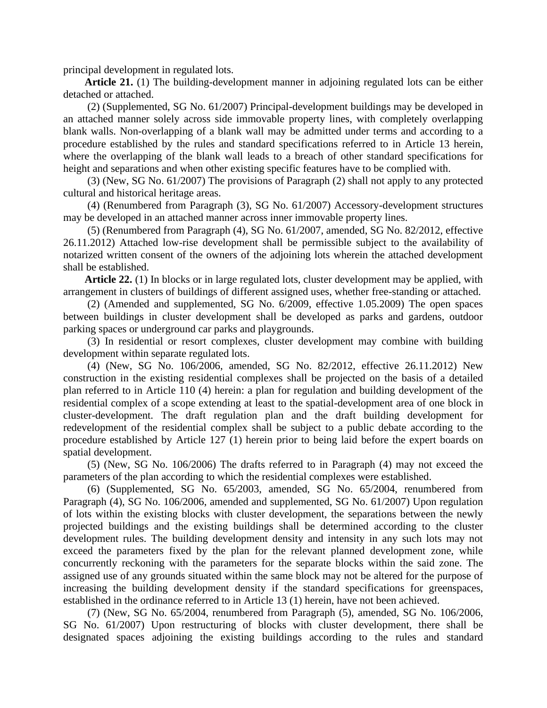principal development in regulated lots.

**Article 21.** (1) The building-development manner in adjoining regulated lots can be either detached or attached.

(2) (Supplemented, SG No. 61/2007) Principal-development buildings may be developed in an attached manner solely across side immovable property lines, with completely overlapping blank walls. Non-overlapping of a blank wall may be admitted under terms and according to a procedure established by the rules and standard specifications referred to in Article 13 herein, where the overlapping of the blank wall leads to a breach of other standard specifications for height and separations and when other existing specific features have to be complied with.

(3) (New, SG No. 61/2007) The provisions of Paragraph (2) shall not apply to any protected cultural and historical heritage areas.

(4) (Renumbered from Paragraph (3), SG No. 61/2007) Accessory-development structures may be developed in an attached manner across inner immovable property lines.

(5) (Renumbered from Paragraph (4), SG No. 61/2007, amended, SG No. 82/2012, effective 26.11.2012) Attached low-rise development shall be permissible subject to the availability of notarized written consent of the owners of the adjoining lots wherein the attached development shall be established.

**Article 22.** (1) In blocks or in large regulated lots, cluster development may be applied, with arrangement in clusters of buildings of different assigned uses, whether free-standing or attached.

(2) (Amended and supplemented, SG No. 6/2009, effective 1.05.2009) The open spaces between buildings in cluster development shall be developed as parks and gardens, outdoor parking spaces or underground car parks and playgrounds.

(3) In residential or resort complexes, cluster development may combine with building development within separate regulated lots.

(4) (New, SG No. 106/2006, amended, SG No. 82/2012, effective 26.11.2012) New construction in the existing residential complexes shall be projected on the basis of a detailed plan referred to in Article 110 (4) herein: a plan for regulation and building development of the residential complex of a scope extending at least to the spatial-development area of one block in cluster-development. The draft regulation plan and the draft building development for redevelopment of the residential complex shall be subject to a public debate according to the procedure established by Article 127 (1) herein prior to being laid before the expert boards on spatial development.

(5) (New, SG No. 106/2006) The drafts referred to in Paragraph (4) may not exceed the parameters of the plan according to which the residential complexes were established.

(6) (Supplemented, SG No. 65/2003, amended, SG No. 65/2004, renumbered from Paragraph (4), SG No. 106/2006, amended and supplemented, SG No. 61/2007) Upon regulation of lots within the existing blocks with cluster development, the separations between the newly projected buildings and the existing buildings shall be determined according to the cluster development rules. The building development density and intensity in any such lots may not exceed the parameters fixed by the plan for the relevant planned development zone, while concurrently reckoning with the parameters for the separate blocks within the said zone. The assigned use of any grounds situated within the same block may not be altered for the purpose of increasing the building development density if the standard specifications for greenspaces, established in the ordinance referred to in Article 13 (1) herein, have not been achieved.

(7) (New, SG No. 65/2004, renumbered from Paragraph (5), amended, SG No. 106/2006, SG No. 61/2007) Upon restructuring of blocks with cluster development, there shall be designated spaces adjoining the existing buildings according to the rules and standard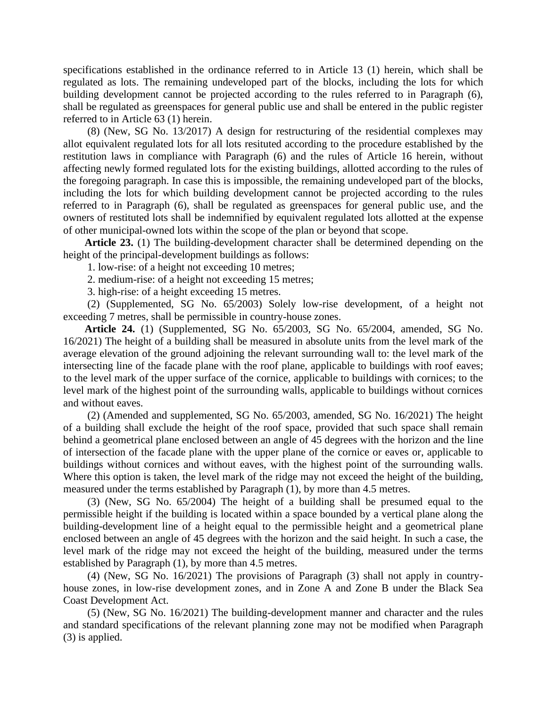specifications established in the ordinance referred to in Article 13 (1) herein, which shall be regulated as lots. The remaining undeveloped part of the blocks, including the lots for which building development cannot be projected according to the rules referred to in Paragraph (6), shall be regulated as greenspaces for general public use and shall be entered in the public register referred to in Article 63 (1) herein.

(8) (New, SG No. 13/2017) A design for restructuring of the residential complexes may allot equivalent regulated lots for all lots resituted according to the procedure established by the restitution laws in compliance with Paragraph (6) and the rules of Article 16 herein, without affecting newly formed regulated lots for the existing buildings, allotted according to the rules of the foregoing paragraph. In case this is impossible, the remaining undeveloped part of the blocks, including the lots for which building development cannot be projected according to the rules referred to in Paragraph (6), shall be regulated as greenspaces for general public use, and the owners of restituted lots shall be indemnified by equivalent regulated lots allotted at the expense of other municipal-owned lots within the scope of the plan or beyond that scope.

**Article 23.** (1) The building-development character shall be determined depending on the height of the principal-development buildings as follows:

1. low-rise: of a height not exceeding 10 metres;

2. medium-rise: of a height not exceeding 15 metres;

3. high-rise: of a height exceeding 15 metres.

(2) (Supplemented, SG No. 65/2003) Solely low-rise development, of a height not exceeding 7 metres, shall be permissible in country-house zones.

**Article 24.** (1) (Supplemented, SG No. 65/2003, SG No. 65/2004, amended, SG No. 16/2021) The height of a building shall be measured in absolute units from the level mark of the average elevation of the ground adjoining the relevant surrounding wall to: the level mark of the intersecting line of the facade plane with the roof plane, applicable to buildings with roof eaves; to the level mark of the upper surface of the cornice, applicable to buildings with cornices; to the level mark of the highest point of the surrounding walls, applicable to buildings without cornices and without eaves.

(2) (Amended and supplemented, SG No. 65/2003, amended, SG No. 16/2021) The height of a building shall exclude the height of the roof space, provided that such space shall remain behind a geometrical plane enclosed between an angle of 45 degrees with the horizon and the line of intersection of the facade plane with the upper plane of the cornice or eaves or, applicable to buildings without cornices and without eaves, with the highest point of the surrounding walls. Where this option is taken, the level mark of the ridge may not exceed the height of the building, measured under the terms established by Paragraph (1), by more than 4.5 metres.

(3) (New, SG No. 65/2004) The height of a building shall be presumed equal to the permissible height if the building is located within a space bounded by a vertical plane along the building-development line of a height equal to the permissible height and a geometrical plane enclosed between an angle of 45 degrees with the horizon and the said height. In such a case, the level mark of the ridge may not exceed the height of the building, measured under the terms established by Paragraph (1), by more than 4.5 metres.

(4) (New, SG No. 16/2021) The provisions of Paragraph (3) shall not apply in countryhouse zones, in low-rise development zones, and in Zone A and Zone B under the Black Sea Coast Development Act.

(5) (New, SG No. 16/2021) The building-development manner and character and the rules and standard specifications of the relevant planning zone may not be modified when Paragraph (3) is applied.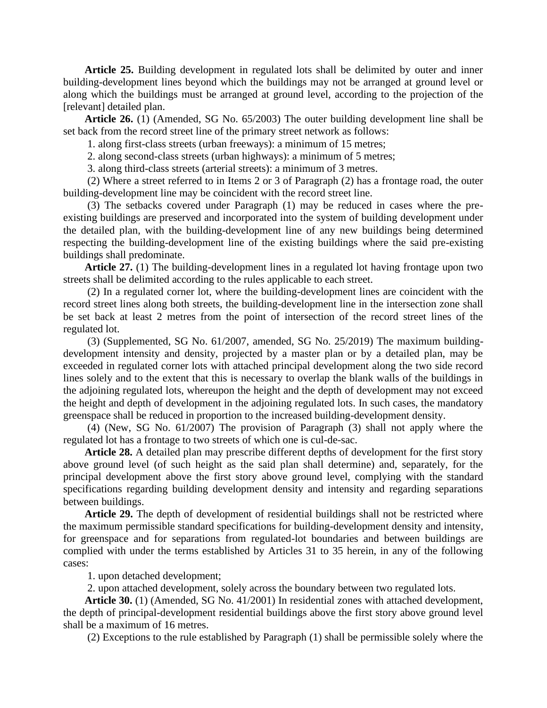**Article 25.** Building development in regulated lots shall be delimited by outer and inner building-development lines beyond which the buildings may not be arranged at ground level or along which the buildings must be arranged at ground level, according to the projection of the [relevant] detailed plan.

**Article 26.** (1) (Amended, SG No. 65/2003) The outer building development line shall be set back from the record street line of the primary street network as follows:

1. along first-class streets (urban freeways): a minimum of 15 metres;

2. along second-class streets (urban highways): a minimum of 5 metres;

3. along third-class streets (arterial streets): a minimum of 3 metres.

(2) Where a street referred to in Items 2 or 3 of Paragraph (2) has a frontage road, the outer building-development line may be coincident with the record street line.

(3) The setbacks covered under Paragraph (1) may be reduced in cases where the preexisting buildings are preserved and incorporated into the system of building development under the detailed plan, with the building-development line of any new buildings being determined respecting the building-development line of the existing buildings where the said pre-existing buildings shall predominate.

**Article 27.** (1) The building-development lines in a regulated lot having frontage upon two streets shall be delimited according to the rules applicable to each street.

(2) In a regulated corner lot, where the building-development lines are coincident with the record street lines along both streets, the building-development line in the intersection zone shall be set back at least 2 metres from the point of intersection of the record street lines of the regulated lot.

(3) (Supplemented, SG No. 61/2007, amended, SG No. 25/2019) The maximum buildingdevelopment intensity and density, projected by a master plan or by a detailed plan, may be exceeded in regulated corner lots with attached principal development along the two side record lines solely and to the extent that this is necessary to overlap the blank walls of the buildings in the adjoining regulated lots, whereupon the height and the depth of development may not exceed the height and depth of development in the adjoining regulated lots. In such cases, the mandatory greenspace shall be reduced in proportion to the increased building-development density.

(4) (New, SG No. 61/2007) The provision of Paragraph (3) shall not apply where the regulated lot has a frontage to two streets of which one is cul-de-sac.

**Article 28.** A detailed plan may prescribe different depths of development for the first story above ground level (of such height as the said plan shall determine) and, separately, for the principal development above the first story above ground level, complying with the standard specifications regarding building development density and intensity and regarding separations between buildings.

**Article 29.** The depth of development of residential buildings shall not be restricted where the maximum permissible standard specifications for building-development density and intensity, for greenspace and for separations from regulated-lot boundaries and between buildings are complied with under the terms established by Articles 31 to 35 herein, in any of the following cases:

1. upon detached development;

2. upon attached development, solely across the boundary between two regulated lots.

**Article 30.** (1) (Amended, SG No. 41/2001) In residential zones with attached development, the depth of principal-development residential buildings above the first story above ground level shall be a maximum of 16 metres.

(2) Exceptions to the rule established by Paragraph (1) shall be permissible solely where the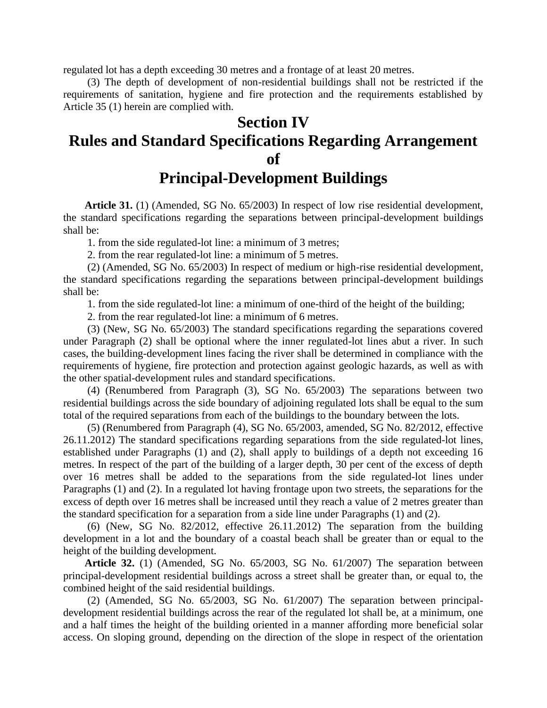regulated lot has a depth exceeding 30 metres and a frontage of at least 20 metres.

(3) The depth of development of non-residential buildings shall not be restricted if the requirements of sanitation, hygiene and fire protection and the requirements established by Article 35 (1) herein are complied with.

## **Section IV Rules and Standard Specifications Regarding Arrangement of Principal-Development Buildings**

**Article 31.** (1) (Amended, SG No. 65/2003) In respect of low rise residential development, the standard specifications regarding the separations between principal-development buildings shall be:

1. from the side regulated-lot line: a minimum of 3 metres;

2. from the rear regulated-lot line: a minimum of 5 metres.

(2) (Amended, SG No. 65/2003) In respect of medium or high-rise residential development, the standard specifications regarding the separations between principal-development buildings shall be:

1. from the side regulated-lot line: a minimum of one-third of the height of the building;

2. from the rear regulated-lot line: a minimum of 6 metres.

(3) (New, SG No. 65/2003) The standard specifications regarding the separations covered under Paragraph (2) shall be optional where the inner regulated-lot lines abut a river. In such cases, the building-development lines facing the river shall be determined in compliance with the requirements of hygiene, fire protection and protection against geologic hazards, as well as with the other spatial-development rules and standard specifications.

(4) (Renumbered from Paragraph (3), SG No. 65/2003) The separations between two residential buildings across the side boundary of adjoining regulated lots shall be equal to the sum total of the required separations from each of the buildings to the boundary between the lots.

(5) (Renumbered from Paragraph (4), SG No. 65/2003, amended, SG No. 82/2012, effective 26.11.2012) The standard specifications regarding separations from the side regulated-lot lines, established under Paragraphs (1) and (2), shall apply to buildings of a depth not exceeding 16 metres. In respect of the part of the building of a larger depth, 30 per cent of the excess of depth over 16 metres shall be added to the separations from the side regulated-lot lines under Paragraphs (1) and (2). In a regulated lot having frontage upon two streets, the separations for the excess of depth over 16 metres shall be increased until they reach a value of 2 metres greater than the standard specification for a separation from a side line under Paragraphs (1) and (2).

(6) (New, SG No. 82/2012, effective 26.11.2012) The separation from the building development in a lot and the boundary of a coastal beach shall be greater than or equal to the height of the building development.

**Article 32.** (1) (Amended, SG No. 65/2003, SG No. 61/2007) The separation between principal-development residential buildings across a street shall be greater than, or equal to, the combined height of the said residential buildings.

(2) (Amended, SG No. 65/2003, SG No. 61/2007) The separation between principaldevelopment residential buildings across the rear of the regulated lot shall be, at a minimum, one and a half times the height of the building oriented in a manner affording more beneficial solar access. On sloping ground, depending on the direction of the slope in respect of the orientation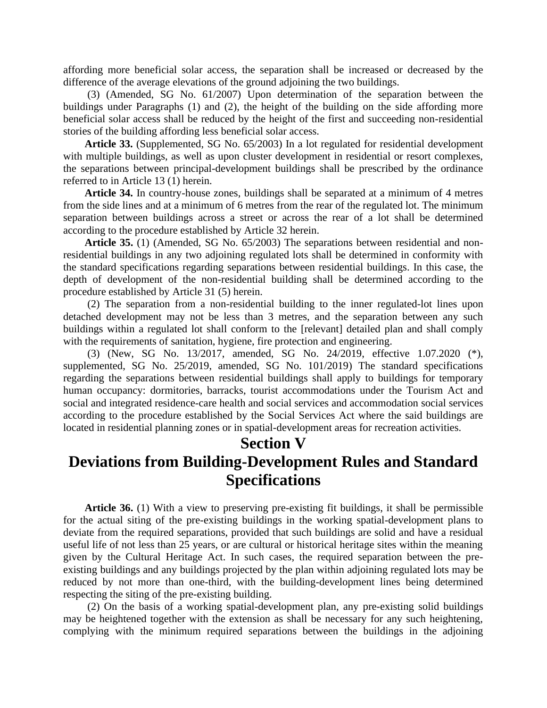affording more beneficial solar access, the separation shall be increased or decreased by the difference of the average elevations of the ground adjoining the two buildings.

(3) (Amended, SG No. 61/2007) Upon determination of the separation between the buildings under Paragraphs (1) and (2), the height of the building on the side affording more beneficial solar access shall be reduced by the height of the first and succeeding non-residential stories of the building affording less beneficial solar access.

**Article 33.** (Supplemented, SG No. 65/2003) In a lot regulated for residential development with multiple buildings, as well as upon cluster development in residential or resort complexes, the separations between principal-development buildings shall be prescribed by the ordinance referred to in Article 13 (1) herein.

**Article 34.** In country-house zones, buildings shall be separated at a minimum of 4 metres from the side lines and at a minimum of 6 metres from the rear of the regulated lot. The minimum separation between buildings across a street or across the rear of a lot shall be determined according to the procedure established by Article 32 herein.

**Article 35.** (1) (Amended, SG No. 65/2003) The separations between residential and nonresidential buildings in any two adjoining regulated lots shall be determined in conformity with the standard specifications regarding separations between residential buildings. In this case, the depth of development of the non-residential building shall be determined according to the procedure established by Article 31 (5) herein.

(2) The separation from a non-residential building to the inner regulated-lot lines upon detached development may not be less than 3 metres, and the separation between any such buildings within a regulated lot shall conform to the [relevant] detailed plan and shall comply with the requirements of sanitation, hygiene, fire protection and engineering.

(3) (New, SG No. 13/2017, amended, SG No. 24/2019, effective 1.07.2020 (\*), supplemented, SG No. 25/2019, amended, SG No. 101/2019) The standard specifications regarding the separations between residential buildings shall apply to buildings for temporary human occupancy: dormitories, barracks, tourist accommodations under the Tourism Act and social and integrated residence-care health and social services and accommodation social services according to the procedure established by the Social Services Act where the said buildings are located in residential planning zones or in spatial-development areas for recreation activities.

#### **Section V**

## **Deviations from Building-Development Rules and Standard Specifications**

**Article 36.** (1) With a view to preserving pre-existing fit buildings, it shall be permissible for the actual siting of the pre-existing buildings in the working spatial-development plans to deviate from the required separations, provided that such buildings are solid and have a residual useful life of not less than 25 years, or are cultural or historical heritage sites within the meaning given by the Cultural Heritage Act. In such cases, the required separation between the preexisting buildings and any buildings projected by the plan within adjoining regulated lots may be reduced by not more than one-third, with the building-development lines being determined respecting the siting of the pre-existing building.

(2) On the basis of a working spatial-development plan, any pre-existing solid buildings may be heightened together with the extension as shall be necessary for any such heightening, complying with the minimum required separations between the buildings in the adjoining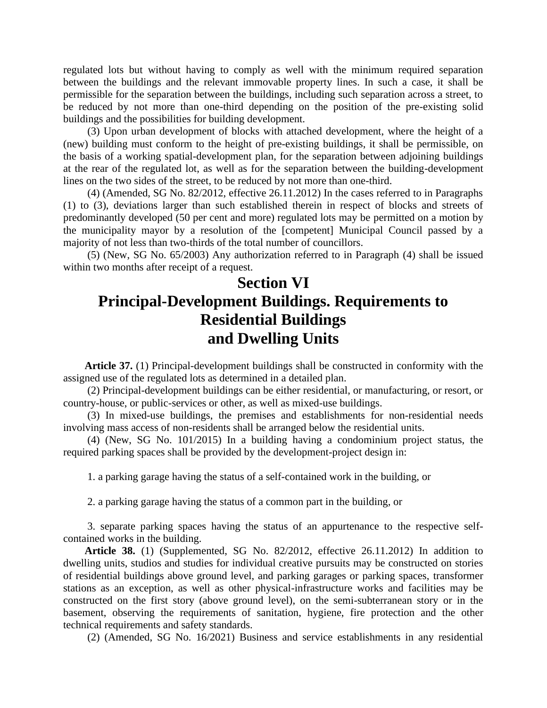regulated lots but without having to comply as well with the minimum required separation between the buildings and the relevant immovable property lines. In such a case, it shall be permissible for the separation between the buildings, including such separation across a street, to be reduced by not more than one-third depending on the position of the pre-existing solid buildings and the possibilities for building development.

(3) Upon urban development of blocks with attached development, where the height of a (new) building must conform to the height of pre-existing buildings, it shall be permissible, on the basis of a working spatial-development plan, for the separation between adjoining buildings at the rear of the regulated lot, as well as for the separation between the building-development lines on the two sides of the street, to be reduced by not more than one-third.

(4) (Amended, SG No. 82/2012, effective 26.11.2012) In the cases referred to in Paragraphs (1) to (3), deviations larger than such established therein in respect of blocks and streets of predominantly developed (50 per cent and more) regulated lots may be permitted on a motion by the municipality mayor by a resolution of the [competent] Municipal Council passed by a majority of not less than two-thirds of the total number of councillors.

(5) (New, SG No. 65/2003) Any authorization referred to in Paragraph (4) shall be issued within two months after receipt of a request.

## **Section VI Principal-Development Buildings. Requirements to Residential Buildings and Dwelling Units**

**Article 37.** (1) Principal-development buildings shall be constructed in conformity with the assigned use of the regulated lots as determined in a detailed plan.

(2) Principal-development buildings can be either residential, or manufacturing, or resort, or country-house, or public-services or other, as well as mixed-use buildings.

(3) In mixed-use buildings, the premises and establishments for non-residential needs involving mass access of non-residents shall be arranged below the residential units.

(4) (New, SG No. 101/2015) In a building having a condominium project status, the required parking spaces shall be provided by the development-project design in:

1. a parking garage having the status of a self-contained work in the building, or

2. a parking garage having the status of a common part in the building, or

3. separate parking spaces having the status of an appurtenance to the respective selfcontained works in the building.

**Article 38.** (1) (Supplemented, SG No. 82/2012, effective 26.11.2012) In addition to dwelling units, studios and studies for individual creative pursuits may be constructed on stories of residential buildings above ground level, and parking garages or parking spaces, transformer stations as an exception, as well as other physical-infrastructure works and facilities may be constructed on the first story (above ground level), on the semi-subterranean story or in the basement, observing the requirements of sanitation, hygiene, fire protection and the other technical requirements and safety standards.

(2) (Amended, SG No. 16/2021) Business and service establishments in any residential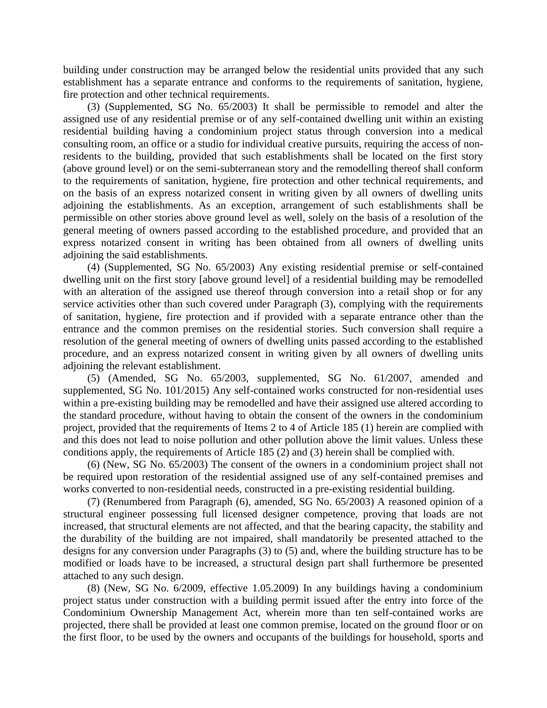building under construction may be arranged below the residential units provided that any such establishment has a separate entrance and conforms to the requirements of sanitation, hygiene, fire protection and other technical requirements.

(3) (Supplemented, SG No. 65/2003) It shall be permissible to remodel and alter the assigned use of any residential premise or of any self-contained dwelling unit within an existing residential building having a condominium project status through conversion into a medical consulting room, an office or a studio for individual creative pursuits, requiring the access of nonresidents to the building, provided that such establishments shall be located on the first story (above ground level) or on the semi-subterranean story and the remodelling thereof shall conform to the requirements of sanitation, hygiene, fire protection and other technical requirements, and on the basis of an express notarized consent in writing given by all owners of dwelling units adjoining the establishments. As an exception, arrangement of such establishments shall be permissible on other stories above ground level as well, solely on the basis of a resolution of the general meeting of owners passed according to the established procedure, and provided that an express notarized consent in writing has been obtained from all owners of dwelling units adjoining the said establishments.

(4) (Supplemented, SG No. 65/2003) Any existing residential premise or self-contained dwelling unit on the first story [above ground level] of a residential building may be remodelled with an alteration of the assigned use thereof through conversion into a retail shop or for any service activities other than such covered under Paragraph (3), complying with the requirements of sanitation, hygiene, fire protection and if provided with a separate entrance other than the entrance and the common premises on the residential stories. Such conversion shall require a resolution of the general meeting of owners of dwelling units passed according to the established procedure, and an express notarized consent in writing given by all owners of dwelling units adjoining the relevant establishment.

(5) (Amended, SG No. 65/2003, supplemented, SG No. 61/2007, amended and supplemented, SG No. 101/2015) Any self-contained works constructed for non-residential uses within a pre-existing building may be remodelled and have their assigned use altered according to the standard procedure, without having to obtain the consent of the owners in the condominium project, provided that the requirements of Items 2 to 4 of Article 185 (1) herein are complied with and this does not lead to noise pollution and other pollution above the limit values. Unless these conditions apply, the requirements of Article 185 (2) and (3) herein shall be complied with.

(6) (New, SG No. 65/2003) The consent of the owners in a condominium project shall not be required upon restoration of the residential assigned use of any self-contained premises and works converted to non-residential needs, constructed in a pre-existing residential building.

(7) (Renumbered from Paragraph (6), amended, SG No. 65/2003) A reasoned opinion of a structural engineer possessing full licensed designer competence, proving that loads are not increased, that structural elements are not affected, and that the bearing capacity, the stability and the durability of the building are not impaired, shall mandatorily be presented attached to the designs for any conversion under Paragraphs (3) to (5) and, where the building structure has to be modified or loads have to be increased, a structural design part shall furthermore be presented attached to any such design.

(8) (New, SG No. 6/2009, effective 1.05.2009) In any buildings having a condominium project status under construction with a building permit issued after the entry into force of the Condominium Ownership Management Act, wherein more than ten self-contained works are projected, there shall be provided at least one common premise, located on the ground floor or on the first floor, to be used by the owners and occupants of the buildings for household, sports and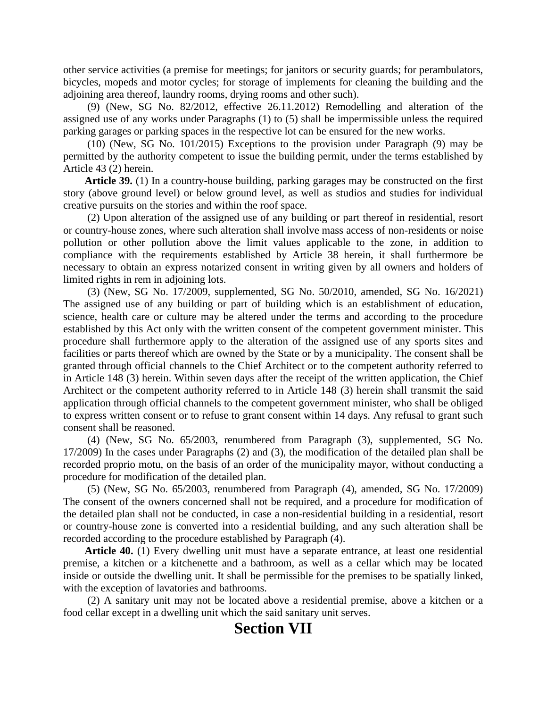other service activities (a premise for meetings; for janitors or security guards; for perambulators, bicycles, mopeds and motor cycles; for storage of implements for cleaning the building and the adjoining area thereof, laundry rooms, drying rooms and other such).

(9) (New, SG No. 82/2012, effective 26.11.2012) Remodelling and alteration of the assigned use of any works under Paragraphs (1) to (5) shall be impermissible unless the required parking garages or parking spaces in the respective lot can be ensured for the new works.

(10) (New, SG No. 101/2015) Exceptions to the provision under Paragraph (9) may be permitted by the authority competent to issue the building permit, under the terms established by Article 43 (2) herein.

**Article 39.** (1) In a country-house building, parking garages may be constructed on the first story (above ground level) or below ground level, as well as studios and studies for individual creative pursuits on the stories and within the roof space.

(2) Upon alteration of the assigned use of any building or part thereof in residential, resort or country-house zones, where such alteration shall involve mass access of non-residents or noise pollution or other pollution above the limit values applicable to the zone, in addition to compliance with the requirements established by Article 38 herein, it shall furthermore be necessary to obtain an express notarized consent in writing given by all owners and holders of limited rights in rem in adjoining lots.

(3) (New, SG No. 17/2009, supplemented, SG No. 50/2010, amended, SG No. 16/2021) The assigned use of any building or part of building which is an establishment of education, science, health care or culture may be altered under the terms and according to the procedure established by this Act only with the written consent of the competent government minister. This procedure shall furthermore apply to the alteration of the assigned use of any sports sites and facilities or parts thereof which are owned by the State or by a municipality. The consent shall be granted through official channels to the Chief Architect or to the competent authority referred to in Article 148 (3) herein. Within seven days after the receipt of the written application, the Chief Architect or the competent authority referred to in Article 148 (3) herein shall transmit the said application through official channels to the competent government minister, who shall be obliged to express written consent or to refuse to grant consent within 14 days. Any refusal to grant such consent shall be reasoned.

(4) (New, SG No. 65/2003, renumbered from Paragraph (3), supplemented, SG No. 17/2009) In the cases under Paragraphs (2) and (3), the modification of the detailed plan shall be recorded proprio motu, on the basis of an order of the municipality mayor, without conducting a procedure for modification of the detailed plan.

(5) (New, SG No. 65/2003, renumbered from Paragraph (4), amended, SG No. 17/2009) The consent of the owners concerned shall not be required, and a procedure for modification of the detailed plan shall not be conducted, in case a non-residential building in a residential, resort or country-house zone is converted into a residential building, and any such alteration shall be recorded according to the procedure established by Paragraph (4).

**Article 40.** (1) Every dwelling unit must have a separate entrance, at least one residential premise, a kitchen or a kitchenette and a bathroom, as well as a cellar which may be located inside or outside the dwelling unit. It shall be permissible for the premises to be spatially linked, with the exception of lavatories and bathrooms.

(2) A sanitary unit may not be located above a residential premise, above a kitchen or a food cellar except in a dwelling unit which the said sanitary unit serves.

#### **Section VII**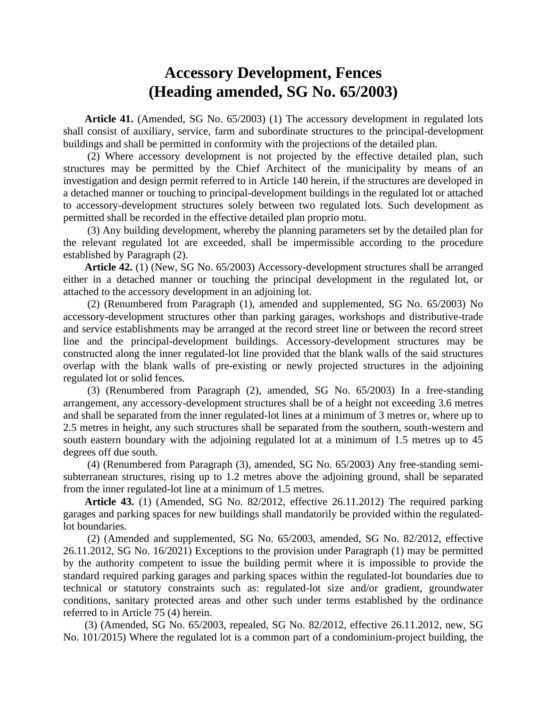### **Accessory Development, Fences (Heading amended, SG No. 65/2003)**

**Article 41.** (Amended, SG No. 65/2003) (1) The accessory development in regulated lots shall consist of auxiliary, service, farm and subordinate structures to the principal-development buildings and shall be permitted in conformity with the projections of the detailed plan.

(2) Where accessory development is not projected by the effective detailed plan, such structures may be permitted by the Chief Architect of the municipality by means of an investigation and design permit referred to in Article 140 herein, if the structures are developed in a detached manner or touching to principal-development buildings in the regulated lot or attached to accessory-development structures solely between two regulated lots. Such development as permitted shall be recorded in the effective detailed plan proprio motu.

(3) Any building development, whereby the planning parameters set by the detailed plan for the relevant regulated lot are exceeded, shall be impermissible according to the procedure established by Paragraph (2).

**Article 42.** (1) (New, SG No. 65/2003) Accessory-development structures shall be arranged either in a detached manner or touching the principal development in the regulated lot, or attached to the accessory development in an adjoining lot.

(2) (Renumbered from Paragraph (1), amended and supplemented, SG No. 65/2003) No accessory-development structures other than parking garages, workshops and distributive-trade and service establishments may be arranged at the record street line or between the record street line and the principal-development buildings. Accessory-development structures may be constructed along the inner regulated-lot line provided that the blank walls of the said structures overlap with the blank walls of pre-existing or newly projected structures in the adjoining regulated lot or solid fences.

(3) (Renumbered from Paragraph (2), amended, SG No. 65/2003) In a free-standing arrangement, any accessory-development structures shall be of a height not exceeding 3.6 metres and shall be separated from the inner regulated-lot lines at a minimum of 3 metres or, where up to 2.5 metres in height, any such structures shall be separated from the southern, south-western and south eastern boundary with the adjoining regulated lot at a minimum of 1.5 metres up to 45 degrees off due south.

(4) (Renumbered from Paragraph (3), amended, SG No. 65/2003) Any free-standing semisubterranean structures, rising up to 1.2 metres above the adjoining ground, shall be separated from the inner regulated-lot line at a minimum of 1.5 metres.

**Article 43.** (1) (Amended, SG No. 82/2012, effective 26.11.2012) The required parking garages and parking spaces for new buildings shall mandatorily be provided within the regulatedlot boundaries.

(2) (Amended and supplemented, SG No. 65/2003, amended, SG No. 82/2012, effective 26.11.2012, SG No. 16/2021) Exceptions to the provision under Paragraph (1) may be permitted by the authority competent to issue the building permit where it is impossible to provide the standard required parking garages and parking spaces within the regulated-lot boundaries due to technical or statutory constraints such as: regulated-lot size and/or gradient, groundwater conditions, sanitary protected areas and other such under terms established by the ordinance referred to in Article 75 (4) herein.

(3) (Amended, SG No. 65/2003, repealed, SG No. 82/2012, effective 26.11.2012, new, SG No. 101/2015) Where the regulated lot is a common part of a condominium-project building, the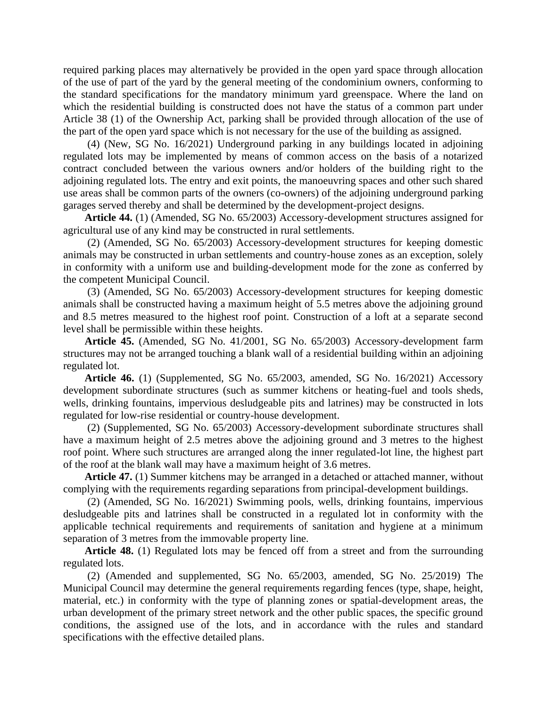required parking places may alternatively be provided in the open yard space through allocation of the use of part of the yard by the general meeting of the condominium owners, conforming to the standard specifications for the mandatory minimum yard greenspace. Where the land on which the residential building is constructed does not have the status of a common part under Article 38 (1) of the Ownership Act, parking shall be provided through allocation of the use of the part of the open yard space which is not necessary for the use of the building as assigned.

(4) (New, SG No. 16/2021) Underground parking in any buildings located in adjoining regulated lots may be implemented by means of common access on the basis of a notarized contract concluded between the various owners and/or holders of the building right to the adjoining regulated lots. The entry and exit points, the manoeuvring spaces and other such shared use areas shall be common parts of the owners (co-owners) of the adjoining underground parking garages served thereby and shall be determined by the development-project designs.

**Article 44.** (1) (Amended, SG No. 65/2003) Accessory-development structures assigned for agricultural use of any kind may be constructed in rural settlements.

(2) (Amended, SG No. 65/2003) Accessory-development structures for keeping domestic animals may be constructed in urban settlements and country-house zones as an exception, solely in conformity with a uniform use and building-development mode for the zone as conferred by the competent Municipal Council.

(3) (Amended, SG No. 65/2003) Accessory-development structures for keeping domestic animals shall be constructed having a maximum height of 5.5 metres above the adjoining ground and 8.5 metres measured to the highest roof point. Construction of a loft at a separate second level shall be permissible within these heights.

**Article 45.** (Amended, SG No. 41/2001, SG No. 65/2003) Accessory-development farm structures may not be arranged touching a blank wall of a residential building within an adjoining regulated lot.

**Article 46.** (1) (Supplemented, SG No. 65/2003, amended, SG No. 16/2021) Accessory development subordinate structures (such as summer kitchens or heating-fuel and tools sheds, wells, drinking fountains, impervious desludgeable pits and latrines) may be constructed in lots regulated for low-rise residential or country-house development.

(2) (Supplemented, SG No. 65/2003) Accessory-development subordinate structures shall have a maximum height of 2.5 metres above the adjoining ground and 3 metres to the highest roof point. Where such structures are arranged along the inner regulated-lot line, the highest part of the roof at the blank wall may have a maximum height of 3.6 metres.

**Article 47.** (1) Summer kitchens may be arranged in a detached or attached manner, without complying with the requirements regarding separations from principal-development buildings.

(2) (Amended, SG No. 16/2021) Swimming pools, wells, drinking fountains, impervious desludgeable pits and latrines shall be constructed in a regulated lot in conformity with the applicable technical requirements and requirements of sanitation and hygiene at a minimum separation of 3 metres from the immovable property line.

**Article 48.** (1) Regulated lots may be fenced off from a street and from the surrounding regulated lots.

(2) (Amended and supplemented, SG No. 65/2003, amended, SG No. 25/2019) The Municipal Council may determine the general requirements regarding fences (type, shape, height, material, etc.) in conformity with the type of planning zones or spatial-development areas, the urban development of the primary street network and the other public spaces, the specific ground conditions, the assigned use of the lots, and in accordance with the rules and standard specifications with the effective detailed plans.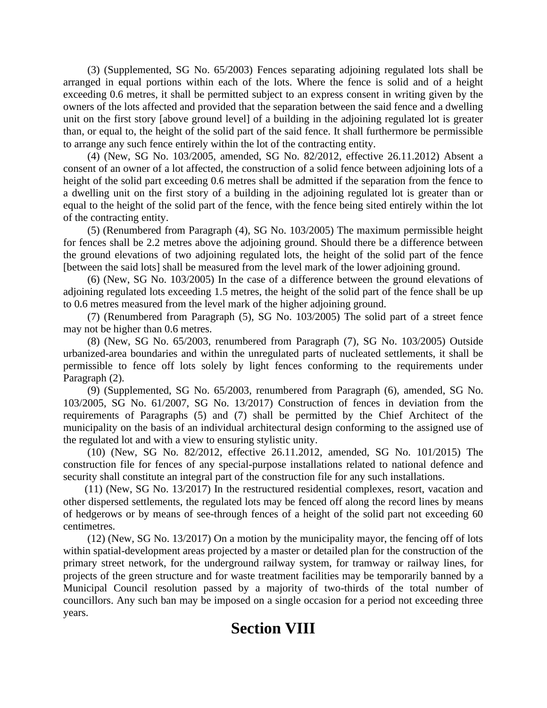(3) (Supplemented, SG No. 65/2003) Fences separating adjoining regulated lots shall be arranged in equal portions within each of the lots. Where the fence is solid and of a height exceeding 0.6 metres, it shall be permitted subject to an express consent in writing given by the owners of the lots affected and provided that the separation between the said fence and a dwelling unit on the first story [above ground level] of a building in the adjoining regulated lot is greater than, or equal to, the height of the solid part of the said fence. It shall furthermore be permissible to arrange any such fence entirely within the lot of the contracting entity.

(4) (New, SG No. 103/2005, amended, SG No. 82/2012, effective 26.11.2012) Absent a consent of an owner of a lot affected, the construction of a solid fence between adjoining lots of a height of the solid part exceeding 0.6 metres shall be admitted if the separation from the fence to a dwelling unit on the first story of a building in the adjoining regulated lot is greater than or equal to the height of the solid part of the fence, with the fence being sited entirely within the lot of the contracting entity.

(5) (Renumbered from Paragraph (4), SG No. 103/2005) The maximum permissible height for fences shall be 2.2 metres above the adjoining ground. Should there be a difference between the ground elevations of two adjoining regulated lots, the height of the solid part of the fence [between the said lots] shall be measured from the level mark of the lower adjoining ground.

(6) (New, SG No. 103/2005) In the case of a difference between the ground elevations of adjoining regulated lots exceeding 1.5 metres, the height of the solid part of the fence shall be up to 0.6 metres measured from the level mark of the higher adjoining ground.

(7) (Renumbered from Paragraph (5), SG No. 103/2005) The solid part of a street fence may not be higher than 0.6 metres.

(8) (New, SG No. 65/2003, renumbered from Paragraph (7), SG No. 103/2005) Outside urbanized-area boundaries and within the unregulated parts of nucleated settlements, it shall be permissible to fence off lots solely by light fences conforming to the requirements under Paragraph (2).

(9) (Supplemented, SG No. 65/2003, renumbered from Paragraph (6), amended, SG No. 103/2005, SG No. 61/2007, SG No. 13/2017) Construction of fences in deviation from the requirements of Paragraphs (5) and (7) shall be permitted by the Chief Architect of the municipality on the basis of an individual architectural design conforming to the assigned use of the regulated lot and with a view to ensuring stylistic unity.

(10) (New, SG No. 82/2012, effective 26.11.2012, amended, SG No. 101/2015) The construction file for fences of any special-purpose installations related to national defence and security shall constitute an integral part of the construction file for any such installations.

(11) (New, SG No. 13/2017) In the restructured residential complexes, resort, vacation and other dispersed settlements, the regulated lots may be fenced off along the record lines by means of hedgerows or by means of see-through fences of a height of the solid part not exceeding 60 centimetres.

(12) (New, SG No. 13/2017) On a motion by the municipality mayor, the fencing off of lots within spatial-development areas projected by a master or detailed plan for the construction of the primary street network, for the underground railway system, for tramway or railway lines, for projects of the green structure and for waste treatment facilities may be temporarily banned by a Municipal Council resolution passed by a majority of two-thirds of the total number of councillors. Any such ban may be imposed on a single occasion for a period not exceeding three years.

## **Section VIII**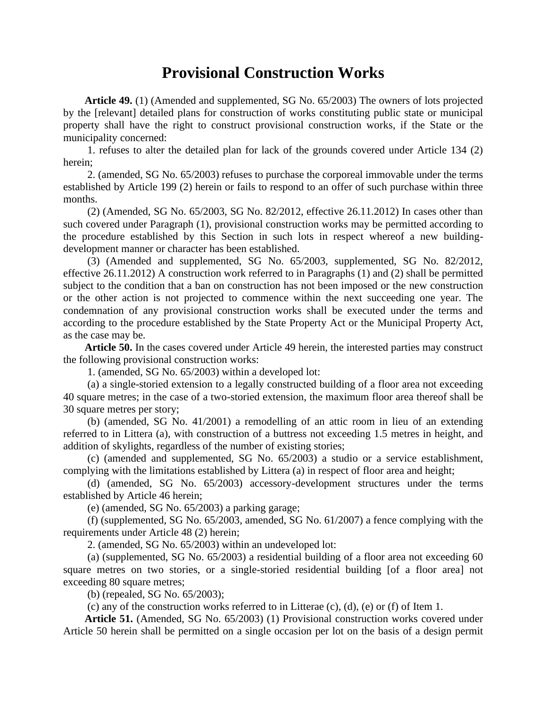#### **Provisional Construction Works**

**Article 49.** (1) (Amended and supplemented, SG No. 65/2003) The owners of lots projected by the [relevant] detailed plans for construction of works constituting public state or municipal property shall have the right to construct provisional construction works, if the State or the municipality concerned:

1. refuses to alter the detailed plan for lack of the grounds covered under Article 134 (2) herein;

2. (amended, SG No. 65/2003) refuses to purchase the corporeal immovable under the terms established by Article 199 (2) herein or fails to respond to an offer of such purchase within three months.

(2) (Amended, SG No. 65/2003, SG No. 82/2012, effective 26.11.2012) In cases other than such covered under Paragraph (1), provisional construction works may be permitted according to the procedure established by this Section in such lots in respect whereof a new buildingdevelopment manner or character has been established.

(3) (Amended and supplemented, SG No. 65/2003, supplemented, SG No. 82/2012, effective 26.11.2012) A construction work referred to in Paragraphs (1) and (2) shall be permitted subject to the condition that a ban on construction has not been imposed or the new construction or the other action is not projected to commence within the next succeeding one year. The condemnation of any provisional construction works shall be executed under the terms and according to the procedure established by the State Property Act or the Municipal Property Act, as the case may be.

**Article 50.** In the cases covered under Article 49 herein, the interested parties may construct the following provisional construction works:

1. (amended, SG No. 65/2003) within a developed lot:

(a) a single-storied extension to a legally constructed building of a floor area not exceeding 40 square metres; in the case of a two-storied extension, the maximum floor area thereof shall be 30 square metres per story;

(b) (amended, SG No. 41/2001) a remodelling of an attic room in lieu of an extending referred to in Littera (a), with construction of a buttress not exceeding 1.5 metres in height, and addition of skylights, regardless of the number of existing stories;

(c) (amended and supplemented, SG No. 65/2003) a studio or a service establishment, complying with the limitations established by Littera (a) in respect of floor area and height;

(d) (amended, SG No. 65/2003) accessory-development structures under the terms established by Article 46 herein;

(e) (amended, SG No. 65/2003) a parking garage;

(f) (supplemented, SG No. 65/2003, amended, SG No. 61/2007) a fence complying with the requirements under Article 48 (2) herein;

2. (amended, SG No. 65/2003) within an undeveloped lot:

(a) (supplemented, SG No. 65/2003) a residential building of a floor area not exceeding 60 square metres on two stories, or a single-storied residential building [of a floor area] not exceeding 80 square metres;

(b) (repealed, SG No. 65/2003);

(c) any of the construction works referred to in Litterae (c), (d), (e) or (f) of Item 1.

**Article 51.** (Amended, SG No. 65/2003) (1) Provisional construction works covered under Article 50 herein shall be permitted on a single occasion per lot on the basis of a design permit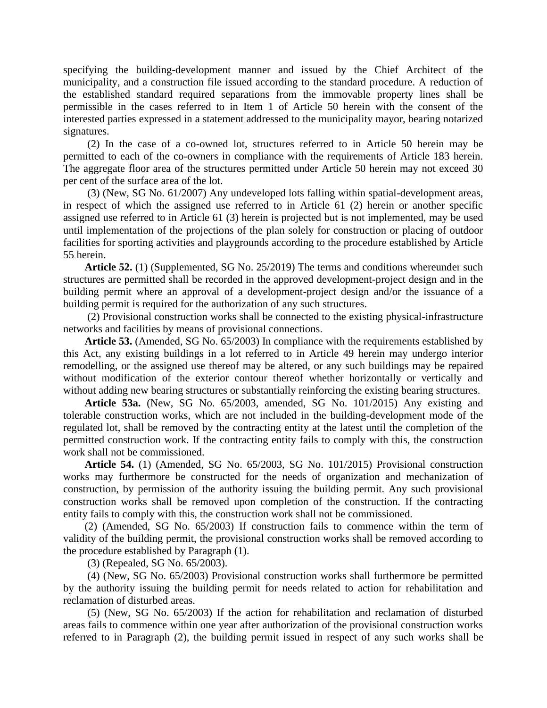specifying the building-development manner and issued by the Chief Architect of the municipality, and a construction file issued according to the standard procedure. A reduction of the established standard required separations from the immovable property lines shall be permissible in the cases referred to in Item 1 of Article 50 herein with the consent of the interested parties expressed in a statement addressed to the municipality mayor, bearing notarized signatures.

(2) In the case of a co-owned lot, structures referred to in Article 50 herein may be permitted to each of the co-owners in compliance with the requirements of Article 183 herein. The aggregate floor area of the structures permitted under Article 50 herein may not exceed 30 per cent of the surface area of the lot.

(3) (New, SG No. 61/2007) Any undeveloped lots falling within spatial-development areas, in respect of which the assigned use referred to in Article 61 (2) herein or another specific assigned use referred to in Article 61 (3) herein is projected but is not implemented, may be used until implementation of the projections of the plan solely for construction or placing of outdoor facilities for sporting activities and playgrounds according to the procedure established by Article 55 herein.

**Article 52.** (1) (Supplemented, SG No. 25/2019) The terms and conditions whereunder such structures are permitted shall be recorded in the approved development-project design and in the building permit where an approval of a development-project design and/or the issuance of a building permit is required for the authorization of any such structures.

(2) Provisional construction works shall be connected to the existing physical-infrastructure networks and facilities by means of provisional connections.

**Article 53.** (Amended, SG No. 65/2003) In compliance with the requirements established by this Act, any existing buildings in a lot referred to in Article 49 herein may undergo interior remodelling, or the assigned use thereof may be altered, or any such buildings may be repaired without modification of the exterior contour thereof whether horizontally or vertically and without adding new bearing structures or substantially reinforcing the existing bearing structures.

**Article 53a.** (New, SG No. 65/2003, amended, SG No. 101/2015) Any existing and tolerable construction works, which are not included in the building-development mode of the regulated lot, shall be removed by the contracting entity at the latest until the completion of the permitted construction work. If the contracting entity fails to comply with this, the construction work shall not be commissioned.

**Article 54.** (1) (Amended, SG No. 65/2003, SG No. 101/2015) Provisional construction works may furthermore be constructed for the needs of organization and mechanization of construction, by permission of the authority issuing the building permit. Any such provisional construction works shall be removed upon completion of the construction. If the contracting entity fails to comply with this, the construction work shall not be commissioned.

(2) (Amended, SG No. 65/2003) If construction fails to commence within the term of validity of the building permit, the provisional construction works shall be removed according to the procedure established by Paragraph (1).

(3) (Repealed, SG No. 65/2003).

(4) (New, SG No. 65/2003) Provisional construction works shall furthermore be permitted by the authority issuing the building permit for needs related to action for rehabilitation and reclamation of disturbed areas.

(5) (New, SG No. 65/2003) If the action for rehabilitation and reclamation of disturbed areas fails to commence within one year after authorization of the provisional construction works referred to in Paragraph (2), the building permit issued in respect of any such works shall be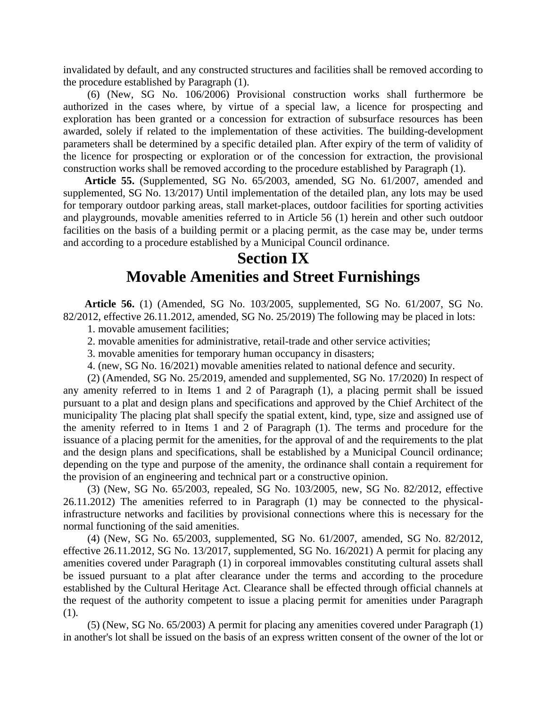invalidated by default, and any constructed structures and facilities shall be removed according to the procedure established by Paragraph (1).

(6) (New, SG No. 106/2006) Provisional construction works shall furthermore be authorized in the cases where, by virtue of a special law, a licence for prospecting and exploration has been granted or a concession for extraction of subsurface resources has been awarded, solely if related to the implementation of these activities. The building-development parameters shall be determined by a specific detailed plan. After expiry of the term of validity of the licence for prospecting or exploration or of the concession for extraction, the provisional construction works shall be removed according to the procedure established by Paragraph (1).

**Article 55.** (Supplemented, SG No. 65/2003, amended, SG No. 61/2007, amended and supplemented, SG No. 13/2017) Until implementation of the detailed plan, any lots may be used for temporary outdoor parking areas, stall market-places, outdoor facilities for sporting activities and playgrounds, movable amenities referred to in Article 56 (1) herein and other such outdoor facilities on the basis of a building permit or a placing permit, as the case may be, under terms and according to a procedure established by a Municipal Council ordinance.

### **Section IX Movable Amenities and Street Furnishings**

**Article 56.** (1) (Amended, SG No. 103/2005, supplemented, SG No. 61/2007, SG No. 82/2012, effective 26.11.2012, amended, SG No. 25/2019) The following may be placed in lots:

1. movable amusement facilities;

2. movable amenities for administrative, retail-trade and other service activities;

3. movable amenities for temporary human occupancy in disasters;

4. (new, SG No. 16/2021) movable amenities related to national defence and security.

(2) (Amended, SG No. 25/2019, amended and supplemented, SG No. 17/2020) In respect of any amenity referred to in Items 1 and 2 of Paragraph (1), a placing permit shall be issued pursuant to a plat and design plans and specifications and approved by the Chief Architect of the municipality The placing plat shall specify the spatial extent, kind, type, size and assigned use of the amenity referred to in Items 1 and 2 of Paragraph (1). The terms and procedure for the issuance of a placing permit for the amenities, for the approval of and the requirements to the plat and the design plans and specifications, shall be established by a Municipal Council ordinance; depending on the type and purpose of the amenity, the ordinance shall contain a requirement for the provision of an engineering and technical part or a constructive opinion.

(3) (New, SG No. 65/2003, repealed, SG No. 103/2005, new, SG No. 82/2012, effective 26.11.2012) The amenities referred to in Paragraph (1) may be connected to the physicalinfrastructure networks and facilities by provisional connections where this is necessary for the normal functioning of the said amenities.

(4) (New, SG No. 65/2003, supplemented, SG No. 61/2007, amended, SG No. 82/2012, effective 26.11.2012, SG No. 13/2017, supplemented, SG No. 16/2021) A permit for placing any amenities covered under Paragraph (1) in corporeal immovables constituting cultural assets shall be issued pursuant to a plat after clearance under the terms and according to the procedure established by the Cultural Heritage Act. Clearance shall be effected through official channels at the request of the authority competent to issue a placing permit for amenities under Paragraph (1).

(5) (New, SG No. 65/2003) A permit for placing any amenities covered under Paragraph (1) in another's lot shall be issued on the basis of an express written consent of the owner of the lot or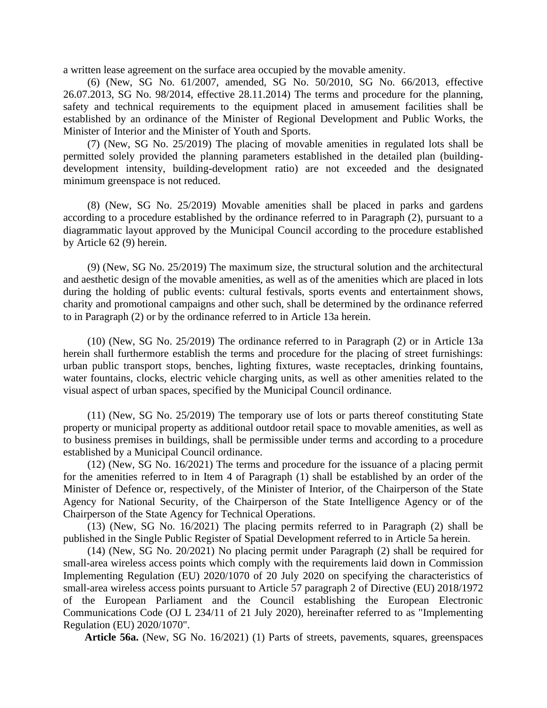a written lease agreement on the surface area occupied by the movable amenity.

(6) (New, SG No. 61/2007, amended, SG No. 50/2010, SG No. 66/2013, effective 26.07.2013, SG No. 98/2014, effective 28.11.2014) The terms and procedure for the planning, safety and technical requirements to the equipment placed in amusement facilities shall be established by an ordinance of the Minister of Regional Development and Public Works, the Minister of Interior and the Minister of Youth and Sports.

(7) (New, SG No. 25/2019) The placing of movable amenities in regulated lots shall be permitted solely provided the planning parameters established in the detailed plan (buildingdevelopment intensity, building-development ratio) are not exceeded and the designated minimum greenspace is not reduced.

(8) (New, SG No. 25/2019) Movable amenities shall be placed in parks and gardens according to a procedure established by the ordinance referred to in Paragraph (2), pursuant to a diagrammatic layout approved by the Municipal Council according to the procedure established by Article 62 (9) herein.

(9) (New, SG No. 25/2019) The maximum size, the structural solution and the architectural and aesthetic design of the movable amenities, as well as of the amenities which are placed in lots during the holding of public events: cultural festivals, sports events and entertainment shows, charity and promotional campaigns and other such, shall be determined by the ordinance referred to in Paragraph (2) or by the ordinance referred to in Article 13a herein.

(10) (New, SG No. 25/2019) The ordinance referred to in Paragraph (2) or in Article 13a herein shall furthermore establish the terms and procedure for the placing of street furnishings: urban public transport stops, benches, lighting fixtures, waste receptacles, drinking fountains, water fountains, clocks, electric vehicle charging units, as well as other amenities related to the visual aspect of urban spaces, specified by the Municipal Council ordinance.

(11) (New, SG No. 25/2019) The temporary use of lots or parts thereof constituting State property or municipal property as additional outdoor retail space to movable amenities, as well as to business premises in buildings, shall be permissible under terms and according to a procedure established by a Municipal Council ordinance.

(12) (New, SG No. 16/2021) The terms and procedure for the issuance of a placing permit for the amenities referred to in Item 4 of Paragraph (1) shall be established by an order of the Minister of Defence or, respectively, of the Minister of Interior, of the Chairperson of the State Agency for National Security, of the Chairperson of the State Intelligence Agency or of the Chairperson of the State Agency for Technical Operations.

(13) (New, SG No. 16/2021) The placing permits referred to in Paragraph (2) shall be published in the Single Public Register of Spatial Development referred to in Article 5a herein.

(14) (New, SG No. 20/2021) No placing permit under Paragraph (2) shall be required for small-area wireless access points which comply with the requirements laid down in Commission Implementing Regulation (EU) 2020/1070 of 20 July 2020 on specifying the characteristics of small-area wireless access points pursuant to Article 57 paragraph 2 of Directive (EU) 2018/1972 of the European Parliament and the Council establishing the European Electronic Communications Code (OJ L 234/11 of 21 July 2020), hereinafter referred to as "Implementing Regulation (EU) 2020/1070".

**Article 56a.** (New, SG No. 16/2021) (1) Parts of streets, pavements, squares, greenspaces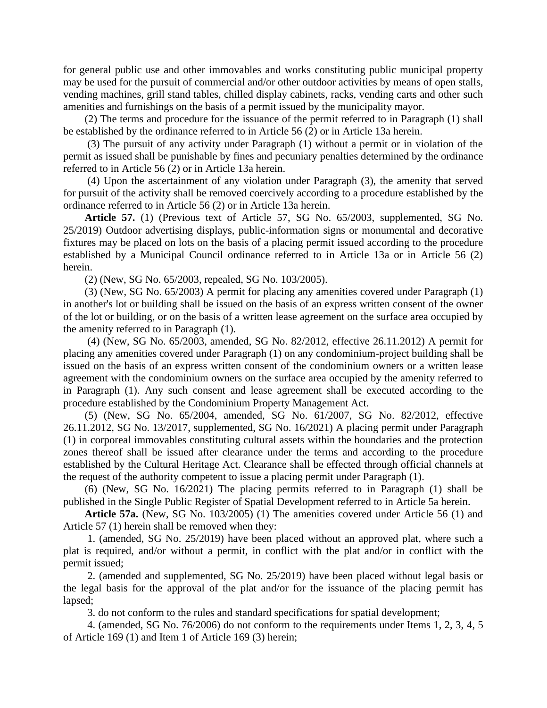for general public use and other immovables and works constituting public municipal property may be used for the pursuit of commercial and/or other outdoor activities by means of open stalls, vending machines, grill stand tables, chilled display cabinets, racks, vending carts and other such amenities and furnishings on the basis of a permit issued by the municipality mayor.

(2) The terms and procedure for the issuance of the permit referred to in Paragraph (1) shall be established by the ordinance referred to in Article 56 (2) or in Article 13a herein.

(3) The pursuit of any activity under Paragraph (1) without a permit or in violation of the permit as issued shall be punishable by fines and pecuniary penalties determined by the ordinance referred to in Article 56 (2) or in Article 13a herein.

(4) Upon the ascertainment of any violation under Paragraph (3), the amenity that served for pursuit of the activity shall be removed coercively according to a procedure established by the ordinance referred to in Article 56 (2) or in Article 13a herein.

**Article 57.** (1) (Previous text of Article 57, SG No. 65/2003, supplemented, SG No. 25/2019) Outdoor advertising displays, public-information signs or monumental and decorative fixtures may be placed on lots on the basis of a placing permit issued according to the procedure established by a Municipal Council ordinance referred to in Article 13a or in Article 56 (2) herein.

(2) (New, SG No. 65/2003, repealed, SG No. 103/2005).

(3) (New, SG No. 65/2003) A permit for placing any amenities covered under Paragraph (1) in another's lot or building shall be issued on the basis of an express written consent of the owner of the lot or building, or on the basis of a written lease agreement on the surface area occupied by the amenity referred to in Paragraph (1).

(4) (New, SG No. 65/2003, amended, SG No. 82/2012, effective 26.11.2012) A permit for placing any amenities covered under Paragraph (1) on any condominium-project building shall be issued on the basis of an express written consent of the condominium owners or a written lease agreement with the condominium owners on the surface area occupied by the amenity referred to in Paragraph (1). Any such consent and lease agreement shall be executed according to the procedure established by the Condominium Property Management Act.

(5) (New, SG No. 65/2004, amended, SG No. 61/2007, SG No. 82/2012, effective 26.11.2012, SG No. 13/2017, supplemented, SG No. 16/2021) A placing permit under Paragraph (1) in corporeal immovables constituting cultural assets within the boundaries and the protection zones thereof shall be issued after clearance under the terms and according to the procedure established by the Cultural Heritage Act. Clearance shall be effected through official channels at the request of the authority competent to issue a placing permit under Paragraph (1).

(6) (New, SG No. 16/2021) The placing permits referred to in Paragraph (1) shall be published in the Single Public Register of Spatial Development referred to in Article 5a herein.

**Article 57a.** (New, SG No. 103/2005) (1) The amenities covered under Article 56 (1) and Article 57 (1) herein shall be removed when they:

1. (amended, SG No. 25/2019) have been placed without an approved plat, where such a plat is required, and/or without a permit, in conflict with the plat and/or in conflict with the permit issued;

2. (amended and supplemented, SG No. 25/2019) have been placed without legal basis or the legal basis for the approval of the plat and/or for the issuance of the placing permit has lapsed;

3. do not conform to the rules and standard specifications for spatial development;

4. (amended, SG No. 76/2006) do not conform to the requirements under Items 1, 2, 3, 4, 5 of Article 169 (1) and Item 1 of Article 169 (3) herein;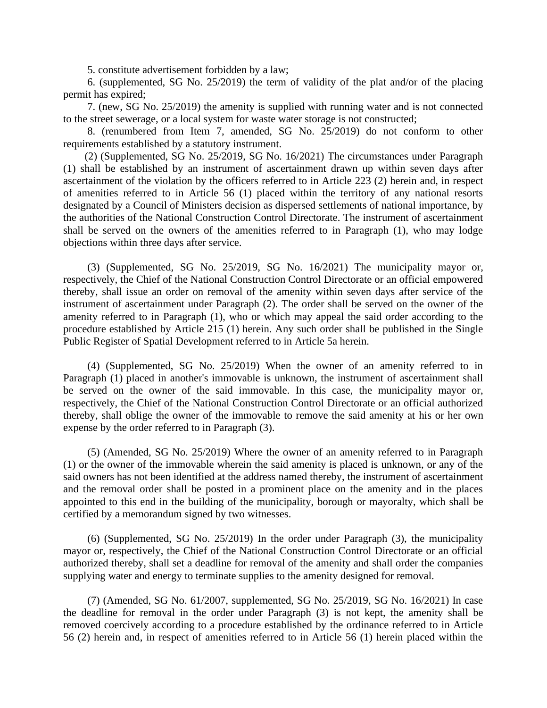5. constitute advertisement forbidden by a law;

6. (supplemented, SG No. 25/2019) the term of validity of the plat and/or of the placing permit has expired;

7. (new, SG No. 25/2019) the amenity is supplied with running water and is not connected to the street sewerage, or a local system for waste water storage is not constructed;

8. (renumbered from Item 7, amended, SG No. 25/2019) do not conform to other requirements established by a statutory instrument.

(2) (Supplemented, SG No. 25/2019, SG No. 16/2021) The circumstances under Paragraph (1) shall be established by an instrument of ascertainment drawn up within seven days after ascertainment of the violation by the officers referred to in Article 223 (2) herein and, in respect of amenities referred to in Article 56 (1) placed within the territory of any national resorts designated by a Council of Ministers decision as dispersed settlements of national importance, by the authorities of the National Construction Control Directorate. The instrument of ascertainment shall be served on the owners of the amenities referred to in Paragraph (1), who may lodge objections within three days after service.

(3) (Supplemented, SG No. 25/2019, SG No. 16/2021) The municipality mayor or, respectively, the Chief of the National Construction Control Directorate or an official empowered thereby, shall issue an order on removal of the amenity within seven days after service of the instrument of ascertainment under Paragraph (2). The order shall be served on the owner of the amenity referred to in Paragraph (1), who or which may appeal the said order according to the procedure established by Article 215 (1) herein. Any such order shall be published in the Single Public Register of Spatial Development referred to in Article 5a herein.

(4) (Supplemented, SG No. 25/2019) When the owner of an amenity referred to in Paragraph (1) placed in another's immovable is unknown, the instrument of ascertainment shall be served on the owner of the said immovable. In this case, the municipality mayor or, respectively, the Chief of the National Construction Control Directorate or an official authorized thereby, shall oblige the owner of the immovable to remove the said amenity at his or her own expense by the order referred to in Paragraph (3).

(5) (Amended, SG No. 25/2019) Where the owner of an amenity referred to in Paragraph (1) or the owner of the immovable wherein the said amenity is placed is unknown, or any of the said owners has not been identified at the address named thereby, the instrument of ascertainment and the removal order shall be posted in a prominent place on the amenity and in the places appointed to this end in the building of the municipality, borough or mayoralty, which shall be certified by a memorandum signed by two witnesses.

(6) (Supplemented, SG No. 25/2019) In the order under Paragraph (3), the municipality mayor or, respectively, the Chief of the National Construction Control Directorate or an official authorized thereby, shall set a deadline for removal of the amenity and shall order the companies supplying water and energy to terminate supplies to the amenity designed for removal.

(7) (Amended, SG No. 61/2007, supplemented, SG No. 25/2019, SG No. 16/2021) In case the deadline for removal in the order under Paragraph (3) is not kept, the amenity shall be removed coercively according to a procedure established by the ordinance referred to in Article 56 (2) herein and, in respect of amenities referred to in Article 56 (1) herein placed within the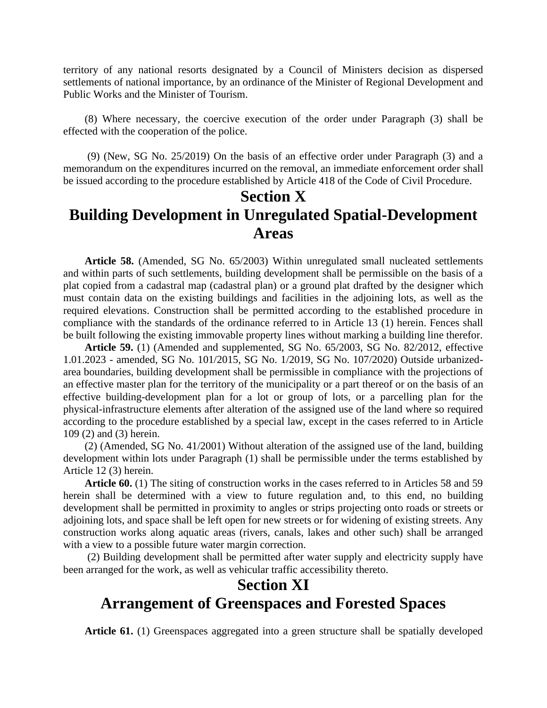territory of any national resorts designated by a Council of Ministers decision as dispersed settlements of national importance, by an ordinance of the Minister of Regional Development and Public Works and the Minister of Tourism.

(8) Where necessary, the coercive execution of the order under Paragraph (3) shall be effected with the cooperation of the police.

(9) (New, SG No. 25/2019) On the basis of an effective order under Paragraph (3) and a memorandum on the expenditures incurred on the removal, an immediate enforcement order shall be issued according to the procedure established by Article 418 of the Code of Civil Procedure.

### **Section X Building Development in Unregulated Spatial-Development Areas**

**Article 58.** (Amended, SG No. 65/2003) Within unregulated small nucleated settlements and within parts of such settlements, building development shall be permissible on the basis of a plat copied from a cadastral map (cadastral plan) or a ground plat drafted by the designer which must contain data on the existing buildings and facilities in the adjoining lots, as well as the required elevations. Construction shall be permitted according to the established procedure in compliance with the standards of the ordinance referred to in Article 13 (1) herein. Fences shall be built following the existing immovable property lines without marking a building line therefor.

**Article 59.** (1) (Amended and supplemented, SG No. 65/2003, SG No. 82/2012, effective 1.01.2023 - amended, SG No. 101/2015, SG No. 1/2019, SG No. 107/2020) Outside urbanizedarea boundaries, building development shall be permissible in compliance with the projections of an effective master plan for the territory of the municipality or a part thereof or on the basis of an effective building-development plan for a lot or group of lots, or a parcelling plan for the physical-infrastructure elements after alteration of the assigned use of the land where so required according to the procedure established by a special law, except in the cases referred to in Article 109 (2) and (3) herein.

(2) (Amended, SG No. 41/2001) Without alteration of the assigned use of the land, building development within lots under Paragraph (1) shall be permissible under the terms established by Article 12 (3) herein.

**Article 60.** (1) The siting of construction works in the cases referred to in Articles 58 and 59 herein shall be determined with a view to future regulation and, to this end, no building development shall be permitted in proximity to angles or strips projecting onto roads or streets or adjoining lots, and space shall be left open for new streets or for widening of existing streets. Any construction works along aquatic areas (rivers, canals, lakes and other such) shall be arranged with a view to a possible future water margin correction.

(2) Building development shall be permitted after water supply and electricity supply have been arranged for the work, as well as vehicular traffic accessibility thereto.

## **Section XI Arrangement of Greenspaces and Forested Spaces**

**Article 61.** (1) Greenspaces aggregated into a green structure shall be spatially developed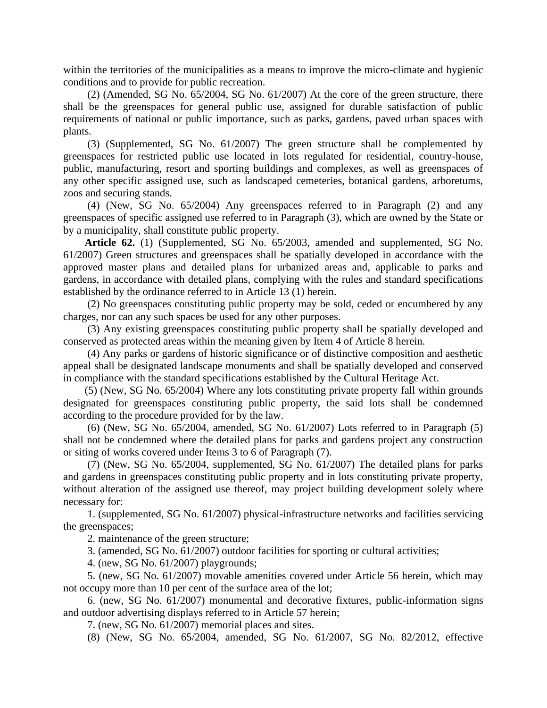within the territories of the municipalities as a means to improve the micro-climate and hygienic conditions and to provide for public recreation.

(2) (Amended, SG No. 65/2004, SG No. 61/2007) At the core of the green structure, there shall be the greenspaces for general public use, assigned for durable satisfaction of public requirements of national or public importance, such as parks, gardens, paved urban spaces with plants.

(3) (Supplemented, SG No. 61/2007) The green structure shall be complemented by greenspaces for restricted public use located in lots regulated for residential, country-house, public, manufacturing, resort and sporting buildings and complexes, as well as greenspaces of any other specific assigned use, such as landscaped cemeteries, botanical gardens, arboretums, zoos and securing stands.

(4) (New, SG No. 65/2004) Any greenspaces referred to in Paragraph (2) and any greenspaces of specific assigned use referred to in Paragraph (3), which are owned by the State or by a municipality, shall constitute public property.

**Article 62.** (1) (Supplemented, SG No. 65/2003, amended and supplemented, SG No. 61/2007) Green structures and greenspaces shall be spatially developed in accordance with the approved master plans and detailed plans for urbanized areas and, applicable to parks and gardens, in accordance with detailed plans, complying with the rules and standard specifications established by the ordinance referred to in Article 13 (1) herein.

(2) No greenspaces constituting public property may be sold, ceded or encumbered by any charges, nor can any such spaces be used for any other purposes.

(3) Any existing greenspaces constituting public property shall be spatially developed and conserved as protected areas within the meaning given by Item 4 of Article 8 herein.

(4) Any parks or gardens of historic significance or of distinctive composition and aesthetic appeal shall be designated landscape monuments and shall be spatially developed and conserved in compliance with the standard specifications established by the Cultural Heritage Act.

(5) (New, SG No. 65/2004) Where any lots constituting private property fall within grounds designated for greenspaces constituting public property, the said lots shall be condemned according to the procedure provided for by the law.

(6) (New, SG No. 65/2004, amended, SG No. 61/2007) Lots referred to in Paragraph (5) shall not be condemned where the detailed plans for parks and gardens project any construction or siting of works covered under Items 3 to 6 of Paragraph (7).

(7) (New, SG No. 65/2004, supplemented, SG No. 61/2007) The detailed plans for parks and gardens in greenspaces constituting public property and in lots constituting private property, without alteration of the assigned use thereof, may project building development solely where necessary for:

1. (supplemented, SG No. 61/2007) physical-infrastructure networks and facilities servicing the greenspaces;

2. maintenance of the green structure;

3. (amended, SG No. 61/2007) outdoor facilities for sporting or cultural activities;

4. (new, SG No. 61/2007) playgrounds;

5. (new, SG No. 61/2007) movable amenities covered under Article 56 herein, which may not occupy more than 10 per cent of the surface area of the lot;

6. (new, SG No. 61/2007) monumental and decorative fixtures, public-information signs and outdoor advertising displays referred to in Article 57 herein;

7. (new, SG No. 61/2007) memorial places and sites.

(8) (New, SG No. 65/2004, amended, SG No. 61/2007, SG No. 82/2012, effective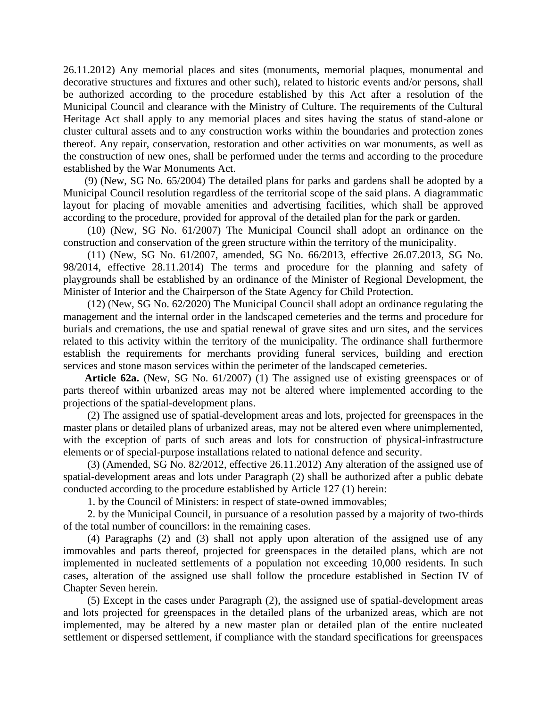26.11.2012) Any memorial places and sites (monuments, memorial plaques, monumental and decorative structures and fixtures and other such), related to historic events and/or persons, shall be authorized according to the procedure established by this Act after a resolution of the Municipal Council and clearance with the Ministry of Culture. The requirements of the Cultural Heritage Act shall apply to any memorial places and sites having the status of stand-alone or cluster cultural assets and to any construction works within the boundaries and protection zones thereof. Any repair, conservation, restoration and other activities on war monuments, as well as the construction of new ones, shall be performed under the terms and according to the procedure established by the War Monuments Act.

(9) (New, SG No. 65/2004) The detailed plans for parks and gardens shall be adopted by a Municipal Council resolution regardless of the territorial scope of the said plans. A diagrammatic layout for placing of movable amenities and advertising facilities, which shall be approved according to the procedure, provided for approval of the detailed plan for the park or garden.

(10) (New, SG No. 61/2007) The Municipal Council shall adopt an ordinance on the construction and conservation of the green structure within the territory of the municipality.

(11) (New, SG No. 61/2007, amended, SG No. 66/2013, effective 26.07.2013, SG No. 98/2014, effective 28.11.2014) The terms and procedure for the planning and safety of playgrounds shall be established by an ordinance of the Minister of Regional Development, the Minister of Interior and the Chairperson of the State Agency for Child Protection.

(12) (New, SG No. 62/2020) The Municipal Council shall adopt an ordinance regulating the management and the internal order in the landscaped cemeteries and the terms and procedure for burials and cremations, the use and spatial renewal of grave sites and urn sites, and the services related to this activity within the territory of the municipality. The ordinance shall furthermore establish the requirements for merchants providing funeral services, building and erection services and stone mason services within the perimeter of the landscaped cemeteries.

**Article 62a.** (New, SG No. 61/2007) (1) The assigned use of existing greenspaces or of parts thereof within urbanized areas may not be altered where implemented according to the projections of the spatial-development plans.

(2) The assigned use of spatial-development areas and lots, projected for greenspaces in the master plans or detailed plans of urbanized areas, may not be altered even where unimplemented, with the exception of parts of such areas and lots for construction of physical-infrastructure elements or of special-purpose installations related to national defence and security.

(3) (Amended, SG No. 82/2012, effective 26.11.2012) Any alteration of the assigned use of spatial-development areas and lots under Paragraph (2) shall be authorized after a public debate conducted according to the procedure established by Article 127 (1) herein:

1. by the Council of Ministers: in respect of state-owned immovables;

2. by the Municipal Council, in pursuance of a resolution passed by a majority of two-thirds of the total number of councillors: in the remaining cases.

(4) Paragraphs (2) and (3) shall not apply upon alteration of the assigned use of any immovables and parts thereof, projected for greenspaces in the detailed plans, which are not implemented in nucleated settlements of a population not exceeding 10,000 residents. In such cases, alteration of the assigned use shall follow the procedure established in Section IV of Chapter Seven herein.

(5) Except in the cases under Paragraph (2), the assigned use of spatial-development areas and lots projected for greenspaces in the detailed plans of the urbanized areas, which are not implemented, may be altered by a new master plan or detailed plan of the entire nucleated settlement or dispersed settlement, if compliance with the standard specifications for greenspaces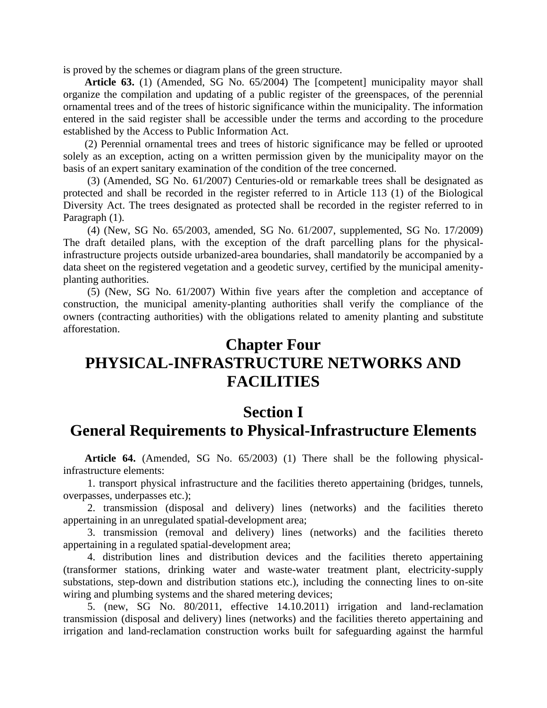is proved by the schemes or diagram plans of the green structure.

**Article 63.** (1) (Amended, SG No. 65/2004) The [competent] municipality mayor shall organize the compilation and updating of a public register of the greenspaces, of the perennial ornamental trees and of the trees of historic significance within the municipality. The information entered in the said register shall be accessible under the terms and according to the procedure established by the Access to Public Information Act.

(2) Perennial ornamental trees and trees of historic significance may be felled or uprooted solely as an exception, acting on a written permission given by the municipality mayor on the basis of an expert sanitary examination of the condition of the tree concerned.

(3) (Amended, SG No. 61/2007) Centuries-old or remarkable trees shall be designated as protected and shall be recorded in the register referred to in Article 113 (1) of the Biological Diversity Act. The trees designated as protected shall be recorded in the register referred to in Paragraph (1).

(4) (New, SG No. 65/2003, amended, SG No. 61/2007, supplemented, SG No. 17/2009) The draft detailed plans, with the exception of the draft parcelling plans for the physicalinfrastructure projects outside urbanized-area boundaries, shall mandatorily be accompanied by a data sheet on the registered vegetation and a geodetic survey, certified by the municipal amenityplanting authorities.

(5) (New, SG No. 61/2007) Within five years after the completion and acceptance of construction, the municipal amenity-planting authorities shall verify the compliance of the owners (contracting authorities) with the obligations related to amenity planting and substitute afforestation.

## **Chapter Four PHYSICAL-INFRASTRUCTURE NETWORKS AND FACILITIES**

#### **Section I General Requirements to Physical-Infrastructure Elements**

**Article 64.** (Amended, SG No. 65/2003) (1) There shall be the following physicalinfrastructure elements:

1. transport physical infrastructure and the facilities thereto appertaining (bridges, tunnels, overpasses, underpasses etc.);

2. transmission (disposal and delivery) lines (networks) and the facilities thereto appertaining in an unregulated spatial-development area;

3. transmission (removal and delivery) lines (networks) and the facilities thereto appertaining in a regulated spatial-development area;

4. distribution lines and distribution devices and the facilities thereto appertaining (transformer stations, drinking water and waste-water treatment plant, electricity-supply substations, step-down and distribution stations etc.), including the connecting lines to on-site wiring and plumbing systems and the shared metering devices;

5. (new, SG No. 80/2011, effective 14.10.2011) irrigation and land-reclamation transmission (disposal and delivery) lines (networks) and the facilities thereto appertaining and irrigation and land-reclamation construction works built for safeguarding against the harmful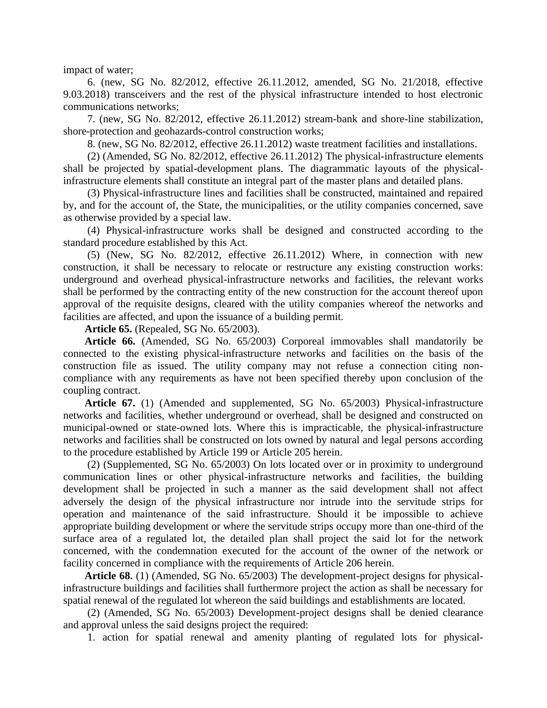impact of water;

6. (new, SG No. 82/2012, effective 26.11.2012, amended, SG No. 21/2018, effective 9.03.2018) transceivers and the rest of the physical infrastructure intended to host electronic communications networks;

7. (new, SG No. 82/2012, effective 26.11.2012) stream-bank and shore-line stabilization, shore-protection and geohazards-control construction works;

8. (new, SG No. 82/2012, effective 26.11.2012) waste treatment facilities and installations.

(2) (Amended, SG No. 82/2012, effective 26.11.2012) The physical-infrastructure elements shall be projected by spatial-development plans. The diagrammatic layouts of the physicalinfrastructure elements shall constitute an integral part of the master plans and detailed plans.

(3) Physical-infrastructure lines and facilities shall be constructed, maintained and repaired by, and for the account of, the State, the municipalities, or the utility companies concerned, save as otherwise provided by a special law.

(4) Physical-infrastructure works shall be designed and constructed according to the standard procedure established by this Act.

(5) (New, SG No. 82/2012, effective 26.11.2012) Where, in connection with new construction, it shall be necessary to relocate or restructure any existing construction works: underground and overhead physical-infrastructure networks and facilities, the relevant works shall be performed by the contracting entity of the new construction for the account thereof upon approval of the requisite designs, cleared with the utility companies whereof the networks and facilities are affected, and upon the issuance of a building permit.

**Article 65.** (Repealed, SG No. 65/2003).

**Article 66.** (Amended, SG No. 65/2003) Corporeal immovables shall mandatorily be connected to the existing physical-infrastructure networks and facilities on the basis of the construction file as issued. The utility company may not refuse a connection citing noncompliance with any requirements as have not been specified thereby upon conclusion of the coupling contract.

**Article 67.** (1) (Amended and supplemented, SG No. 65/2003) Physical-infrastructure networks and facilities, whether underground or overhead, shall be designed and constructed on municipal-owned or state-owned lots. Where this is impracticable, the physical-infrastructure networks and facilities shall be constructed on lots owned by natural and legal persons according to the procedure established by Article 199 or Article 205 herein.

(2) (Supplemented, SG No. 65/2003) On lots located over or in proximity to underground communication lines or other physical-infrastructure networks and facilities, the building development shall be projected in such a manner as the said development shall not affect adversely the design of the physical infrastructure nor intrude into the servitude strips for operation and maintenance of the said infrastructure. Should it be impossible to achieve appropriate building development or where the servitude strips occupy more than one-third of the surface area of a regulated lot, the detailed plan shall project the said lot for the network concerned, with the condemnation executed for the account of the owner of the network or facility concerned in compliance with the requirements of Article 206 herein.

**Article 68.** (1) (Amended, SG No. 65/2003) The development-project designs for physicalinfrastructure buildings and facilities shall furthermore project the action as shall be necessary for spatial renewal of the regulated lot whereon the said buildings and establishments are located.

(2) (Amended, SG No. 65/2003) Development-project designs shall be denied clearance and approval unless the said designs project the required:

1. action for spatial renewal and amenity planting of regulated lots for physical-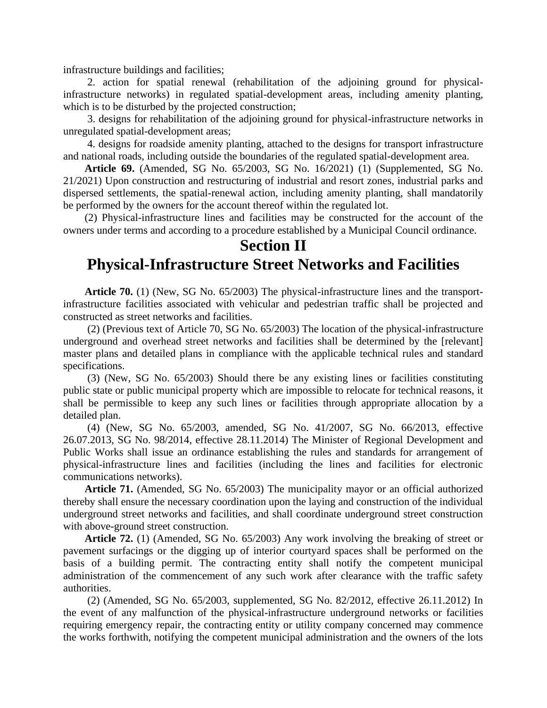infrastructure buildings and facilities;

2. action for spatial renewal (rehabilitation of the adjoining ground for physicalinfrastructure networks) in regulated spatial-development areas, including amenity planting, which is to be disturbed by the projected construction;

3. designs for rehabilitation of the adjoining ground for physical-infrastructure networks in unregulated spatial-development areas;

4. designs for roadside amenity planting, attached to the designs for transport infrastructure and national roads, including outside the boundaries of the regulated spatial-development area.

**Article 69.** (Amended, SG No. 65/2003, SG No. 16/2021) (1) (Supplemented, SG No. 21/2021) Upon construction and restructuring of industrial and resort zones, industrial parks and dispersed settlements, the spatial-renewal action, including amenity planting, shall mandatorily be performed by the owners for the account thereof within the regulated lot.

(2) Physical-infrastructure lines and facilities may be constructed for the account of the owners under terms and according to a procedure established by a Municipal Council ordinance.

# **Section II**

#### **Physical-Infrastructure Street Networks and Facilities**

**Article 70.** (1) (New, SG No. 65/2003) The physical-infrastructure lines and the transportinfrastructure facilities associated with vehicular and pedestrian traffic shall be projected and constructed as street networks and facilities.

(2) (Previous text of Article 70, SG No. 65/2003) The location of the physical-infrastructure underground and overhead street networks and facilities shall be determined by the [relevant] master plans and detailed plans in compliance with the applicable technical rules and standard specifications.

(3) (New, SG No. 65/2003) Should there be any existing lines or facilities constituting public state or public municipal property which are impossible to relocate for technical reasons, it shall be permissible to keep any such lines or facilities through appropriate allocation by a detailed plan.

(4) (New, SG No. 65/2003, amended, SG No. 41/2007, SG No. 66/2013, effective 26.07.2013, SG No. 98/2014, effective 28.11.2014) The Minister of Regional Development and Public Works shall issue an ordinance establishing the rules and standards for arrangement of physical-infrastructure lines and facilities (including the lines and facilities for electronic communications networks).

**Article 71.** (Amended, SG No. 65/2003) The municipality mayor or an official authorized thereby shall ensure the necessary coordination upon the laying and construction of the individual underground street networks and facilities, and shall coordinate underground street construction with above-ground street construction.

**Article 72.** (1) (Amended, SG No. 65/2003) Any work involving the breaking of street or pavement surfacings or the digging up of interior courtyard spaces shall be performed on the basis of a building permit. The contracting entity shall notify the competent municipal administration of the commencement of any such work after clearance with the traffic safety authorities.

(2) (Amended, SG No. 65/2003, supplemented, SG No. 82/2012, effective 26.11.2012) In the event of any malfunction of the physical-infrastructure underground networks or facilities requiring emergency repair, the contracting entity or utility company concerned may commence the works forthwith, notifying the competent municipal administration and the owners of the lots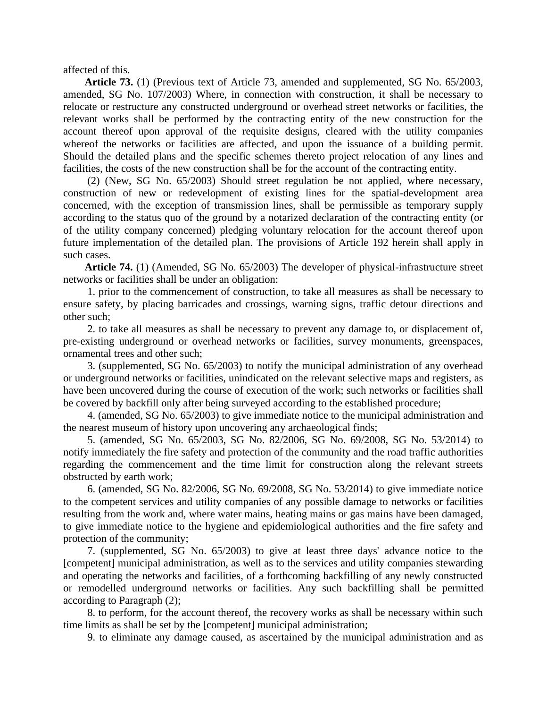affected of this.

**Article 73.** (1) (Previous text of Article 73, amended and supplemented, SG No. 65/2003, amended, SG No. 107/2003) Where, in connection with construction, it shall be necessary to relocate or restructure any constructed underground or overhead street networks or facilities, the relevant works shall be performed by the contracting entity of the new construction for the account thereof upon approval of the requisite designs, cleared with the utility companies whereof the networks or facilities are affected, and upon the issuance of a building permit. Should the detailed plans and the specific schemes thereto project relocation of any lines and facilities, the costs of the new construction shall be for the account of the contracting entity.

(2) (New, SG No. 65/2003) Should street regulation be not applied, where necessary, construction of new or redevelopment of existing lines for the spatial-development area concerned, with the exception of transmission lines, shall be permissible as temporary supply according to the status quo of the ground by a notarized declaration of the contracting entity (or of the utility company concerned) pledging voluntary relocation for the account thereof upon future implementation of the detailed plan. The provisions of Article 192 herein shall apply in such cases.

**Article 74.** (1) (Amended, SG No. 65/2003) The developer of physical-infrastructure street networks or facilities shall be under an obligation:

1. prior to the commencement of construction, to take all measures as shall be necessary to ensure safety, by placing barricades and crossings, warning signs, traffic detour directions and other such;

2. to take all measures as shall be necessary to prevent any damage to, or displacement of, pre-existing underground or overhead networks or facilities, survey monuments, greenspaces, ornamental trees and other such;

3. (supplemented, SG No. 65/2003) to notify the municipal administration of any overhead or underground networks or facilities, unindicated on the relevant selective maps and registers, as have been uncovered during the course of execution of the work; such networks or facilities shall be covered by backfill only after being surveyed according to the established procedure;

4. (amended, SG No. 65/2003) to give immediate notice to the municipal administration and the nearest museum of history upon uncovering any archaeological finds;

5. (amended, SG No. 65/2003, SG No. 82/2006, SG No. 69/2008, SG No. 53/2014) to notify immediately the fire safety and protection of the community and the road traffic authorities regarding the commencement and the time limit for construction along the relevant streets obstructed by earth work;

6. (amended, SG No. 82/2006, SG No. 69/2008, SG No. 53/2014) to give immediate notice to the competent services and utility companies of any possible damage to networks or facilities resulting from the work and, where water mains, heating mains or gas mains have been damaged, to give immediate notice to the hygiene and epidemiological authorities and the fire safety and protection of the community;

7. (supplemented, SG No. 65/2003) to give at least three days' advance notice to the [competent] municipal administration, as well as to the services and utility companies stewarding and operating the networks and facilities, of a forthcoming backfilling of any newly constructed or remodelled underground networks or facilities. Any such backfilling shall be permitted according to Paragraph (2);

8. to perform, for the account thereof, the recovery works as shall be necessary within such time limits as shall be set by the [competent] municipal administration;

9. to eliminate any damage caused, as ascertained by the municipal administration and as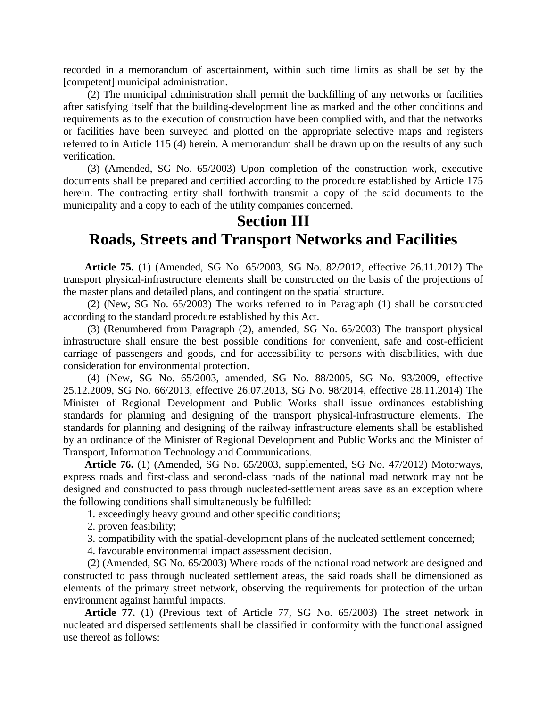recorded in a memorandum of ascertainment, within such time limits as shall be set by the [competent] municipal administration.

(2) The municipal administration shall permit the backfilling of any networks or facilities after satisfying itself that the building-development line as marked and the other conditions and requirements as to the execution of construction have been complied with, and that the networks or facilities have been surveyed and plotted on the appropriate selective maps and registers referred to in Article 115 (4) herein. A memorandum shall be drawn up on the results of any such verification.

(3) (Amended, SG No. 65/2003) Upon completion of the construction work, executive documents shall be prepared and certified according to the procedure established by Article 175 herein. The contracting entity shall forthwith transmit a copy of the said documents to the municipality and a copy to each of the utility companies concerned.

#### **Section III Roads, Streets and Transport Networks and Facilities**

**Article 75.** (1) (Amended, SG No. 65/2003, SG No. 82/2012, effective 26.11.2012) The transport physical-infrastructure elements shall be constructed on the basis of the projections of the master plans and detailed plans, and contingent on the spatial structure.

(2) (New, SG No. 65/2003) The works referred to in Paragraph (1) shall be constructed according to the standard procedure established by this Act.

(3) (Renumbered from Paragraph (2), amended, SG No. 65/2003) The transport physical infrastructure shall ensure the best possible conditions for convenient, safe and cost-efficient carriage of passengers and goods, and for accessibility to persons with disabilities, with due consideration for environmental protection.

(4) (New, SG No. 65/2003, amended, SG No. 88/2005, SG No. 93/2009, effective 25.12.2009, SG No. 66/2013, effective 26.07.2013, SG No. 98/2014, effective 28.11.2014) The Minister of Regional Development and Public Works shall issue ordinances establishing standards for planning and designing of the transport physical-infrastructure elements. The standards for planning and designing of the railway infrastructure elements shall be established by an ordinance of the Minister of Regional Development and Public Works and the Minister of Transport, Information Technology and Communications.

**Article 76.** (1) (Amended, SG No. 65/2003, supplemented, SG No. 47/2012) Motorways, express roads and first-class and second-class roads of the national road network may not be designed and constructed to pass through nucleated-settlement areas save as an exception where the following conditions shall simultaneously be fulfilled:

1. exceedingly heavy ground and other specific conditions;

2. proven feasibility;

3. compatibility with the spatial-development plans of the nucleated settlement concerned;

4. favourable environmental impact assessment decision.

(2) (Amended, SG No. 65/2003) Where roads of the national road network are designed and constructed to pass through nucleated settlement areas, the said roads shall be dimensioned as elements of the primary street network, observing the requirements for protection of the urban environment against harmful impacts.

**Article 77.** (1) (Previous text of Article 77, SG No. 65/2003) The street network in nucleated and dispersed settlements shall be classified in conformity with the functional assigned use thereof as follows: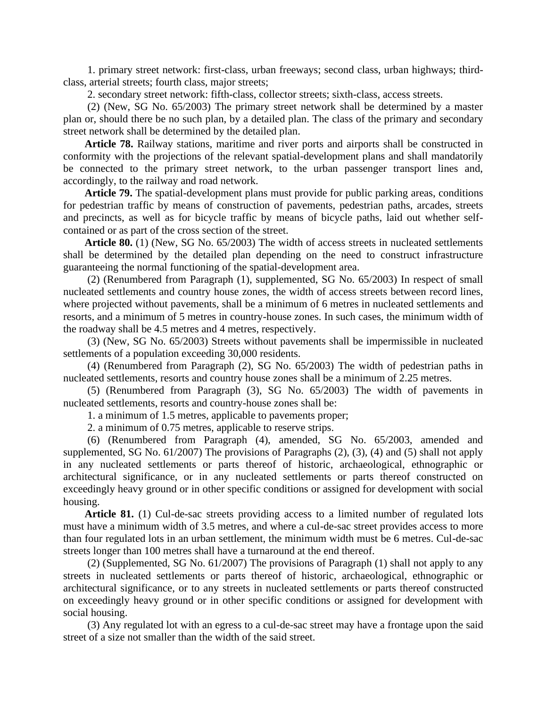1. primary street network: first-class, urban freeways; second class, urban highways; thirdclass, arterial streets; fourth class, major streets;

2. secondary street network: fifth-class, collector streets; sixth-class, access streets.

(2) (New, SG No. 65/2003) The primary street network shall be determined by a master plan or, should there be no such plan, by a detailed plan. The class of the primary and secondary street network shall be determined by the detailed plan.

**Article 78.** Railway stations, maritime and river ports and airports shall be constructed in conformity with the projections of the relevant spatial-development plans and shall mandatorily be connected to the primary street network, to the urban passenger transport lines and, accordingly, to the railway and road network.

**Article 79.** The spatial-development plans must provide for public parking areas, conditions for pedestrian traffic by means of construction of pavements, pedestrian paths, arcades, streets and precincts, as well as for bicycle traffic by means of bicycle paths, laid out whether selfcontained or as part of the cross section of the street.

**Article 80.** (1) (New, SG No. 65/2003) The width of access streets in nucleated settlements shall be determined by the detailed plan depending on the need to construct infrastructure guaranteeing the normal functioning of the spatial-development area.

(2) (Renumbered from Paragraph (1), supplemented, SG No. 65/2003) In respect of small nucleated settlements and country house zones, the width of access streets between record lines, where projected without pavements, shall be a minimum of 6 metres in nucleated settlements and resorts, and a minimum of 5 metres in country-house zones. In such cases, the minimum width of the roadway shall be 4.5 metres and 4 metres, respectively.

(3) (New, SG No. 65/2003) Streets without pavements shall be impermissible in nucleated settlements of a population exceeding 30,000 residents.

(4) (Renumbered from Paragraph (2), SG No. 65/2003) The width of pedestrian paths in nucleated settlements, resorts and country house zones shall be a minimum of 2.25 metres.

(5) (Renumbered from Paragraph (3), SG No. 65/2003) The width of pavements in nucleated settlements, resorts and country-house zones shall be:

1. a minimum of 1.5 metres, applicable to pavements proper;

2. a minimum of 0.75 metres, applicable to reserve strips.

(6) (Renumbered from Paragraph (4), amended, SG No. 65/2003, amended and supplemented, SG No. 61/2007) The provisions of Paragraphs (2), (3), (4) and (5) shall not apply in any nucleated settlements or parts thereof of historic, archaeological, ethnographic or architectural significance, or in any nucleated settlements or parts thereof constructed on exceedingly heavy ground or in other specific conditions or assigned for development with social housing.

Article 81. (1) Cul-de-sac streets providing access to a limited number of regulated lots must have a minimum width of 3.5 metres, and where a cul-de-sac street provides access to more than four regulated lots in an urban settlement, the minimum width must be 6 metres. Cul-de-sac streets longer than 100 metres shall have a turnaround at the end thereof.

(2) (Supplemented, SG No. 61/2007) The provisions of Paragraph (1) shall not apply to any streets in nucleated settlements or parts thereof of historic, archaeological, ethnographic or architectural significance, or to any streets in nucleated settlements or parts thereof constructed on exceedingly heavy ground or in other specific conditions or assigned for development with social housing.

(3) Any regulated lot with an egress to a cul-de-sac street may have a frontage upon the said street of a size not smaller than the width of the said street.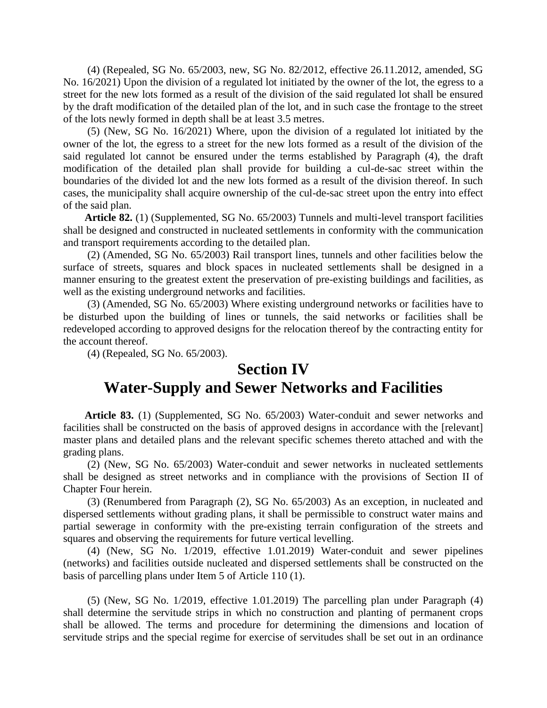(4) (Repealed, SG No. 65/2003, new, SG No. 82/2012, effective 26.11.2012, amended, SG No. 16/2021) Upon the division of a regulated lot initiated by the owner of the lot, the egress to a street for the new lots formed as a result of the division of the said regulated lot shall be ensured by the draft modification of the detailed plan of the lot, and in such case the frontage to the street of the lots newly formed in depth shall be at least 3.5 metres.

(5) (New, SG No. 16/2021) Where, upon the division of a regulated lot initiated by the owner of the lot, the egress to a street for the new lots formed as a result of the division of the said regulated lot cannot be ensured under the terms established by Paragraph (4), the draft modification of the detailed plan shall provide for building a cul-de-sac street within the boundaries of the divided lot and the new lots formed as a result of the division thereof. In such cases, the municipality shall acquire ownership of the cul-de-sac street upon the entry into effect of the said plan.

**Article 82.** (1) (Supplemented, SG No. 65/2003) Tunnels and multi-level transport facilities shall be designed and constructed in nucleated settlements in conformity with the communication and transport requirements according to the detailed plan.

(2) (Amended, SG No. 65/2003) Rail transport lines, tunnels and other facilities below the surface of streets, squares and block spaces in nucleated settlements shall be designed in a manner ensuring to the greatest extent the preservation of pre-existing buildings and facilities, as well as the existing underground networks and facilities.

(3) (Amended, SG No. 65/2003) Where existing underground networks or facilities have to be disturbed upon the building of lines or tunnels, the said networks or facilities shall be redeveloped according to approved designs for the relocation thereof by the contracting entity for the account thereof.

(4) (Repealed, SG No. 65/2003).

#### **Section IV Water-Supply and Sewer Networks and Facilities**

**Article 83.** (1) (Supplemented, SG No. 65/2003) Water-conduit and sewer networks and facilities shall be constructed on the basis of approved designs in accordance with the [relevant] master plans and detailed plans and the relevant specific schemes thereto attached and with the grading plans.

(2) (New, SG No. 65/2003) Water-conduit and sewer networks in nucleated settlements shall be designed as street networks and in compliance with the provisions of Section II of Chapter Four herein.

(3) (Renumbered from Paragraph (2), SG No. 65/2003) As an exception, in nucleated and dispersed settlements without grading plans, it shall be permissible to construct water mains and partial sewerage in conformity with the pre-existing terrain configuration of the streets and squares and observing the requirements for future vertical levelling.

(4) (New, SG No. 1/2019, effective 1.01.2019) Water-conduit and sewer pipelines (networks) and facilities outside nucleated and dispersed settlements shall be constructed on the basis of parcelling plans under Item 5 of Article 110 (1).

(5) (New, SG No. 1/2019, effective 1.01.2019) The parcelling plan under Paragraph (4) shall determine the servitude strips in which no construction and planting of permanent crops shall be allowed. The terms and procedure for determining the dimensions and location of servitude strips and the special regime for exercise of servitudes shall be set out in an ordinance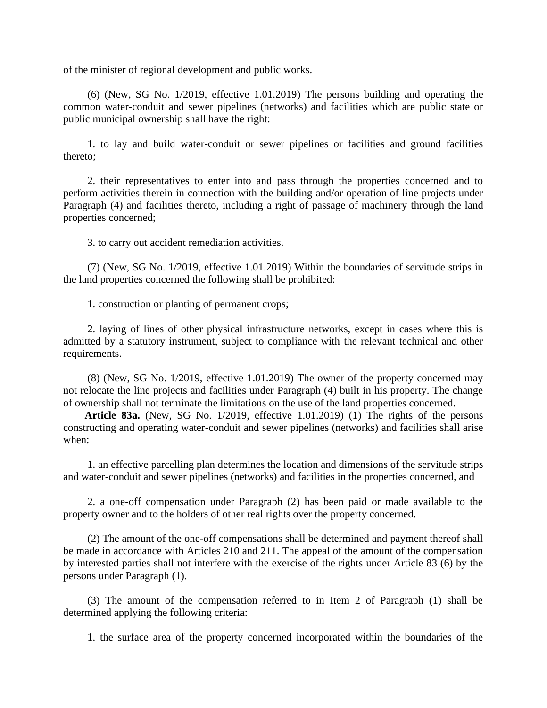of the minister of regional development and public works.

(6) (New, SG No. 1/2019, effective 1.01.2019) The persons building and operating the common water-conduit and sewer pipelines (networks) and facilities which are public state or public municipal ownership shall have the right:

1. to lay and build water-conduit or sewer pipelines or facilities and ground facilities thereto;

2. their representatives to enter into and pass through the properties concerned and to perform activities therein in connection with the building and/or operation of line projects under Paragraph (4) and facilities thereto, including a right of passage of machinery through the land properties concerned;

3. to carry out accident remediation activities.

(7) (New, SG No. 1/2019, effective 1.01.2019) Within the boundaries of servitude strips in the land properties concerned the following shall be prohibited:

1. construction or planting of permanent crops;

2. laying of lines of other physical infrastructure networks, except in cases where this is admitted by a statutory instrument, subject to compliance with the relevant technical and other requirements.

(8) (New, SG No. 1/2019, effective 1.01.2019) The owner of the property concerned may not relocate the line projects and facilities under Paragraph (4) built in his property. The change of ownership shall not terminate the limitations on the use of the land properties concerned.

**Article 83a.** (New, SG No. 1/2019, effective 1.01.2019) (1) The rights of the persons constructing and operating water-conduit and sewer pipelines (networks) and facilities shall arise when:

1. an effective parcelling plan determines the location and dimensions of the servitude strips and water-conduit and sewer pipelines (networks) and facilities in the properties concerned, and

2. a one-off compensation under Paragraph (2) has been paid or made available to the property owner and to the holders of other real rights over the property concerned.

(2) The amount of the one-off compensations shall be determined and payment thereof shall be made in accordance with Articles 210 and 211. The appeal of the amount of the compensation by interested parties shall not interfere with the exercise of the rights under Article 83 (6) by the persons under Paragraph (1).

(3) The amount of the compensation referred to in Item 2 of Paragraph (1) shall be determined applying the following criteria:

1. the surface area of the property concerned incorporated within the boundaries of the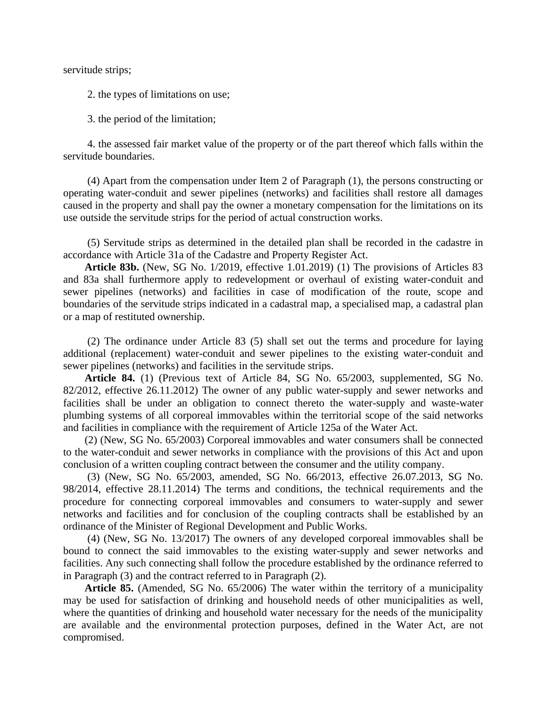servitude strips;

2. the types of limitations on use;

3. the period of the limitation;

4. the assessed fair market value of the property or of the part thereof which falls within the servitude boundaries.

(4) Apart from the compensation under Item 2 of Paragraph (1), the persons constructing or operating water-conduit and sewer pipelines (networks) and facilities shall restore all damages caused in the property and shall pay the owner a monetary compensation for the limitations on its use outside the servitude strips for the period of actual construction works.

(5) Servitude strips as determined in the detailed plan shall be recorded in the cadastre in accordance with Article 31a of the Cadastre and Property Register Act.

**Article 83b.** (New, SG No. 1/2019, effective 1.01.2019) (1) The provisions of Articles 83 and 83a shall furthermore apply to redevelopment or overhaul of existing water-conduit and sewer pipelines (networks) and facilities in case of modification of the route, scope and boundaries of the servitude strips indicated in a cadastral map, a specialised map, a cadastral plan or a map of restituted ownership.

(2) The ordinance under Article 83 (5) shall set out the terms and procedure for laying additional (replacement) water-conduit and sewer pipelines to the existing water-conduit and sewer pipelines (networks) and facilities in the servitude strips.

**Article 84.** (1) (Previous text of Article 84, SG No. 65/2003, supplemented, SG No. 82/2012, effective 26.11.2012) The owner of any public water-supply and sewer networks and facilities shall be under an obligation to connect thereto the water-supply and waste-water plumbing systems of all corporeal immovables within the territorial scope of the said networks and facilities in compliance with the requirement of Article 125a of the Water Act.

(2) (New, SG No. 65/2003) Corporeal immovables and water consumers shall be connected to the water-conduit and sewer networks in compliance with the provisions of this Act and upon conclusion of a written coupling contract between the consumer and the utility company.

(3) (New, SG No. 65/2003, amended, SG No. 66/2013, effective 26.07.2013, SG No. 98/2014, effective 28.11.2014) The terms and conditions, the technical requirements and the procedure for connecting corporeal immovables and consumers to water-supply and sewer networks and facilities and for conclusion of the coupling contracts shall be established by an ordinance of the Minister of Regional Development and Public Works.

(4) (New, SG No. 13/2017) The owners of any developed corporeal immovables shall be bound to connect the said immovables to the existing water-supply and sewer networks and facilities. Any such connecting shall follow the procedure established by the ordinance referred to in Paragraph (3) and the contract referred to in Paragraph (2).

**Article 85.** (Amended, SG No. 65/2006) The water within the territory of a municipality may be used for satisfaction of drinking and household needs of other municipalities as well, where the quantities of drinking and household water necessary for the needs of the municipality are available and the environmental protection purposes, defined in the Water Act, are not compromised.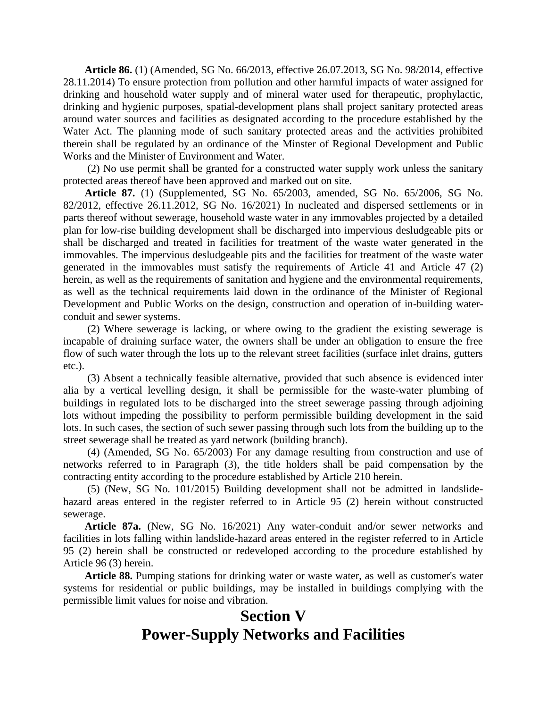**Article 86.** (1) (Amended, SG No. 66/2013, effective 26.07.2013, SG No. 98/2014, effective 28.11.2014) To ensure protection from pollution and other harmful impacts of water assigned for drinking and household water supply and of mineral water used for therapeutic, prophylactic, drinking and hygienic purposes, spatial-development plans shall project sanitary protected areas around water sources and facilities as designated according to the procedure established by the Water Act. The planning mode of such sanitary protected areas and the activities prohibited therein shall be regulated by an ordinance of the Minster of Regional Development and Public Works and the Minister of Environment and Water.

(2) No use permit shall be granted for a constructed water supply work unless the sanitary protected areas thereof have been approved and marked out on site.

**Article 87.** (1) (Supplemented, SG No. 65/2003, amended, SG No. 65/2006, SG No. 82/2012, effective 26.11.2012, SG No. 16/2021) In nucleated and dispersed settlements or in parts thereof without sewerage, household waste water in any immovables projected by a detailed plan for low-rise building development shall be discharged into impervious desludgeable pits or shall be discharged and treated in facilities for treatment of the waste water generated in the immovables. The impervious desludgeable pits and the facilities for treatment of the waste water generated in the immovables must satisfy the requirements of Article 41 and Article 47 (2) herein, as well as the requirements of sanitation and hygiene and the environmental requirements, as well as the technical requirements laid down in the ordinance of the Minister of Regional Development and Public Works on the design, construction and operation of in-building waterconduit and sewer systems.

(2) Where sewerage is lacking, or where owing to the gradient the existing sewerage is incapable of draining surface water, the owners shall be under an obligation to ensure the free flow of such water through the lots up to the relevant street facilities (surface inlet drains, gutters etc.).

(3) Absent a technically feasible alternative, provided that such absence is evidenced inter alia by a vertical levelling design, it shall be permissible for the waste-water plumbing of buildings in regulated lots to be discharged into the street sewerage passing through adjoining lots without impeding the possibility to perform permissible building development in the said lots. In such cases, the section of such sewer passing through such lots from the building up to the street sewerage shall be treated as yard network (building branch).

(4) (Amended, SG No. 65/2003) For any damage resulting from construction and use of networks referred to in Paragraph (3), the title holders shall be paid compensation by the contracting entity according to the procedure established by Article 210 herein.

(5) (New, SG No. 101/2015) Building development shall not be admitted in landslidehazard areas entered in the register referred to in Article 95 (2) herein without constructed sewerage.

**Article 87a.** (New, SG No. 16/2021) Any water-conduit and/or sewer networks and facilities in lots falling within landslide-hazard areas entered in the register referred to in Article 95 (2) herein shall be constructed or redeveloped according to the procedure established by Article 96 (3) herein.

**Article 88.** Pumping stations for drinking water or waste water, as well as customer's water systems for residential or public buildings, may be installed in buildings complying with the permissible limit values for noise and vibration.

### **Section V Power-Supply Networks and Facilities**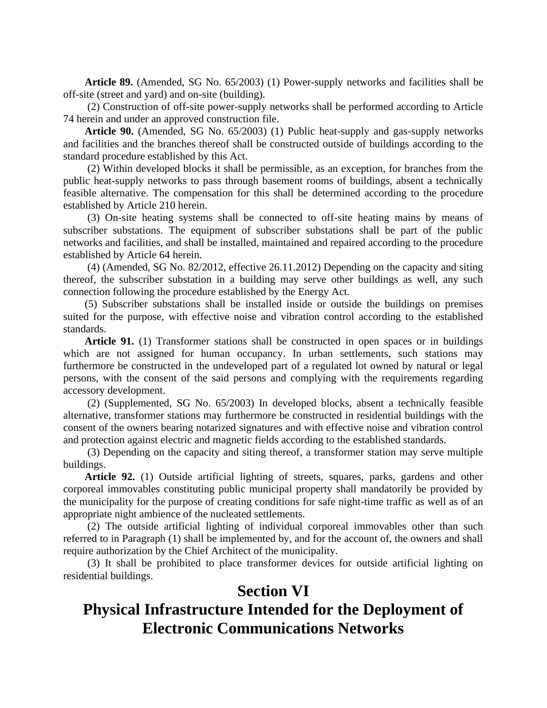**Article 89.** (Amended, SG No. 65/2003) (1) Power-supply networks and facilities shall be off-site (street and yard) and on-site (building).

(2) Construction of off-site power-supply networks shall be performed according to Article 74 herein and under an approved construction file.

**Article 90.** (Amended, SG No. 65/2003) (1) Public heat-supply and gas-supply networks and facilities and the branches thereof shall be constructed outside of buildings according to the standard procedure established by this Act.

(2) Within developed blocks it shall be permissible, as an exception, for branches from the public heat-supply networks to pass through basement rooms of buildings, absent a technically feasible alternative. The compensation for this shall be determined according to the procedure established by Article 210 herein.

(3) On-site heating systems shall be connected to off-site heating mains by means of subscriber substations. The equipment of subscriber substations shall be part of the public networks and facilities, and shall be installed, maintained and repaired according to the procedure established by Article 64 herein.

(4) (Amended, SG No. 82/2012, effective 26.11.2012) Depending on the capacity and siting thereof, the subscriber substation in a building may serve other buildings as well, any such connection following the procedure established by the Energy Act.

(5) Subscriber substations shall be installed inside or outside the buildings on premises suited for the purpose, with effective noise and vibration control according to the established standards.

**Article 91.** (1) Transformer stations shall be constructed in open spaces or in buildings which are not assigned for human occupancy. In urban settlements, such stations may furthermore be constructed in the undeveloped part of a regulated lot owned by natural or legal persons, with the consent of the said persons and complying with the requirements regarding accessory development.

(2) (Supplemented, SG No. 65/2003) In developed blocks, absent a technically feasible alternative, transformer stations may furthermore be constructed in residential buildings with the consent of the owners bearing notarized signatures and with effective noise and vibration control and protection against electric and magnetic fields according to the established standards.

(3) Depending on the capacity and siting thereof, a transformer station may serve multiple buildings.

**Article 92.** (1) Outside artificial lighting of streets, squares, parks, gardens and other corporeal immovables constituting public municipal property shall mandatorily be provided by the municipality for the purpose of creating conditions for safe night-time traffic as well as of an appropriate night ambience of the nucleated settlements.

(2) The outside artificial lighting of individual corporeal immovables other than such referred to in Paragraph (1) shall be implemented by, and for the account of, the owners and shall require authorization by the Chief Architect of the municipality.

(3) It shall be prohibited to place transformer devices for outside artificial lighting on residential buildings.

#### **Section VI**

## **Physical Infrastructure Intended for the Deployment of Electronic Communications Networks**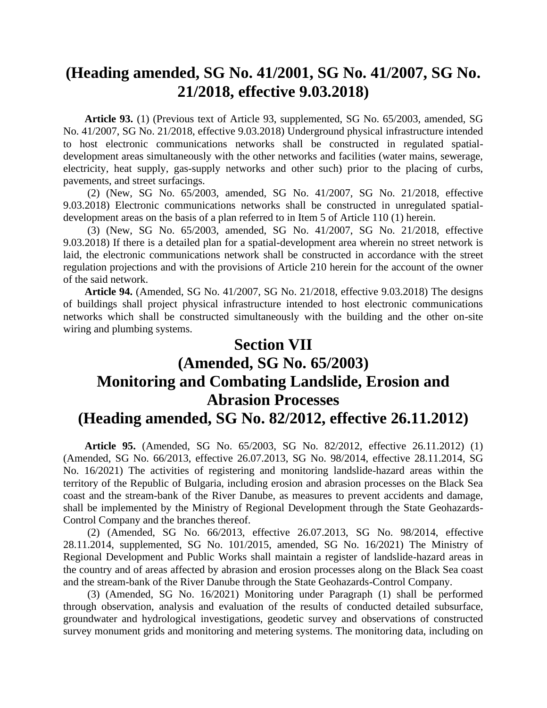#### **(Heading amended, SG No. 41/2001, SG No. 41/2007, SG No. 21/2018, effective 9.03.2018)**

**Article 93.** (1) (Previous text of Article 93, supplemented, SG No. 65/2003, amended, SG No. 41/2007, SG No. 21/2018, effective 9.03.2018) Underground physical infrastructure intended to host electronic communications networks shall be constructed in regulated spatialdevelopment areas simultaneously with the other networks and facilities (water mains, sewerage, electricity, heat supply, gas-supply networks and other such) prior to the placing of curbs, pavements, and street surfacings.

(2) (New, SG No. 65/2003, amended, SG No. 41/2007, SG No. 21/2018, effective 9.03.2018) Electronic communications networks shall be constructed in unregulated spatialdevelopment areas on the basis of a plan referred to in Item 5 of Article 110 (1) herein.

(3) (New, SG No. 65/2003, amended, SG No. 41/2007, SG No. 21/2018, effective 9.03.2018) If there is a detailed plan for a spatial-development area wherein no street network is laid, the electronic communications network shall be constructed in accordance with the street regulation projections and with the provisions of Article 210 herein for the account of the owner of the said network.

**Article 94.** (Amended, SG No. 41/2007, SG No. 21/2018, effective 9.03.2018) The designs of buildings shall project physical infrastructure intended to host electronic communications networks which shall be constructed simultaneously with the building and the other on-site wiring and plumbing systems.

## **Section VII (Amended, SG No. 65/2003) Monitoring and Combating Landslide, Erosion and Abrasion Processes (Heading amended, SG No. 82/2012, effective 26.11.2012)**

**Article 95.** (Amended, SG No. 65/2003, SG No. 82/2012, effective 26.11.2012) (1) (Amended, SG No. 66/2013, effective 26.07.2013, SG No. 98/2014, effective 28.11.2014, SG No. 16/2021) The activities of registering and monitoring landslide-hazard areas within the territory of the Republic of Bulgaria, including erosion and abrasion processes on the Black Sea coast and the stream-bank of the River Danube, as measures to prevent accidents and damage, shall be implemented by the Ministry of Regional Development through the State Geohazards-Control Company and the branches thereof.

(2) (Amended, SG No. 66/2013, effective 26.07.2013, SG No. 98/2014, effective 28.11.2014, supplemented, SG No. 101/2015, amended, SG No. 16/2021) The Ministry of Regional Development and Public Works shall maintain a register of landslide-hazard areas in the country and of areas affected by abrasion and erosion processes along on the Black Sea coast and the stream-bank of the River Danube through the State Geohazards-Control Company.

(3) (Amended, SG No. 16/2021) Monitoring under Paragraph (1) shall be performed through observation, analysis and evaluation of the results of conducted detailed subsurface, groundwater and hydrological investigations, geodetic survey and observations of constructed survey monument grids and monitoring and metering systems. The monitoring data, including on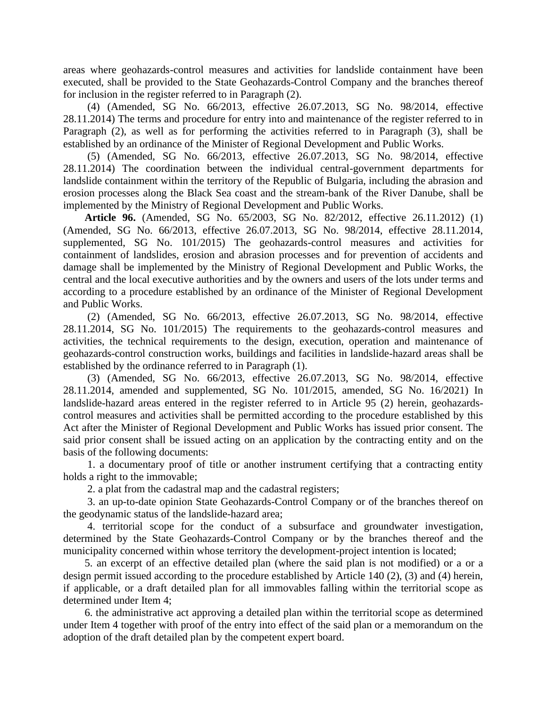areas where geohazards-control measures and activities for landslide containment have been executed, shall be provided to the State Geohazards-Control Company and the branches thereof for inclusion in the register referred to in Paragraph (2).

(4) (Amended, SG No. 66/2013, effective 26.07.2013, SG No. 98/2014, effective 28.11.2014) The terms and procedure for entry into and maintenance of the register referred to in Paragraph (2), as well as for performing the activities referred to in Paragraph (3), shall be established by an ordinance of the Minister of Regional Development and Public Works.

(5) (Amended, SG No. 66/2013, effective 26.07.2013, SG No. 98/2014, effective 28.11.2014) The coordination between the individual central-government departments for landslide containment within the territory of the Republic of Bulgaria, including the abrasion and erosion processes along the Black Sea coast and the stream-bank of the River Danube, shall be implemented by the Ministry of Regional Development and Public Works.

**Article 96.** (Amended, SG No. 65/2003, SG No. 82/2012, effective 26.11.2012) (1) (Amended, SG No. 66/2013, effective 26.07.2013, SG No. 98/2014, effective 28.11.2014, supplemented, SG No. 101/2015) The geohazards-control measures and activities for containment of landslides, erosion and abrasion processes and for prevention of accidents and damage shall be implemented by the Ministry of Regional Development and Public Works, the central and the local executive authorities and by the owners and users of the lots under terms and according to a procedure established by an ordinance of the Minister of Regional Development and Public Works.

(2) (Amended, SG No. 66/2013, effective 26.07.2013, SG No. 98/2014, effective 28.11.2014, SG No. 101/2015) The requirements to the geohazards-control measures and activities, the technical requirements to the design, execution, operation and maintenance of geohazards-control construction works, buildings and facilities in landslide-hazard areas shall be established by the ordinance referred to in Paragraph (1).

(3) (Amended, SG No. 66/2013, effective 26.07.2013, SG No. 98/2014, effective 28.11.2014, amended and supplemented, SG No. 101/2015, amended, SG No. 16/2021) In landslide-hazard areas entered in the register referred to in Article 95 (2) herein, geohazardscontrol measures and activities shall be permitted according to the procedure established by this Act after the Minister of Regional Development and Public Works has issued prior consent. The said prior consent shall be issued acting on an application by the contracting entity and on the basis of the following documents:

1. a documentary proof of title or another instrument certifying that a contracting entity holds a right to the immovable;

2. a plat from the cadastral map and the cadastral registers;

3. an up-to-date opinion State Geohazards-Control Company or of the branches thereof on the geodynamic status of the landslide-hazard area;

4. territorial scope for the conduct of a subsurface and groundwater investigation, determined by the State Geohazards-Control Company or by the branches thereof and the municipality concerned within whose territory the development-project intention is located;

5. an excerpt of an effective detailed plan (where the said plan is not modified) or a or a design permit issued according to the procedure established by Article 140 (2), (3) and (4) herein, if applicable, or a draft detailed plan for all immovables falling within the territorial scope as determined under Item 4;

6. the administrative act approving a detailed plan within the territorial scope as determined under Item 4 together with proof of the entry into effect of the said plan or a memorandum on the adoption of the draft detailed plan by the competent expert board.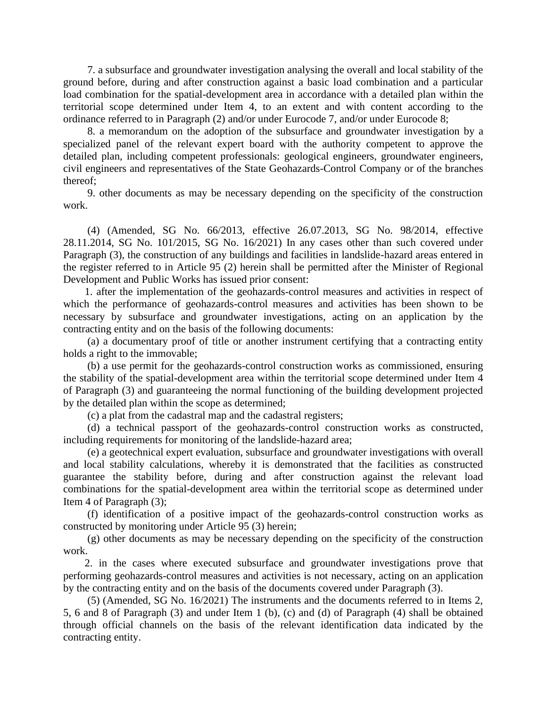7. a subsurface and groundwater investigation analysing the overall and local stability of the ground before, during and after construction against a basic load combination and a particular load combination for the spatial-development area in accordance with a detailed plan within the territorial scope determined under Item 4, to an extent and with content according to the ordinance referred to in Paragraph (2) and/or under Eurocode 7, and/or under Eurocode 8;

8. a memorandum on the adoption of the subsurface and groundwater investigation by a specialized panel of the relevant expert board with the authority competent to approve the detailed plan, including competent professionals: geological engineers, groundwater engineers, civil engineers and representatives of the State Geohazards-Control Company or of the branches thereof;

9. other documents as may be necessary depending on the specificity of the construction work.

(4) (Amended, SG No. 66/2013, effective 26.07.2013, SG No. 98/2014, effective 28.11.2014, SG No. 101/2015, SG No. 16/2021) In any cases other than such covered under Paragraph (3), the construction of any buildings and facilities in landslide-hazard areas entered in the register referred to in Article 95 (2) herein shall be permitted after the Minister of Regional Development and Public Works has issued prior consent:

1. after the implementation of the geohazards-control measures and activities in respect of which the performance of geohazards-control measures and activities has been shown to be necessary by subsurface and groundwater investigations, acting on an application by the contracting entity and on the basis of the following documents:

(a) a documentary proof of title or another instrument certifying that a contracting entity holds a right to the immovable;

(b) a use permit for the geohazards-control construction works as commissioned, ensuring the stability of the spatial-development area within the territorial scope determined under Item 4 of Paragraph (3) and guaranteeing the normal functioning of the building development projected by the detailed plan within the scope as determined;

(c) a plat from the cadastral map and the cadastral registers;

(d) a technical passport of the geohazards-control construction works as constructed, including requirements for monitoring of the landslide-hazard area;

(e) a geotechnical expert evaluation, subsurface and groundwater investigations with overall and local stability calculations, whereby it is demonstrated that the facilities as constructed guarantee the stability before, during and after construction against the relevant load combinations for the spatial-development area within the territorial scope as determined under Item 4 of Paragraph (3);

(f) identification of a positive impact of the geohazards-control construction works as constructed by monitoring under Article 95 (3) herein;

(g) other documents as may be necessary depending on the specificity of the construction work.

2. in the cases where executed subsurface and groundwater investigations prove that performing geohazards-control measures and activities is not necessary, acting on an application by the contracting entity and on the basis of the documents covered under Paragraph (3).

(5) (Amended, SG No. 16/2021) The instruments and the documents referred to in Items 2, 5, 6 and 8 of Paragraph (3) and under Item 1 (b), (c) and (d) of Paragraph (4) shall be obtained through official channels on the basis of the relevant identification data indicated by the contracting entity.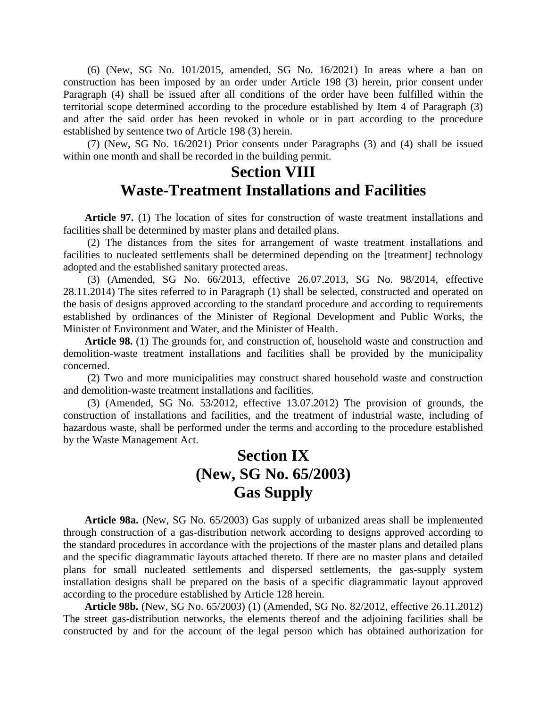(6) (New, SG No. 101/2015, amended, SG No. 16/2021) In areas where a ban on construction has been imposed by an order under Article 198 (3) herein, prior consent under Paragraph (4) shall be issued after all conditions of the order have been fulfilled within the territorial scope determined according to the procedure established by Item 4 of Paragraph (3) and after the said order has been revoked in whole or in part according to the procedure established by sentence two of Article 198 (3) herein.

(7) (New, SG No. 16/2021) Prior consents under Paragraphs (3) and (4) shall be issued within one month and shall be recorded in the building permit.

#### **Section VIII Waste-Treatment Installations and Facilities**

**Article 97.** (1) The location of sites for construction of waste treatment installations and facilities shall be determined by master plans and detailed plans.

(2) The distances from the sites for arrangement of waste treatment installations and facilities to nucleated settlements shall be determined depending on the [treatment] technology adopted and the established sanitary protected areas.

(3) (Amended, SG No. 66/2013, effective 26.07.2013, SG No. 98/2014, effective 28.11.2014) The sites referred to in Paragraph (1) shall be selected, constructed and operated on the basis of designs approved according to the standard procedure and according to requirements established by ordinances of the Minister of Regional Development and Public Works, the Minister of Environment and Water, and the Minister of Health.

**Article 98.** (1) The grounds for, and construction of, household waste and construction and demolition-waste treatment installations and facilities shall be provided by the municipality concerned.

(2) Two and more municipalities may construct shared household waste and construction and demolition-waste treatment installations and facilities.

(3) (Amended, SG No. 53/2012, effective 13.07.2012) The provision of grounds, the construction of installations and facilities, and the treatment of industrial waste, including of hazardous waste, shall be performed under the terms and according to the procedure established by the Waste Management Act.

## **Section IX (New, SG No. 65/2003) Gas Supply**

**Article 98a.** (New, SG No. 65/2003) Gas supply of urbanized areas shall be implemented through construction of a gas-distribution network according to designs approved according to the standard procedures in accordance with the projections of the master plans and detailed plans and the specific diagrammatic layouts attached thereto. If there are no master plans and detailed plans for small nucleated settlements and dispersed settlements, the gas-supply system installation designs shall be prepared on the basis of a specific diagrammatic layout approved according to the procedure established by Article 128 herein.

**Article 98b.** (New, SG No. 65/2003) (1) (Amended, SG No. 82/2012, effective 26.11.2012) The street gas-distribution networks, the elements thereof and the adjoining facilities shall be constructed by and for the account of the legal person which has obtained authorization for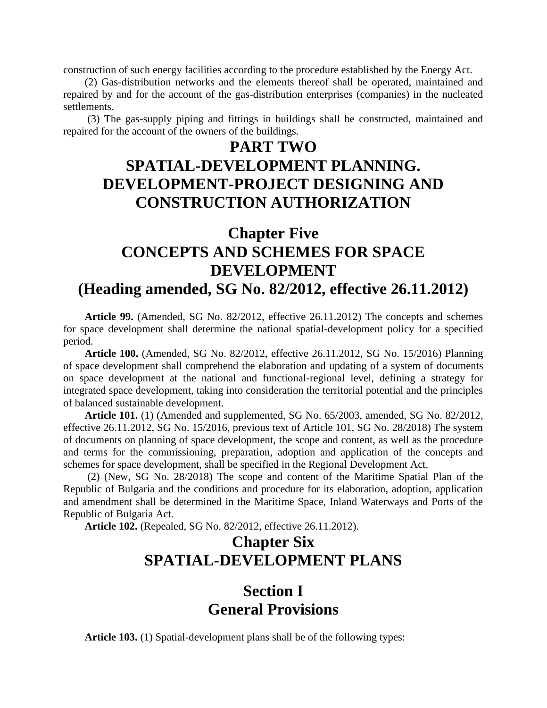construction of such energy facilities according to the procedure established by the Energy Act.

(2) Gas-distribution networks and the elements thereof shall be operated, maintained and repaired by and for the account of the gas-distribution enterprises (companies) in the nucleated settlements.

(3) The gas-supply piping and fittings in buildings shall be constructed, maintained and repaired for the account of the owners of the buildings.

## **PART TWO**

### **SPATIAL-DEVELOPMENT PLANNING. DEVELOPMENT-PROJECT DESIGNING AND CONSTRUCTION AUTHORIZATION**

### **Chapter Five CONCEPTS AND SCHEMES FOR SPACE DEVELOPMENT (Heading amended, SG No. 82/2012, effective 26.11.2012)**

**Article 99.** (Amended, SG No. 82/2012, effective 26.11.2012) The concepts and schemes for space development shall determine the national spatial-development policy for a specified period.

**Article 100.** (Amended, SG No. 82/2012, effective 26.11.2012, SG No. 15/2016) Planning of space development shall comprehend the elaboration and updating of a system of documents on space development at the national and functional-regional level, defining a strategy for integrated space development, taking into consideration the territorial potential and the principles of balanced sustainable development.

**Article 101.** (1) (Amended and supplemented, SG No. 65/2003, amended, SG No. 82/2012, effective 26.11.2012, SG No. 15/2016, previous text of Article 101, SG No. 28/2018) The system of documents on planning of space development, the scope and content, as well as the procedure and terms for the commissioning, preparation, adoption and application of the concepts and schemes for space development, shall be specified in the Regional Development Act.

(2) (New, SG No. 28/2018) The scope and content of the Maritime Spatial Plan of the Republic of Bulgaria and the conditions and procedure for its elaboration, adoption, application and amendment shall be determined in the Maritime Space, Inland Waterways and Ports of the Republic of Bulgaria Act.

**Article 102.** (Repealed, SG No. 82/2012, effective 26.11.2012).

## **Chapter Six SPATIAL-DEVELOPMENT PLANS**

### **Section I General Provisions**

**Article 103.** (1) Spatial-development plans shall be of the following types: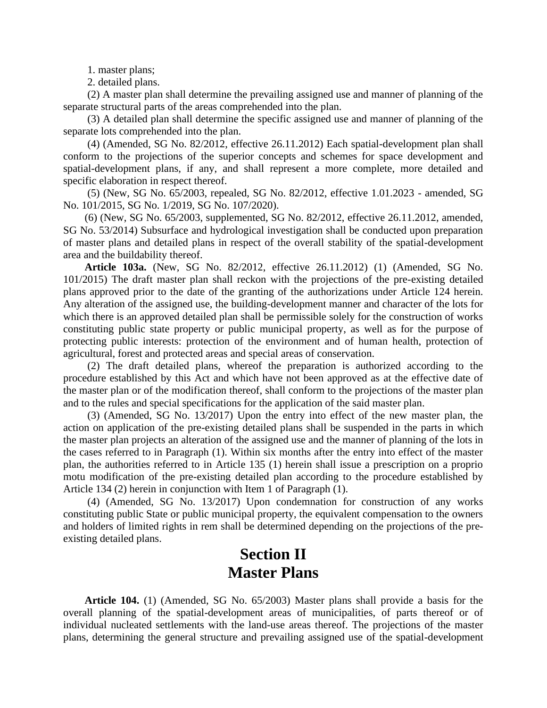1. master plans;

2. detailed plans.

(2) A master plan shall determine the prevailing assigned use and manner of planning of the separate structural parts of the areas comprehended into the plan.

(3) A detailed plan shall determine the specific assigned use and manner of planning of the separate lots comprehended into the plan.

(4) (Amended, SG No. 82/2012, effective 26.11.2012) Each spatial-development plan shall conform to the projections of the superior concepts and schemes for space development and spatial-development plans, if any, and shall represent a more complete, more detailed and specific elaboration in respect thereof.

(5) (New, SG No. 65/2003, repealed, SG No. 82/2012, effective 1.01.2023 - amended, SG No. 101/2015, SG No. 1/2019, SG No. 107/2020).

(6) (New, SG No. 65/2003, supplemented, SG No. 82/2012, effective 26.11.2012, amended, SG No. 53/2014) Subsurface and hydrological investigation shall be conducted upon preparation of master plans and detailed plans in respect of the overall stability of the spatial-development area and the buildability thereof.

**Article 103a.** (New, SG No. 82/2012, effective 26.11.2012) (1) (Amended, SG No. 101/2015) The draft master plan shall reckon with the projections of the pre-existing detailed plans approved prior to the date of the granting of the authorizations under Article 124 herein. Any alteration of the assigned use, the building-development manner and character of the lots for which there is an approved detailed plan shall be permissible solely for the construction of works constituting public state property or public municipal property, as well as for the purpose of protecting public interests: protection of the environment and of human health, protection of agricultural, forest and protected areas and special areas of conservation.

(2) The draft detailed plans, whereof the preparation is authorized according to the procedure established by this Act and which have not been approved as at the effective date of the master plan or of the modification thereof, shall conform to the projections of the master plan and to the rules and special specifications for the application of the said master plan.

(3) (Amended, SG No. 13/2017) Upon the entry into effect of the new master plan, the action on application of the pre-existing detailed plans shall be suspended in the parts in which the master plan projects an alteration of the assigned use and the manner of planning of the lots in the cases referred to in Paragraph (1). Within six months after the entry into effect of the master plan, the authorities referred to in Article 135 (1) herein shall issue a prescription on a proprio motu modification of the pre-existing detailed plan according to the procedure established by Article 134 (2) herein in conjunction with Item 1 of Paragraph (1).

(4) (Amended, SG No. 13/2017) Upon condemnation for construction of any works constituting public State or public municipal property, the equivalent compensation to the owners and holders of limited rights in rem shall be determined depending on the projections of the preexisting detailed plans.

### **Section II Master Plans**

**Article 104.** (1) (Amended, SG No. 65/2003) Master plans shall provide a basis for the overall planning of the spatial-development areas of municipalities, of parts thereof or of individual nucleated settlements with the land-use areas thereof. The projections of the master plans, determining the general structure and prevailing assigned use of the spatial-development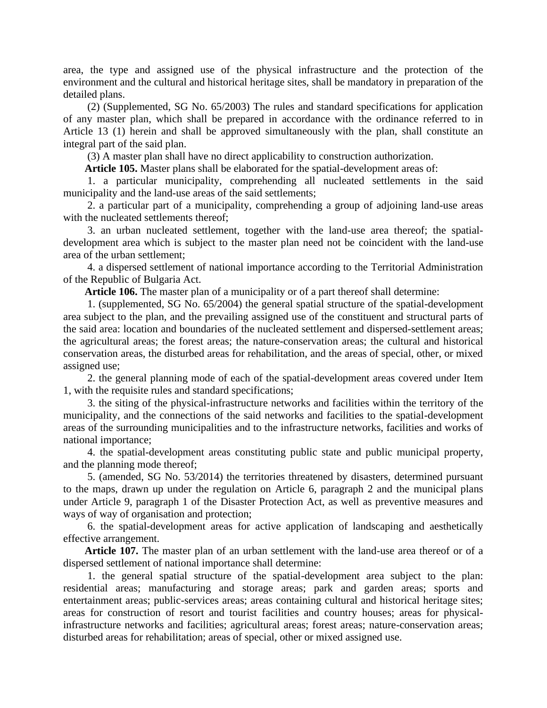area, the type and assigned use of the physical infrastructure and the protection of the environment and the cultural and historical heritage sites, shall be mandatory in preparation of the detailed plans.

(2) (Supplemented, SG No. 65/2003) The rules and standard specifications for application of any master plan, which shall be prepared in accordance with the ordinance referred to in Article 13 (1) herein and shall be approved simultaneously with the plan, shall constitute an integral part of the said plan.

(3) A master plan shall have no direct applicability to construction authorization.

**Article 105.** Master plans shall be elaborated for the spatial-development areas of:

1. a particular municipality, comprehending all nucleated settlements in the said municipality and the land-use areas of the said settlements;

2. a particular part of a municipality, comprehending a group of adjoining land-use areas with the nucleated settlements thereof;

3. an urban nucleated settlement, together with the land-use area thereof; the spatialdevelopment area which is subject to the master plan need not be coincident with the land-use area of the urban settlement;

4. a dispersed settlement of national importance according to the Territorial Administration of the Republic of Bulgaria Act.

**Article 106.** The master plan of a municipality or of a part thereof shall determine:

1. (supplemented, SG No. 65/2004) the general spatial structure of the spatial-development area subject to the plan, and the prevailing assigned use of the constituent and structural parts of the said area: location and boundaries of the nucleated settlement and dispersed-settlement areas; the agricultural areas; the forest areas; the nature-conservation areas; the cultural and historical conservation areas, the disturbed areas for rehabilitation, and the areas of special, other, or mixed assigned use;

2. the general planning mode of each of the spatial-development areas covered under Item 1, with the requisite rules and standard specifications;

3. the siting of the physical-infrastructure networks and facilities within the territory of the municipality, and the connections of the said networks and facilities to the spatial-development areas of the surrounding municipalities and to the infrastructure networks, facilities and works of national importance;

4. the spatial-development areas constituting public state and public municipal property, and the planning mode thereof;

5. (amended, SG No. 53/2014) the territories threatened by disasters, determined pursuant to the maps, drawn up under the regulation on Article 6, paragraph 2 and the municipal plans under Article 9, paragraph 1 of the Disaster Protection Act, as well as preventive measures and ways of way of organisation and protection;

6. the spatial-development areas for active application of landscaping and aesthetically effective arrangement.

**Article 107.** The master plan of an urban settlement with the land-use area thereof or of a dispersed settlement of national importance shall determine:

1. the general spatial structure of the spatial-development area subject to the plan: residential areas; manufacturing and storage areas; park and garden areas; sports and entertainment areas; public-services areas; areas containing cultural and historical heritage sites; areas for construction of resort and tourist facilities and country houses; areas for physicalinfrastructure networks and facilities; agricultural areas; forest areas; nature-conservation areas; disturbed areas for rehabilitation; areas of special, other or mixed assigned use.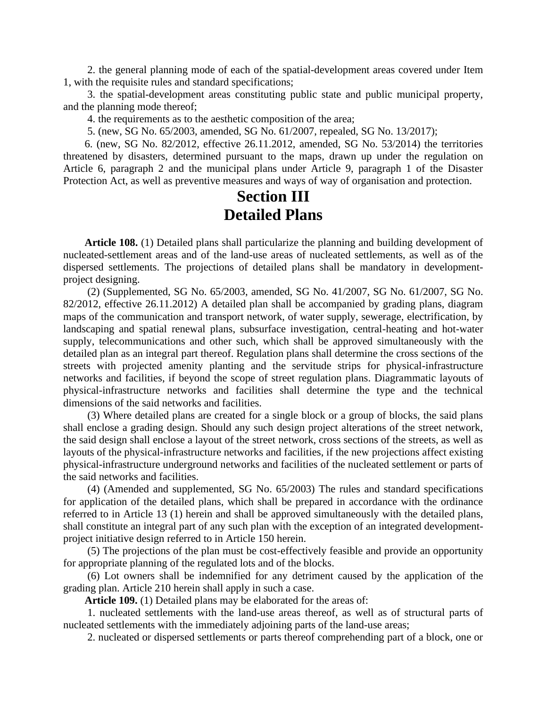2. the general planning mode of each of the spatial-development areas covered under Item 1, with the requisite rules and standard specifications;

3. the spatial-development areas constituting public state and public municipal property, and the planning mode thereof;

4. the requirements as to the aesthetic composition of the area;

5. (new, SG No. 65/2003, amended, SG No. 61/2007, repealed, SG No. 13/2017);

6. (new, SG No. 82/2012, effective 26.11.2012, amended, SG No. 53/2014) the territories threatened by disasters, determined pursuant to the maps, drawn up under the regulation on Article 6, paragraph 2 and the municipal plans under Article 9, paragraph 1 of the Disaster Protection Act, as well as preventive measures and ways of way of organisation and protection.

#### **Section III Detailed Plans**

**Article 108.** (1) Detailed plans shall particularize the planning and building development of nucleated-settlement areas and of the land-use areas of nucleated settlements, as well as of the dispersed settlements. The projections of detailed plans shall be mandatory in developmentproject designing.

(2) (Supplemented, SG No. 65/2003, amended, SG No. 41/2007, SG No. 61/2007, SG No. 82/2012, effective 26.11.2012) A detailed plan shall be accompanied by grading plans, diagram maps of the communication and transport network, of water supply, sewerage, electrification, by landscaping and spatial renewal plans, subsurface investigation, central-heating and hot-water supply, telecommunications and other such, which shall be approved simultaneously with the detailed plan as an integral part thereof. Regulation plans shall determine the cross sections of the streets with projected amenity planting and the servitude strips for physical-infrastructure networks and facilities, if beyond the scope of street regulation plans. Diagrammatic layouts of physical-infrastructure networks and facilities shall determine the type and the technical dimensions of the said networks and facilities.

(3) Where detailed plans are created for a single block or a group of blocks, the said plans shall enclose a grading design. Should any such design project alterations of the street network, the said design shall enclose a layout of the street network, cross sections of the streets, as well as layouts of the physical-infrastructure networks and facilities, if the new projections affect existing physical-infrastructure underground networks and facilities of the nucleated settlement or parts of the said networks and facilities.

(4) (Amended and supplemented, SG No. 65/2003) The rules and standard specifications for application of the detailed plans, which shall be prepared in accordance with the ordinance referred to in Article 13 (1) herein and shall be approved simultaneously with the detailed plans, shall constitute an integral part of any such plan with the exception of an integrated developmentproject initiative design referred to in Article 150 herein.

(5) The projections of the plan must be cost-effectively feasible and provide an opportunity for appropriate planning of the regulated lots and of the blocks.

(6) Lot owners shall be indemnified for any detriment caused by the application of the grading plan. Article 210 herein shall apply in such a case.

**Article 109.** (1) Detailed plans may be elaborated for the areas of:

1. nucleated settlements with the land-use areas thereof, as well as of structural parts of nucleated settlements with the immediately adjoining parts of the land-use areas;

2. nucleated or dispersed settlements or parts thereof comprehending part of a block, one or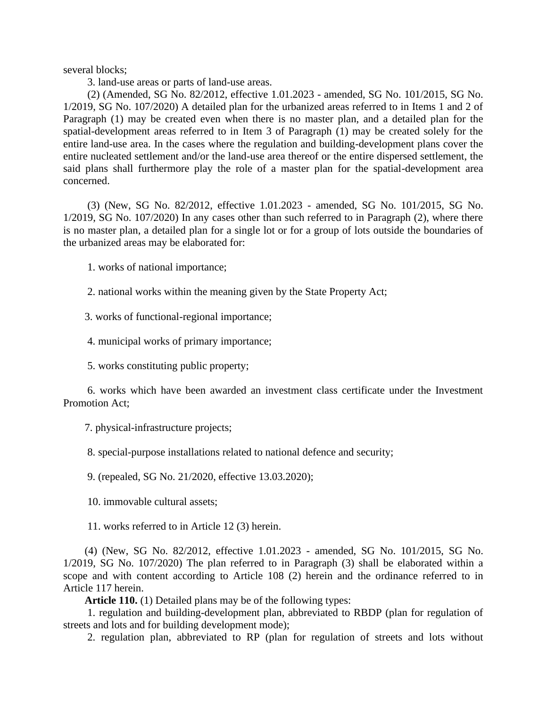several blocks;

3. land-use areas or parts of land-use areas.

(2) (Amended, SG No. 82/2012, effective 1.01.2023 - amended, SG No. 101/2015, SG No. 1/2019, SG No. 107/2020) A detailed plan for the urbanized areas referred to in Items 1 and 2 of Paragraph (1) may be created even when there is no master plan, and a detailed plan for the spatial-development areas referred to in Item 3 of Paragraph (1) may be created solely for the entire land-use area. In the cases where the regulation and building-development plans cover the entire nucleated settlement and/or the land-use area thereof or the entire dispersed settlement, the said plans shall furthermore play the role of a master plan for the spatial-development area concerned.

(3) (New, SG No. 82/2012, effective 1.01.2023 - amended, SG No. 101/2015, SG No. 1/2019, SG No. 107/2020) In any cases other than such referred to in Paragraph (2), where there is no master plan, a detailed plan for a single lot or for a group of lots outside the boundaries of the urbanized areas may be elaborated for:

1. works of national importance;

2. national works within the meaning given by the State Property Act;

3. works of functional-regional importance;

4. municipal works of primary importance;

5. works constituting public property;

6. works which have been awarded an investment class certificate under the Investment Promotion Act;

7. physical-infrastructure projects;

8. special-purpose installations related to national defence and security;

9. (repealed, SG No. 21/2020, effective 13.03.2020);

10. immovable cultural assets;

11. works referred to in Article 12 (3) herein.

(4) (New, SG No. 82/2012, effective 1.01.2023 - amended, SG No. 101/2015, SG No. 1/2019, SG No. 107/2020) The plan referred to in Paragraph (3) shall be elaborated within a scope and with content according to Article 108 (2) herein and the ordinance referred to in Article 117 herein.

**Article 110.** (1) Detailed plans may be of the following types:

1. regulation and building-development plan, abbreviated to RBDP (plan for regulation of streets and lots and for building development mode);

2. regulation plan, abbreviated to RP (plan for regulation of streets and lots without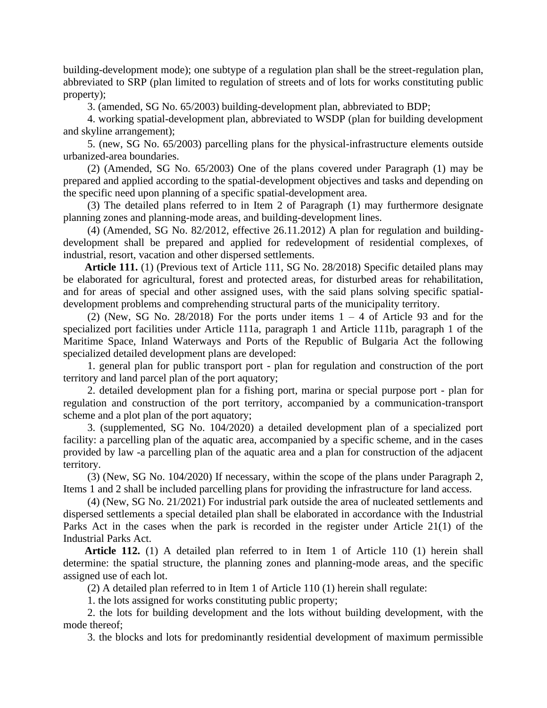building-development mode); one subtype of a regulation plan shall be the street-regulation plan, abbreviated to SRP (plan limited to regulation of streets and of lots for works constituting public property);

3. (amended, SG No. 65/2003) building-development plan, abbreviated to BDP;

4. working spatial-development plan, abbreviated to WSDP (plan for building development and skyline arrangement);

5. (new, SG No. 65/2003) parcelling plans for the physical-infrastructure elements outside urbanized-area boundaries.

(2) (Amended, SG No. 65/2003) One of the plans covered under Paragraph (1) may be prepared and applied according to the spatial-development objectives and tasks and depending on the specific need upon planning of a specific spatial-development area.

(3) The detailed plans referred to in Item 2 of Paragraph (1) may furthermore designate planning zones and planning-mode areas, and building-development lines.

(4) (Amended, SG No. 82/2012, effective 26.11.2012) A plan for regulation and buildingdevelopment shall be prepared and applied for redevelopment of residential complexes, of industrial, resort, vacation and other dispersed settlements.

**Article 111.** (1) (Previous text of Article 111, SG No. 28/2018) Specific detailed plans may be elaborated for agricultural, forest and protected areas, for disturbed areas for rehabilitation, and for areas of special and other assigned uses, with the said plans solving specific spatialdevelopment problems and comprehending structural parts of the municipality territory.

(2) (New, SG No. 28/2018) For the ports under items  $1 - 4$  of Article 93 and for the specialized port facilities under Article 111a, paragraph 1 and Article 111b, paragraph 1 of the Maritime Space, Inland Waterways and Ports of the Republic of Bulgaria Act the following specialized detailed development plans are developed:

1. general plan for public transport port - plan for regulation and construction of the port territory and land parcel plan of the port aquatory;

2. detailed development plan for a fishing port, marina or special purpose port - plan for regulation and construction of the port territory, accompanied by a communication-transport scheme and a plot plan of the port aquatory;

3. (supplemented, SG No. 104/2020) a detailed development plan of a specialized port facility: a parcelling plan of the aquatic area, accompanied by a specific scheme, and in the cases provided by law -a parcelling plan of the aquatic area and a plan for construction of the adjacent territory.

(3) (New, SG No. 104/2020) If necessary, within the scope of the plans under Paragraph 2, Items 1 and 2 shall be included parcelling plans for providing the infrastructure for land access.

(4) (New, SG No. 21/2021) For industrial park outside the area of nucleated settlements and dispersed settlements a special detailed plan shall be elaborated in accordance with the Industrial Parks Act in the cases when the park is recorded in the register under Article 21(1) of the Industrial Parks Act.

**Article 112.** (1) A detailed plan referred to in Item 1 of Article 110 (1) herein shall determine: the spatial structure, the planning zones and planning-mode areas, and the specific assigned use of each lot.

(2) A detailed plan referred to in Item 1 of Article 110 (1) herein shall regulate:

1. the lots assigned for works constituting public property;

2. the lots for building development and the lots without building development, with the mode thereof;

3. the blocks and lots for predominantly residential development of maximum permissible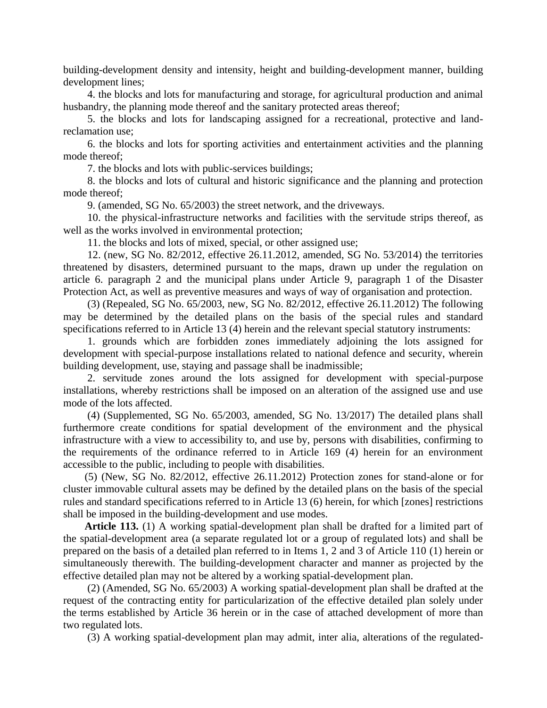building-development density and intensity, height and building-development manner, building development lines;

4. the blocks and lots for manufacturing and storage, for agricultural production and animal husbandry, the planning mode thereof and the sanitary protected areas thereof;

5. the blocks and lots for landscaping assigned for a recreational, protective and landreclamation use;

6. the blocks and lots for sporting activities and entertainment activities and the planning mode thereof;

7. the blocks and lots with public-services buildings;

8. the blocks and lots of cultural and historic significance and the planning and protection mode thereof;

9. (amended, SG No. 65/2003) the street network, and the driveways.

10. the physical-infrastructure networks and facilities with the servitude strips thereof, as well as the works involved in environmental protection;

11. the blocks and lots of mixed, special, or other assigned use;

12. (new, SG No. 82/2012, effective 26.11.2012, amended, SG No. 53/2014) the territories threatened by disasters, determined pursuant to the maps, drawn up under the regulation on article 6. paragraph 2 and the municipal plans under Article 9, paragraph 1 of the Disaster Protection Act, as well as preventive measures and ways of way of organisation and protection.

(3) (Repealed, SG No. 65/2003, new, SG No. 82/2012, effective 26.11.2012) The following may be determined by the detailed plans on the basis of the special rules and standard specifications referred to in Article 13 (4) herein and the relevant special statutory instruments:

1. grounds which are forbidden zones immediately adjoining the lots assigned for development with special-purpose installations related to national defence and security, wherein building development, use, staying and passage shall be inadmissible;

2. servitude zones around the lots assigned for development with special-purpose installations, whereby restrictions shall be imposed on an alteration of the assigned use and use mode of the lots affected.

(4) (Supplemented, SG No. 65/2003, amended, SG No. 13/2017) The detailed plans shall furthermore create conditions for spatial development of the environment and the physical infrastructure with a view to accessibility to, and use by, persons with disabilities, confirming to the requirements of the ordinance referred to in Article 169 (4) herein for an environment accessible to the public, including to people with disabilities.

(5) (New, SG No. 82/2012, effective 26.11.2012) Protection zones for stand-alone or for cluster immovable cultural assets may be defined by the detailed plans on the basis of the special rules and standard specifications referred to in Article 13 (6) herein, for which [zones] restrictions shall be imposed in the building-development and use modes.

**Article 113.** (1) A working spatial-development plan shall be drafted for a limited part of the spatial-development area (a separate regulated lot or a group of regulated lots) and shall be prepared on the basis of a detailed plan referred to in Items 1, 2 and 3 of Article 110 (1) herein or simultaneously therewith. The building-development character and manner as projected by the effective detailed plan may not be altered by a working spatial-development plan.

(2) (Amended, SG No. 65/2003) A working spatial-development plan shall be drafted at the request of the contracting entity for particularization of the effective detailed plan solely under the terms established by Article 36 herein or in the case of attached development of more than two regulated lots.

(3) A working spatial-development plan may admit, inter alia, alterations of the regulated-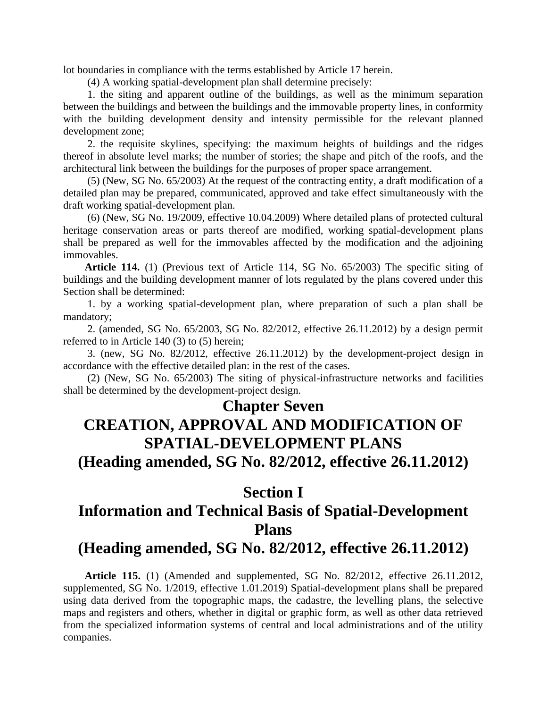lot boundaries in compliance with the terms established by Article 17 herein.

(4) A working spatial-development plan shall determine precisely:

1. the siting and apparent outline of the buildings, as well as the minimum separation between the buildings and between the buildings and the immovable property lines, in conformity with the building development density and intensity permissible for the relevant planned development zone;

2. the requisite skylines, specifying: the maximum heights of buildings and the ridges thereof in absolute level marks; the number of stories; the shape and pitch of the roofs, and the architectural link between the buildings for the purposes of proper space arrangement.

(5) (New, SG No. 65/2003) At the request of the contracting entity, a draft modification of a detailed plan may be prepared, communicated, approved and take effect simultaneously with the draft working spatial-development plan.

(6) (New, SG No. 19/2009, effective 10.04.2009) Where detailed plans of protected cultural heritage conservation areas or parts thereof are modified, working spatial-development plans shall be prepared as well for the immovables affected by the modification and the adjoining immovables.

**Article 114.** (1) (Previous text of Article 114, SG No. 65/2003) The specific siting of buildings and the building development manner of lots regulated by the plans covered under this Section shall be determined:

1. by a working spatial-development plan, where preparation of such a plan shall be mandatory;

2. (amended, SG No. 65/2003, SG No. 82/2012, effective 26.11.2012) by a design permit referred to in Article 140 (3) to (5) herein;

3. (new, SG No. 82/2012, effective 26.11.2012) by the development-project design in accordance with the effective detailed plan: in the rest of the cases.

(2) (New, SG No. 65/2003) The siting of physical-infrastructure networks and facilities shall be determined by the development-project design.

#### **Chapter Seven**

# **CREATION, APPROVAL AND MODIFICATION OF SPATIAL-DEVELOPMENT PLANS**

**(Heading amended, SG No. 82/2012, effective 26.11.2012)**

#### **Section I**

## **Information and Technical Basis of Spatial-Development Plans**

#### **(Heading amended, SG No. 82/2012, effective 26.11.2012)**

**Article 115.** (1) (Amended and supplemented, SG No. 82/2012, effective 26.11.2012, supplemented, SG No. 1/2019, effective 1.01.2019) Spatial-development plans shall be prepared using data derived from the topographic maps, the cadastre, the levelling plans, the selective maps and registers and others, whether in digital or graphic form, as well as other data retrieved from the specialized information systems of central and local administrations and of the utility companies.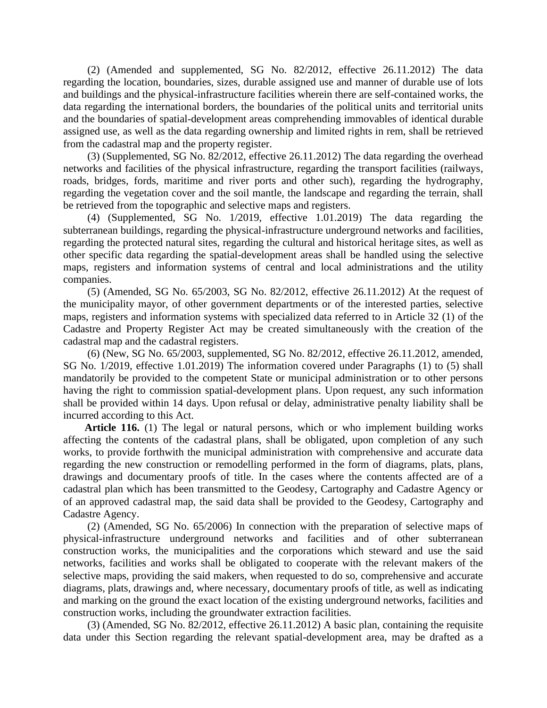(2) (Amended and supplemented, SG No. 82/2012, effective 26.11.2012) The data regarding the location, boundaries, sizes, durable assigned use and manner of durable use of lots and buildings and the physical-infrastructure facilities wherein there are self-contained works, the data regarding the international borders, the boundaries of the political units and territorial units and the boundaries of spatial-development areas comprehending immovables of identical durable assigned use, as well as the data regarding ownership and limited rights in rem, shall be retrieved from the cadastral map and the property register.

(3) (Supplemented, SG No. 82/2012, effective 26.11.2012) The data regarding the overhead networks and facilities of the physical infrastructure, regarding the transport facilities (railways, roads, bridges, fords, maritime and river ports and other such), regarding the hydrography, regarding the vegetation cover and the soil mantle, the landscape and regarding the terrain, shall be retrieved from the topographic and selective maps and registers.

(4) (Supplemented, SG No. 1/2019, effective 1.01.2019) The data regarding the subterranean buildings, regarding the physical-infrastructure underground networks and facilities, regarding the protected natural sites, regarding the cultural and historical heritage sites, as well as other specific data regarding the spatial-development areas shall be handled using the selective maps, registers and information systems of central and local administrations and the utility companies.

(5) (Amended, SG No. 65/2003, SG No. 82/2012, effective 26.11.2012) At the request of the municipality mayor, of other government departments or of the interested parties, selective maps, registers and information systems with specialized data referred to in Article 32 (1) of the Cadastre and Property Register Act may be created simultaneously with the creation of the cadastral map and the cadastral registers.

(6) (New, SG No. 65/2003, supplemented, SG No. 82/2012, effective 26.11.2012, amended, SG No. 1/2019, effective 1.01.2019) The information covered under Paragraphs (1) to (5) shall mandatorily be provided to the competent State or municipal administration or to other persons having the right to commission spatial-development plans. Upon request, any such information shall be provided within 14 days. Upon refusal or delay, administrative penalty liability shall be incurred according to this Act.

**Article 116.** (1) The legal or natural persons, which or who implement building works affecting the contents of the cadastral plans, shall be obligated, upon completion of any such works, to provide forthwith the municipal administration with comprehensive and accurate data regarding the new construction or remodelling performed in the form of diagrams, plats, plans, drawings and documentary proofs of title. In the cases where the contents affected are of a cadastral plan which has been transmitted to the Geodesy, Cartography and Cadastre Agency or of an approved cadastral map, the said data shall be provided to the Geodesy, Cartography and Cadastre Agency.

(2) (Amended, SG No. 65/2006) In connection with the preparation of selective maps of physical-infrastructure underground networks and facilities and of other subterranean construction works, the municipalities and the corporations which steward and use the said networks, facilities and works shall be obligated to cooperate with the relevant makers of the selective maps, providing the said makers, when requested to do so, comprehensive and accurate diagrams, plats, drawings and, where necessary, documentary proofs of title, as well as indicating and marking on the ground the exact location of the existing underground networks, facilities and construction works, including the groundwater extraction facilities.

(3) (Amended, SG No. 82/2012, effective 26.11.2012) A basic plan, containing the requisite data under this Section regarding the relevant spatial-development area, may be drafted as a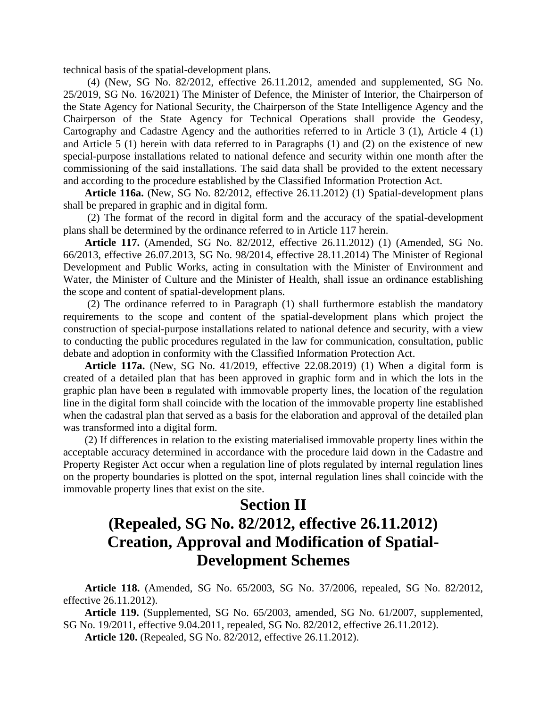technical basis of the spatial-development plans.

(4) (New, SG No. 82/2012, effective 26.11.2012, amended and supplemented, SG No. 25/2019, SG No. 16/2021) The Minister of Defence, the Minister of Interior, the Chairperson of the State Agency for National Security, the Chairperson of the State Intelligence Agency and the Chairperson of the State Agency for Technical Operations shall provide the Geodesy, Cartography and Cadastre Agency and the authorities referred to in Article 3 (1), Article 4 (1) and Article 5 (1) herein with data referred to in Paragraphs (1) and (2) on the existence of new special-purpose installations related to national defence and security within one month after the commissioning of the said installations. The said data shall be provided to the extent necessary and according to the procedure established by the Classified Information Protection Act.

**Article 116a.** (New, SG No. 82/2012, effective 26.11.2012) (1) Spatial-development plans shall be prepared in graphic and in digital form.

(2) The format of the record in digital form and the accuracy of the spatial-development plans shall be determined by the ordinance referred to in Article 117 herein.

**Article 117.** (Amended, SG No. 82/2012, effective 26.11.2012) (1) (Amended, SG No. 66/2013, effective 26.07.2013, SG No. 98/2014, effective 28.11.2014) The Minister of Regional Development and Public Works, acting in consultation with the Minister of Environment and Water, the Minister of Culture and the Minister of Health, shall issue an ordinance establishing the scope and content of spatial-development plans.

(2) The ordinance referred to in Paragraph (1) shall furthermore establish the mandatory requirements to the scope and content of the spatial-development plans which project the construction of special-purpose installations related to national defence and security, with a view to conducting the public procedures regulated in the law for communication, consultation, public debate and adoption in conformity with the Classified Information Protection Act.

**Article 117a.** (New, SG No. 41/2019, effective 22.08.2019) (1) When a digital form is created of a detailed plan that has been approved in graphic form and in which the lots in the graphic plan have been в regulated with immovable property lines, the location of the regulation line in the digital form shall coincide with the location of the immovable property line established when the cadastral plan that served as a basis for the elaboration and approval of the detailed plan was transformed into a digital form.

(2) If differences in relation to the existing materialised immovable property lines within the acceptable accuracy determined in accordance with the procedure laid down in the Cadastre and Property Register Act occur when a regulation line of plots regulated by internal regulation lines on the property boundaries is plotted on the spot, internal regulation lines shall coincide with the immovable property lines that exist on the site.

## **Section II (Repealed, SG No. 82/2012, effective 26.11.2012) Creation, Approval and Modification of Spatial-Development Schemes**

**Article 118.** (Amended, SG No. 65/2003, SG No. 37/2006, repealed, SG No. 82/2012, effective 26.11.2012).

**Article 119.** (Supplemented, SG No. 65/2003, amended, SG No. 61/2007, supplemented, SG No. 19/2011, effective 9.04.2011, repealed, SG No. 82/2012, effective 26.11.2012).

**Article 120.** (Repealed, SG No. 82/2012, effective 26.11.2012).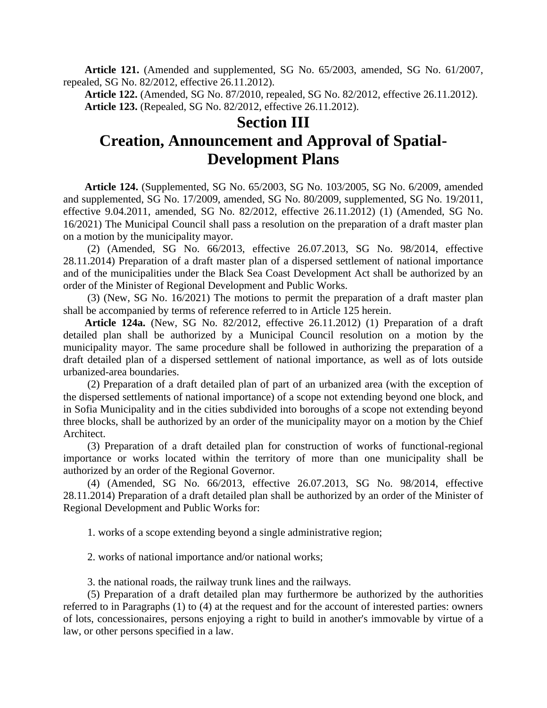**Article 121.** (Amended and supplemented, SG No. 65/2003, amended, SG No. 61/2007, repealed, SG No. 82/2012, effective 26.11.2012).

**Article 122.** (Amended, SG No. 87/2010, repealed, SG No. 82/2012, effective 26.11.2012). **Article 123.** (Repealed, SG No. 82/2012, effective 26.11.2012).

#### **Section III**

## **Creation, Announcement and Approval of Spatial-Development Plans**

**Article 124.** (Supplemented, SG No. 65/2003, SG No. 103/2005, SG No. 6/2009, amended and supplemented, SG No. 17/2009, amended, SG No. 80/2009, supplemented, SG No. 19/2011, effective 9.04.2011, amended, SG No. 82/2012, effective 26.11.2012) (1) (Amended, SG No. 16/2021) The Municipal Council shall pass a resolution on the preparation of a draft master plan on a motion by the municipality mayor.

(2) (Amended, SG No. 66/2013, effective 26.07.2013, SG No. 98/2014, effective 28.11.2014) Preparation of a draft master plan of a dispersed settlement of national importance and of the municipalities under the Black Sea Coast Development Act shall be authorized by an order of the Minister of Regional Development and Public Works.

(3) (New, SG No. 16/2021) The motions to permit the preparation of a draft master plan shall be accompanied by terms of reference referred to in Article 125 herein.

**Article 124a.** (New, SG No. 82/2012, effective 26.11.2012) (1) Preparation of a draft detailed plan shall be authorized by a Municipal Council resolution on a motion by the municipality mayor. The same procedure shall be followed in authorizing the preparation of a draft detailed plan of a dispersed settlement of national importance, as well as of lots outside urbanized-area boundaries.

(2) Preparation of a draft detailed plan of part of an urbanized area (with the exception of the dispersed settlements of national importance) of a scope not extending beyond one block, and in Sofia Municipality and in the cities subdivided into boroughs of a scope not extending beyond three blocks, shall be authorized by an order of the municipality mayor on a motion by the Chief Architect.

(3) Preparation of a draft detailed plan for construction of works of functional-regional importance or works located within the territory of more than one municipality shall be authorized by an order of the Regional Governor.

(4) (Amended, SG No. 66/2013, effective 26.07.2013, SG No. 98/2014, effective 28.11.2014) Preparation of a draft detailed plan shall be authorized by an order of the Minister of Regional Development and Public Works for:

1. works of a scope extending beyond a single administrative region;

2. works of national importance and/or national works;

3. the national roads, the railway trunk lines and the railways.

(5) Preparation of a draft detailed plan may furthermore be authorized by the authorities referred to in Paragraphs (1) to (4) at the request and for the account of interested parties: owners of lots, concessionaires, persons enjoying a right to build in another's immovable by virtue of a law, or other persons specified in a law.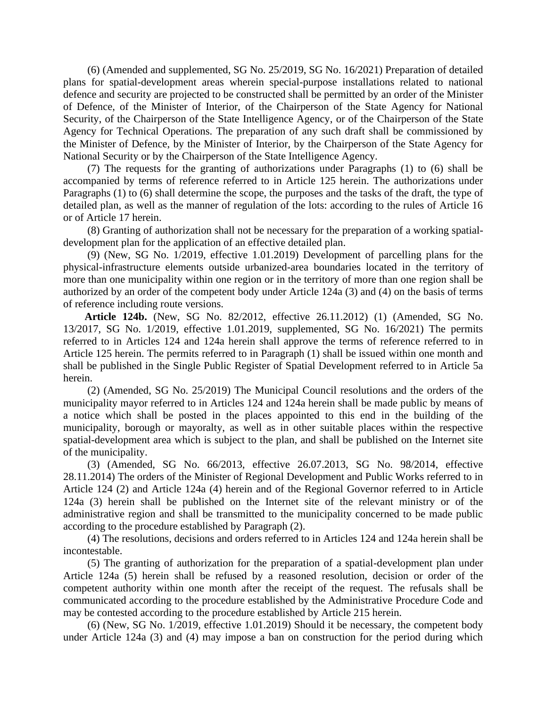(6) (Amended and supplemented, SG No. 25/2019, SG No. 16/2021) Preparation of detailed plans for spatial-development areas wherein special-purpose installations related to national defence and security are projected to be constructed shall be permitted by an order of the Minister of Defence, of the Minister of Interior, of the Chairperson of the State Agency for National Security, of the Chairperson of the State Intelligence Agency, or of the Chairperson of the State Agency for Technical Operations. The preparation of any such draft shall be commissioned by the Minister of Defence, by the Minister of Interior, by the Chairperson of the State Agency for National Security or by the Chairperson of the State Intelligence Agency.

(7) The requests for the granting of authorizations under Paragraphs (1) to (6) shall be accompanied by terms of reference referred to in Article 125 herein. The authorizations under Paragraphs (1) to (6) shall determine the scope, the purposes and the tasks of the draft, the type of detailed plan, as well as the manner of regulation of the lots: according to the rules of Article 16 or of Article 17 herein.

(8) Granting of authorization shall not be necessary for the preparation of a working spatialdevelopment plan for the application of an effective detailed plan.

(9) (New, SG No. 1/2019, effective 1.01.2019) Development of parcelling plans for the physical-infrastructure elements outside urbanized-area boundaries located in the territory of more than one municipality within one region or in the territory of more than one region shall be authorized by an order of the competent body under Article 124a (3) and (4) on the basis of terms of reference including route versions.

**Article 124b.** (New, SG No. 82/2012, effective 26.11.2012) (1) (Amended, SG No. 13/2017, SG No. 1/2019, effective 1.01.2019, supplemented, SG No. 16/2021) The permits referred to in Articles 124 and 124a herein shall approve the terms of reference referred to in Article 125 herein. The permits referred to in Paragraph (1) shall be issued within one month and shall be published in the Single Public Register of Spatial Development referred to in Article 5a herein.

(2) (Amended, SG No. 25/2019) The Municipal Council resolutions and the orders of the municipality mayor referred to in Articles 124 and 124a herein shall be made public by means of a notice which shall be posted in the places appointed to this end in the building of the municipality, borough or mayoralty, as well as in other suitable places within the respective spatial-development area which is subject to the plan, and shall be published on the Internet site of the municipality.

(3) (Amended, SG No. 66/2013, effective 26.07.2013, SG No. 98/2014, effective 28.11.2014) The orders of the Minister of Regional Development and Public Works referred to in Article 124 (2) and Article 124a (4) herein and of the Regional Governor referred to in Article 124a (3) herein shall be published on the Internet site of the relevant ministry or of the administrative region and shall be transmitted to the municipality concerned to be made public according to the procedure established by Paragraph (2).

(4) The resolutions, decisions and orders referred to in Articles 124 and 124a herein shall be incontestable.

(5) The granting of authorization for the preparation of a spatial-development plan under Article 124a (5) herein shall be refused by a reasoned resolution, decision or order of the competent authority within one month after the receipt of the request. The refusals shall be communicated according to the procedure established by the Administrative Procedure Code and may be contested according to the procedure established by Article 215 herein.

(6) (New, SG No. 1/2019, effective 1.01.2019) Should it be necessary, the competent body under Article 124a (3) and (4) may impose a ban on construction for the period during which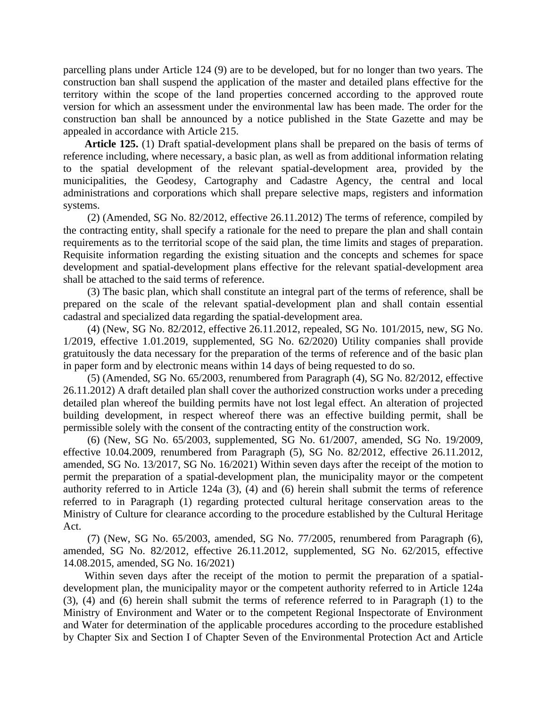parcelling plans under Article 124 (9) are to be developed, but for no longer than two years. The construction ban shall suspend the application of the master and detailed plans effective for the territory within the scope of the land properties concerned according to the approved route version for which an assessment under the environmental law has been made. The order for the construction ban shall be announced by a notice published in the State Gazette and may be appealed in accordance with Article 215.

**Article 125.** (1) Draft spatial-development plans shall be prepared on the basis of terms of reference including, where necessary, a basic plan, as well as from additional information relating to the spatial development of the relevant spatial-development area, provided by the municipalities, the Geodesy, Cartography and Cadastre Agency, the central and local administrations and corporations which shall prepare selective maps, registers and information systems.

(2) (Amended, SG No. 82/2012, effective 26.11.2012) The terms of reference, compiled by the contracting entity, shall specify a rationale for the need to prepare the plan and shall contain requirements as to the territorial scope of the said plan, the time limits and stages of preparation. Requisite information regarding the existing situation and the concepts and schemes for space development and spatial-development plans effective for the relevant spatial-development area shall be attached to the said terms of reference.

(3) The basic plan, which shall constitute an integral part of the terms of reference, shall be prepared on the scale of the relevant spatial-development plan and shall contain essential cadastral and specialized data regarding the spatial-development area.

(4) (New, SG No. 82/2012, effective 26.11.2012, repealed, SG No. 101/2015, new, SG No. 1/2019, effective 1.01.2019, supplemented, SG No. 62/2020) Utility companies shall provide gratuitously the data necessary for the preparation of the terms of reference and of the basic plan in paper form and by electronic means within 14 days of being requested to do so.

(5) (Amended, SG No. 65/2003, renumbered from Paragraph (4), SG No. 82/2012, effective 26.11.2012) A draft detailed plan shall cover the authorized construction works under a preceding detailed plan whereof the building permits have not lost legal effect. An alteration of projected building development, in respect whereof there was an effective building permit, shall be permissible solely with the consent of the contracting entity of the construction work.

(6) (New, SG No. 65/2003, supplemented, SG No. 61/2007, amended, SG No. 19/2009, effective 10.04.2009, renumbered from Paragraph (5), SG No. 82/2012, effective 26.11.2012, amended, SG No. 13/2017, SG No. 16/2021) Within seven days after the receipt of the motion to permit the preparation of a spatial-development plan, the municipality mayor or the competent authority referred to in Article 124a (3), (4) and (6) herein shall submit the terms of reference referred to in Paragraph (1) regarding protected cultural heritage conservation areas to the Ministry of Culture for clearance according to the procedure established by the Cultural Heritage Act.

(7) (New, SG No. 65/2003, amended, SG No. 77/2005, renumbered from Paragraph (6), amended, SG No. 82/2012, effective 26.11.2012, supplemented, SG No. 62/2015, effective 14.08.2015, amended, SG No. 16/2021)

Within seven days after the receipt of the motion to permit the preparation of a spatialdevelopment plan, the municipality mayor or the competent authority referred to in Article 124a (3), (4) and (6) herein shall submit the terms of reference referred to in Paragraph (1) to the Ministry of Environment and Water or to the competent Regional Inspectorate of Environment and Water for determination of the applicable procedures according to the procedure established by Chapter Six and Section I of Chapter Seven of the Environmental Protection Act and Article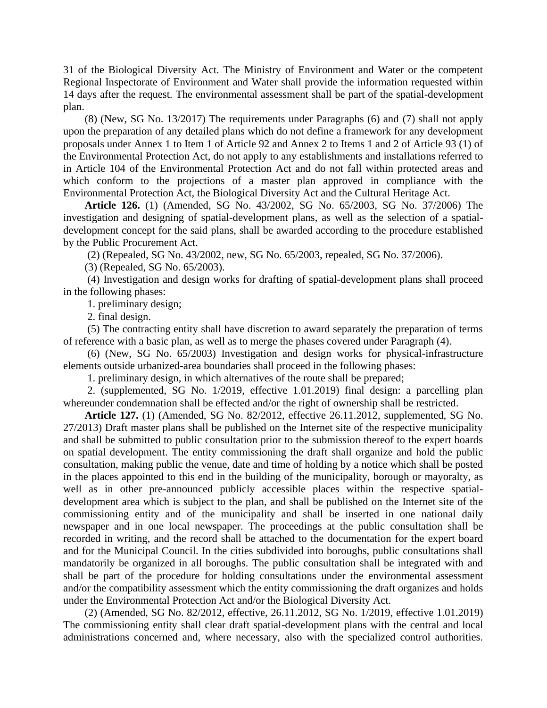31 of the Biological Diversity Act. The Ministry of Environment and Water or the competent Regional Inspectorate of Environment and Water shall provide the information requested within 14 days after the request. The environmental assessment shall be part of the spatial-development plan.

(8) (New, SG No. 13/2017) The requirements under Paragraphs (6) and (7) shall not apply upon the preparation of any detailed plans which do not define a framework for any development proposals under Annex 1 to Item 1 of Article 92 and Annex 2 to Items 1 and 2 of Article 93 (1) of the Environmental Protection Act, do not apply to any establishments and installations referred to in Article 104 of the Environmental Protection Act and do not fall within protected areas and which conform to the projections of a master plan approved in compliance with the Environmental Protection Act, the Biological Diversity Act and the Cultural Heritage Act.

**Article 126.** (1) (Amended, SG No. 43/2002, SG No. 65/2003, SG No. 37/2006) The investigation and designing of spatial-development plans, as well as the selection of a spatialdevelopment concept for the said plans, shall be awarded according to the procedure established by the Public Procurement Act.

(2) (Repealed, SG No. 43/2002, new, SG No. 65/2003, repealed, SG No. 37/2006).

(3) (Repealed, SG No. 65/2003).

(4) Investigation and design works for drafting of spatial-development plans shall proceed in the following phases:

1. preliminary design;

2. final design.

(5) The contracting entity shall have discretion to award separately the preparation of terms of reference with a basic plan, as well as to merge the phases covered under Paragraph (4).

(6) (New, SG No. 65/2003) Investigation and design works for physical-infrastructure elements outside urbanized-area boundaries shall proceed in the following phases:

1. preliminary design, in which alternatives of the route shall be prepared;

2. (supplemented, SG No. 1/2019, effective 1.01.2019) final design: a parcelling plan whereunder condemnation shall be effected and/or the right of ownership shall be restricted.

**Article 127.** (1) (Amended, SG No. 82/2012, effective 26.11.2012, supplemented, SG No. 27/2013) Draft master plans shall be published on the Internet site of the respective municipality and shall be submitted to public consultation prior to the submission thereof to the expert boards on spatial development. The entity commissioning the draft shall organize and hold the public consultation, making public the venue, date and time of holding by a notice which shall be posted in the places appointed to this end in the building of the municipality, borough or mayoralty, as well as in other pre-announced publicly accessible places within the respective spatialdevelopment area which is subject to the plan, and shall be published on the Internet site of the commissioning entity and of the municipality and shall be inserted in one national daily newspaper and in one local newspaper. The proceedings at the public consultation shall be recorded in writing, and the record shall be attached to the documentation for the expert board and for the Municipal Council. In the cities subdivided into boroughs, public consultations shall mandatorily be organized in all boroughs. The public consultation shall be integrated with and shall be part of the procedure for holding consultations under the environmental assessment and/or the compatibility assessment which the entity commissioning the draft organizes and holds under the Environmental Protection Act and/or the Biological Diversity Act.

(2) (Amended, SG No. 82/2012, effective, 26.11.2012, SG No. 1/2019, effective 1.01.2019) The commissioning entity shall clear draft spatial-development plans with the central and local administrations concerned and, where necessary, also with the specialized control authorities.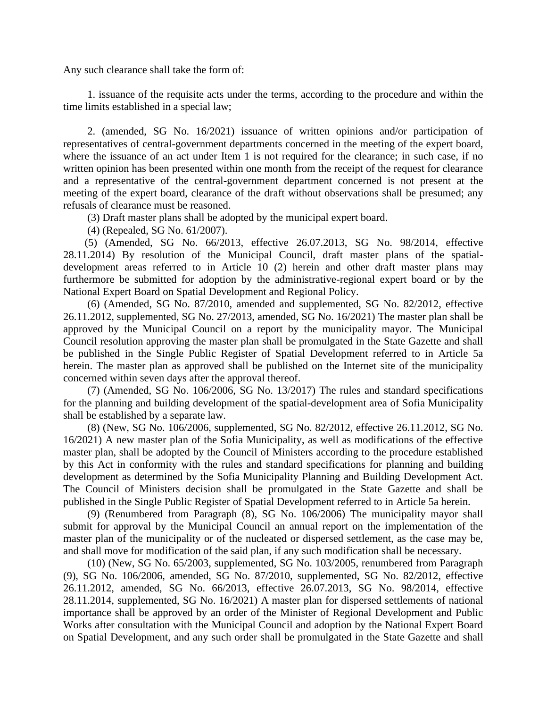Any such clearance shall take the form of:

1. issuance of the requisite acts under the terms, according to the procedure and within the time limits established in a special law;

2. (amended, SG No. 16/2021) issuance of written opinions and/or participation of representatives of central-government departments concerned in the meeting of the expert board, where the issuance of an act under Item 1 is not required for the clearance; in such case, if no written opinion has been presented within one month from the receipt of the request for clearance and a representative of the central-government department concerned is not present at the meeting of the expert board, clearance of the draft without observations shall be presumed; any refusals of clearance must be reasoned.

(3) Draft master plans shall be adopted by the municipal expert board.

(4) (Repealed, SG No. 61/2007).

(5) (Amended, SG No. 66/2013, effective 26.07.2013, SG No. 98/2014, effective 28.11.2014) By resolution of the Municipal Council, draft master plans of the spatialdevelopment areas referred to in Article 10 (2) herein and other draft master plans may furthermore be submitted for adoption by the administrative-regional expert board or by the National Expert Board on Spatial Development and Regional Policy.

(6) (Amended, SG No. 87/2010, amended and supplemented, SG No. 82/2012, effective 26.11.2012, supplemented, SG No. 27/2013, amended, SG No. 16/2021) The master plan shall be approved by the Municipal Council on a report by the municipality mayor. The Municipal Council resolution approving the master plan shall be promulgated in the State Gazette and shall be published in the Single Public Register of Spatial Development referred to in Article 5a herein. The master plan as approved shall be published on the Internet site of the municipality concerned within seven days after the approval thereof.

(7) (Amended, SG No. 106/2006, SG No. 13/2017) The rules and standard specifications for the planning and building development of the spatial-development area of Sofia Municipality shall be established by a separate law.

(8) (New, SG No. 106/2006, supplemented, SG No. 82/2012, effective 26.11.2012, SG No. 16/2021) A new master plan of the Sofia Municipality, as well as modifications of the effective master plan, shall be adopted by the Council of Ministers according to the procedure established by this Act in conformity with the rules and standard specifications for planning and building development as determined by the Sofia Municipality Planning and Building Development Act. The Council of Ministers decision shall be promulgated in the State Gazette and shall be published in the Single Public Register of Spatial Development referred to in Article 5a herein.

(9) (Renumbered from Paragraph (8), SG No. 106/2006) The municipality mayor shall submit for approval by the Municipal Council an annual report on the implementation of the master plan of the municipality or of the nucleated or dispersed settlement, as the case may be, and shall move for modification of the said plan, if any such modification shall be necessary.

(10) (New, SG No. 65/2003, supplemented, SG No. 103/2005, renumbered from Paragraph (9), SG No. 106/2006, amended, SG No. 87/2010, supplemented, SG No. 82/2012, effective 26.11.2012, amended, SG No. 66/2013, effective 26.07.2013, SG No. 98/2014, effective 28.11.2014, supplemented, SG No. 16/2021) A master plan for dispersed settlements of national importance shall be approved by an order of the Minister of Regional Development and Public Works after consultation with the Municipal Council and adoption by the National Expert Board on Spatial Development, and any such order shall be promulgated in the State Gazette and shall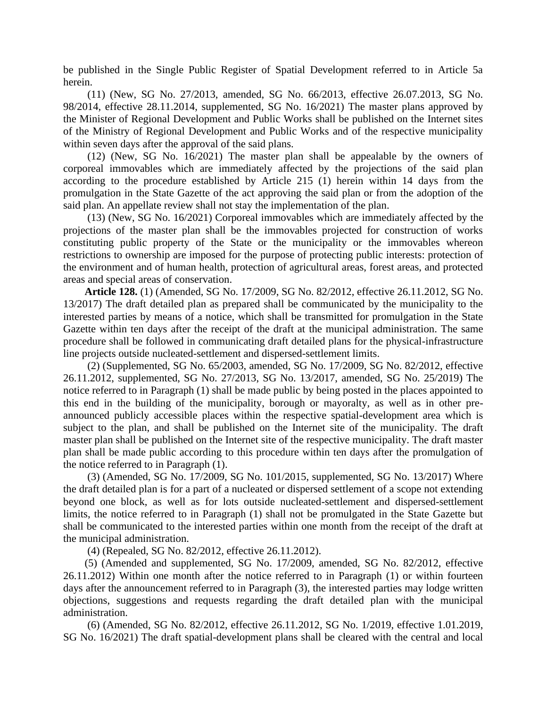be published in the Single Public Register of Spatial Development referred to in Article 5a herein.

(11) (New, SG No. 27/2013, amended, SG No. 66/2013, effective 26.07.2013, SG No. 98/2014, effective 28.11.2014, supplemented, SG No. 16/2021) The master plans approved by the Minister of Regional Development and Public Works shall be published on the Internet sites of the Ministry of Regional Development and Public Works and of the respective municipality within seven days after the approval of the said plans.

(12) (New, SG No. 16/2021) The master plan shall be appealable by the owners of corporeal immovables which are immediately affected by the projections of the said plan according to the procedure established by Article 215 (1) herein within 14 days from the promulgation in the State Gazette of the act approving the said plan or from the adoption of the said plan. An appellate review shall not stay the implementation of the plan.

(13) (New, SG No. 16/2021) Corporeal immovables which are immediately affected by the projections of the master plan shall be the immovables projected for construction of works constituting public property of the State or the municipality or the immovables whereon restrictions to ownership are imposed for the purpose of protecting public interests: protection of the environment and of human health, protection of agricultural areas, forest areas, and protected areas and special areas of conservation.

**Article 128.** (1) (Amended, SG No. 17/2009, SG No. 82/2012, effective 26.11.2012, SG No. 13/2017) The draft detailed plan as prepared shall be communicated by the municipality to the interested parties by means of a notice, which shall be transmitted for promulgation in the State Gazette within ten days after the receipt of the draft at the municipal administration. The same procedure shall be followed in communicating draft detailed plans for the physical-infrastructure line projects outside nucleated-settlement and dispersed-settlement limits.

(2) (Supplemented, SG No. 65/2003, amended, SG No. 17/2009, SG No. 82/2012, effective 26.11.2012, supplemented, SG No. 27/2013, SG No. 13/2017, amended, SG No. 25/2019) The notice referred to in Paragraph (1) shall be made public by being posted in the places appointed to this end in the building of the municipality, borough or mayoralty, as well as in other preannounced publicly accessible places within the respective spatial-development area which is subject to the plan, and shall be published on the Internet site of the municipality. The draft master plan shall be published on the Internet site of the respective municipality. The draft master plan shall be made public according to this procedure within ten days after the promulgation of the notice referred to in Paragraph (1).

(3) (Amended, SG No. 17/2009, SG No. 101/2015, supplemented, SG No. 13/2017) Where the draft detailed plan is for a part of a nucleated or dispersed settlement of a scope not extending beyond one block, as well as for lots outside nucleated-settlement and dispersed-settlement limits, the notice referred to in Paragraph (1) shall not be promulgated in the State Gazette but shall be communicated to the interested parties within one month from the receipt of the draft at the municipal administration.

(4) (Repealed, SG No. 82/2012, effective 26.11.2012).

(5) (Amended and supplemented, SG No. 17/2009, amended, SG No. 82/2012, effective 26.11.2012) Within one month after the notice referred to in Paragraph (1) or within fourteen days after the announcement referred to in Paragraph (3), the interested parties may lodge written objections, suggestions and requests regarding the draft detailed plan with the municipal administration.

(6) (Amended, SG No. 82/2012, effective 26.11.2012, SG No. 1/2019, effective 1.01.2019, SG No. 16/2021) The draft spatial-development plans shall be cleared with the central and local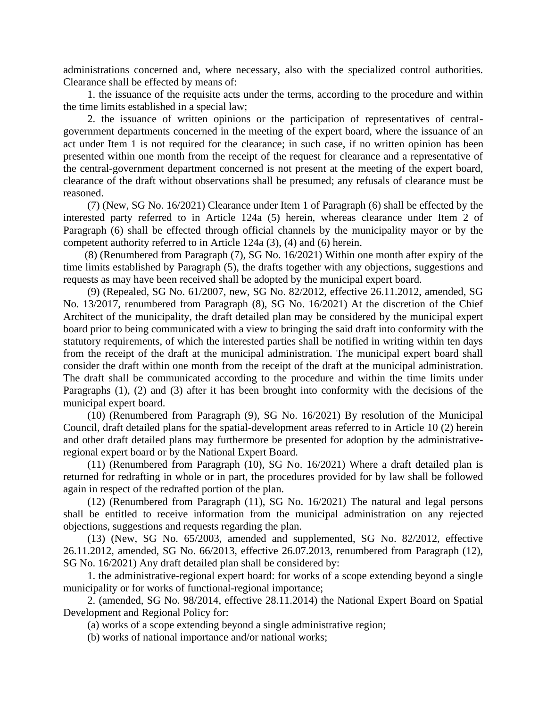administrations concerned and, where necessary, also with the specialized control authorities. Clearance shall be effected by means of:

1. the issuance of the requisite acts under the terms, according to the procedure and within the time limits established in a special law;

2. the issuance of written opinions or the participation of representatives of centralgovernment departments concerned in the meeting of the expert board, where the issuance of an act under Item 1 is not required for the clearance; in such case, if no written opinion has been presented within one month from the receipt of the request for clearance and a representative of the central-government department concerned is not present at the meeting of the expert board, clearance of the draft without observations shall be presumed; any refusals of clearance must be reasoned.

(7) (New, SG No. 16/2021) Clearance under Item 1 of Paragraph (6) shall be effected by the interested party referred to in Article 124a (5) herein, whereas clearance under Item 2 of Paragraph (6) shall be effected through official channels by the municipality mayor or by the competent authority referred to in Article 124a (3), (4) and (6) herein.

(8) (Renumbered from Paragraph (7), SG No. 16/2021) Within one month after expiry of the time limits established by Paragraph (5), the drafts together with any objections, suggestions and requests as may have been received shall be adopted by the municipal expert board.

(9) (Repealed, SG No. 61/2007, new, SG No. 82/2012, effective 26.11.2012, amended, SG No. 13/2017, renumbered from Paragraph (8), SG No. 16/2021) At the discretion of the Chief Architect of the municipality, the draft detailed plan may be considered by the municipal expert board prior to being communicated with a view to bringing the said draft into conformity with the statutory requirements, of which the interested parties shall be notified in writing within ten days from the receipt of the draft at the municipal administration. The municipal expert board shall consider the draft within one month from the receipt of the draft at the municipal administration. The draft shall be communicated according to the procedure and within the time limits under Paragraphs (1), (2) and (3) after it has been brought into conformity with the decisions of the municipal expert board.

(10) (Renumbered from Paragraph (9), SG No. 16/2021) By resolution of the Municipal Council, draft detailed plans for the spatial-development areas referred to in Article 10 (2) herein and other draft detailed plans may furthermore be presented for adoption by the administrativeregional expert board or by the National Expert Board.

(11) (Renumbered from Paragraph (10), SG No. 16/2021) Where a draft detailed plan is returned for redrafting in whole or in part, the procedures provided for by law shall be followed again in respect of the redrafted portion of the plan.

(12) (Renumbered from Paragraph (11), SG No. 16/2021) The natural and legal persons shall be entitled to receive information from the municipal administration on any rejected objections, suggestions and requests regarding the plan.

(13) (New, SG No. 65/2003, amended and supplemented, SG No. 82/2012, effective 26.11.2012, amended, SG No. 66/2013, effective 26.07.2013, renumbered from Paragraph (12), SG No. 16/2021) Any draft detailed plan shall be considered by:

1. the administrative-regional expert board: for works of a scope extending beyond a single municipality or for works of functional-regional importance;

2. (amended, SG No. 98/2014, effective 28.11.2014) the National Expert Board on Spatial Development and Regional Policy for:

(a) works of a scope extending beyond a single administrative region;

(b) works of national importance and/or national works;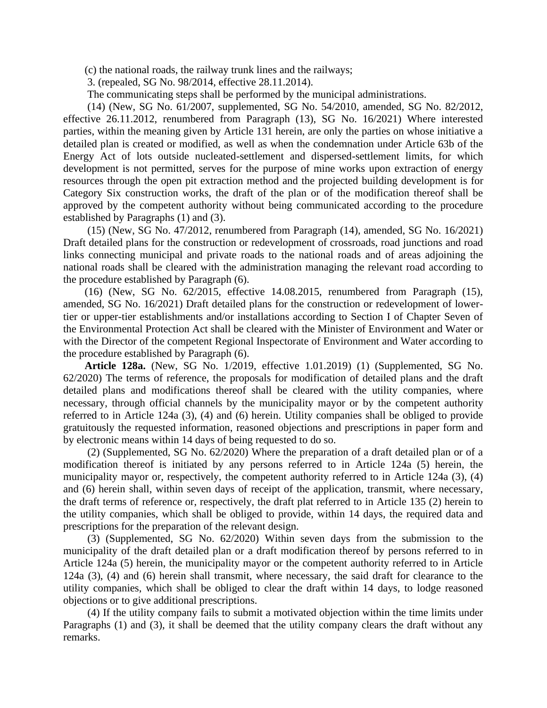(c) the national roads, the railway trunk lines and the railways;

3. (repealed, SG No. 98/2014, effective 28.11.2014).

The communicating steps shall be performed by the municipal administrations.

(14) (New, SG No. 61/2007, supplemented, SG No. 54/2010, amended, SG No. 82/2012, effective 26.11.2012, renumbered from Paragraph (13), SG No. 16/2021) Where interested parties, within the meaning given by Article 131 herein, are only the parties on whose initiative a detailed plan is created or modified, as well as when the condemnation under Article 63b of the Energy Act of lots outside nucleated-settlement and dispersed-settlement limits, for which development is not permitted, serves for the purpose of mine works upon extraction of energy resources through the open pit extraction method and the projected building development is for Category Six construction works, the draft of the plan or of the modification thereof shall be approved by the competent authority without being communicated according to the procedure established by Paragraphs (1) and (3).

(15) (New, SG No. 47/2012, renumbered from Paragraph (14), amended, SG No. 16/2021) Draft detailed plans for the construction or redevelopment of crossroads, road junctions and road links connecting municipal and private roads to the national roads and of areas adjoining the national roads shall be cleared with the administration managing the relevant road according to the procedure established by Paragraph (6).

(16) (New, SG No. 62/2015, effective 14.08.2015, renumbered from Paragraph (15), amended, SG No. 16/2021) Draft detailed plans for the construction or redevelopment of lowertier or upper-tier establishments and/or installations according to Section I of Chapter Seven of the Environmental Protection Act shall be cleared with the Minister of Environment and Water or with the Director of the competent Regional Inspectorate of Environment and Water according to the procedure established by Paragraph (6).

**Article 128a.** (New, SG No. 1/2019, effective 1.01.2019) (1) (Supplemented, SG No. 62/2020) The terms of reference, the proposals for modification of detailed plans and the draft detailed plans and modifications thereof shall be cleared with the utility companies, where necessary, through official channels by the municipality mayor or by the competent authority referred to in Article 124a (3), (4) and (6) herein. Utility companies shall be obliged to provide gratuitously the requested information, reasoned objections and prescriptions in paper form and by electronic means within 14 days of being requested to do so.

(2) (Supplemented, SG No. 62/2020) Where the preparation of a draft detailed plan or of a modification thereof is initiated by any persons referred to in Article 124a (5) herein, the municipality mayor or, respectively, the competent authority referred to in Article 124a (3), (4) and (6) herein shall, within seven days of receipt of the application, transmit, where necessary, the draft terms of reference or, respectively, the draft plat referred to in Article 135 (2) herein to the utility companies, which shall be obliged to provide, within 14 days, the required data and prescriptions for the preparation of the relevant design.

(3) (Supplemented, SG No. 62/2020) Within seven days from the submission to the municipality of the draft detailed plan or a draft modification thereof by persons referred to in Article 124a (5) herein, the municipality mayor or the competent authority referred to in Article 124a (3), (4) and (6) herein shall transmit, where necessary, the said draft for clearance to the utility companies, which shall be obliged to clear the draft within 14 days, to lodge reasoned objections or to give additional prescriptions.

(4) If the utility company fails to submit a motivated objection within the time limits under Paragraphs (1) and (3), it shall be deemed that the utility company clears the draft without any remarks.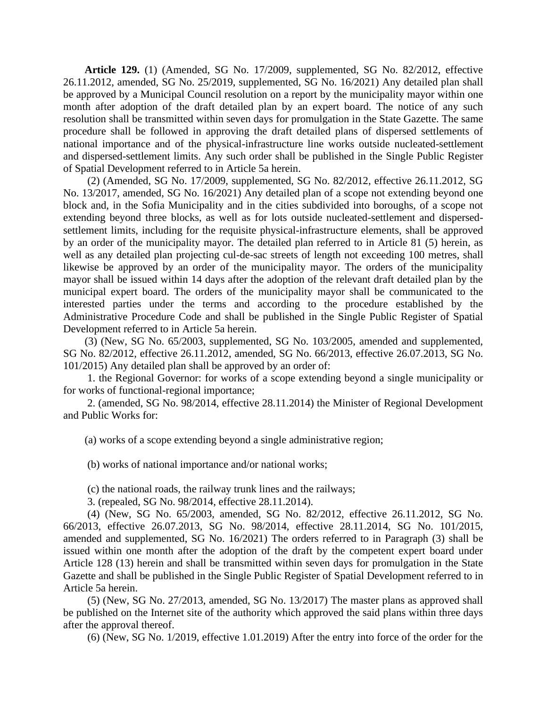**Article 129.** (1) (Amended, SG No. 17/2009, supplemented, SG No. 82/2012, effective 26.11.2012, amended, SG No. 25/2019, supplemented, SG No. 16/2021) Any detailed plan shall be approved by a Municipal Council resolution on a report by the municipality mayor within one month after adoption of the draft detailed plan by an expert board. The notice of any such resolution shall be transmitted within seven days for promulgation in the State Gazette. The same procedure shall be followed in approving the draft detailed plans of dispersed settlements of national importance and of the physical-infrastructure line works outside nucleated-settlement and dispersed-settlement limits. Any such order shall be published in the Single Public Register of Spatial Development referred to in Article 5a herein.

(2) (Amended, SG No. 17/2009, supplemented, SG No. 82/2012, effective 26.11.2012, SG No. 13/2017, amended, SG No. 16/2021) Any detailed plan of a scope not extending beyond one block and, in the Sofia Municipality and in the cities subdivided into boroughs, of a scope not extending beyond three blocks, as well as for lots outside nucleated-settlement and dispersedsettlement limits, including for the requisite physical-infrastructure elements, shall be approved by an order of the municipality mayor. The detailed plan referred to in Article 81 (5) herein, as well as any detailed plan projecting cul-de-sac streets of length not exceeding 100 metres, shall likewise be approved by an order of the municipality mayor. The orders of the municipality mayor shall be issued within 14 days after the adoption of the relevant draft detailed plan by the municipal expert board. The orders of the municipality mayor shall be communicated to the interested parties under the terms and according to the procedure established by the Administrative Procedure Code and shall be published in the Single Public Register of Spatial Development referred to in Article 5a herein.

(3) (New, SG No. 65/2003, supplemented, SG No. 103/2005, amended and supplemented, SG No. 82/2012, effective 26.11.2012, amended, SG No. 66/2013, effective 26.07.2013, SG No. 101/2015) Any detailed plan shall be approved by an order of:

1. the Regional Governor: for works of a scope extending beyond a single municipality or for works of functional-regional importance;

2. (amended, SG No. 98/2014, effective 28.11.2014) the Minister of Regional Development and Public Works for:

(a) works of a scope extending beyond a single administrative region;

(b) works of national importance and/or national works;

(c) the national roads, the railway trunk lines and the railways;

3. (repealed, SG No. 98/2014, effective 28.11.2014).

(4) (New, SG No. 65/2003, amended, SG No. 82/2012, effective 26.11.2012, SG No. 66/2013, effective 26.07.2013, SG No. 98/2014, effective 28.11.2014, SG No. 101/2015, amended and supplemented, SG No. 16/2021) The orders referred to in Paragraph (3) shall be issued within one month after the adoption of the draft by the competent expert board under Article 128 (13) herein and shall be transmitted within seven days for promulgation in the State Gazette and shall be published in the Single Public Register of Spatial Development referred to in Article 5a herein.

(5) (New, SG No. 27/2013, amended, SG No. 13/2017) The master plans as approved shall be published on the Internet site of the authority which approved the said plans within three days after the approval thereof.

(6) (New, SG No. 1/2019, effective 1.01.2019) After the entry into force of the order for the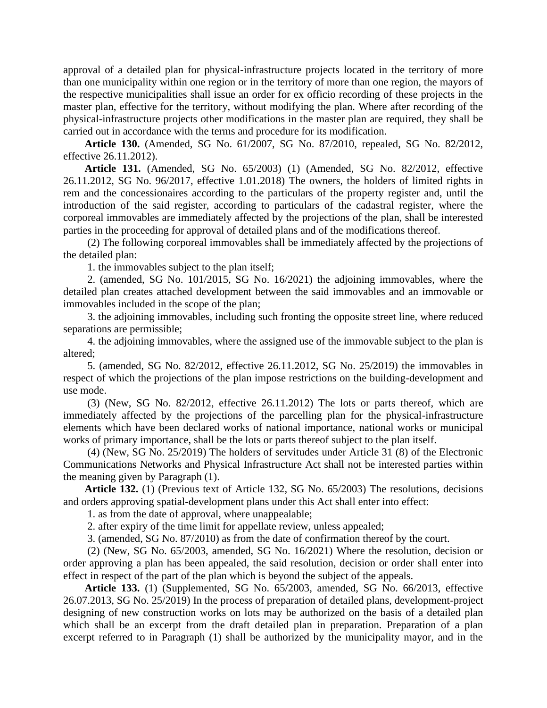approval of a detailed plan for physical-infrastructure projects located in the territory of more than one municipality within one region or in the territory of more than one region, the mayors of the respective municipalities shall issue an order for ex officio recording of these projects in the master plan, effective for the territory, without modifying the plan. Where after recording of the physical-infrastructure projects other modifications in the master plan are required, they shall be carried out in accordance with the terms and procedure for its modification.

**Article 130.** (Amended, SG No. 61/2007, SG No. 87/2010, repealed, SG No. 82/2012, effective 26.11.2012).

**Article 131.** (Amended, SG No. 65/2003) (1) (Amended, SG No. 82/2012, effective 26.11.2012, SG No. 96/2017, effective 1.01.2018) The owners, the holders of limited rights in rem and the concessionaires according to the particulars of the property register and, until the introduction of the said register, according to particulars of the cadastral register, where the corporeal immovables are immediately affected by the projections of the plan, shall be interested parties in the proceeding for approval of detailed plans and of the modifications thereof.

(2) The following corporeal immovables shall be immediately affected by the projections of the detailed plan:

1. the immovables subject to the plan itself;

2. (amended, SG No. 101/2015, SG No. 16/2021) the adjoining immovables, where the detailed plan creates attached development between the said immovables and an immovable or immovables included in the scope of the plan;

3. the adjoining immovables, including such fronting the opposite street line, where reduced separations are permissible;

4. the adjoining immovables, where the assigned use of the immovable subject to the plan is altered;

5. (amended, SG No. 82/2012, effective 26.11.2012, SG No. 25/2019) the immovables in respect of which the projections of the plan impose restrictions on the building-development and use mode.

(3) (New, SG No. 82/2012, effective 26.11.2012) The lots or parts thereof, which are immediately affected by the projections of the parcelling plan for the physical-infrastructure elements which have been declared works of national importance, national works or municipal works of primary importance, shall be the lots or parts thereof subject to the plan itself.

(4) (New, SG No. 25/2019) The holders of servitudes under Article 31 (8) of the Electronic Communications Networks and Physical Infrastructure Act shall not be interested parties within the meaning given by Paragraph (1).

**Article 132.** (1) (Previous text of Article 132, SG No. 65/2003) The resolutions, decisions and orders approving spatial-development plans under this Act shall enter into effect:

1. as from the date of approval, where unappealable;

2. after expiry of the time limit for appellate review, unless appealed;

3. (amended, SG No. 87/2010) as from the date of confirmation thereof by the court.

(2) (New, SG No. 65/2003, amended, SG No. 16/2021) Where the resolution, decision or order approving a plan has been appealed, the said resolution, decision or order shall enter into effect in respect of the part of the plan which is beyond the subject of the appeals.

**Article 133.** (1) (Supplemented, SG No. 65/2003, amended, SG No. 66/2013, effective 26.07.2013, SG No. 25/2019) In the process of preparation of detailed plans, development-project designing of new construction works on lots may be authorized on the basis of a detailed plan which shall be an excerpt from the draft detailed plan in preparation. Preparation of a plan excerpt referred to in Paragraph (1) shall be authorized by the municipality mayor, and in the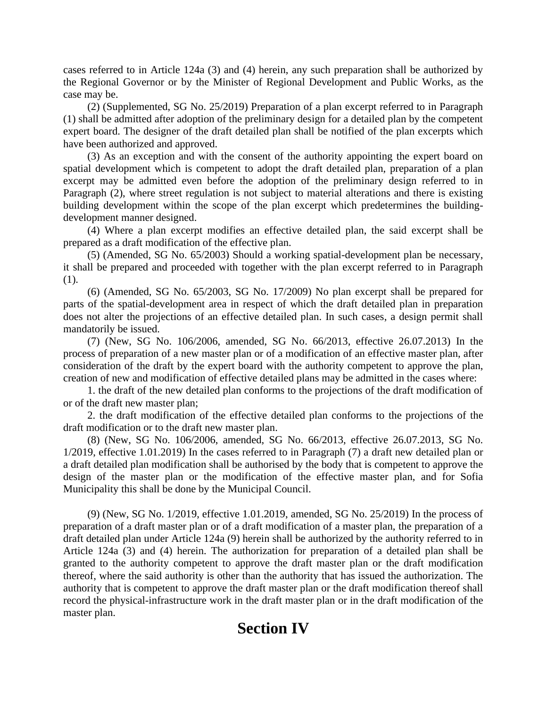cases referred to in Article 124a (3) and (4) herein, any such preparation shall be authorized by the Regional Governor or by the Minister of Regional Development and Public Works, as the case may be.

(2) (Supplemented, SG No. 25/2019) Preparation of a plan excerpt referred to in Paragraph (1) shall be admitted after adoption of the preliminary design for a detailed plan by the competent expert board. The designer of the draft detailed plan shall be notified of the plan excerpts which have been authorized and approved.

(3) As an exception and with the consent of the authority appointing the expert board on spatial development which is competent to adopt the draft detailed plan, preparation of a plan excerpt may be admitted even before the adoption of the preliminary design referred to in Paragraph (2), where street regulation is not subject to material alterations and there is existing building development within the scope of the plan excerpt which predetermines the buildingdevelopment manner designed.

(4) Where a plan excerpt modifies an effective detailed plan, the said excerpt shall be prepared as a draft modification of the effective plan.

(5) (Amended, SG No. 65/2003) Should a working spatial-development plan be necessary, it shall be prepared and proceeded with together with the plan excerpt referred to in Paragraph (1).

(6) (Amended, SG No. 65/2003, SG No. 17/2009) No plan excerpt shall be prepared for parts of the spatial-development area in respect of which the draft detailed plan in preparation does not alter the projections of an effective detailed plan. In such cases, a design permit shall mandatorily be issued.

(7) (New, SG No. 106/2006, amended, SG No. 66/2013, effective 26.07.2013) In the process of preparation of a new master plan or of a modification of an effective master plan, after consideration of the draft by the expert board with the authority competent to approve the plan, creation of new and modification of effective detailed plans may be admitted in the cases where:

1. the draft of the new detailed plan conforms to the projections of the draft modification of or of the draft new master plan;

2. the draft modification of the effective detailed plan conforms to the projections of the draft modification or to the draft new master plan.

(8) (New, SG No. 106/2006, amended, SG No. 66/2013, effective 26.07.2013, SG No. 1/2019, effective 1.01.2019) In the cases referred to in Paragraph (7) a draft new detailed plan or a draft detailed plan modification shall be authorised by the body that is competent to approve the design of the master plan or the modification of the effective master plan, and for Sofia Municipality this shall be done by the Municipal Council.

(9) (New, SG No. 1/2019, effective 1.01.2019, amended, SG No. 25/2019) In the process of preparation of a draft master plan or of a draft modification of a master plan, the preparation of a draft detailed plan under Article 124a (9) herein shall be authorized by the authority referred to in Article 124a (3) and (4) herein. The authorization for preparation of a detailed plan shall be granted to the authority competent to approve the draft master plan or the draft modification thereof, where the said authority is other than the authority that has issued the authorization. The authority that is competent to approve the draft master plan or the draft modification thereof shall record the physical-infrastructure work in the draft master plan or in the draft modification of the master plan.

## **Section IV**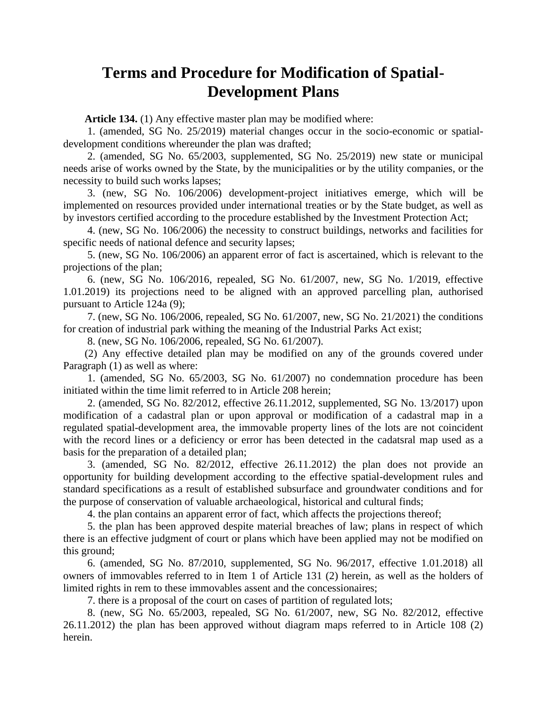### **Terms and Procedure for Modification of Spatial-Development Plans**

**Article 134.** (1) Any effective master plan may be modified where:

1. (amended, SG No. 25/2019) material changes occur in the socio-economic or spatialdevelopment conditions whereunder the plan was drafted;

2. (amended, SG No. 65/2003, supplemented, SG No. 25/2019) new state or municipal needs arise of works owned by the State, by the municipalities or by the utility companies, or the necessity to build such works lapses;

3. (new, SG No. 106/2006) development-project initiatives emerge, which will be implemented on resources provided under international treaties or by the State budget, as well as by investors certified according to the procedure established by the Investment Protection Act;

4. (new, SG No. 106/2006) the necessity to construct buildings, networks and facilities for specific needs of national defence and security lapses;

5. (new, SG No. 106/2006) an apparent error of fact is ascertained, which is relevant to the projections of the plan;

6. (new, SG No. 106/2016, repealed, SG No. 61/2007, new, SG No. 1/2019, effective 1.01.2019) its projections need to be aligned with an approved parcelling plan, authorised pursuant to Article 124a (9);

7. (new, SG No. 106/2006, repealed, SG No. 61/2007, new, SG No. 21/2021) the conditions for creation of industrial park withing the meaning of the Industrial Parks Act exist;

8. (new, SG No. 106/2006, repealed, SG No. 61/2007).

(2) Any effective detailed plan may be modified on any of the grounds covered under Paragraph (1) as well as where:

1. (amended, SG No. 65/2003, SG No. 61/2007) no condemnation procedure has been initiated within the time limit referred to in Article 208 herein;

2. (amended, SG No. 82/2012, effective 26.11.2012, supplemented, SG No. 13/2017) upon modification of a cadastral plan or upon approval or modification of a cadastral map in a regulated spatial-development area, the immovable property lines of the lots are not coincident with the record lines or a deficiency or error has been detected in the cadatsral map used as a basis for the preparation of a detailed plan;

3. (amended, SG No. 82/2012, effective 26.11.2012) the plan does not provide an opportunity for building development according to the effective spatial-development rules and standard specifications as a result of established subsurface and groundwater conditions and for the purpose of conservation of valuable archaeological, historical and cultural finds;

4. the plan contains an apparent error of fact, which affects the projections thereof;

5. the plan has been approved despite material breaches of law; plans in respect of which there is an effective judgment of court or plans which have been applied may not be modified on this ground;

6. (amended, SG No. 87/2010, supplemented, SG No. 96/2017, effective 1.01.2018) all owners of immovables referred to in Item 1 of Article 131 (2) herein, as well as the holders of limited rights in rem to these immovables assent and the concessionaires;

7. there is a proposal of the court on cases of partition of regulated lots;

8. (new, SG No. 65/2003, repealed, SG No. 61/2007, new, SG No. 82/2012, effective 26.11.2012) the plan has been approved without diagram maps referred to in Article 108 (2) herein.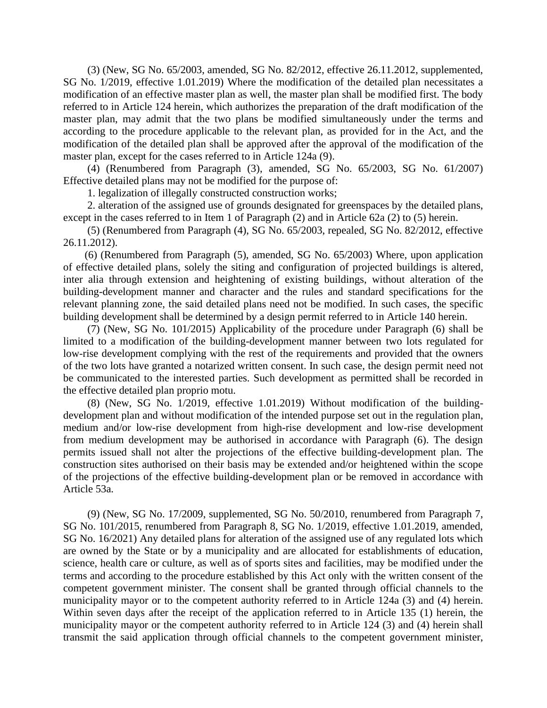(3) (New, SG No. 65/2003, amended, SG No. 82/2012, effective 26.11.2012, supplemented, SG No. 1/2019, effective 1.01.2019) Where the modification of the detailed plan necessitates a modification of an effective master plan as well, the master plan shall be modified first. The body referred to in Article 124 herein, which authorizes the preparation of the draft modification of the master plan, may admit that the two plans be modified simultaneously under the terms and according to the procedure applicable to the relevant plan, as provided for in the Act, and the modification of the detailed plan shall be approved after the approval of the modification of the master plan, except for the cases referred to in Article 124a (9).

(4) (Renumbered from Paragraph (3), amended, SG No. 65/2003, SG No. 61/2007) Effective detailed plans may not be modified for the purpose of:

1. legalization of illegally constructed construction works;

2. alteration of the assigned use of grounds designated for greenspaces by the detailed plans, except in the cases referred to in Item 1 of Paragraph (2) and in Article 62a (2) to (5) herein.

(5) (Renumbered from Paragraph (4), SG No. 65/2003, repealed, SG No. 82/2012, effective 26.11.2012).

(6) (Renumbered from Paragraph (5), amended, SG No. 65/2003) Where, upon application of effective detailed plans, solely the siting and configuration of projected buildings is altered, inter alia through extension and heightening of existing buildings, without alteration of the building-development manner and character and the rules and standard specifications for the relevant planning zone, the said detailed plans need not be modified. In such cases, the specific building development shall be determined by a design permit referred to in Article 140 herein.

(7) (New, SG No. 101/2015) Applicability of the procedure under Paragraph (6) shall be limited to a modification of the building-development manner between two lots regulated for low-rise development complying with the rest of the requirements and provided that the owners of the two lots have granted a notarized written consent. In such case, the design permit need not be communicated to the interested parties. Such development as permitted shall be recorded in the effective detailed plan proprio motu.

(8) (New, SG No. 1/2019, effective 1.01.2019) Without modification of the buildingdevelopment plan and without modification of the intended purpose set out in the regulation plan, medium and/or low-rise development from high-rise development and low-rise development from medium development may be authorised in accordance with Paragraph (6). The design permits issued shall not alter the projections of the effective building-development plan. The construction sites authorised on their basis may be extended and/or heightened within the scope of the projections of the effective building-development plan or be removed in accordance with Article 53a.

(9) (New, SG No. 17/2009, supplemented, SG No. 50/2010, renumbered from Paragraph 7, SG No. 101/2015, renumbered from Paragraph 8, SG No. 1/2019, effective 1.01.2019, amended, SG No. 16/2021) Any detailed plans for alteration of the assigned use of any regulated lots which are owned by the State or by a municipality and are allocated for establishments of education, science, health care or culture, as well as of sports sites and facilities, may be modified under the terms and according to the procedure established by this Act only with the written consent of the competent government minister. The consent shall be granted through official channels to the municipality mayor or to the competent authority referred to in Article 124a (3) and (4) herein. Within seven days after the receipt of the application referred to in Article 135 (1) herein, the municipality mayor or the competent authority referred to in Article 124 (3) and (4) herein shall transmit the said application through official channels to the competent government minister,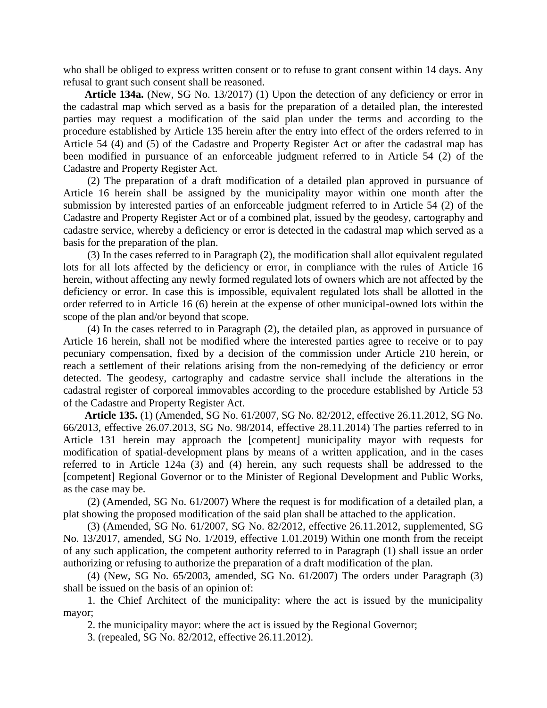who shall be obliged to express written consent or to refuse to grant consent within 14 days. Any refusal to grant such consent shall be reasoned.

**Article 134a.** (New, SG No. 13/2017) (1) Upon the detection of any deficiency or error in the cadastral map which served as a basis for the preparation of a detailed plan, the interested parties may request a modification of the said plan under the terms and according to the procedure established by Article 135 herein after the entry into effect of the orders referred to in Article 54 (4) and (5) of the Cadastre and Property Register Act or after the cadastral map has been modified in pursuance of an enforceable judgment referred to in Article 54 (2) of the Cadastre and Property Register Act.

(2) The preparation of a draft modification of a detailed plan approved in pursuance of Article 16 herein shall be assigned by the municipality mayor within one month after the submission by interested parties of an enforceable judgment referred to in Article 54 (2) of the Cadastre and Property Register Act or of a combined plat, issued by the geodesy, cartography and cadastre service, whereby a deficiency or error is detected in the cadastral map which served as a basis for the preparation of the plan.

(3) In the cases referred to in Paragraph (2), the modification shall allot equivalent regulated lots for all lots affected by the deficiency or error, in compliance with the rules of Article 16 herein, without affecting any newly formed regulated lots of owners which are not affected by the deficiency or error. In case this is impossible, equivalent regulated lots shall be allotted in the order referred to in Article 16 (6) herein at the expense of other municipal-owned lots within the scope of the plan and/or beyond that scope.

(4) In the cases referred to in Paragraph (2), the detailed plan, as approved in pursuance of Article 16 herein, shall not be modified where the interested parties agree to receive or to pay pecuniary compensation, fixed by a decision of the commission under Article 210 herein, or reach a settlement of their relations arising from the non-remedying of the deficiency or error detected. The geodesy, cartography and cadastre service shall include the alterations in the cadastral register of corporeal immovables according to the procedure established by Article 53 of the Cadastre and Property Register Act.

**Article 135.** (1) (Amended, SG No. 61/2007, SG No. 82/2012, effective 26.11.2012, SG No. 66/2013, effective 26.07.2013, SG No. 98/2014, effective 28.11.2014) The parties referred to in Article 131 herein may approach the [competent] municipality mayor with requests for modification of spatial-development plans by means of a written application, and in the cases referred to in Article 124a (3) and (4) herein, any such requests shall be addressed to the [competent] Regional Governor or to the Minister of Regional Development and Public Works, as the case may be.

(2) (Amended, SG No. 61/2007) Where the request is for modification of a detailed plan, a plat showing the proposed modification of the said plan shall be attached to the application.

(3) (Amended, SG No. 61/2007, SG No. 82/2012, effective 26.11.2012, supplemented, SG No. 13/2017, amended, SG No. 1/2019, effective 1.01.2019) Within one month from the receipt of any such application, the competent authority referred to in Paragraph (1) shall issue an order authorizing or refusing to authorize the preparation of a draft modification of the plan.

(4) (New, SG No. 65/2003, amended, SG No. 61/2007) The orders under Paragraph (3) shall be issued on the basis of an opinion of:

1. the Chief Architect of the municipality: where the act is issued by the municipality mayor;

2. the municipality mayor: where the act is issued by the Regional Governor;

3. (repealed, SG No. 82/2012, effective 26.11.2012).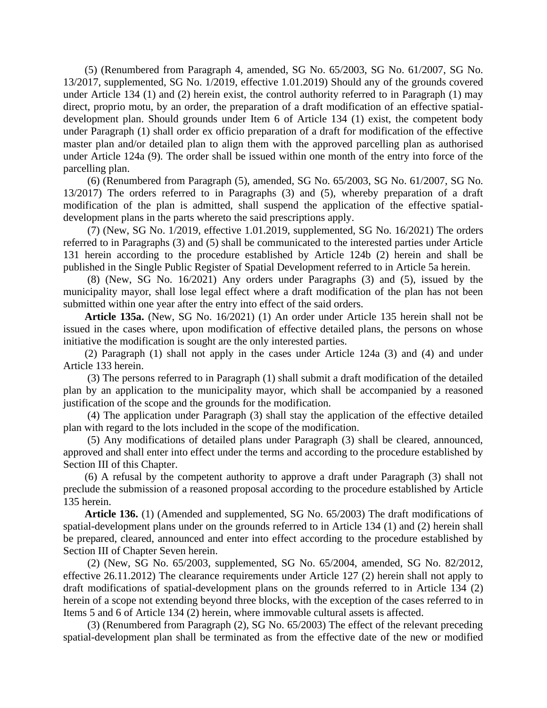(5) (Renumbered from Paragraph 4, amended, SG No. 65/2003, SG No. 61/2007, SG No. 13/2017, supplemented, SG No. 1/2019, effective 1.01.2019) Should any of the grounds covered under Article 134 (1) and (2) herein exist, the control authority referred to in Paragraph (1) may direct, proprio motu, by an order, the preparation of a draft modification of an effective spatialdevelopment plan. Should grounds under Item 6 of Article 134 (1) exist, the competent body under Paragraph (1) shall order ex officio preparation of a draft for modification of the effective master plan and/or detailed plan to align them with the approved parcelling plan as authorised under Article 124a (9). The order shall be issued within one month of the entry into force of the parcelling plan.

(6) (Renumbered from Paragraph (5), amended, SG No. 65/2003, SG No. 61/2007, SG No. 13/2017) The orders referred to in Paragraphs (3) and (5), whereby preparation of a draft modification of the plan is admitted, shall suspend the application of the effective spatialdevelopment plans in the parts whereto the said prescriptions apply.

(7) (New, SG No. 1/2019, effective 1.01.2019, supplemented, SG No. 16/2021) The orders referred to in Paragraphs (3) and (5) shall be communicated to the interested parties under Article 131 herein according to the procedure established by Article 124b (2) herein and shall be published in the Single Public Register of Spatial Development referred to in Article 5a herein.

(8) (New, SG No. 16/2021) Any orders under Paragraphs (3) and (5), issued by the municipality mayor, shall lose legal effect where a draft modification of the plan has not been submitted within one year after the entry into effect of the said orders.

**Article 135a.** (New, SG No. 16/2021) (1) An order under Article 135 herein shall not be issued in the cases where, upon modification of effective detailed plans, the persons on whose initiative the modification is sought are the only interested parties.

(2) Paragraph (1) shall not apply in the cases under Article 124a (3) and (4) and under Article 133 herein.

(3) The persons referred to in Paragraph (1) shall submit a draft modification of the detailed plan by an application to the municipality mayor, which shall be accompanied by a reasoned justification of the scope and the grounds for the modification.

(4) The application under Paragraph (3) shall stay the application of the effective detailed plan with regard to the lots included in the scope of the modification.

(5) Any modifications of detailed plans under Paragraph (3) shall be cleared, announced, approved and shall enter into effect under the terms and according to the procedure established by Section III of this Chapter.

(6) A refusal by the competent authority to approve a draft under Paragraph (3) shall not preclude the submission of a reasoned proposal according to the procedure established by Article 135 herein.

**Article 136.** (1) (Amended and supplemented, SG No. 65/2003) The draft modifications of spatial-development plans under on the grounds referred to in Article 134 (1) and (2) herein shall be prepared, cleared, announced and enter into effect according to the procedure established by Section III of Chapter Seven herein.

(2) (New, SG No. 65/2003, supplemented, SG No. 65/2004, amended, SG No. 82/2012, effective 26.11.2012) The clearance requirements under Article 127 (2) herein shall not apply to draft modifications of spatial-development plans on the grounds referred to in Article 134 (2) herein of a scope not extending beyond three blocks, with the exception of the cases referred to in Items 5 and 6 of Article 134 (2) herein, where immovable cultural assets is affected.

(3) (Renumbered from Paragraph (2), SG No. 65/2003) The effect of the relevant preceding spatial-development plan shall be terminated as from the effective date of the new or modified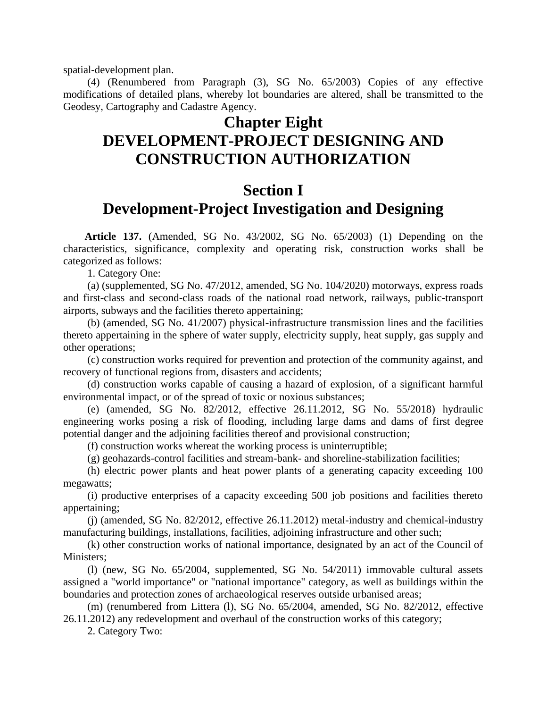spatial-development plan.

(4) (Renumbered from Paragraph (3), SG No. 65/2003) Copies of any effective modifications of detailed plans, whereby lot boundaries are altered, shall be transmitted to the Geodesy, Cartography and Cadastre Agency.

#### **Chapter Eight**

## **DEVELOPMENT-PROJECT DESIGNING AND CONSTRUCTION AUTHORIZATION**

#### **Section I**

#### **Development-Project Investigation and Designing**

**Article 137.** (Amended, SG No. 43/2002, SG No. 65/2003) (1) Depending on the characteristics, significance, complexity and operating risk, construction works shall be categorized as follows:

1. Category One:

(a) (supplemented, SG No. 47/2012, amended, SG No. 104/2020) motorways, express roads and first-class and second-class roads of the national road network, railways, public-transport airports, subways and the facilities thereto appertaining;

(b) (amended, SG No. 41/2007) physical-infrastructure transmission lines and the facilities thereto appertaining in the sphere of water supply, electricity supply, heat supply, gas supply and other operations;

(c) construction works required for prevention and protection of the community against, and recovery of functional regions from, disasters and accidents;

(d) construction works capable of causing a hazard of explosion, of a significant harmful environmental impact, or of the spread of toxic or noxious substances;

(e) (amended, SG No. 82/2012, effective 26.11.2012, SG No. 55/2018) hydraulic engineering works posing a risk of flooding, including large dams and dams of first degree potential danger and the adjoining facilities thereof and provisional construction;

(f) construction works whereat the working process is uninterruptible;

(g) geohazards-control facilities and stream-bank- and shoreline-stabilization facilities;

(h) electric power plants and heat power plants of a generating capacity exceeding 100 megawatts;

(i) productive enterprises of a capacity exceeding 500 job positions and facilities thereto appertaining;

(j) (amended, SG No. 82/2012, effective 26.11.2012) metal-industry and chemical-industry manufacturing buildings, installations, facilities, adjoining infrastructure and other such;

(k) other construction works of national importance, designated by an act of the Council of Ministers;

(l) (new, SG No. 65/2004, supplemented, SG No. 54/2011) immovable cultural assets assigned a "world importance" or "national importance" category, as well as buildings within the boundaries and protection zones of archaeological reserves outside urbanised areas;

(m) (renumbered from Littera (l), SG No. 65/2004, amended, SG No. 82/2012, effective 26.11.2012) any redevelopment and overhaul of the construction works of this category;

2. Category Two: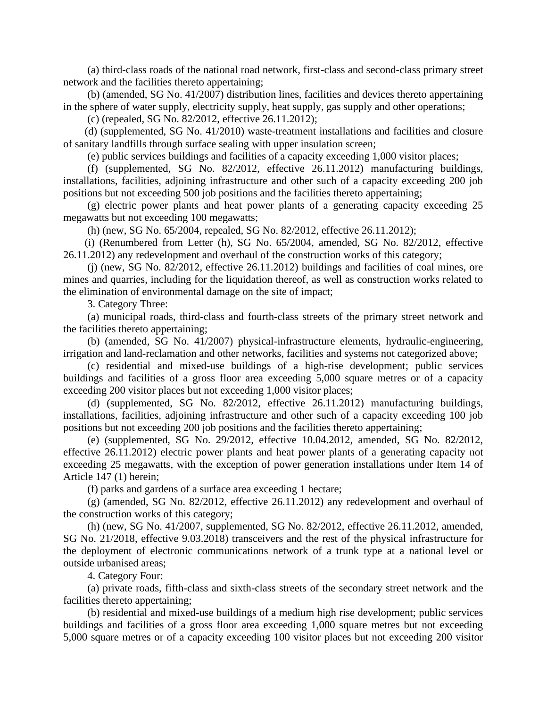(a) third-class roads of the national road network, first-class and second-class primary street network and the facilities thereto appertaining;

(b) (amended, SG No. 41/2007) distribution lines, facilities and devices thereto appertaining in the sphere of water supply, electricity supply, heat supply, gas supply and other operations;

(c) (repealed, SG No. 82/2012, effective 26.11.2012);

(d) (supplemented, SG No. 41/2010) waste-treatment installations and facilities and closure of sanitary landfills through surface sealing with upper insulation screen;

(e) public services buildings and facilities of a capacity exceeding 1,000 visitor places;

(f) (supplemented, SG No. 82/2012, effective 26.11.2012) manufacturing buildings, installations, facilities, adjoining infrastructure and other such of a capacity exceeding 200 job positions but not exceeding 500 job positions and the facilities thereto appertaining;

(g) electric power plants and heat power plants of a generating capacity exceeding 25 megawatts but not exceeding 100 megawatts;

(h) (new, SG No. 65/2004, repealed, SG No. 82/2012, effective 26.11.2012);

(i) (Renumbered from Letter (h), SG No. 65/2004, amended, SG No. 82/2012, effective 26.11.2012) any redevelopment and overhaul of the construction works of this category;

(j) (new, SG No. 82/2012, effective 26.11.2012) buildings and facilities of coal mines, ore mines and quarries, including for the liquidation thereof, as well as construction works related to the elimination of environmental damage on the site of impact;

3. Category Three:

(a) municipal roads, third-class and fourth-class streets of the primary street network and the facilities thereto appertaining;

(b) (amended, SG No. 41/2007) physical-infrastructure elements, hydraulic-engineering, irrigation and land-reclamation and other networks, facilities and systems not categorized above;

(c) residential and mixed-use buildings of a high-rise development; public services buildings and facilities of a gross floor area exceeding 5,000 square metres or of a capacity exceeding 200 visitor places but not exceeding 1,000 visitor places;

(d) (supplemented, SG No. 82/2012, effective 26.11.2012) manufacturing buildings, installations, facilities, adjoining infrastructure and other such of a capacity exceeding 100 job positions but not exceeding 200 job positions and the facilities thereto appertaining;

(e) (supplemented, SG No. 29/2012, effective 10.04.2012, amended, SG No. 82/2012, effective 26.11.2012) electric power plants and heat power plants of a generating capacity not exceeding 25 megawatts, with the exception of power generation installations under Item 14 of Article 147 (1) herein;

(f) parks and gardens of a surface area exceeding 1 hectare;

(g) (amended, SG No. 82/2012, effective 26.11.2012) any redevelopment and overhaul of the construction works of this category;

(h) (new, SG No. 41/2007, supplemented, SG No. 82/2012, effective 26.11.2012, amended, SG No. 21/2018, effective 9.03.2018) transceivers and the rest of the physical infrastructure for the deployment of electronic communications network of a trunk type at a national level or outside urbanised areas;

4. Category Four:

(a) private roads, fifth-class and sixth-class streets of the secondary street network and the facilities thereto appertaining;

(b) residential and mixed-use buildings of a medium high rise development; public services buildings and facilities of a gross floor area exceeding 1,000 square metres but not exceeding 5,000 square metres or of a capacity exceeding 100 visitor places but not exceeding 200 visitor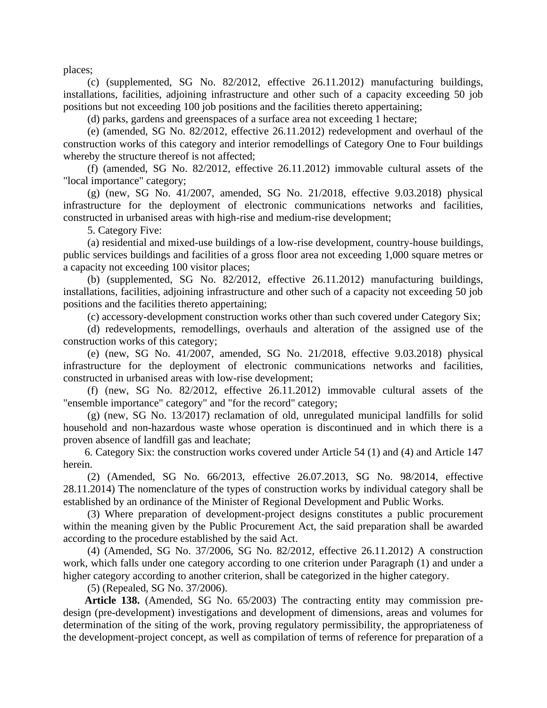places;

(c) (supplemented, SG No. 82/2012, effective 26.11.2012) manufacturing buildings, installations, facilities, adjoining infrastructure and other such of a capacity exceeding 50 job positions but not exceeding 100 job positions and the facilities thereto appertaining;

(d) parks, gardens and greenspaces of a surface area not exceeding 1 hectare;

(e) (amended, SG No. 82/2012, effective 26.11.2012) redevelopment and overhaul of the construction works of this category and interior remodellings of Category One to Four buildings whereby the structure thereof is not affected;

(f) (amended, SG No. 82/2012, effective 26.11.2012) immovable cultural assets of the "local importance" category;

(g) (new, SG No. 41/2007, amended, SG No. 21/2018, effective 9.03.2018) physical infrastructure for the deployment of electronic communications networks and facilities, constructed in urbanised areas with high-rise and medium-rise development;

5. Category Five:

(a) residential and mixed-use buildings of a low-rise development, country-house buildings, public services buildings and facilities of a gross floor area not exceeding 1,000 square metres or a capacity not exceeding 100 visitor places;

(b) (supplemented, SG No. 82/2012, effective 26.11.2012) manufacturing buildings, installations, facilities, adjoining infrastructure and other such of a capacity not exceeding 50 job positions and the facilities thereto appertaining;

(c) accessory-development construction works other than such covered under Category Six;

(d) redevelopments, remodellings, overhauls and alteration of the assigned use of the construction works of this category;

(e) (new, SG No. 41/2007, amended, SG No. 21/2018, effective 9.03.2018) physical infrastructure for the deployment of electronic communications networks and facilities, constructed in urbanised areas with low-rise development;

(f) (new, SG No. 82/2012, effective 26.11.2012) immovable cultural assets of the "ensemble importance" category" and "for the record" category;

(g) (new, SG No. 13/2017) reclamation of old, unregulated municipal landfills for solid household and non-hazardous waste whose operation is discontinued and in which there is a proven absence of landfill gas and leachate;

6. Category Six: the construction works covered under Article 54 (1) and (4) and Article 147 herein.

(2) (Amended, SG No. 66/2013, effective 26.07.2013, SG No. 98/2014, effective 28.11.2014) The nomenclature of the types of construction works by individual category shall be established by an ordinance of the Minister of Regional Development and Public Works.

(3) Where preparation of development-project designs constitutes a public procurement within the meaning given by the Public Procurement Act, the said preparation shall be awarded according to the procedure established by the said Act.

(4) (Amended, SG No. 37/2006, SG No. 82/2012, effective 26.11.2012) A construction work, which falls under one category according to one criterion under Paragraph (1) and under a higher category according to another criterion, shall be categorized in the higher category.

(5) (Repealed, SG No. 37/2006).

**Article 138.** (Amended, SG No. 65/2003) The contracting entity may commission predesign (pre-development) investigations and development of dimensions, areas and volumes for determination of the siting of the work, proving regulatory permissibility, the appropriateness of the development-project concept, as well as compilation of terms of reference for preparation of a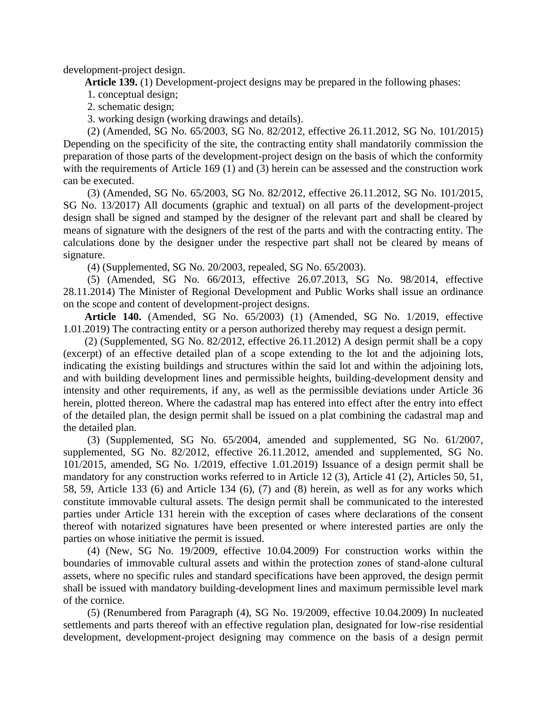development-project design.

**Article 139.** (1) Development-project designs may be prepared in the following phases:

1. conceptual design;

2. schematic design;

3. working design (working drawings and details).

(2) (Amended, SG No. 65/2003, SG No. 82/2012, effective 26.11.2012, SG No. 101/2015) Depending on the specificity of the site, the contracting entity shall mandatorily commission the preparation of those parts of the development-project design on the basis of which the conformity with the requirements of Article 169 (1) and (3) herein can be assessed and the construction work can be executed.

(3) (Amended, SG No. 65/2003, SG No. 82/2012, effective 26.11.2012, SG No. 101/2015, SG No. 13/2017) All documents (graphic and textual) on all parts of the development-project design shall be signed and stamped by the designer of the relevant part and shall be cleared by means of signature with the designers of the rest of the parts and with the contracting entity. The calculations done by the designer under the respective part shall not be cleared by means of signature.

(4) (Supplemented, SG No. 20/2003, repealed, SG No. 65/2003).

(5) (Amended, SG No. 66/2013, effective 26.07.2013, SG No. 98/2014, effective 28.11.2014) The Minister of Regional Development and Public Works shall issue an ordinance on the scope and content of development-project designs.

**Article 140.** (Amended, SG No. 65/2003) (1) (Amended, SG No. 1/2019, effective 1.01.2019) The contracting entity or a person authorized thereby may request a design permit.

(2) (Supplemented, SG No. 82/2012, effective 26.11.2012) A design permit shall be a copy (excerpt) of an effective detailed plan of a scope extending to the lot and the adjoining lots, indicating the existing buildings and structures within the said lot and within the adjoining lots, and with building development lines and permissible heights, building-development density and intensity and other requirements, if any, as well as the permissible deviations under Article 36 herein, plotted thereon. Where the cadastral map has entered into effect after the entry into effect of the detailed plan, the design permit shall be issued on a plat combining the cadastral map and the detailed plan.

(3) (Supplemented, SG No. 65/2004, amended and supplemented, SG No. 61/2007, supplemented, SG No. 82/2012, effective 26.11.2012, amended and supplemented, SG No. 101/2015, amended, SG No. 1/2019, effective 1.01.2019) Issuance of a design permit shall be mandatory for any construction works referred to in Article 12 (3), Article 41 (2), Articles 50, 51, 58, 59, Article 133 (6) and Article 134 (6), (7) and (8) herein, as well as for any works which constitute immovable cultural assets. The design permit shall be communicated to the interested parties under Article 131 herein with the exception of cases where declarations of the consent thereof with notarized signatures have been presented or where interested parties are only the parties on whose initiative the permit is issued.

(4) (New, SG No. 19/2009, effective 10.04.2009) For construction works within the boundaries of immovable cultural assets and within the protection zones of stand-alone cultural assets, where no specific rules and standard specifications have been approved, the design permit shall be issued with mandatory building-development lines and maximum permissible level mark of the cornice.

(5) (Renumbered from Paragraph (4), SG No. 19/2009, effective 10.04.2009) In nucleated settlements and parts thereof with an effective regulation plan, designated for low-rise residential development, development-project designing may commence on the basis of a design permit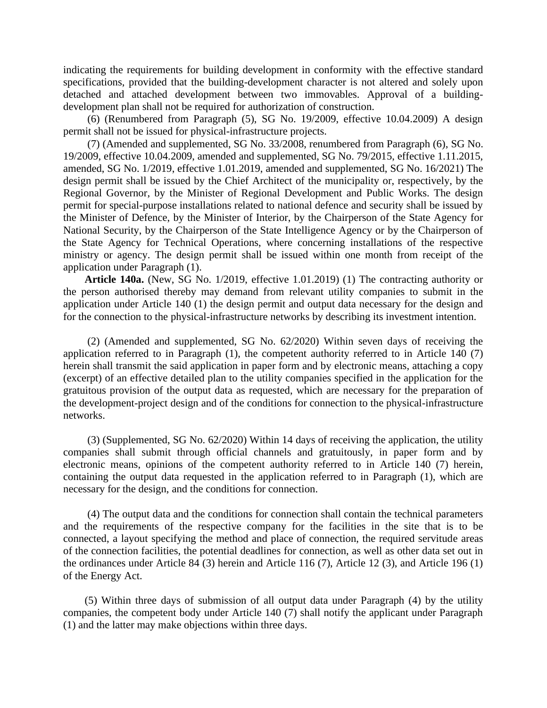indicating the requirements for building development in conformity with the effective standard specifications, provided that the building-development character is not altered and solely upon detached and attached development between two immovables. Approval of a buildingdevelopment plan shall not be required for authorization of construction.

(6) (Renumbered from Paragraph (5), SG No. 19/2009, effective 10.04.2009) A design permit shall not be issued for physical-infrastructure projects.

(7) (Amended and supplemented, SG No. 33/2008, renumbered from Paragraph (6), SG No. 19/2009, effective 10.04.2009, amended and supplemented, SG No. 79/2015, effective 1.11.2015, amended, SG No. 1/2019, effective 1.01.2019, amended and supplemented, SG No. 16/2021) The design permit shall be issued by the Chief Architect of the municipality or, respectively, by the Regional Governor, by the Minister of Regional Development and Public Works. The design permit for special-purpose installations related to national defence and security shall be issued by the Minister of Defence, by the Minister of Interior, by the Chairperson of the State Agency for National Security, by the Chairperson of the State Intelligence Agency or by the Chairperson of the State Agency for Technical Operations, where concerning installations of the respective ministry or agency. The design permit shall be issued within one month from receipt of the application under Paragraph (1).

**Article 140a.** (New, SG No. 1/2019, effective 1.01.2019) (1) The contracting authority or the person authorised thereby may demand from relevant utility companies to submit in the application under Article 140 (1) the design permit and output data necessary for the design and for the connection to the physical-infrastructure networks by describing its investment intention.

(2) (Amended and supplemented, SG No. 62/2020) Within seven days of receiving the application referred to in Paragraph (1), the competent authority referred to in Article 140 (7) herein shall transmit the said application in paper form and by electronic means, attaching a copy (excerpt) of an effective detailed plan to the utility companies specified in the application for the gratuitous provision of the output data as requested, which are necessary for the preparation of the development-project design and of the conditions for connection to the physical-infrastructure networks.

(3) (Supplemented, SG No. 62/2020) Within 14 days of receiving the application, the utility companies shall submit through official channels and gratuitously, in paper form and by electronic means, opinions of the competent authority referred to in Article 140 (7) herein, containing the output data requested in the application referred to in Paragraph (1), which are necessary for the design, and the conditions for connection.

(4) The output data and the conditions for connection shall contain the technical parameters and the requirements of the respective company for the facilities in the site that is to be connected, a layout specifying the method and place of connection, the required servitude areas of the connection facilities, the potential deadlines for connection, as well as other data set out in the ordinances under Article 84 (3) herein and Article 116 (7), Article 12 (3), and Article 196 (1) of the Energy Act.

(5) Within three days of submission of all output data under Paragraph (4) by the utility companies, the competent body under Article 140 (7) shall notify the applicant under Paragraph (1) and the latter may make objections within three days.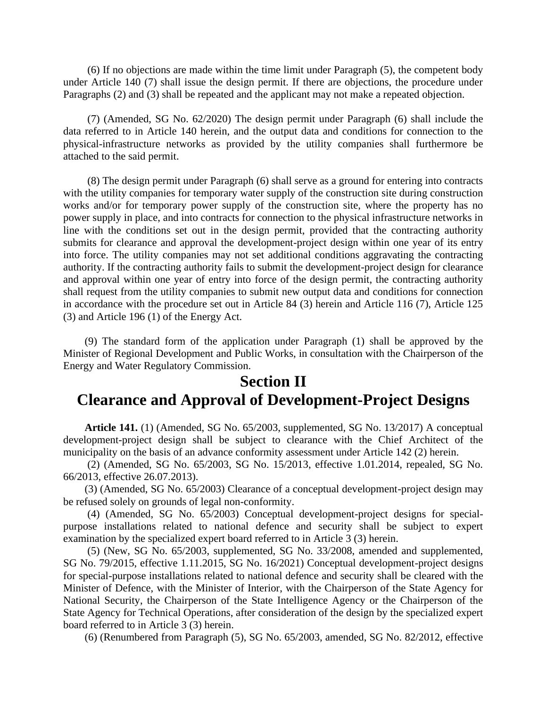(6) If no objections are made within the time limit under Paragraph (5), the competent body under Article 140 (7) shall issue the design permit. If there are objections, the procedure under Paragraphs (2) and (3) shall be repeated and the applicant may not make a repeated objection.

(7) (Amended, SG No. 62/2020) The design permit under Paragraph (6) shall include the data referred to in Article 140 herein, and the output data and conditions for connection to the physical-infrastructure networks as provided by the utility companies shall furthermore be attached to the said permit.

(8) The design permit under Paragraph (6) shall serve as a ground for entering into contracts with the utility companies for temporary water supply of the construction site during construction works and/or for temporary power supply of the construction site, where the property has no power supply in place, and into contracts for connection to the physical infrastructure networks in line with the conditions set out in the design permit, provided that the contracting authority submits for clearance and approval the development-project design within one year of its entry into force. The utility companies may not set additional conditions aggravating the contracting authority. If the contracting authority fails to submit the development-project design for clearance and approval within one year of entry into force of the design permit, the contracting authority shall request from the utility companies to submit new output data and conditions for connection in accordance with the procedure set out in Article 84 (3) herein and Article 116 (7), Article 125 (3) and Article 196 (1) of the Energy Act.

(9) The standard form of the application under Paragraph (1) shall be approved by the Minister of Regional Development and Public Works, in consultation with the Chairperson of the Energy and Water Regulatory Commission.

### **Section II Clearance and Approval of Development-Project Designs**

**Article 141.** (1) (Amended, SG No. 65/2003, supplemented, SG No. 13/2017) A conceptual development-project design shall be subject to clearance with the Chief Architect of the municipality on the basis of an advance conformity assessment under Article 142 (2) herein.

(2) (Amended, SG No. 65/2003, SG No. 15/2013, effective 1.01.2014, repealed, SG No. 66/2013, effective 26.07.2013).

(3) (Amended, SG No. 65/2003) Clearance of a conceptual development-project design may be refused solely on grounds of legal non-conformity.

(4) (Amended, SG No. 65/2003) Conceptual development-project designs for specialpurpose installations related to national defence and security shall be subject to expert examination by the specialized expert board referred to in Article 3 (3) herein.

(5) (New, SG No. 65/2003, supplemented, SG No. 33/2008, amended and supplemented, SG No. 79/2015, effective 1.11.2015, SG No. 16/2021) Conceptual development-project designs for special-purpose installations related to national defence and security shall be cleared with the Minister of Defence, with the Minister of Interior, with the Chairperson of the State Agency for National Security, the Chairperson of the State Intelligence Agency or the Chairperson of the State Agency for Technical Operations, after consideration of the design by the specialized expert board referred to in Article 3 (3) herein.

(6) (Renumbered from Paragraph (5), SG No. 65/2003, amended, SG No. 82/2012, effective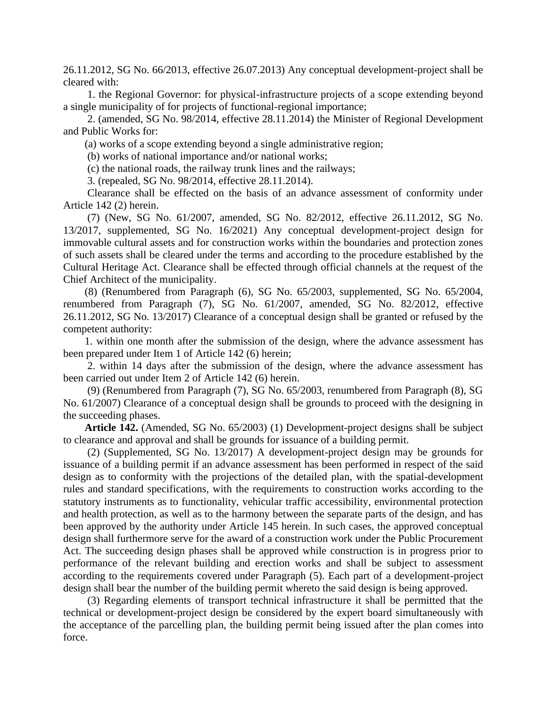26.11.2012, SG No. 66/2013, effective 26.07.2013) Any conceptual development-project shall be cleared with:

1. the Regional Governor: for physical-infrastructure projects of a scope extending beyond a single municipality of for projects of functional-regional importance;

2. (amended, SG No. 98/2014, effective 28.11.2014) the Minister of Regional Development and Public Works for:

(a) works of a scope extending beyond a single administrative region;

(b) works of national importance and/or national works;

(c) the national roads, the railway trunk lines and the railways;

3. (repealed, SG No. 98/2014, effective 28.11.2014).

Clearance shall be effected on the basis of an advance assessment of conformity under Article 142 (2) herein.

(7) (New, SG No. 61/2007, amended, SG No. 82/2012, effective 26.11.2012, SG No. 13/2017, supplemented, SG No. 16/2021) Any conceptual development-project design for immovable cultural assets and for construction works within the boundaries and protection zones of such assets shall be cleared under the terms and according to the procedure established by the Cultural Heritage Act. Clearance shall be effected through official channels at the request of the Chief Architect of the municipality.

(8) (Renumbered from Paragraph (6), SG No. 65/2003, supplemented, SG No. 65/2004, renumbered from Paragraph (7), SG No. 61/2007, amended, SG No. 82/2012, effective 26.11.2012, SG No. 13/2017) Clearance of a conceptual design shall be granted or refused by the competent authority:

1. within one month after the submission of the design, where the advance assessment has been prepared under Item 1 of Article 142 (6) herein;

2. within 14 days after the submission of the design, where the advance assessment has been carried out under Item 2 of Article 142 (6) herein.

(9) (Renumbered from Paragraph (7), SG No. 65/2003, renumbered from Paragraph (8), SG No. 61/2007) Clearance of a conceptual design shall be grounds to proceed with the designing in the succeeding phases.

**Article 142.** (Amended, SG No. 65/2003) (1) Development-project designs shall be subject to clearance and approval and shall be grounds for issuance of a building permit.

(2) (Supplemented, SG No. 13/2017) A development-project design may be grounds for issuance of a building permit if an advance assessment has been performed in respect of the said design as to conformity with the projections of the detailed plan, with the spatial-development rules and standard specifications, with the requirements to construction works according to the statutory instruments as to functionality, vehicular traffic accessibility, environmental protection and health protection, as well as to the harmony between the separate parts of the design, and has been approved by the authority under Article 145 herein. In such cases, the approved conceptual design shall furthermore serve for the award of a construction work under the Public Procurement Act. The succeeding design phases shall be approved while construction is in progress prior to performance of the relevant building and erection works and shall be subject to assessment according to the requirements covered under Paragraph (5). Each part of a development-project design shall bear the number of the building permit whereto the said design is being approved.

(3) Regarding elements of transport technical infrastructure it shall be permitted that the technical or development-project design be considered by the expert board simultaneously with the acceptance of the parcelling plan, the building permit being issued after the plan comes into force.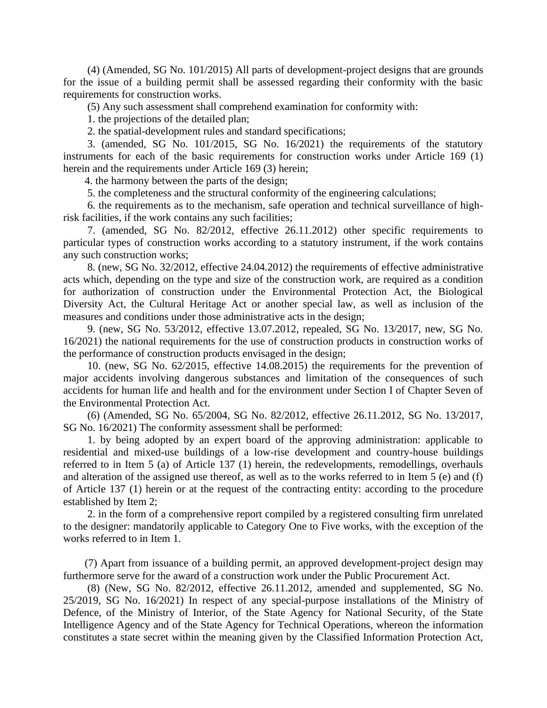(4) (Amended, SG No. 101/2015) All parts of development-project designs that are grounds for the issue of a building permit shall be assessed regarding their conformity with the basic requirements for construction works.

(5) Any such assessment shall comprehend examination for conformity with:

1. the projections of the detailed plan;

2. the spatial-development rules and standard specifications;

3. (amended, SG No. 101/2015, SG No. 16/2021) the requirements of the statutory instruments for each of the basic requirements for construction works under Article 169 (1) herein and the requirements under Article 169 (3) herein;

4. the harmony between the parts of the design;

5. the completeness and the structural conformity of the engineering calculations;

6. the requirements as to the mechanism, safe operation and technical surveillance of highrisk facilities, if the work contains any such facilities;

7. (amended, SG No. 82/2012, effective 26.11.2012) other specific requirements to particular types of construction works according to a statutory instrument, if the work contains any such construction works;

8. (new, SG No. 32/2012, effective 24.04.2012) the requirements of effective administrative acts which, depending on the type and size of the construction work, are required as a condition for authorization of construction under the Environmental Protection Act, the Biological Diversity Act, the Cultural Heritage Act or another special law, as well as inclusion of the measures and conditions under those administrative acts in the design;

9. (new, SG No. 53/2012, effective 13.07.2012, repealed, SG No. 13/2017, new, SG No. 16/2021) the national requirements for the use of construction products in construction works of the performance of construction products envisaged in the design;

10. (new, SG No. 62/2015, effective 14.08.2015) the requirements for the prevention of major accidents involving dangerous substances and limitation of the consequences of such accidents for human life and health and for the environment under Section I of Chapter Seven of the Environmental Protection Act.

(6) (Amended, SG No. 65/2004, SG No. 82/2012, effective 26.11.2012, SG No. 13/2017, SG No. 16/2021) The conformity assessment shall be performed:

1. by being adopted by an expert board of the approving administration: applicable to residential and mixed-use buildings of a low-rise development and country-house buildings referred to in Item 5 (a) of Article 137 (1) herein, the redevelopments, remodellings, overhauls and alteration of the assigned use thereof, as well as to the works referred to in Item 5 (e) and (f) of Article 137 (1) herein or at the request of the contracting entity: according to the procedure established by Item 2;

2. in the form of a comprehensive report compiled by a registered consulting firm unrelated to the designer: mandatorily applicable to Category One to Five works, with the exception of the works referred to in Item 1.

(7) Apart from issuance of a building permit, an approved development-project design may furthermore serve for the award of a construction work under the Public Procurement Act.

(8) (New, SG No. 82/2012, effective 26.11.2012, amended and supplemented, SG No. 25/2019, SG No. 16/2021) In respect of any special-purpose installations of the Ministry of Defence, of the Ministry of Interior, of the State Agency for National Security, of the State Intelligence Agency and of the State Agency for Technical Operations, whereon the information constitutes a state secret within the meaning given by the Classified Information Protection Act,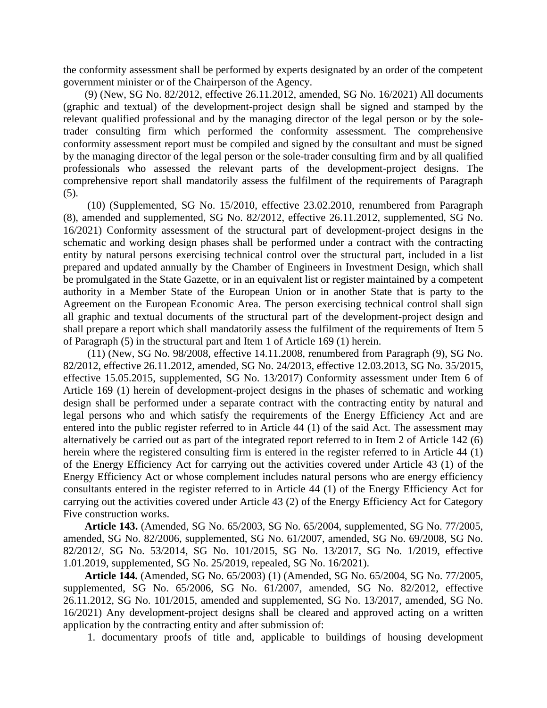the conformity assessment shall be performed by experts designated by an order of the competent government minister or of the Chairperson of the Agency.

(9) (New, SG No. 82/2012, effective 26.11.2012, amended, SG No. 16/2021) All documents (graphic and textual) of the development-project design shall be signed and stamped by the relevant qualified professional and by the managing director of the legal person or by the soletrader consulting firm which performed the conformity assessment. The comprehensive conformity assessment report must be compiled and signed by the consultant and must be signed by the managing director of the legal person or the sole-trader consulting firm and by all qualified professionals who assessed the relevant parts of the development-project designs. The comprehensive report shall mandatorily assess the fulfilment of the requirements of Paragraph  $(5)$ .

(10) (Supplemented, SG No. 15/2010, effective 23.02.2010, renumbered from Paragraph (8), amended and supplemented, SG No. 82/2012, effective 26.11.2012, supplemented, SG No. 16/2021) Conformity assessment of the structural part of development-project designs in the schematic and working design phases shall be performed under a contract with the contracting entity by natural persons exercising technical control over the structural part, included in a list prepared and updated annually by the Chamber of Engineers in Investment Design, which shall be promulgated in the State Gazette, or in an equivalent list or register maintained by a competent authority in a Member State of the European Union or in another State that is party to the Agreement on the European Economic Area. The person exercising technical control shall sign all graphic and textual documents of the structural part of the development-project design and shall prepare a report which shall mandatorily assess the fulfilment of the requirements of Item 5 of Paragraph (5) in the structural part and Item 1 of Article 169 (1) herein.

(11) (New, SG No. 98/2008, effective 14.11.2008, renumbered from Paragraph (9), SG No. 82/2012, effective 26.11.2012, amended, SG No. 24/2013, effective 12.03.2013, SG No. 35/2015, effective 15.05.2015, supplemented, SG No. 13/2017) Conformity assessment under Item 6 of Article 169 (1) herein of development-project designs in the phases of schematic and working design shall be performed under a separate contract with the contracting entity by natural and legal persons who and which satisfy the requirements of the Energy Efficiency Act and are entered into the public register referred to in Article 44 (1) of the said Act. The assessment may alternatively be carried out as part of the integrated report referred to in Item 2 of Article 142 (6) herein where the registered consulting firm is entered in the register referred to in Article 44 (1) of the Energy Efficiency Act for carrying out the activities covered under Article 43 (1) of the Energy Efficiency Act or whose complement includes natural persons who are energy efficiency consultants entered in the register referred to in Article 44 (1) of the Energy Efficiency Act for carrying out the activities covered under Article 43 (2) of the Energy Efficiency Act for Category Five construction works.

**Article 143.** (Amended, SG No. 65/2003, SG No. 65/2004, supplemented, SG No. 77/2005, amended, SG No. 82/2006, supplemented, SG No. 61/2007, amended, SG No. 69/2008, SG No. 82/2012/, SG No. 53/2014, SG No. 101/2015, SG No. 13/2017, SG No. 1/2019, effective 1.01.2019, supplemented, SG No. 25/2019, repealed, SG No. 16/2021).

**Article 144.** (Amended, SG No. 65/2003) (1) (Amended, SG No. 65/2004, SG No. 77/2005, supplemented, SG No. 65/2006, SG No. 61/2007, amended, SG No. 82/2012, effective 26.11.2012, SG No. 101/2015, amended and supplemented, SG No. 13/2017, amended, SG No. 16/2021) Any development-project designs shall be cleared and approved acting on a written application by the contracting entity and after submission of:

1. documentary proofs of title and, applicable to buildings of housing development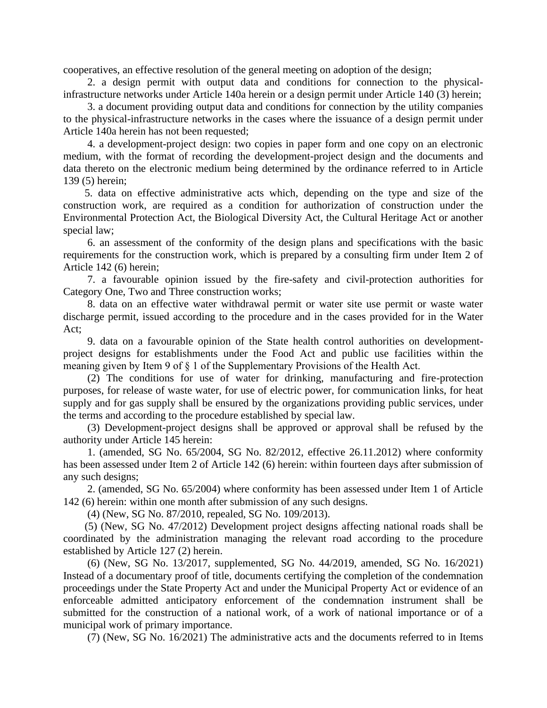cooperatives, an effective resolution of the general meeting on adoption of the design;

2. a design permit with output data and conditions for connection to the physicalinfrastructure networks under Article 140a herein or a design permit under Article 140 (3) herein;

3. a document providing output data and conditions for connection by the utility companies to the physical-infrastructure networks in the cases where the issuance of a design permit under Article 140a herein has not been requested;

4. a development-project design: two copies in paper form and one copy on an electronic medium, with the format of recording the development-project design and the documents and data thereto on the electronic medium being determined by the ordinance referred to in Article 139 (5) herein;

5. data on effective administrative acts which, depending on the type and size of the construction work, are required as a condition for authorization of construction under the Environmental Protection Act, the Biological Diversity Act, the Cultural Heritage Act or another special law;

6. an assessment of the conformity of the design plans and specifications with the basic requirements for the construction work, which is prepared by a consulting firm under Item 2 of Article 142 (6) herein;

7. a favourable opinion issued by the fire-safety and civil-protection authorities for Category One, Two and Three construction works;

8. data on an effective water withdrawal permit or water site use permit or waste water discharge permit, issued according to the procedure and in the cases provided for in the Water Act;

9. data on a favourable opinion of the State health control authorities on developmentproject designs for establishments under the Food Act and public use facilities within the meaning given by Item 9 of § 1 of the Supplementary Provisions of the Health Act.

(2) The conditions for use of water for drinking, manufacturing and fire-protection purposes, for release of waste water, for use of electric power, for communication links, for heat supply and for gas supply shall be ensured by the organizations providing public services, under the terms and according to the procedure established by special law.

(3) Development-project designs shall be approved or approval shall be refused by the authority under Article 145 herein:

1. (amended, SG No. 65/2004, SG No. 82/2012, effective 26.11.2012) where conformity has been assessed under Item 2 of Article 142 (6) herein: within fourteen days after submission of any such designs;

2. (amended, SG No. 65/2004) where conformity has been assessed under Item 1 of Article 142 (6) herein: within one month after submission of any such designs.

(4) (New, SG No. 87/2010, repealed, SG No. 109/2013).

(5) (New, SG No. 47/2012) Development project designs affecting national roads shall be coordinated by the administration managing the relevant road according to the procedure established by Article 127 (2) herein.

(6) (New, SG No. 13/2017, supplemented, SG No. 44/2019, amended, SG No. 16/2021) Instead of a documentary proof of title, documents certifying the completion of the condemnation proceedings under the State Property Act and under the Municipal Property Act or evidence of an enforceable admitted anticipatory enforcement of the condemnation instrument shall be submitted for the construction of a national work, of a work of national importance or of a municipal work of primary importance.

(7) (New, SG No. 16/2021) The administrative acts and the documents referred to in Items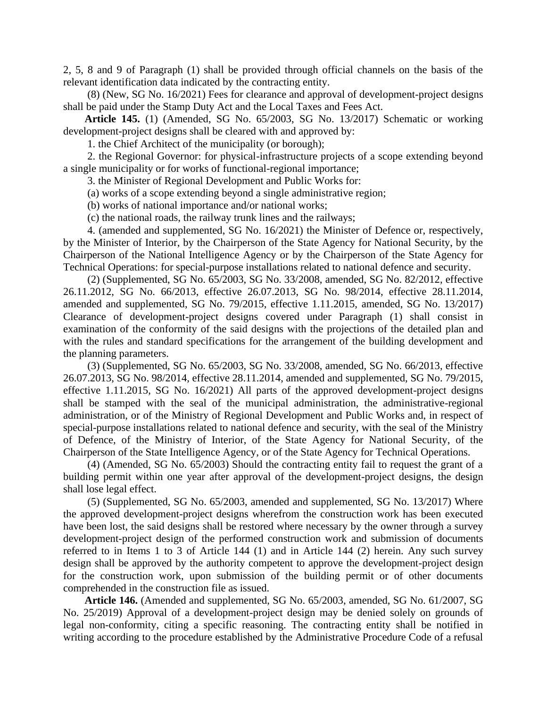2, 5, 8 and 9 of Paragraph (1) shall be provided through official channels on the basis of the relevant identification data indicated by the contracting entity.

(8) (New, SG No. 16/2021) Fees for clearance and approval of development-project designs shall be paid under the Stamp Duty Act and the Local Taxes and Fees Act.

**Article 145.** (1) (Amended, SG No. 65/2003, SG No. 13/2017) Schematic or working development-project designs shall be cleared with and approved by:

1. the Chief Architect of the municipality (or borough);

2. the Regional Governor: for physical-infrastructure projects of a scope extending beyond a single municipality or for works of functional-regional importance;

3. the Minister of Regional Development and Public Works for:

(a) works of a scope extending beyond a single administrative region;

(b) works of national importance and/or national works;

(c) the national roads, the railway trunk lines and the railways;

4. (amended and supplemented, SG No. 16/2021) the Minister of Defence or, respectively, by the Minister of Interior, by the Chairperson of the State Agency for National Security, by the Chairperson of the National Intelligence Agency or by the Chairperson of the State Agency for Technical Operations: for special-purpose installations related to national defence and security.

(2) (Supplemented, SG No. 65/2003, SG No. 33/2008, amended, SG No. 82/2012, effective 26.11.2012, SG No. 66/2013, effective 26.07.2013, SG No. 98/2014, effective 28.11.2014, amended and supplemented, SG No. 79/2015, effective 1.11.2015, amended, SG No. 13/2017) Clearance of development-project designs covered under Paragraph (1) shall consist in examination of the conformity of the said designs with the projections of the detailed plan and with the rules and standard specifications for the arrangement of the building development and the planning parameters.

(3) (Supplemented, SG No. 65/2003, SG No. 33/2008, amended, SG No. 66/2013, effective 26.07.2013, SG No. 98/2014, effective 28.11.2014, amended and supplemented, SG No. 79/2015, effective 1.11.2015, SG No. 16/2021) All parts of the approved development-project designs shall be stamped with the seal of the municipal administration, the administrative-regional administration, or of the Ministry of Regional Development and Public Works and, in respect of special-purpose installations related to national defence and security, with the seal of the Ministry of Defence, of the Ministry of Interior, of the State Agency for National Security, of the Chairperson of the State Intelligence Agency, or of the State Agency for Technical Operations.

(4) (Amended, SG No. 65/2003) Should the contracting entity fail to request the grant of a building permit within one year after approval of the development-project designs, the design shall lose legal effect.

(5) (Supplemented, SG No. 65/2003, amended and supplemented, SG No. 13/2017) Where the approved development-project designs wherefrom the construction work has been executed have been lost, the said designs shall be restored where necessary by the owner through a survey development-project design of the performed construction work and submission of documents referred to in Items 1 to 3 of Article 144 (1) and in Article 144 (2) herein. Any such survey design shall be approved by the authority competent to approve the development-project design for the construction work, upon submission of the building permit or of other documents comprehended in the construction file as issued.

**Article 146.** (Amended and supplemented, SG No. 65/2003, amended, SG No. 61/2007, SG No. 25/2019) Approval of a development-project design may be denied solely on grounds of legal non-conformity, citing a specific reasoning. The contracting entity shall be notified in writing according to the procedure established by the Administrative Procedure Code of a refusal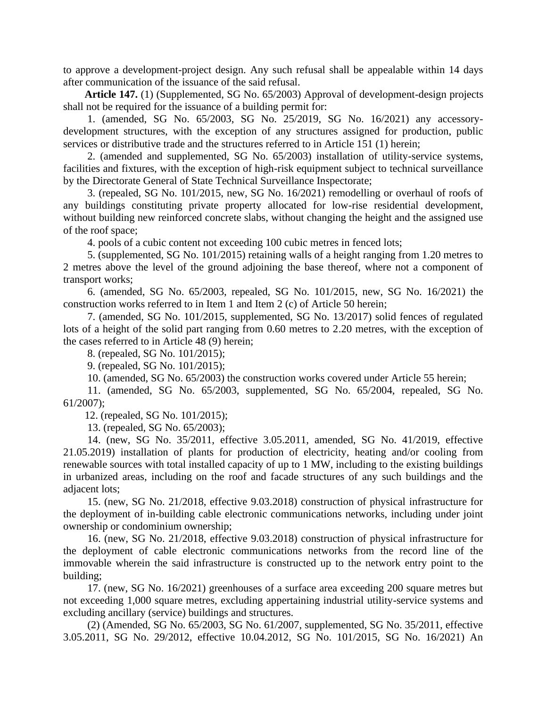to approve a development-project design. Any such refusal shall be appealable within 14 days after communication of the issuance of the said refusal.

**Article 147.** (1) (Supplemented, SG No. 65/2003) Approval of development-design projects shall not be required for the issuance of a building permit for:

1. (amended, SG No. 65/2003, SG No. 25/2019, SG No. 16/2021) any accessorydevelopment structures, with the exception of any structures assigned for production, public services or distributive trade and the structures referred to in Article 151 (1) herein;

2. (amended and supplemented, SG No. 65/2003) installation of utility-service systems, facilities and fixtures, with the exception of high-risk equipment subject to technical surveillance by the Directorate General of State Technical Surveillance Inspectorate;

3. (repealed, SG No. 101/2015, new, SG No. 16/2021) remodelling or overhaul of roofs of any buildings constituting private property allocated for low-rise residential development, without building new reinforced concrete slabs, without changing the height and the assigned use of the roof space;

4. pools of a cubic content not exceeding 100 cubic metres in fenced lots;

5. (supplemented, SG No. 101/2015) retaining walls of a height ranging from 1.20 metres to 2 metres above the level of the ground adjoining the base thereof, where not a component of transport works;

6. (amended, SG No. 65/2003, repealed, SG No. 101/2015, new, SG No. 16/2021) the construction works referred to in Item 1 and Item 2 (c) of Article 50 herein;

7. (amended, SG No. 101/2015, supplemented, SG No. 13/2017) solid fences of regulated lots of a height of the solid part ranging from 0.60 metres to 2.20 metres, with the exception of the cases referred to in Article 48 (9) herein;

8. (repealed, SG No. 101/2015);

9. (repealed, SG No. 101/2015);

10. (amended, SG No. 65/2003) the construction works covered under Article 55 herein;

11. (amended, SG No. 65/2003, supplemented, SG No. 65/2004, repealed, SG No. 61/2007);

12. (repealed, SG No. 101/2015);

13. (repealed, SG No. 65/2003);

14. (new, SG No. 35/2011, effective 3.05.2011, amended, SG No. 41/2019, effective 21.05.2019) installation of plants for production of electricity, heating and/or cooling from renewable sources with total installed capacity of up to 1 MW, including to the existing buildings in urbanized areas, including on the roof and facade structures of any such buildings and the adjacent lots;

15. (new, SG No. 21/2018, effective 9.03.2018) construction of physical infrastructure for the deployment of in-building cable electronic communications networks, including under joint ownership or condominium ownership;

16. (new, SG No. 21/2018, effective 9.03.2018) construction of physical infrastructure for the deployment of cable electronic communications networks from the record line of the immovable wherein the said infrastructure is constructed up to the network entry point to the building;

17. (new, SG No. 16/2021) greenhouses of a surface area exceeding 200 square metres but not exceeding 1,000 square metres, excluding appertaining industrial utility-service systems and excluding ancillary (service) buildings and structures.

(2) (Amended, SG No. 65/2003, SG No. 61/2007, supplemented, SG No. 35/2011, effective 3.05.2011, SG No. 29/2012, effective 10.04.2012, SG No. 101/2015, SG No. 16/2021) An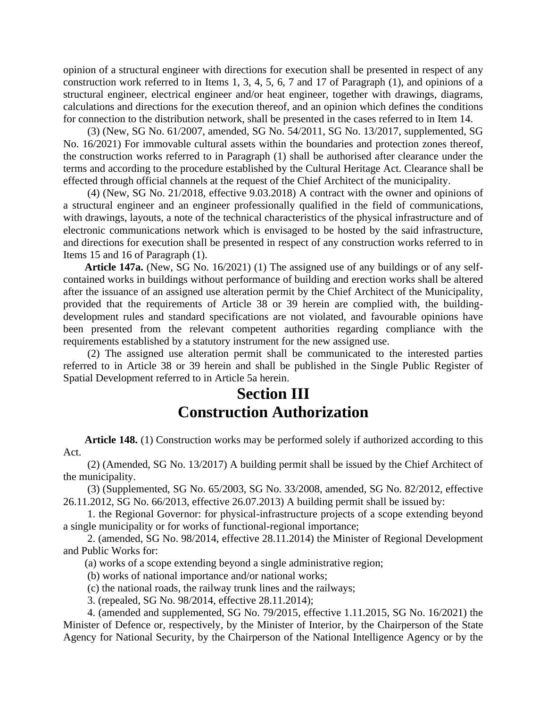opinion of a structural engineer with directions for execution shall be presented in respect of any construction work referred to in Items 1, 3, 4, 5, 6, 7 and 17 of Paragraph (1), and opinions of a structural engineer, electrical engineer and/or heat engineer, together with drawings, diagrams, calculations and directions for the execution thereof, and an opinion which defines the conditions for connection to the distribution network, shall be presented in the cases referred to in Item 14.

(3) (New, SG No. 61/2007, amended, SG No. 54/2011, SG No. 13/2017, supplemented, SG No. 16/2021) For immovable cultural assets within the boundaries and protection zones thereof, the construction works referred to in Paragraph (1) shall be authorised after clearance under the terms and according to the procedure established by the Cultural Heritage Act. Clearance shall be effected through official channels at the request of the Chief Architect of the municipality.

(4) (New, SG No. 21/2018, effective 9.03.2018) A contract with the owner and opinions of a structural engineer and an engineer professionally qualified in the field of communications, with drawings, layouts, a note of the technical characteristics of the physical infrastructure and of electronic communications network which is envisaged to be hosted by the said infrastructure, and directions for execution shall be presented in respect of any construction works referred to in Items 15 and 16 of Paragraph (1).

**Article 147a.** (New, SG No. 16/2021) (1) The assigned use of any buildings or of any selfcontained works in buildings without performance of building and erection works shall be altered after the issuance of an assigned use alteration permit by the Chief Architect of the Municipality, provided that the requirements of Article 38 or 39 herein are complied with, the buildingdevelopment rules and standard specifications are not violated, and favourable opinions have been presented from the relevant competent authorities regarding compliance with the requirements established by a statutory instrument for the new assigned use.

(2) The assigned use alteration permit shall be communicated to the interested parties referred to in Article 38 or 39 herein and shall be published in the Single Public Register of Spatial Development referred to in Article 5a herein.

## **Section III Construction Authorization**

**Article 148.** (1) Construction works may be performed solely if authorized according to this Act.

(2) (Amended, SG No. 13/2017) A building permit shall be issued by the Chief Architect of the municipality.

(3) (Supplemented, SG No. 65/2003, SG No. 33/2008, amended, SG No. 82/2012, effective 26.11.2012, SG No. 66/2013, effective 26.07.2013) A building permit shall be issued by:

1. the Regional Governor: for physical-infrastructure projects of a scope extending beyond a single municipality or for works of functional-regional importance;

2. (amended, SG No. 98/2014, effective 28.11.2014) the Minister of Regional Development and Public Works for:

(a) works of a scope extending beyond a single administrative region;

(b) works of national importance and/or national works;

(c) the national roads, the railway trunk lines and the railways;

3. (repealed, SG No. 98/2014, effective 28.11.2014);

4. (amended and supplemented, SG No. 79/2015, effective 1.11.2015, SG No. 16/2021) the Minister of Defence or, respectively, by the Minister of Interior, by the Chairperson of the State Agency for National Security, by the Chairperson of the National Intelligence Agency or by the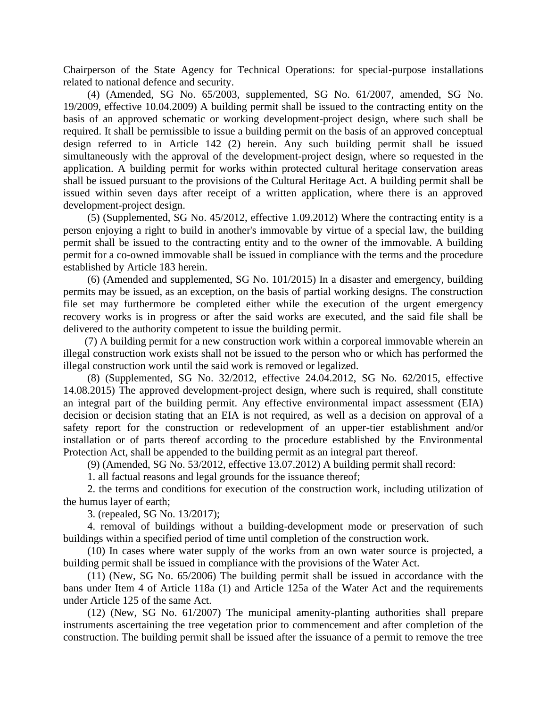Chairperson of the State Agency for Technical Operations: for special-purpose installations related to national defence and security.

(4) (Amended, SG No. 65/2003, supplemented, SG No. 61/2007, amended, SG No. 19/2009, effective 10.04.2009) A building permit shall be issued to the contracting entity on the basis of an approved schematic or working development-project design, where such shall be required. It shall be permissible to issue a building permit on the basis of an approved conceptual design referred to in Article 142 (2) herein. Any such building permit shall be issued simultaneously with the approval of the development-project design, where so requested in the application. A building permit for works within protected cultural heritage conservation areas shall be issued pursuant to the provisions of the Cultural Heritage Act. A building permit shall be issued within seven days after receipt of a written application, where there is an approved development-project design.

(5) (Supplemented, SG No. 45/2012, effective 1.09.2012) Where the contracting entity is a person enjoying a right to build in another's immovable by virtue of a special law, the building permit shall be issued to the contracting entity and to the owner of the immovable. A building permit for a co-owned immovable shall be issued in compliance with the terms and the procedure established by Article 183 herein.

(6) (Amended and supplemented, SG No. 101/2015) In a disaster and emergency, building permits may be issued, as an exception, on the basis of partial working designs. The construction file set may furthermore be completed either while the execution of the urgent emergency recovery works is in progress or after the said works are executed, and the said file shall be delivered to the authority competent to issue the building permit.

(7) A building permit for a new construction work within a corporeal immovable wherein an illegal construction work exists shall not be issued to the person who or which has performed the illegal construction work until the said work is removed or legalized.

(8) (Supplemented, SG No. 32/2012, effective 24.04.2012, SG No. 62/2015, effective 14.08.2015) The approved development-project design, where such is required, shall constitute an integral part of the building permit. Any effective environmental impact assessment (EIA) decision or decision stating that an EIA is not required, as well as a decision on approval of a safety report for the construction or redevelopment of an upper-tier establishment and/or installation or of parts thereof according to the procedure established by the Environmental Protection Act, shall be appended to the building permit as an integral part thereof.

(9) (Amended, SG No. 53/2012, effective 13.07.2012) A building permit shall record:

1. all factual reasons and legal grounds for the issuance thereof;

2. the terms and conditions for execution of the construction work, including utilization of the humus layer of earth;

3. (repealed, SG No. 13/2017);

4. removal of buildings without a building-development mode or preservation of such buildings within a specified period of time until completion of the construction work.

(10) In cases where water supply of the works from an own water source is projected, a building permit shall be issued in compliance with the provisions of the Water Act.

(11) (New, SG No. 65/2006) The building permit shall be issued in accordance with the bans under Item 4 of Article 118a (1) and Article 125a of the Water Act and the requirements under Article 125 of the same Act.

(12) (New, SG No. 61/2007) The municipal amenity-planting authorities shall prepare instruments ascertaining the tree vegetation prior to commencement and after completion of the construction. The building permit shall be issued after the issuance of a permit to remove the tree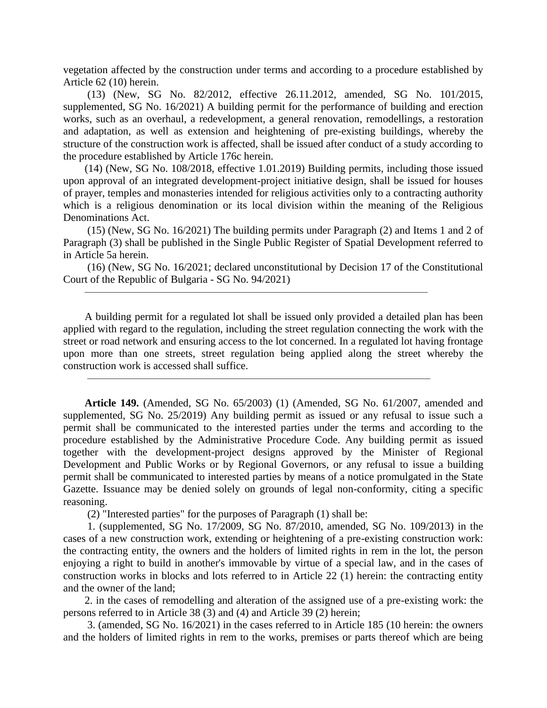vegetation affected by the construction under terms and according to a procedure established by Article 62 (10) herein.

(13) (New, SG No. 82/2012, effective 26.11.2012, amended, SG No. 101/2015, supplemented, SG No. 16/2021) A building permit for the performance of building and erection works, such as an overhaul, a redevelopment, a general renovation, remodellings, a restoration and adaptation, as well as extension and heightening of pre-existing buildings, whereby the structure of the construction work is affected, shall be issued after conduct of a study according to the procedure established by Article 176c herein.

(14) (New, SG No. 108/2018, effective 1.01.2019) Building permits, including those issued upon approval of an integrated development-project initiative design, shall be issued for houses of prayer, temples and monasteries intended for religious activities only to a contracting authority which is a religious denomination or its local division within the meaning of the Religious Denominations Act.

(15) (New, SG No. 16/2021) The building permits under Paragraph (2) and Items 1 and 2 of Paragraph (3) shall be published in the Single Public Register of Spatial Development referred to in Article 5a herein.

(16) (New, SG No. 16/2021; declared unconstitutional by Decision 17 of the Constitutional Court of the Republic of Bulgaria - SG No. 94/2021)

 $\overline{\phantom{a}}$  , and the contract of the contract of the contract of the contract of the contract of the contract of the contract of the contract of the contract of the contract of the contract of the contract of the contrac

 $\overline{\phantom{a}}$  , and the contract of the contract of the contract of the contract of the contract of the contract of the contract of the contract of the contract of the contract of the contract of the contract of the contrac

A building permit for a regulated lot shall be issued only provided a detailed plan has been applied with regard to the regulation, including the street regulation connecting the work with the street or road network and ensuring access to the lot concerned. In a regulated lot having frontage upon more than one streets, street regulation being applied along the street whereby the construction work is accessed shall suffice.

**Article 149.** (Amended, SG No. 65/2003) (1) (Amended, SG No. 61/2007, amended and supplemented, SG No. 25/2019) Any building permit as issued or any refusal to issue such a permit shall be communicated to the interested parties under the terms and according to the procedure established by the Administrative Procedure Code. Any building permit as issued together with the development-project designs approved by the Minister of Regional Development and Public Works or by Regional Governors, or any refusal to issue a building permit shall be communicated to interested parties by means of a notice promulgated in the State Gazette. Issuance may be denied solely on grounds of legal non-conformity, citing a specific reasoning.

(2) "Interested parties" for the purposes of Paragraph (1) shall be:

1. (supplemented, SG No. 17/2009, SG No. 87/2010, amended, SG No. 109/2013) in the cases of a new construction work, extending or heightening of a pre-existing construction work: the contracting entity, the owners and the holders of limited rights in rem in the lot, the person enjoying a right to build in another's immovable by virtue of a special law, and in the cases of construction works in blocks and lots referred to in Article 22 (1) herein: the contracting entity and the owner of the land;

2. in the cases of remodelling and alteration of the assigned use of a pre-existing work: the persons referred to in Article 38 (3) and (4) and Article 39 (2) herein;

3. (amended, SG No. 16/2021) in the cases referred to in Article 185 (10 herein: the owners and the holders of limited rights in rem to the works, premises or parts thereof which are being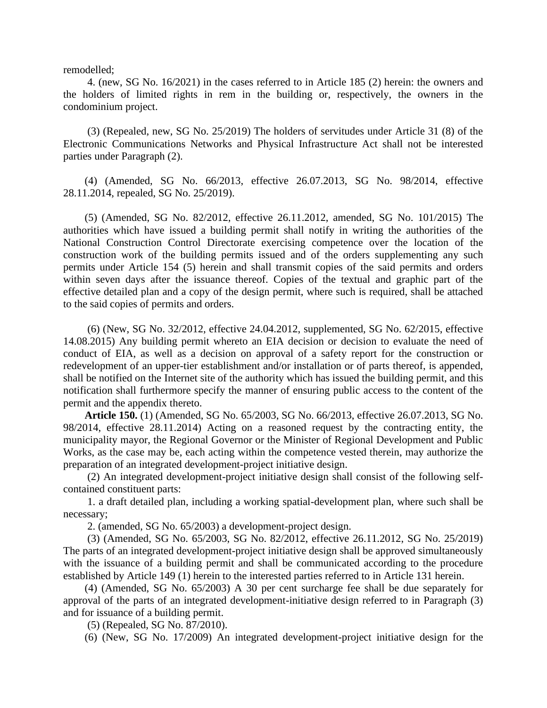remodelled;

4. (new, SG No. 16/2021) in the cases referred to in Article 185 (2) herein: the owners and the holders of limited rights in rem in the building or, respectively, the owners in the condominium project.

(3) (Repealed, new, SG No. 25/2019) The holders of servitudes under Article 31 (8) of the Electronic Communications Networks and Physical Infrastructure Act shall not be interested parties under Paragraph (2).

(4) (Amended, SG No. 66/2013, effective 26.07.2013, SG No. 98/2014, effective 28.11.2014, repealed, SG No. 25/2019).

(5) (Amended, SG No. 82/2012, effective 26.11.2012, amended, SG No. 101/2015) The authorities which have issued a building permit shall notify in writing the authorities of the National Construction Control Directorate exercising competence over the location of the construction work of the building permits issued and of the orders supplementing any such permits under Article 154 (5) herein and shall transmit copies of the said permits and orders within seven days after the issuance thereof. Copies of the textual and graphic part of the effective detailed plan and a copy of the design permit, where such is required, shall be attached to the said copies of permits and orders.

(6) (New, SG No. 32/2012, effective 24.04.2012, supplemented, SG No. 62/2015, effective 14.08.2015) Any building permit whereto an EIA decision or decision to evaluate the need of conduct of EIA, as well as a decision on approval of a safety report for the construction or redevelopment of an upper-tier establishment and/or installation or of parts thereof, is appended, shall be notified on the Internet site of the authority which has issued the building permit, and this notification shall furthermore specify the manner of ensuring public access to the content of the permit and the appendix thereto.

**Article 150.** (1) (Amended, SG No. 65/2003, SG No. 66/2013, effective 26.07.2013, SG No. 98/2014, effective 28.11.2014) Acting on a reasoned request by the contracting entity, the municipality mayor, the Regional Governor or the Minister of Regional Development and Public Works, as the case may be, each acting within the competence vested therein, may authorize the preparation of an integrated development-project initiative design.

(2) An integrated development-project initiative design shall consist of the following selfcontained constituent parts:

1. a draft detailed plan, including a working spatial-development plan, where such shall be necessary;

2. (amended, SG No. 65/2003) a development-project design.

(3) (Amended, SG No. 65/2003, SG No. 82/2012, effective 26.11.2012, SG No. 25/2019) The parts of an integrated development-project initiative design shall be approved simultaneously with the issuance of a building permit and shall be communicated according to the procedure established by Article 149 (1) herein to the interested parties referred to in Article 131 herein.

(4) (Amended, SG No. 65/2003) A 30 per cent surcharge fee shall be due separately for approval of the parts of an integrated development-initiative design referred to in Paragraph (3) and for issuance of a building permit.

(5) (Repealed, SG No. 87/2010).

(6) (New, SG No. 17/2009) An integrated development-project initiative design for the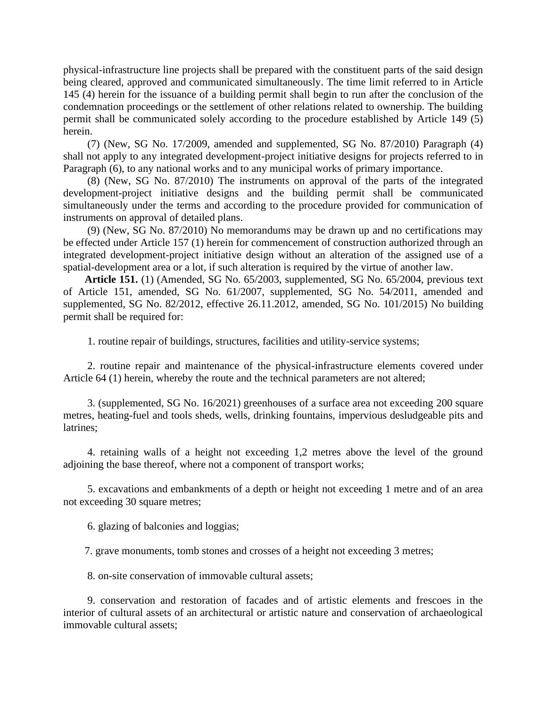physical-infrastructure line projects shall be prepared with the constituent parts of the said design being cleared, approved and communicated simultaneously. The time limit referred to in Article 145 (4) herein for the issuance of a building permit shall begin to run after the conclusion of the condemnation proceedings or the settlement of other relations related to ownership. The building permit shall be communicated solely according to the procedure established by Article 149 (5) herein.

(7) (New, SG No. 17/2009, amended and supplemented, SG No. 87/2010) Paragraph (4) shall not apply to any integrated development-project initiative designs for projects referred to in Paragraph (6), to any national works and to any municipal works of primary importance.

(8) (New, SG No. 87/2010) The instruments on approval of the parts of the integrated development-project initiative designs and the building permit shall be communicated simultaneously under the terms and according to the procedure provided for communication of instruments on approval of detailed plans.

(9) (New, SG No. 87/2010) No memorandums may be drawn up and no certifications may be effected under Article 157 (1) herein for commencement of construction authorized through an integrated development-project initiative design without an alteration of the assigned use of a spatial-development area or a lot, if such alteration is required by the virtue of another law.

**Article 151.** (1) (Amended, SG No. 65/2003, supplemented, SG No. 65/2004, previous text of Article 151, amended, SG No. 61/2007, supplemented, SG No. 54/2011, amended and supplemented, SG No. 82/2012, effective 26.11.2012, amended, SG No. 101/2015) No building permit shall be required for:

1. routine repair of buildings, structures, facilities and utility-service systems;

2. routine repair and maintenance of the physical-infrastructure elements covered under Article 64 (1) herein, whereby the route and the technical parameters are not altered;

3. (supplemented, SG No. 16/2021) greenhouses of a surface area not exceeding 200 square metres, heating-fuel and tools sheds, wells, drinking fountains, impervious desludgeable pits and latrines;

4. retaining walls of a height not exceeding 1,2 metres above the level of the ground adjoining the base thereof, where not a component of transport works;

5. excavations and embankments of a depth or height not exceeding 1 metre and of an area not exceeding 30 square metres;

6. glazing of balconies and loggias;

7. grave monuments, tomb stones and crosses of a height not exceeding 3 metres;

8. on-site conservation of immovable cultural assets;

9. conservation and restoration of facades and of artistic elements and frescoes in the interior of cultural assets of an architectural or artistic nature and conservation of archaeological immovable cultural assets;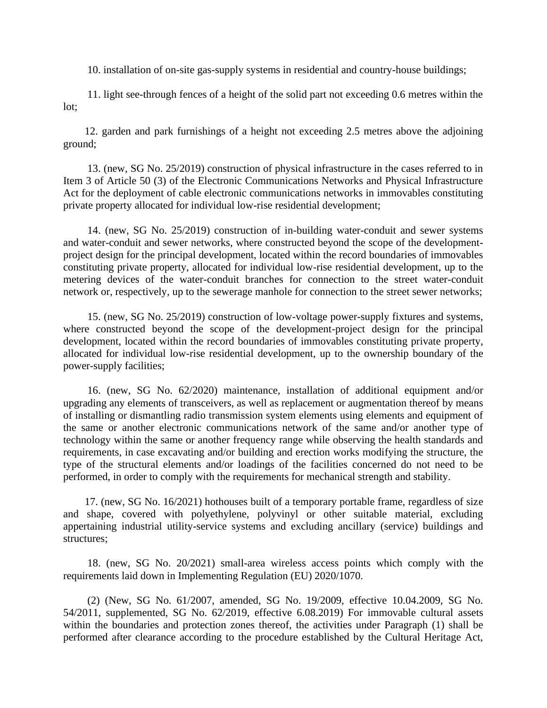10. installation of on-site gas-supply systems in residential and country-house buildings;

11. light see-through fences of a height of the solid part not exceeding 0.6 metres within the lot;

12. garden and park furnishings of a height not exceeding 2.5 metres above the adjoining ground;

13. (new, SG No. 25/2019) construction of physical infrastructure in the cases referred to in Item 3 of Article 50 (3) of the Electronic Communications Networks and Physical Infrastructure Act for the deployment of cable electronic communications networks in immovables constituting private property allocated for individual low-rise residential development;

14. (new, SG No. 25/2019) construction of in-building water-conduit and sewer systems and water-conduit and sewer networks, where constructed beyond the scope of the developmentproject design for the principal development, located within the record boundaries of immovables constituting private property, allocated for individual low-rise residential development, up to the metering devices of the water-conduit branches for connection to the street water-conduit network or, respectively, up to the sewerage manhole for connection to the street sewer networks;

15. (new, SG No. 25/2019) construction of low-voltage power-supply fixtures and systems, where constructed beyond the scope of the development-project design for the principal development, located within the record boundaries of immovables constituting private property, allocated for individual low-rise residential development, up to the ownership boundary of the power-supply facilities;

16. (new, SG No. 62/2020) maintenance, installation of additional equipment and/or upgrading any elements of transceivers, as well as replacement or augmentation thereof by means of installing or dismantling radio transmission system elements using elements and equipment of the same or another electronic communications network of the same and/or another type of technology within the same or another frequency range while observing the health standards and requirements, in case excavating and/or building and erection works modifying the structure, the type of the structural elements and/or loadings of the facilities concerned do not need to be performed, in order to comply with the requirements for mechanical strength and stability.

17. (new, SG No. 16/2021) hothouses built of a temporary portable frame, regardless of size and shape, covered with polyethylene, polyvinyl or other suitable material, excluding appertaining industrial utility-service systems and excluding ancillary (service) buildings and structures;

18. (new, SG No. 20/2021) small-area wireless access points which comply with the requirements laid down in Implementing Regulation (EU) 2020/1070.

(2) (New, SG No. 61/2007, amended, SG No. 19/2009, effective 10.04.2009, SG No. 54/2011, supplemented, SG No. 62/2019, effective 6.08.2019) For immovable cultural assets within the boundaries and protection zones thereof, the activities under Paragraph (1) shall be performed after clearance according to the procedure established by the Cultural Heritage Act,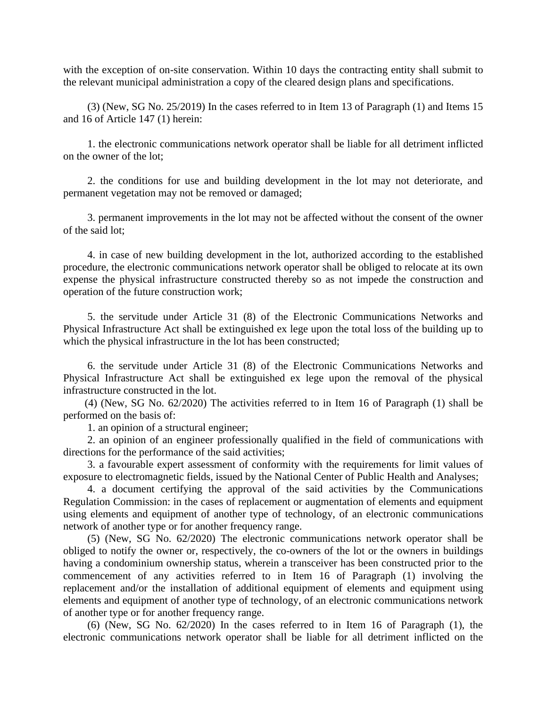with the exception of on-site conservation. Within 10 days the contracting entity shall submit to the relevant municipal administration a copy of the cleared design plans and specifications.

(3) (New, SG No. 25/2019) In the cases referred to in Item 13 of Paragraph (1) and Items 15 and 16 of Article 147 (1) herein:

1. the electronic communications network operator shall be liable for all detriment inflicted on the owner of the lot;

2. the conditions for use and building development in the lot may not deteriorate, and permanent vegetation may not be removed or damaged;

3. permanent improvements in the lot may not be affected without the consent of the owner of the said lot;

4. in case of new building development in the lot, authorized according to the established procedure, the electronic communications network operator shall be obliged to relocate at its own expense the physical infrastructure constructed thereby so as not impede the construction and operation of the future construction work;

5. the servitude under Article 31 (8) of the Electronic Communications Networks and Physical Infrastructure Act shall be extinguished ex lege upon the total loss of the building up to which the physical infrastructure in the lot has been constructed;

6. the servitude under Article 31 (8) of the Electronic Communications Networks and Physical Infrastructure Act shall be extinguished ex lege upon the removal of the physical infrastructure constructed in the lot.

(4) (New, SG No. 62/2020) The activities referred to in Item 16 of Paragraph (1) shall be performed on the basis of:

1. an opinion of a structural engineer;

2. an opinion of an engineer professionally qualified in the field of communications with directions for the performance of the said activities;

3. a favourable expert assessment of conformity with the requirements for limit values of exposure to electromagnetic fields, issued by the National Center of Public Health and Analyses;

4. a document certifying the approval of the said activities by the Communications Regulation Commission: in the cases of replacement or augmentation of elements and equipment using elements and equipment of another type of technology, of an electronic communications network of another type or for another frequency range.

(5) (New, SG No. 62/2020) The electronic communications network operator shall be obliged to notify the owner or, respectively, the co-owners of the lot or the owners in buildings having a condominium ownership status, wherein a transceiver has been constructed prior to the commencement of any activities referred to in Item 16 of Paragraph (1) involving the replacement and/or the installation of additional equipment of elements and equipment using elements and equipment of another type of technology, of an electronic communications network of another type or for another frequency range.

(6) (New, SG No. 62/2020) In the cases referred to in Item 16 of Paragraph (1), the electronic communications network operator shall be liable for all detriment inflicted on the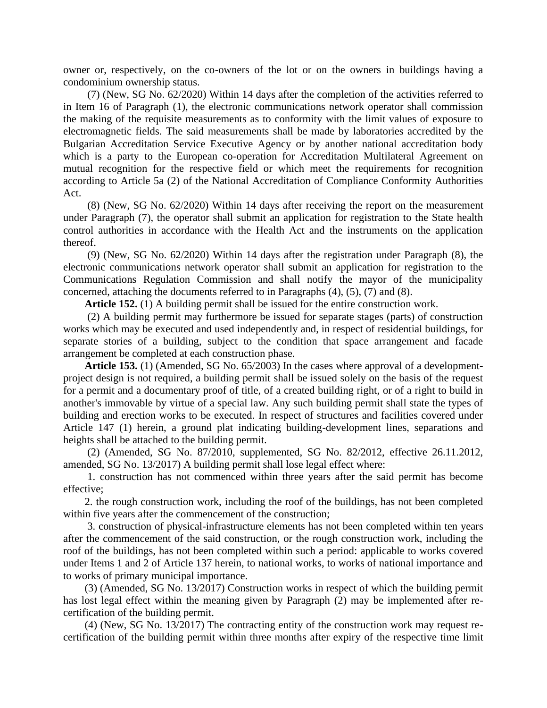owner or, respectively, on the co-owners of the lot or on the owners in buildings having a condominium ownership status.

(7) (New, SG No. 62/2020) Within 14 days after the completion of the activities referred to in Item 16 of Paragraph (1), the electronic communications network operator shall commission the making of the requisite measurements as to conformity with the limit values of exposure to electromagnetic fields. The said measurements shall be made by laboratories accredited by the Bulgarian Accreditation Service Executive Agency or by another national accreditation body which is a party to the European co-operation for Accreditation Multilateral Agreement on mutual recognition for the respective field or which meet the requirements for recognition according to Article 5a (2) of the National Accreditation of Compliance Conformity Authorities Act.

(8) (New, SG No. 62/2020) Within 14 days after receiving the report on the measurement under Paragraph (7), the operator shall submit an application for registration to the State health control authorities in accordance with the Health Act and the instruments on the application thereof.

(9) (New, SG No. 62/2020) Within 14 days after the registration under Paragraph (8), the electronic communications network operator shall submit an application for registration to the Communications Regulation Commission and shall notify the mayor of the municipality concerned, attaching the documents referred to in Paragraphs (4), (5), (7) and (8).

**Article 152.** (1) A building permit shall be issued for the entire construction work.

(2) A building permit may furthermore be issued for separate stages (parts) of construction works which may be executed and used independently and, in respect of residential buildings, for separate stories of a building, subject to the condition that space arrangement and facade arrangement be completed at each construction phase.

**Article 153.** (1) (Amended, SG No. 65/2003) In the cases where approval of a developmentproject design is not required, a building permit shall be issued solely on the basis of the request for a permit and a documentary proof of title, of a created building right, or of a right to build in another's immovable by virtue of a special law. Any such building permit shall state the types of building and erection works to be executed. In respect of structures and facilities covered under Article 147 (1) herein, a ground plat indicating building-development lines, separations and heights shall be attached to the building permit.

(2) (Amended, SG No. 87/2010, supplemented, SG No. 82/2012, effective 26.11.2012, amended, SG No. 13/2017) A building permit shall lose legal effect where:

1. construction has not commenced within three years after the said permit has become effective;

2. the rough construction work, including the roof of the buildings, has not been completed within five years after the commencement of the construction;

3. construction of physical-infrastructure elements has not been completed within ten years after the commencement of the said construction, or the rough construction work, including the roof of the buildings, has not been completed within such a period: applicable to works covered under Items 1 and 2 of Article 137 herein, to national works, to works of national importance and to works of primary municipal importance.

(3) (Amended, SG No. 13/2017) Construction works in respect of which the building permit has lost legal effect within the meaning given by Paragraph (2) may be implemented after recertification of the building permit.

(4) (New, SG No. 13/2017) The contracting entity of the construction work may request recertification of the building permit within three months after expiry of the respective time limit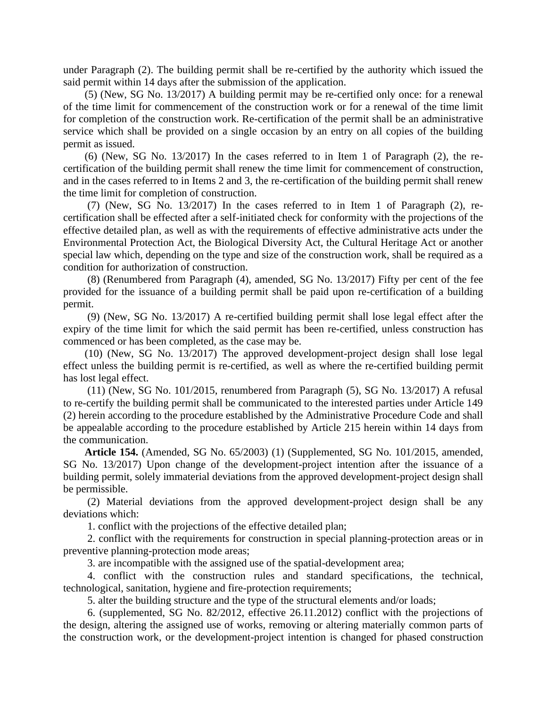under Paragraph (2). The building permit shall be re-certified by the authority which issued the said permit within 14 days after the submission of the application.

(5) (New, SG No. 13/2017) A building permit may be re-certified only once: for a renewal of the time limit for commencement of the construction work or for a renewal of the time limit for completion of the construction work. Re-certification of the permit shall be an administrative service which shall be provided on a single occasion by an entry on all copies of the building permit as issued.

(6) (New, SG No. 13/2017) In the cases referred to in Item 1 of Paragraph (2), the recertification of the building permit shall renew the time limit for commencement of construction, and in the cases referred to in Items 2 and 3, the re-certification of the building permit shall renew the time limit for completion of construction.

(7) (New, SG No. 13/2017) In the cases referred to in Item 1 of Paragraph (2), recertification shall be effected after a self-initiated check for conformity with the projections of the effective detailed plan, as well as with the requirements of effective administrative acts under the Environmental Protection Act, the Biological Diversity Act, the Cultural Heritage Act or another special law which, depending on the type and size of the construction work, shall be required as a condition for authorization of construction.

(8) (Renumbered from Paragraph (4), amended, SG No. 13/2017) Fifty per cent of the fee provided for the issuance of a building permit shall be paid upon re-certification of a building permit.

(9) (New, SG No. 13/2017) A re-certified building permit shall lose legal effect after the expiry of the time limit for which the said permit has been re-certified, unless construction has commenced or has been completed, as the case may be.

(10) (New, SG No. 13/2017) The approved development-project design shall lose legal effect unless the building permit is re-certified, as well as where the re-certified building permit has lost legal effect.

(11) (New, SG No. 101/2015, renumbered from Paragraph (5), SG No. 13/2017) A refusal to re-certify the building permit shall be communicated to the interested parties under Article 149 (2) herein according to the procedure established by the Administrative Procedure Code and shall be appealable according to the procedure established by Article 215 herein within 14 days from the communication.

**Article 154.** (Amended, SG No. 65/2003) (1) (Supplemented, SG No. 101/2015, amended, SG No. 13/2017) Upon change of the development-project intention after the issuance of a building permit, solely immaterial deviations from the approved development-project design shall be permissible.

(2) Material deviations from the approved development-project design shall be any deviations which:

1. conflict with the projections of the effective detailed plan;

2. conflict with the requirements for construction in special planning-protection areas or in preventive planning-protection mode areas;

3. are incompatible with the assigned use of the spatial-development area;

4. conflict with the construction rules and standard specifications, the technical, technological, sanitation, hygiene and fire-protection requirements;

5. alter the building structure and the type of the structural elements and/or loads;

6. (supplemented, SG No. 82/2012, effective 26.11.2012) conflict with the projections of the design, altering the assigned use of works, removing or altering materially common parts of the construction work, or the development-project intention is changed for phased construction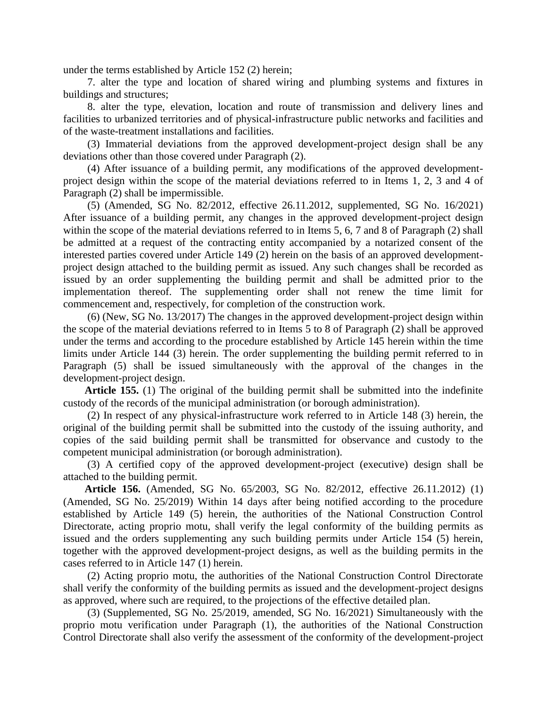under the terms established by Article 152 (2) herein;

7. alter the type and location of shared wiring and plumbing systems and fixtures in buildings and structures;

8. alter the type, elevation, location and route of transmission and delivery lines and facilities to urbanized territories and of physical-infrastructure public networks and facilities and of the waste-treatment installations and facilities.

(3) Immaterial deviations from the approved development-project design shall be any deviations other than those covered under Paragraph (2).

(4) After issuance of a building permit, any modifications of the approved developmentproject design within the scope of the material deviations referred to in Items 1, 2, 3 and 4 of Paragraph (2) shall be impermissible.

(5) (Amended, SG No. 82/2012, effective 26.11.2012, supplemented, SG No. 16/2021) After issuance of a building permit, any changes in the approved development-project design within the scope of the material deviations referred to in Items 5, 6, 7 and 8 of Paragraph (2) shall be admitted at a request of the contracting entity accompanied by a notarized consent of the interested parties covered under Article 149 (2) herein on the basis of an approved developmentproject design attached to the building permit as issued. Any such changes shall be recorded as issued by an order supplementing the building permit and shall be admitted prior to the implementation thereof. The supplementing order shall not renew the time limit for commencement and, respectively, for completion of the construction work.

(6) (New, SG No. 13/2017) The changes in the approved development-project design within the scope of the material deviations referred to in Items 5 to 8 of Paragraph (2) shall be approved under the terms and according to the procedure established by Article 145 herein within the time limits under Article 144 (3) herein. The order supplementing the building permit referred to in Paragraph (5) shall be issued simultaneously with the approval of the changes in the development-project design.

**Article 155.** (1) The original of the building permit shall be submitted into the indefinite custody of the records of the municipal administration (or borough administration).

(2) In respect of any physical-infrastructure work referred to in Article 148 (3) herein, the original of the building permit shall be submitted into the custody of the issuing authority, and copies of the said building permit shall be transmitted for observance and custody to the competent municipal administration (or borough administration).

(3) A certified copy of the approved development-project (executive) design shall be attached to the building permit.

**Article 156.** (Amended, SG No. 65/2003, SG No. 82/2012, effective 26.11.2012) (1) (Amended, SG No. 25/2019) Within 14 days after being notified according to the procedure established by Article 149 (5) herein, the authorities of the National Construction Control Directorate, acting proprio motu, shall verify the legal conformity of the building permits as issued and the orders supplementing any such building permits under Article 154 (5) herein, together with the approved development-project designs, as well as the building permits in the cases referred to in Article 147 (1) herein.

(2) Acting proprio motu, the authorities of the National Construction Control Directorate shall verify the conformity of the building permits as issued and the development-project designs as approved, where such are required, to the projections of the effective detailed plan.

(3) (Supplemented, SG No. 25/2019, amended, SG No. 16/2021) Simultaneously with the proprio motu verification under Paragraph (1), the authorities of the National Construction Control Directorate shall also verify the assessment of the conformity of the development-project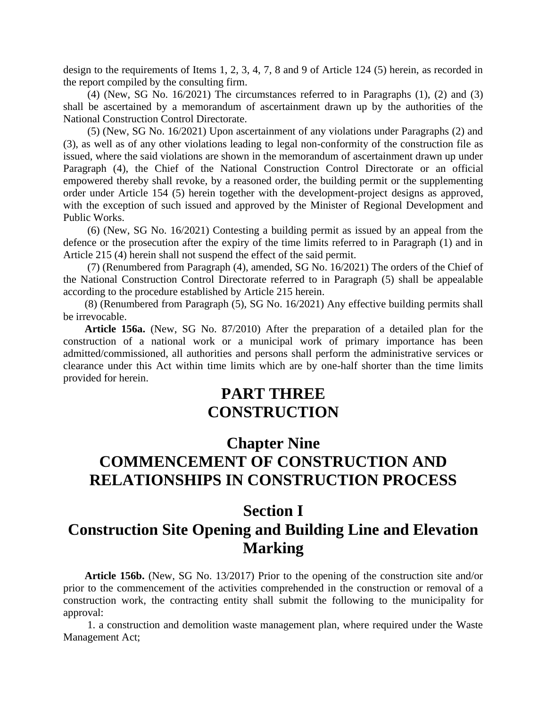design to the requirements of Items 1, 2, 3, 4, 7, 8 and 9 of Article 124 (5) herein, as recorded in the report compiled by the consulting firm.

(4) (New, SG No. 16/2021) The circumstances referred to in Paragraphs (1), (2) and (3) shall be ascertained by a memorandum of ascertainment drawn up by the authorities of the National Construction Control Directorate.

(5) (New, SG No. 16/2021) Upon ascertainment of any violations under Paragraphs (2) and (3), as well as of any other violations leading to legal non-conformity of the construction file as issued, where the said violations are shown in the memorandum of ascertainment drawn up under Paragraph (4), the Chief of the National Construction Control Directorate or an official empowered thereby shall revoke, by a reasoned order, the building permit or the supplementing order under Article 154 (5) herein together with the development-project designs as approved, with the exception of such issued and approved by the Minister of Regional Development and Public Works.

(6) (New, SG No. 16/2021) Contesting a building permit as issued by an appeal from the defence or the prosecution after the expiry of the time limits referred to in Paragraph (1) and in Article 215 (4) herein shall not suspend the effect of the said permit.

(7) (Renumbered from Paragraph (4), amended, SG No. 16/2021) The orders of the Chief of the National Construction Control Directorate referred to in Paragraph (5) shall be appealable according to the procedure established by Article 215 herein.

(8) (Renumbered from Paragraph (5), SG No. 16/2021) Any effective building permits shall be irrevocable.

**Article 156a.** (New, SG No. 87/2010) After the preparation of a detailed plan for the construction of a national work or a municipal work of primary importance has been admitted/commissioned, all authorities and persons shall perform the administrative services or clearance under this Act within time limits which are by one-half shorter than the time limits provided for herein.

## **PART THREE CONSTRUCTION**

## **Chapter Nine COMMENCEMENT OF CONSTRUCTION AND RELATIONSHIPS IN CONSTRUCTION PROCESS**

## **Section I**

### **Construction Site Opening and Building Line and Elevation Marking**

**Article 156b.** (New, SG No. 13/2017) Prior to the opening of the construction site and/or prior to the commencement of the activities comprehended in the construction or removal of a construction work, the contracting entity shall submit the following to the municipality for approval:

1. a construction and demolition waste management plan, where required under the Waste Management Act;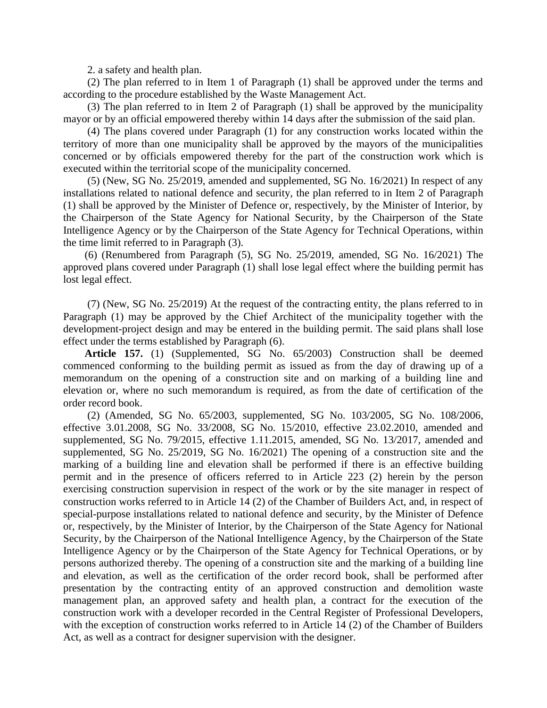2. a safety and health plan.

(2) The plan referred to in Item 1 of Paragraph (1) shall be approved under the terms and according to the procedure established by the Waste Management Act.

(3) The plan referred to in Item 2 of Paragraph (1) shall be approved by the municipality mayor or by an official empowered thereby within 14 days after the submission of the said plan.

(4) The plans covered under Paragraph (1) for any construction works located within the territory of more than one municipality shall be approved by the mayors of the municipalities concerned or by officials empowered thereby for the part of the construction work which is executed within the territorial scope of the municipality concerned.

(5) (New, SG No. 25/2019, amended and supplemented, SG No. 16/2021) In respect of any installations related to national defence and security, the plan referred to in Item 2 of Paragraph (1) shall be approved by the Minister of Defence or, respectively, by the Minister of Interior, by the Chairperson of the State Agency for National Security, by the Chairperson of the State Intelligence Agency or by the Chairperson of the State Agency for Technical Operations, within the time limit referred to in Paragraph (3).

(6) (Renumbered from Paragraph (5), SG No. 25/2019, amended, SG No. 16/2021) The approved plans covered under Paragraph (1) shall lose legal effect where the building permit has lost legal effect.

(7) (New, SG No. 25/2019) At the request of the contracting entity, the plans referred to in Paragraph (1) may be approved by the Chief Architect of the municipality together with the development-project design and may be entered in the building permit. The said plans shall lose effect under the terms established by Paragraph (6).

**Article 157.** (1) (Supplemented, SG No. 65/2003) Construction shall be deemed commenced conforming to the building permit as issued as from the day of drawing up of a memorandum on the opening of a construction site and on marking of a building line and elevation or, where no such memorandum is required, as from the date of certification of the order record book.

(2) (Amended, SG No. 65/2003, supplemented, SG No. 103/2005, SG No. 108/2006, effective 3.01.2008, SG No. 33/2008, SG No. 15/2010, effective 23.02.2010, amended and supplemented, SG No. 79/2015, effective 1.11.2015, amended, SG No. 13/2017, amended and supplemented, SG No. 25/2019, SG No. 16/2021) The opening of a construction site and the marking of a building line and elevation shall be performed if there is an effective building permit and in the presence of officers referred to in Article 223 (2) herein by the person exercising construction supervision in respect of the work or by the site manager in respect of construction works referred to in Article 14 (2) of the Chamber of Builders Act, and, in respect of special-purpose installations related to national defence and security, by the Minister of Defence or, respectively, by the Minister of Interior, by the Chairperson of the State Agency for National Security, by the Chairperson of the National Intelligence Agency, by the Chairperson of the State Intelligence Agency or by the Chairperson of the State Agency for Technical Operations, or by persons authorized thereby. The opening of a construction site and the marking of a building line and elevation, as well as the certification of the order record book, shall be performed after presentation by the contracting entity of an approved construction and demolition waste management plan, an approved safety and health plan, a contract for the execution of the construction work with a developer recorded in the Central Register of Professional Developers, with the exception of construction works referred to in Article 14 (2) of the Chamber of Builders Act, as well as a contract for designer supervision with the designer.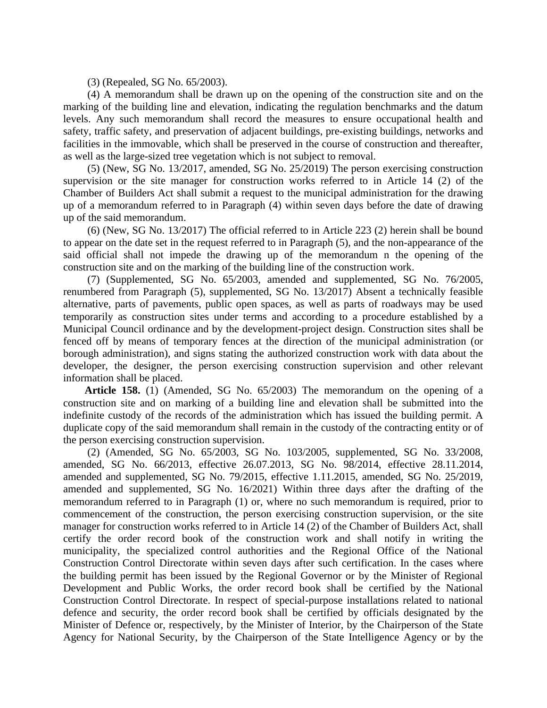(3) (Repealed, SG No. 65/2003).

(4) A memorandum shall be drawn up on the opening of the construction site and on the marking of the building line and elevation, indicating the regulation benchmarks and the datum levels. Any such memorandum shall record the measures to ensure occupational health and safety, traffic safety, and preservation of adjacent buildings, pre-existing buildings, networks and facilities in the immovable, which shall be preserved in the course of construction and thereafter, as well as the large-sized tree vegetation which is not subject to removal.

(5) (New, SG No. 13/2017, amended, SG No. 25/2019) The person exercising construction supervision or the site manager for construction works referred to in Article 14 (2) of the Chamber of Builders Act shall submit a request to the municipal administration for the drawing up of a memorandum referred to in Paragraph (4) within seven days before the date of drawing up of the said memorandum.

(6) (New, SG No. 13/2017) The official referred to in Article 223 (2) herein shall be bound to appear on the date set in the request referred to in Paragraph (5), and the non-appearance of the said official shall not impede the drawing up of the memorandum n the opening of the construction site and on the marking of the building line of the construction work.

(7) (Supplemented, SG No. 65/2003, amended and supplemented, SG No. 76/2005, renumbered from Paragraph (5), supplemented, SG No. 13/2017) Absent a technically feasible alternative, parts of pavements, public open spaces, as well as parts of roadways may be used temporarily as construction sites under terms and according to a procedure established by a Municipal Council ordinance and by the development-project design. Construction sites shall be fenced off by means of temporary fences at the direction of the municipal administration (or borough administration), and signs stating the authorized construction work with data about the developer, the designer, the person exercising construction supervision and other relevant information shall be placed.

**Article 158.** (1) (Amended, SG No. 65/2003) The memorandum on the opening of a construction site and on marking of a building line and elevation shall be submitted into the indefinite custody of the records of the administration which has issued the building permit. A duplicate copy of the said memorandum shall remain in the custody of the contracting entity or of the person exercising construction supervision.

(2) (Amended, SG No. 65/2003, SG No. 103/2005, supplemented, SG No. 33/2008, amended, SG No. 66/2013, effective 26.07.2013, SG No. 98/2014, effective 28.11.2014, amended and supplemented, SG No. 79/2015, effective 1.11.2015, amended, SG No. 25/2019, amended and supplemented, SG No. 16/2021) Within three days after the drafting of the memorandum referred to in Paragraph (1) or, where no such memorandum is required, prior to commencement of the construction, the person exercising construction supervision, or the site manager for construction works referred to in Article 14 (2) of the Chamber of Builders Act, shall certify the order record book of the construction work and shall notify in writing the municipality, the specialized control authorities and the Regional Office of the National Construction Control Directorate within seven days after such certification. In the cases where the building permit has been issued by the Regional Governor or by the Minister of Regional Development and Public Works, the order record book shall be certified by the National Construction Control Directorate. In respect of special-purpose installations related to national defence and security, the order record book shall be certified by officials designated by the Minister of Defence or, respectively, by the Minister of Interior, by the Chairperson of the State Agency for National Security, by the Chairperson of the State Intelligence Agency or by the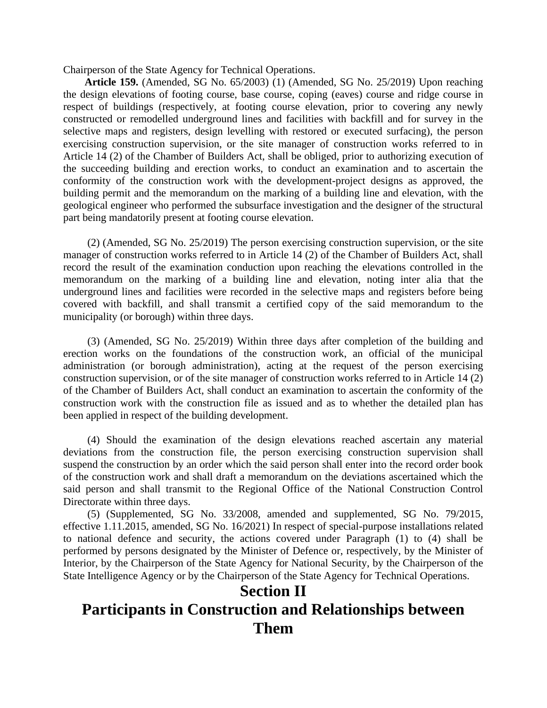Chairperson of the State Agency for Technical Operations.

**Article 159.** (Amended, SG No. 65/2003) (1) (Amended, SG No. 25/2019) Upon reaching the design elevations of footing course, base course, coping (eaves) course and ridge course in respect of buildings (respectively, at footing course elevation, prior to covering any newly constructed or remodelled underground lines and facilities with backfill and for survey in the selective maps and registers, design levelling with restored or executed surfacing), the person exercising construction supervision, or the site manager of construction works referred to in Article 14 (2) of the Chamber of Builders Act, shall be obliged, prior to authorizing execution of the succeeding building and erection works, to conduct an examination and to ascertain the conformity of the construction work with the development-project designs as approved, the building permit and the memorandum on the marking of a building line and elevation, with the geological engineer who performed the subsurface investigation and the designer of the structural part being mandatorily present at footing course elevation.

(2) (Amended, SG No. 25/2019) The person exercising construction supervision, or the site manager of construction works referred to in Article 14 (2) of the Chamber of Builders Act, shall record the result of the examination conduction upon reaching the elevations controlled in the memorandum on the marking of a building line and elevation, noting inter alia that the underground lines and facilities were recorded in the selective maps and registers before being covered with backfill, and shall transmit a certified copy of the said memorandum to the municipality (or borough) within three days.

(3) (Amended, SG No. 25/2019) Within three days after completion of the building and erection works on the foundations of the construction work, an official of the municipal administration (or borough administration), acting at the request of the person exercising construction supervision, or of the site manager of construction works referred to in Article 14 (2) of the Chamber of Builders Act, shall conduct an examination to ascertain the conformity of the construction work with the construction file as issued and as to whether the detailed plan has been applied in respect of the building development.

(4) Should the examination of the design elevations reached ascertain any material deviations from the construction file, the person exercising construction supervision shall suspend the construction by an order which the said person shall enter into the record order book of the construction work and shall draft a memorandum on the deviations ascertained which the said person and shall transmit to the Regional Office of the National Construction Control Directorate within three days.

(5) (Supplemented, SG No. 33/2008, amended and supplemented, SG No. 79/2015, effective 1.11.2015, amended, SG No. 16/2021) In respect of special-purpose installations related to national defence and security, the actions covered under Paragraph (1) to (4) shall be performed by persons designated by the Minister of Defence or, respectively, by the Minister of Interior, by the Chairperson of the State Agency for National Security, by the Chairperson of the State Intelligence Agency or by the Chairperson of the State Agency for Technical Operations.

## **Section II Participants in Construction and Relationships between Them**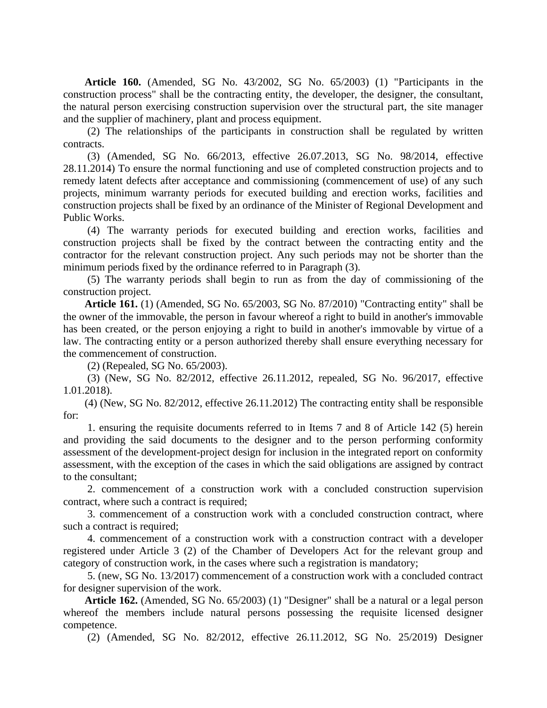**Article 160.** (Amended, SG No. 43/2002, SG No. 65/2003) (1) "Participants in the construction process" shall be the contracting entity, the developer, the designer, the consultant, the natural person exercising construction supervision over the structural part, the site manager and the supplier of machinery, plant and process equipment.

(2) The relationships of the participants in construction shall be regulated by written contracts.

(3) (Amended, SG No. 66/2013, effective 26.07.2013, SG No. 98/2014, effective 28.11.2014) To ensure the normal functioning and use of completed construction projects and to remedy latent defects after acceptance and commissioning (commencement of use) of any such projects, minimum warranty periods for executed building and erection works, facilities and construction projects shall be fixed by an ordinance of the Minister of Regional Development and Public Works.

(4) The warranty periods for executed building and erection works, facilities and construction projects shall be fixed by the contract between the contracting entity and the contractor for the relevant construction project. Any such periods may not be shorter than the minimum periods fixed by the ordinance referred to in Paragraph (3).

(5) The warranty periods shall begin to run as from the day of commissioning of the construction project.

**Article 161.** (1) (Amended, SG No. 65/2003, SG No. 87/2010) "Contracting entity" shall be the owner of the immovable, the person in favour whereof a right to build in another's immovable has been created, or the person enjoying a right to build in another's immovable by virtue of a law. The contracting entity or a person authorized thereby shall ensure everything necessary for the commencement of construction.

(2) (Repealed, SG No. 65/2003).

(3) (New, SG No. 82/2012, effective 26.11.2012, repealed, SG No. 96/2017, effective 1.01.2018).

(4) (New, SG No. 82/2012, effective 26.11.2012) The contracting entity shall be responsible for:

1. ensuring the requisite documents referred to in Items 7 and 8 of Article 142 (5) herein and providing the said documents to the designer and to the person performing conformity assessment of the development-project design for inclusion in the integrated report on conformity assessment, with the exception of the cases in which the said obligations are assigned by contract to the consultant;

2. commencement of a construction work with a concluded construction supervision contract, where such a contract is required;

3. commencement of a construction work with a concluded construction contract, where such a contract is required;

4. commencement of a construction work with a construction contract with a developer registered under Article 3 (2) of the Chamber of Developers Act for the relevant group and category of construction work, in the cases where such a registration is mandatory;

5. (new, SG No. 13/2017) commencement of a construction work with a concluded contract for designer supervision of the work.

**Article 162.** (Amended, SG No. 65/2003) (1) "Designer" shall be a natural or a legal person whereof the members include natural persons possessing the requisite licensed designer competence.

(2) (Amended, SG No. 82/2012, effective 26.11.2012, SG No. 25/2019) Designer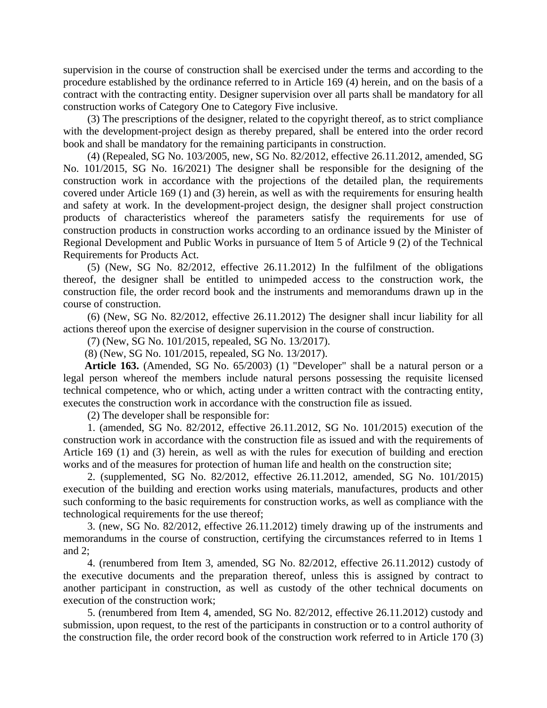supervision in the course of construction shall be exercised under the terms and according to the procedure established by the ordinance referred to in Article 169 (4) herein, and on the basis of a contract with the contracting entity. Designer supervision over all parts shall be mandatory for all construction works of Category One to Category Five inclusive.

(3) The prescriptions of the designer, related to the copyright thereof, as to strict compliance with the development-project design as thereby prepared, shall be entered into the order record book and shall be mandatory for the remaining participants in construction.

(4) (Repealed, SG No. 103/2005, new, SG No. 82/2012, effective 26.11.2012, amended, SG No. 101/2015, SG No. 16/2021) The designer shall be responsible for the designing of the construction work in accordance with the projections of the detailed plan, the requirements covered under Article 169 (1) and (3) herein, as well as with the requirements for ensuring health and safety at work. In the development-project design, the designer shall project construction products of characteristics whereof the parameters satisfy the requirements for use of construction products in construction works according to an ordinance issued by the Minister of Regional Development and Public Works in pursuance of Item 5 of Article 9 (2) of the Technical Requirements for Products Act.

(5) (New, SG No. 82/2012, effective 26.11.2012) In the fulfilment of the obligations thereof, the designer shall be entitled to unimpeded access to the construction work, the construction file, the order record book and the instruments and memorandums drawn up in the course of construction.

(6) (New, SG No. 82/2012, effective 26.11.2012) The designer shall incur liability for all actions thereof upon the exercise of designer supervision in the course of construction.

(7) (New, SG No. 101/2015, repealed, SG No. 13/2017).

(8) (New, SG No. 101/2015, repealed, SG No. 13/2017).

**Article 163.** (Amended, SG No. 65/2003) (1) "Developer" shall be a natural person or a legal person whereof the members include natural persons possessing the requisite licensed technical competence, who or which, acting under a written contract with the contracting entity, executes the construction work in accordance with the construction file as issued.

(2) The developer shall be responsible for:

1. (amended, SG No. 82/2012, effective 26.11.2012, SG No. 101/2015) execution of the construction work in accordance with the construction file as issued and with the requirements of Article 169 (1) and (3) herein, as well as with the rules for execution of building and erection works and of the measures for protection of human life and health on the construction site;

2. (supplemented, SG No. 82/2012, effective 26.11.2012, amended, SG No. 101/2015) execution of the building and erection works using materials, manufactures, products and other such conforming to the basic requirements for construction works, as well as compliance with the technological requirements for the use thereof;

3. (new, SG No. 82/2012, effective 26.11.2012) timely drawing up of the instruments and memorandums in the course of construction, certifying the circumstances referred to in Items 1 and 2;

4. (renumbered from Item 3, amended, SG No. 82/2012, effective 26.11.2012) custody of the executive documents and the preparation thereof, unless this is assigned by contract to another participant in construction, as well as custody of the other technical documents on execution of the construction work;

5. (renumbered from Item 4, amended, SG No. 82/2012, effective 26.11.2012) custody and submission, upon request, to the rest of the participants in construction or to a control authority of the construction file, the order record book of the construction work referred to in Article 170 (3)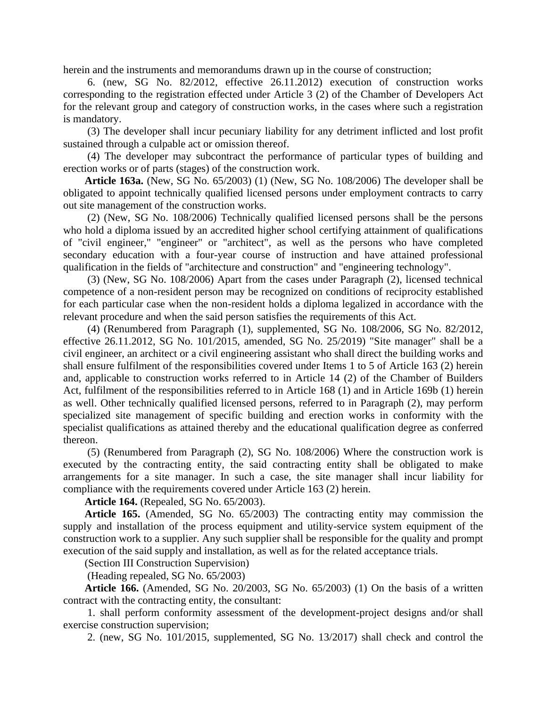herein and the instruments and memorandums drawn up in the course of construction;

6. (new, SG No. 82/2012, effective 26.11.2012) execution of construction works corresponding to the registration effected under Article 3 (2) of the Chamber of Developers Act for the relevant group and category of construction works, in the cases where such a registration is mandatory.

(3) The developer shall incur pecuniary liability for any detriment inflicted and lost profit sustained through a culpable act or omission thereof.

(4) The developer may subcontract the performance of particular types of building and erection works or of parts (stages) of the construction work.

**Article 163a.** (New, SG No. 65/2003) (1) (New, SG No. 108/2006) The developer shall be obligated to appoint technically qualified licensed persons under employment contracts to carry out site management of the construction works.

(2) (New, SG No. 108/2006) Technically qualified licensed persons shall be the persons who hold a diploma issued by an accredited higher school certifying attainment of qualifications of "civil engineer," "engineer" or "architect", as well as the persons who have completed secondary education with a four-year course of instruction and have attained professional qualification in the fields of "architecture and construction" and "engineering technology".

(3) (New, SG No. 108/2006) Apart from the cases under Paragraph (2), licensed technical competence of a non-resident person may be recognized on conditions of reciprocity established for each particular case when the non-resident holds a diploma legalized in accordance with the relevant procedure and when the said person satisfies the requirements of this Act.

(4) (Renumbered from Paragraph (1), supplemented, SG No. 108/2006, SG No. 82/2012, effective 26.11.2012, SG No. 101/2015, amended, SG No. 25/2019) "Site manager" shall be a civil engineer, an architect or a civil engineering assistant who shall direct the building works and shall ensure fulfilment of the responsibilities covered under Items 1 to 5 of Article 163 (2) herein and, applicable to construction works referred to in Article 14 (2) of the Chamber of Builders Act, fulfilment of the responsibilities referred to in Article 168 (1) and in Article 169b (1) herein as well. Other technically qualified licensed persons, referred to in Paragraph (2), may perform specialized site management of specific building and erection works in conformity with the specialist qualifications as attained thereby and the educational qualification degree as conferred thereon.

(5) (Renumbered from Paragraph (2), SG No. 108/2006) Where the construction work is executed by the contracting entity, the said contracting entity shall be obligated to make arrangements for a site manager. In such a case, the site manager shall incur liability for compliance with the requirements covered under Article 163 (2) herein.

**Article 164.** (Repealed, SG No. 65/2003).

**Article 165.** (Amended, SG No. 65/2003) The contracting entity may commission the supply and installation of the process equipment and utility-service system equipment of the construction work to a supplier. Any such supplier shall be responsible for the quality and prompt execution of the said supply and installation, as well as for the related acceptance trials.

(Section III Construction Supervision)

(Heading repealed, SG No. 65/2003)

**Article 166.** (Amended, SG No. 20/2003, SG No. 65/2003) (1) On the basis of a written contract with the contracting entity, the consultant:

1. shall perform conformity assessment of the development-project designs and/or shall exercise construction supervision;

2. (new, SG No. 101/2015, supplemented, SG No. 13/2017) shall check and control the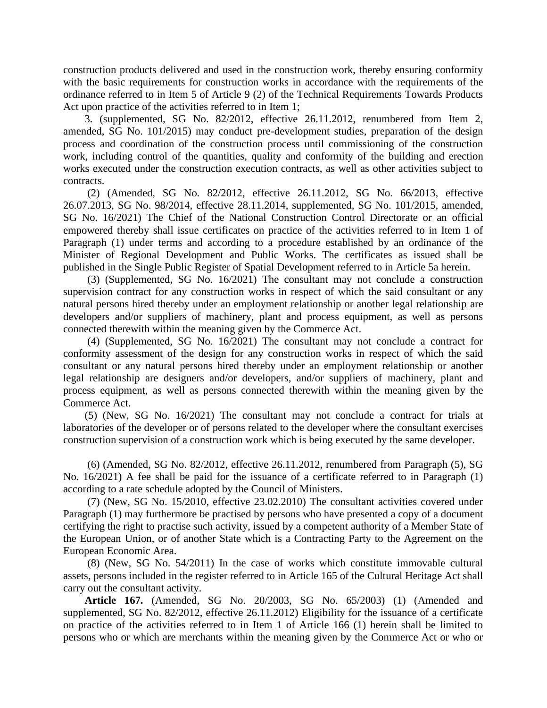construction products delivered and used in the construction work, thereby ensuring conformity with the basic requirements for construction works in accordance with the requirements of the ordinance referred to in Item 5 of Article 9 (2) of the Technical Requirements Towards Products Act upon practice of the activities referred to in Item 1;

3. (supplemented, SG No. 82/2012, effective 26.11.2012, renumbered from Item 2, amended, SG No. 101/2015) may conduct pre-development studies, preparation of the design process and coordination of the construction process until commissioning of the construction work, including control of the quantities, quality and conformity of the building and erection works executed under the construction execution contracts, as well as other activities subject to contracts.

(2) (Amended, SG No. 82/2012, effective 26.11.2012, SG No. 66/2013, effective 26.07.2013, SG No. 98/2014, effective 28.11.2014, supplemented, SG No. 101/2015, amended, SG No. 16/2021) The Chief of the National Construction Control Directorate or an official empowered thereby shall issue certificates on practice of the activities referred to in Item 1 of Paragraph (1) under terms and according to a procedure established by an ordinance of the Minister of Regional Development and Public Works. The certificates as issued shall be published in the Single Public Register of Spatial Development referred to in Article 5a herein.

(3) (Supplemented, SG No. 16/2021) The consultant may not conclude a construction supervision contract for any construction works in respect of which the said consultant or any natural persons hired thereby under an employment relationship or another legal relationship are developers and/or suppliers of machinery, plant and process equipment, as well as persons connected therewith within the meaning given by the Commerce Act.

(4) (Supplemented, SG No. 16/2021) The consultant may not conclude a contract for conformity assessment of the design for any construction works in respect of which the said consultant or any natural persons hired thereby under an employment relationship or another legal relationship are designers and/or developers, and/or suppliers of machinery, plant and process equipment, as well as persons connected therewith within the meaning given by the Commerce Act.

(5) (New, SG No. 16/2021) The consultant may not conclude a contract for trials at laboratories of the developer or of persons related to the developer where the consultant exercises construction supervision of a construction work which is being executed by the same developer.

(6) (Amended, SG No. 82/2012, effective 26.11.2012, renumbered from Paragraph (5), SG No. 16/2021) A fee shall be paid for the issuance of a certificate referred to in Paragraph (1) according to a rate schedule adopted by the Council of Ministers.

(7) (New, SG No. 15/2010, effective 23.02.2010) The consultant activities covered under Paragraph (1) may furthermore be practised by persons who have presented a copy of a document certifying the right to practise such activity, issued by a competent authority of a Member State of the European Union, or of another State which is a Contracting Party to the Agreement on the European Economic Area.

(8) (New, SG No. 54/2011) In the case of works which constitute immovable cultural assets, persons included in the register referred to in Article 165 of the Cultural Heritage Act shall carry out the consultant activity.

**Article 167.** (Amended, SG No. 20/2003, SG No. 65/2003) (1) (Amended and supplemented, SG No. 82/2012, effective 26.11.2012) Eligibility for the issuance of a certificate on practice of the activities referred to in Item 1 of Article 166 (1) herein shall be limited to persons who or which are merchants within the meaning given by the Commerce Act or who or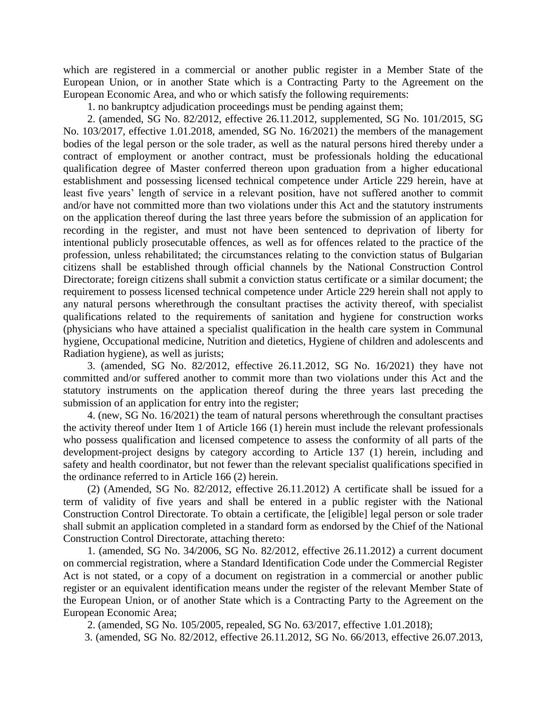which are registered in a commercial or another public register in a Member State of the European Union, or in another State which is a Contracting Party to the Agreement on the European Economic Area, and who or which satisfy the following requirements:

1. no bankruptcy adjudication proceedings must be pending against them;

2. (amended, SG No. 82/2012, effective 26.11.2012, supplemented, SG No. 101/2015, SG No. 103/2017, effective 1.01.2018, amended, SG No. 16/2021) the members of the management bodies of the legal person or the sole trader, as well as the natural persons hired thereby under a contract of employment or another contract, must be professionals holding the educational qualification degree of Master conferred thereon upon graduation from a higher educational establishment and possessing licensed technical competence under Article 229 herein, have at least five years' length of service in a relevant position, have not suffered another to commit and/or have not committed more than two violations under this Act and the statutory instruments on the application thereof during the last three years before the submission of an application for recording in the register, and must not have been sentenced to deprivation of liberty for intentional publicly prosecutable offences, as well as for offences related to the practice of the profession, unless rehabilitated; the circumstances relating to the conviction status of Bulgarian citizens shall be established through official channels by the National Construction Control Directorate; foreign citizens shall submit a conviction status certificate or a similar document; the requirement to possess licensed technical competence under Article 229 herein shall not apply to any natural persons wherethrough the consultant practises the activity thereof, with specialist qualifications related to the requirements of sanitation and hygiene for construction works (physicians who have attained a specialist qualification in the health care system in Communal hygiene, Occupational medicine, Nutrition and dietetics, Hygiene of children and adolescents and Radiation hygiene), as well as jurists;

3. (amended, SG No. 82/2012, effective 26.11.2012, SG No. 16/2021) they have not committed and/or suffered another to commit more than two violations under this Act and the statutory instruments on the application thereof during the three years last preceding the submission of an application for entry into the register;

4. (new, SG No. 16/2021) the team of natural persons wherethrough the consultant practises the activity thereof under Item 1 of Article 166 (1) herein must include the relevant professionals who possess qualification and licensed competence to assess the conformity of all parts of the development-project designs by category according to Article 137 (1) herein, including and safety and health coordinator, but not fewer than the relevant specialist qualifications specified in the ordinance referred to in Article 166 (2) herein.

(2) (Amended, SG No. 82/2012, effective 26.11.2012) A certificate shall be issued for a term of validity of five years and shall be entered in a public register with the National Construction Control Directorate. To obtain a certificate, the [eligible] legal person or sole trader shall submit an application completed in a standard form as endorsed by the Chief of the National Construction Control Directorate, attaching thereto:

1. (amended, SG No. 34/2006, SG No. 82/2012, effective 26.11.2012) a current document on commercial registration, where a Standard Identification Code under the Commercial Register Act is not stated, or a copy of a document on registration in a commercial or another public register or an equivalent identification means under the register of the relevant Member State of the European Union, or of another State which is a Contracting Party to the Agreement on the European Economic Area;

2. (amended, SG No. 105/2005, repealed, SG No. 63/2017, effective 1.01.2018);

3. (amended, SG No. 82/2012, effective 26.11.2012, SG No. 66/2013, effective 26.07.2013,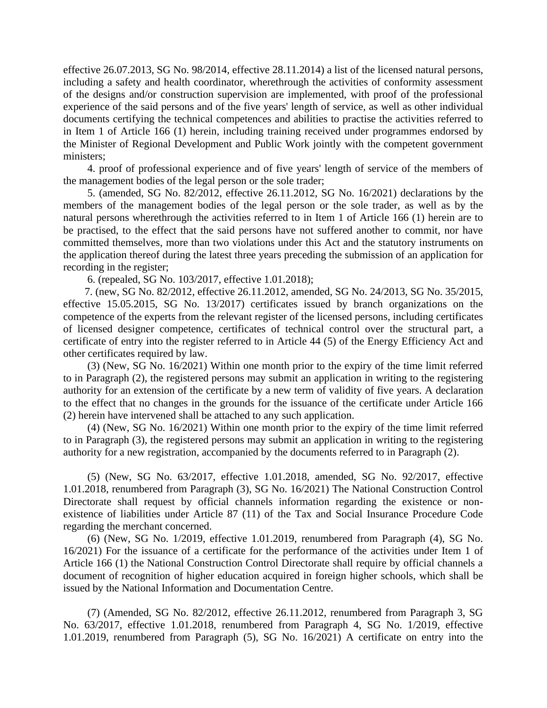effective 26.07.2013, SG No. 98/2014, effective 28.11.2014) a list of the licensed natural persons, including a safety and health coordinator, wherethrough the activities of conformity assessment of the designs and/or construction supervision are implemented, with proof of the professional experience of the said persons and of the five years' length of service, as well as other individual documents certifying the technical competences and abilities to practise the activities referred to in Item 1 of Article 166 (1) herein, including training received under programmes endorsed by the Minister of Regional Development and Public Work jointly with the competent government ministers;

4. proof of professional experience and of five years' length of service of the members of the management bodies of the legal person or the sole trader;

5. (amended, SG No. 82/2012, effective 26.11.2012, SG No. 16/2021) declarations by the members of the management bodies of the legal person or the sole trader, as well as by the natural persons wherethrough the activities referred to in Item 1 of Article 166 (1) herein are to be practised, to the effect that the said persons have not suffered another to commit, nor have committed themselves, more than two violations under this Act and the statutory instruments on the application thereof during the latest three years preceding the submission of an application for recording in the register;

6. (repealed, SG No. 103/2017, effective 1.01.2018);

7. (new, SG No. 82/2012, effective 26.11.2012, amended, SG No. 24/2013, SG No. 35/2015, effective 15.05.2015, SG No. 13/2017) certificates issued by branch organizations on the competence of the experts from the relevant register of the licensed persons, including certificates of licensed designer competence, certificates of technical control over the structural part, a certificate of entry into the register referred to in Article 44 (5) of the Energy Efficiency Act and other certificates required by law.

(3) (New, SG No. 16/2021) Within one month prior to the expiry of the time limit referred to in Paragraph (2), the registered persons may submit an application in writing to the registering authority for an extension of the certificate by a new term of validity of five years. A declaration to the effect that no changes in the grounds for the issuance of the certificate under Article 166 (2) herein have intervened shall be attached to any such application.

(4) (New, SG No. 16/2021) Within one month prior to the expiry of the time limit referred to in Paragraph (3), the registered persons may submit an application in writing to the registering authority for a new registration, accompanied by the documents referred to in Paragraph (2).

(5) (New, SG No. 63/2017, effective 1.01.2018, amended, SG No. 92/2017, effective 1.01.2018, renumbered from Paragraph (3), SG No. 16/2021) The National Construction Control Directorate shall request by official channels information regarding the existence or nonexistence of liabilities under Article 87 (11) of the Tax and Social Insurance Procedure Code regarding the merchant concerned.

(6) (New, SG No. 1/2019, effective 1.01.2019, renumbered from Paragraph (4), SG No. 16/2021) For the issuance of a certificate for the performance of the activities under Item 1 of Article 166 (1) the National Construction Control Directorate shall require by official channels a document of recognition of higher education acquired in foreign higher schools, which shall be issued by the National Information and Documentation Centre.

(7) (Amended, SG No. 82/2012, effective 26.11.2012, renumbered from Paragraph 3, SG No. 63/2017, effective 1.01.2018, renumbered from Paragraph 4, SG No. 1/2019, effective 1.01.2019, renumbered from Paragraph (5), SG No. 16/2021) A certificate on entry into the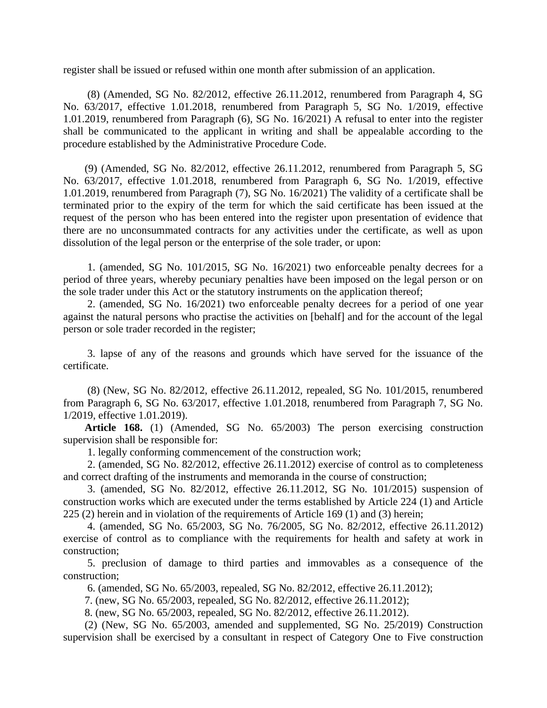register shall be issued or refused within one month after submission of an application.

(8) (Amended, SG No. 82/2012, effective 26.11.2012, renumbered from Paragraph 4, SG No. 63/2017, effective 1.01.2018, renumbered from Paragraph 5, SG No. 1/2019, effective 1.01.2019, renumbered from Paragraph (6), SG No. 16/2021) A refusal to enter into the register shall be communicated to the applicant in writing and shall be appealable according to the procedure established by the Administrative Procedure Code.

(9) (Amended, SG No. 82/2012, effective 26.11.2012, renumbered from Paragraph 5, SG No. 63/2017, effective 1.01.2018, renumbered from Paragraph 6, SG No. 1/2019, effective 1.01.2019, renumbered from Paragraph (7), SG No. 16/2021) The validity of a certificate shall be terminated prior to the expiry of the term for which the said certificate has been issued at the request of the person who has been entered into the register upon presentation of evidence that there are no unconsummated contracts for any activities under the certificate, as well as upon dissolution of the legal person or the enterprise of the sole trader, or upon:

1. (amended, SG No. 101/2015, SG No. 16/2021) two enforceable penalty decrees for a period of three years, whereby pecuniary penalties have been imposed on the legal person or on the sole trader under this Act or the statutory instruments on the application thereof;

2. (amended, SG No. 16/2021) two enforceable penalty decrees for a period of one year against the natural persons who practise the activities on [behalf] and for the account of the legal person or sole trader recorded in the register;

3. lapse of any of the reasons and grounds which have served for the issuance of the certificate.

(8) (New, SG No. 82/2012, effective 26.11.2012, repealed, SG No. 101/2015, renumbered from Paragraph 6, SG No. 63/2017, effective 1.01.2018, renumbered from Paragraph 7, SG No. 1/2019, effective 1.01.2019).

**Article 168.** (1) (Amended, SG No. 65/2003) The person exercising construction supervision shall be responsible for:

1. legally conforming commencement of the construction work;

2. (amended, SG No. 82/2012, effective 26.11.2012) exercise of control as to completeness and correct drafting of the instruments and memoranda in the course of construction;

3. (amended, SG No. 82/2012, effective 26.11.2012, SG No. 101/2015) suspension of construction works which are executed under the terms established by Article 224 (1) and Article 225 (2) herein and in violation of the requirements of Article 169 (1) and (3) herein;

4. (amended, SG No. 65/2003, SG No. 76/2005, SG No. 82/2012, effective 26.11.2012) exercise of control as to compliance with the requirements for health and safety at work in construction;

5. preclusion of damage to third parties and immovables as a consequence of the construction;

6. (amended, SG No. 65/2003, repealed, SG No. 82/2012, effective 26.11.2012);

7. (new, SG No. 65/2003, repealed, SG No. 82/2012, effective 26.11.2012);

8. (new, SG No. 65/2003, repealed, SG No. 82/2012, effective 26.11.2012).

(2) (New, SG No. 65/2003, amended and supplemented, SG No. 25/2019) Construction supervision shall be exercised by a consultant in respect of Category One to Five construction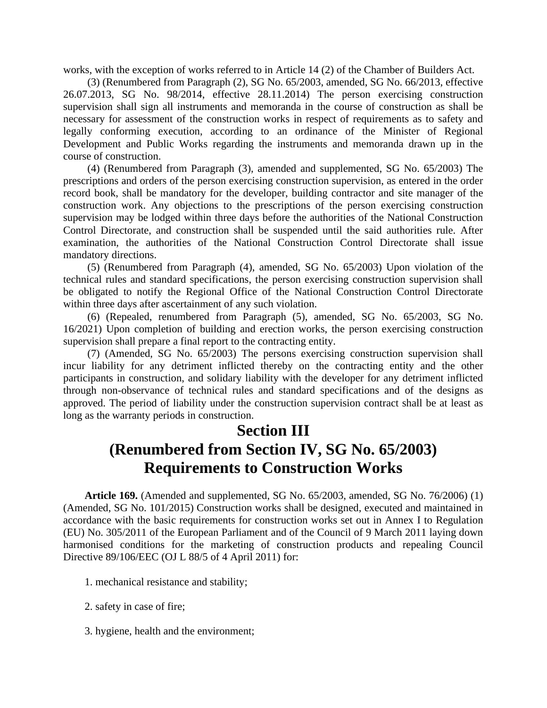works, with the exception of works referred to in Article 14 (2) of the Chamber of Builders Act.

(3) (Renumbered from Paragraph (2), SG No. 65/2003, amended, SG No. 66/2013, effective 26.07.2013, SG No. 98/2014, effective 28.11.2014) The person exercising construction supervision shall sign all instruments and memoranda in the course of construction as shall be necessary for assessment of the construction works in respect of requirements as to safety and legally conforming execution, according to an ordinance of the Minister of Regional Development and Public Works regarding the instruments and memoranda drawn up in the course of construction.

(4) (Renumbered from Paragraph (3), amended and supplemented, SG No. 65/2003) The prescriptions and orders of the person exercising construction supervision, as entered in the order record book, shall be mandatory for the developer, building contractor and site manager of the construction work. Any objections to the prescriptions of the person exercising construction supervision may be lodged within three days before the authorities of the National Construction Control Directorate, and construction shall be suspended until the said authorities rule. After examination, the authorities of the National Construction Control Directorate shall issue mandatory directions.

(5) (Renumbered from Paragraph (4), amended, SG No. 65/2003) Upon violation of the technical rules and standard specifications, the person exercising construction supervision shall be obligated to notify the Regional Office of the National Construction Control Directorate within three days after ascertainment of any such violation.

(6) (Repealed, renumbered from Paragraph (5), amended, SG No. 65/2003, SG No. 16/2021) Upon completion of building and erection works, the person exercising construction supervision shall prepare a final report to the contracting entity.

(7) (Amended, SG No. 65/2003) The persons exercising construction supervision shall incur liability for any detriment inflicted thereby on the contracting entity and the other participants in construction, and solidary liability with the developer for any detriment inflicted through non-observance of technical rules and standard specifications and of the designs as approved. The period of liability under the construction supervision contract shall be at least as long as the warranty periods in construction.

#### **Section III**

# **(Renumbered from Section IV, SG No. 65/2003) Requirements to Construction Works**

**Article 169.** (Amended and supplemented, SG No. 65/2003, amended, SG No. 76/2006) (1) (Amended, SG No. 101/2015) Construction works shall be designed, executed and maintained in accordance with the basic requirements for construction works set out in Annex I to Regulation (EU) No. 305/2011 of the European Parliament and of the Council of 9 March 2011 laying down harmonised conditions for the marketing of construction products and repealing Council Directive 89/106/EEC (OJ L 88/5 of 4 April 2011) for:

- 1. mechanical resistance and stability;
- 2. safety in case of fire;
- 3. hygiene, health and the environment;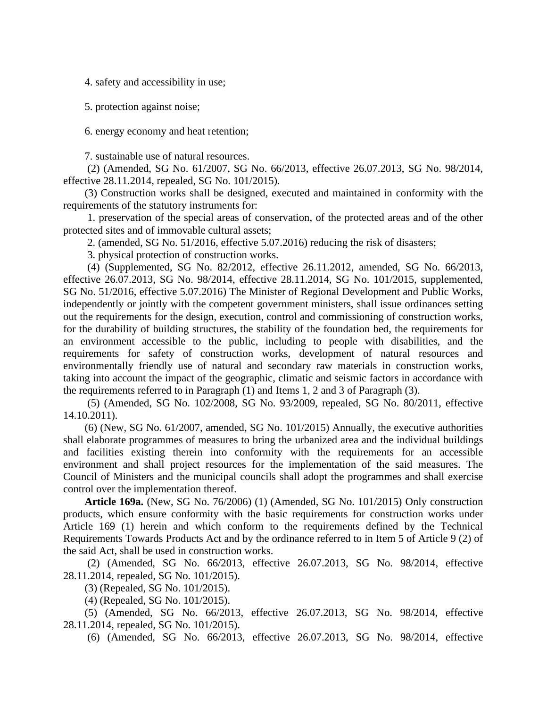4. safety and accessibility in use;

5. protection against noise;

6. energy economy and heat retention;

7. sustainable use of natural resources.

(2) (Amended, SG No. 61/2007, SG No. 66/2013, effective 26.07.2013, SG No. 98/2014, effective 28.11.2014, repealed, SG No. 101/2015).

(3) Construction works shall be designed, executed and maintained in conformity with the requirements of the statutory instruments for:

1. preservation of the special areas of conservation, of the protected areas and of the other protected sites and of immovable cultural assets;

2. (amended, SG No. 51/2016, effective 5.07.2016) reducing the risk of disasters;

3. physical protection of construction works.

(4) (Supplemented, SG No. 82/2012, effective 26.11.2012, amended, SG No. 66/2013, effective 26.07.2013, SG No. 98/2014, effective 28.11.2014, SG No. 101/2015, supplemented, SG No. 51/2016, effective 5.07.2016) The Minister of Regional Development and Public Works, independently or jointly with the competent government ministers, shall issue ordinances setting out the requirements for the design, execution, control and commissioning of construction works, for the durability of building structures, the stability of the foundation bed, the requirements for an environment accessible to the public, including to people with disabilities, and the requirements for safety of construction works, development of natural resources and environmentally friendly use of natural and secondary raw materials in construction works, taking into account the impact of the geographic, climatic and seismic factors in accordance with the requirements referred to in Paragraph (1) and Items 1, 2 and 3 of Paragraph (3).

(5) (Amended, SG No. 102/2008, SG No. 93/2009, repealed, SG No. 80/2011, effective 14.10.2011).

(6) (New, SG No. 61/2007, amended, SG No. 101/2015) Annually, the executive authorities shall elaborate programmes of measures to bring the urbanized area and the individual buildings and facilities existing therein into conformity with the requirements for an accessible environment and shall project resources for the implementation of the said measures. The Council of Ministers and the municipal councils shall adopt the programmes and shall exercise control over the implementation thereof.

**Article 169a.** (New, SG No. 76/2006) (1) (Amended, SG No. 101/2015) Only construction products, which ensure conformity with the basic requirements for construction works under Article 169 (1) herein and which conform to the requirements defined by the Technical Requirements Towards Products Act and by the ordinance referred to in Item 5 of Article 9 (2) of the said Act, shall be used in construction works.

(2) (Amended, SG No. 66/2013, effective 26.07.2013, SG No. 98/2014, effective 28.11.2014, repealed, SG No. 101/2015).

(3) (Repealed, SG No. 101/2015).

(4) (Repealed, SG No. 101/2015).

(5) (Amended, SG No. 66/2013, effective 26.07.2013, SG No. 98/2014, effective 28.11.2014, repealed, SG No. 101/2015).

(6) (Amended, SG No. 66/2013, effective 26.07.2013, SG No. 98/2014, effective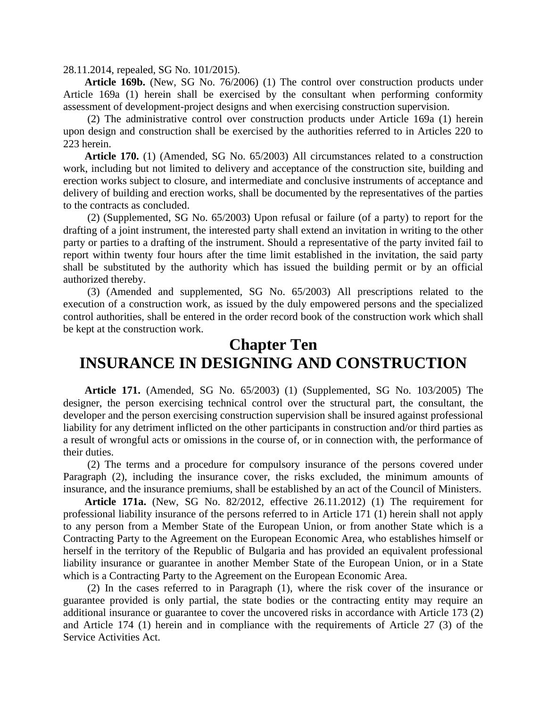28.11.2014, repealed, SG No. 101/2015).

**Article 169b.** (New, SG No. 76/2006) (1) The control over construction products under Article 169a (1) herein shall be exercised by the consultant when performing conformity assessment of development-project designs and when exercising construction supervision.

(2) The administrative control over construction products under Article 169a (1) herein upon design and construction shall be exercised by the authorities referred to in Articles 220 to 223 herein.

**Article 170.** (1) (Amended, SG No. 65/2003) All circumstances related to a construction work, including but not limited to delivery and acceptance of the construction site, building and erection works subject to closure, and intermediate and conclusive instruments of acceptance and delivery of building and erection works, shall be documented by the representatives of the parties to the contracts as concluded.

(2) (Supplemented, SG No. 65/2003) Upon refusal or failure (of a party) to report for the drafting of a joint instrument, the interested party shall extend an invitation in writing to the other party or parties to a drafting of the instrument. Should a representative of the party invited fail to report within twenty four hours after the time limit established in the invitation, the said party shall be substituted by the authority which has issued the building permit or by an official authorized thereby.

(3) (Amended and supplemented, SG No. 65/2003) All prescriptions related to the execution of a construction work, as issued by the duly empowered persons and the specialized control authorities, shall be entered in the order record book of the construction work which shall be kept at the construction work.

### **Chapter Ten INSURANCE IN DESIGNING AND CONSTRUCTION**

**Article 171.** (Amended, SG No. 65/2003) (1) (Supplemented, SG No. 103/2005) The designer, the person exercising technical control over the structural part, the consultant, the developer and the person exercising construction supervision shall be insured against professional liability for any detriment inflicted on the other participants in construction and/or third parties as a result of wrongful acts or omissions in the course of, or in connection with, the performance of their duties.

(2) The terms and a procedure for compulsory insurance of the persons covered under Paragraph (2), including the insurance cover, the risks excluded, the minimum amounts of insurance, and the insurance premiums, shall be established by an act of the Council of Ministers.

**Article 171a.** (New, SG No. 82/2012, effective 26.11.2012) (1) The requirement for professional liability insurance of the persons referred to in Article 171 (1) herein shall not apply to any person from a Member State of the European Union, or from another State which is a Contracting Party to the Agreement on the European Economic Area, who establishes himself or herself in the territory of the Republic of Bulgaria and has provided an equivalent professional liability insurance or guarantee in another Member State of the European Union, or in a State which is a Contracting Party to the Agreement on the European Economic Area.

(2) In the cases referred to in Paragraph (1), where the risk cover of the insurance or guarantee provided is only partial, the state bodies or the contracting entity may require an additional insurance or guarantee to cover the uncovered risks in accordance with Article 173 (2) and Article 174 (1) herein and in compliance with the requirements of Article 27 (3) of the Service Activities Act.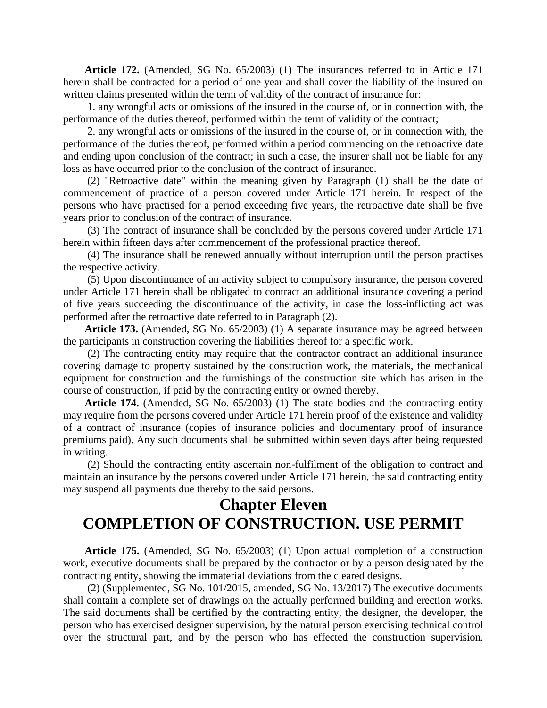**Article 172.** (Amended, SG No. 65/2003) (1) The insurances referred to in Article 171 herein shall be contracted for a period of one year and shall cover the liability of the insured on written claims presented within the term of validity of the contract of insurance for:

1. any wrongful acts or omissions of the insured in the course of, or in connection with, the performance of the duties thereof, performed within the term of validity of the contract;

2. any wrongful acts or omissions of the insured in the course of, or in connection with, the performance of the duties thereof, performed within a period commencing on the retroactive date and ending upon conclusion of the contract; in such a case, the insurer shall not be liable for any loss as have occurred prior to the conclusion of the contract of insurance.

(2) "Retroactive date" within the meaning given by Paragraph (1) shall be the date of commencement of practice of a person covered under Article 171 herein. In respect of the persons who have practised for a period exceeding five years, the retroactive date shall be five years prior to conclusion of the contract of insurance.

(3) The contract of insurance shall be concluded by the persons covered under Article 171 herein within fifteen days after commencement of the professional practice thereof.

(4) The insurance shall be renewed annually without interruption until the person practises the respective activity.

(5) Upon discontinuance of an activity subject to compulsory insurance, the person covered under Article 171 herein shall be obligated to contract an additional insurance covering a period of five years succeeding the discontinuance of the activity, in case the loss-inflicting act was performed after the retroactive date referred to in Paragraph (2).

**Article 173.** (Amended, SG No. 65/2003) (1) A separate insurance may be agreed between the participants in construction covering the liabilities thereof for a specific work.

(2) The contracting entity may require that the contractor contract an additional insurance covering damage to property sustained by the construction work, the materials, the mechanical equipment for construction and the furnishings of the construction site which has arisen in the course of construction, if paid by the contracting entity or owned thereby.

**Article 174.** (Amended, SG No. 65/2003) (1) The state bodies and the contracting entity may require from the persons covered under Article 171 herein proof of the existence and validity of a contract of insurance (copies of insurance policies and documentary proof of insurance premiums paid). Any such documents shall be submitted within seven days after being requested in writing.

(2) Should the contracting entity ascertain non-fulfilment of the obligation to contract and maintain an insurance by the persons covered under Article 171 herein, the said contracting entity may suspend all payments due thereby to the said persons.

## **Chapter Eleven COMPLETION OF CONSTRUCTION. USE PERMIT**

**Article 175.** (Amended, SG No. 65/2003) (1) Upon actual completion of a construction work, executive documents shall be prepared by the contractor or by a person designated by the contracting entity, showing the immaterial deviations from the cleared designs.

(2) (Supplemented, SG No. 101/2015, amended, SG No. 13/2017) The executive documents shall contain a complete set of drawings on the actually performed building and erection works. The said documents shall be certified by the contracting entity, the designer, the developer, the person who has exercised designer supervision, by the natural person exercising technical control over the structural part, and by the person who has effected the construction supervision.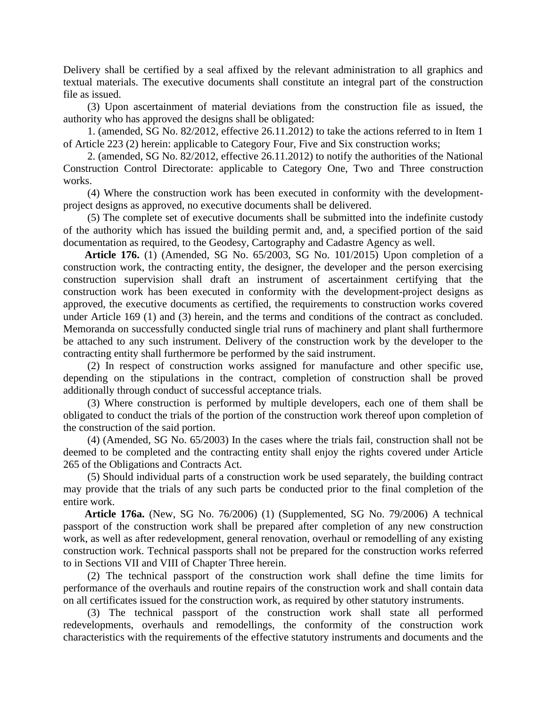Delivery shall be certified by a seal affixed by the relevant administration to all graphics and textual materials. The executive documents shall constitute an integral part of the construction file as issued.

(3) Upon ascertainment of material deviations from the construction file as issued, the authority who has approved the designs shall be obligated:

1. (amended, SG No. 82/2012, effective 26.11.2012) to take the actions referred to in Item 1 of Article 223 (2) herein: applicable to Category Four, Five and Six construction works;

2. (amended, SG No. 82/2012, effective 26.11.2012) to notify the authorities of the National Construction Control Directorate: applicable to Category One, Two and Three construction works.

(4) Where the construction work has been executed in conformity with the developmentproject designs as approved, no executive documents shall be delivered.

(5) The complete set of executive documents shall be submitted into the indefinite custody of the authority which has issued the building permit and, and, a specified portion of the said documentation as required, to the Geodesy, Cartography and Cadastre Agency as well.

**Article 176.** (1) (Amended, SG No. 65/2003, SG No. 101/2015) Upon completion of a construction work, the contracting entity, the designer, the developer and the person exercising construction supervision shall draft an instrument of ascertainment certifying that the construction work has been executed in conformity with the development-project designs as approved, the executive documents as certified, the requirements to construction works covered under Article 169 (1) and (3) herein, and the terms and conditions of the contract as concluded. Memoranda on successfully conducted single trial runs of machinery and plant shall furthermore be attached to any such instrument. Delivery of the construction work by the developer to the contracting entity shall furthermore be performed by the said instrument.

(2) In respect of construction works assigned for manufacture and other specific use, depending on the stipulations in the contract, completion of construction shall be proved additionally through conduct of successful acceptance trials.

(3) Where construction is performed by multiple developers, each one of them shall be obligated to conduct the trials of the portion of the construction work thereof upon completion of the construction of the said portion.

(4) (Amended, SG No. 65/2003) In the cases where the trials fail, construction shall not be deemed to be completed and the contracting entity shall enjoy the rights covered under Article 265 of the Obligations and Contracts Act.

(5) Should individual parts of a construction work be used separately, the building contract may provide that the trials of any such parts be conducted prior to the final completion of the entire work.

**Article 176a.** (New, SG No. 76/2006) (1) (Supplemented, SG No. 79/2006) A technical passport of the construction work shall be prepared after completion of any new construction work, as well as after redevelopment, general renovation, overhaul or remodelling of any existing construction work. Technical passports shall not be prepared for the construction works referred to in Sections VII and VIII of Chapter Three herein.

(2) The technical passport of the construction work shall define the time limits for performance of the overhauls and routine repairs of the construction work and shall contain data on all certificates issued for the construction work, as required by other statutory instruments.

(3) The technical passport of the construction work shall state all performed redevelopments, overhauls and remodellings, the conformity of the construction work characteristics with the requirements of the effective statutory instruments and documents and the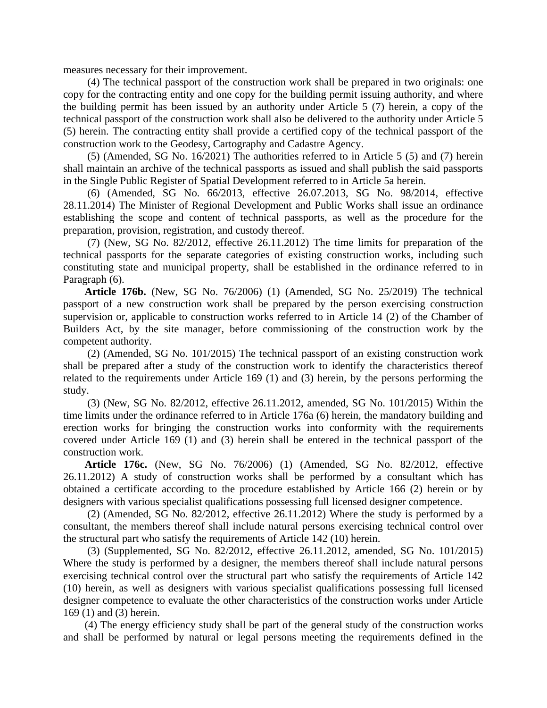measures necessary for their improvement.

(4) The technical passport of the construction work shall be prepared in two originals: one copy for the contracting entity and one copy for the building permit issuing authority, and where the building permit has been issued by an authority under Article 5 (7) herein, a copy of the technical passport of the construction work shall also be delivered to the authority under Article 5 (5) herein. The contracting entity shall provide a certified copy of the technical passport of the construction work to the Geodesy, Cartography and Cadastre Agency.

(5) (Amended, SG No. 16/2021) The authorities referred to in Article 5 (5) and (7) herein shall maintain an archive of the technical passports as issued and shall publish the said passports in the Single Public Register of Spatial Development referred to in Article 5a herein.

(6) (Amended, SG No. 66/2013, effective 26.07.2013, SG No. 98/2014, effective 28.11.2014) The Minister of Regional Development and Public Works shall issue an ordinance establishing the scope and content of technical passports, as well as the procedure for the preparation, provision, registration, and custody thereof.

(7) (New, SG No. 82/2012, effective 26.11.2012) The time limits for preparation of the technical passports for the separate categories of existing construction works, including such constituting state and municipal property, shall be established in the ordinance referred to in Paragraph (6).

**Article 176b.** (New, SG No. 76/2006) (1) (Amended, SG No. 25/2019) The technical passport of a new construction work shall be prepared by the person exercising construction supervision or, applicable to construction works referred to in Article 14 (2) of the Chamber of Builders Act, by the site manager, before commissioning of the construction work by the competent authority.

(2) (Amended, SG No. 101/2015) The technical passport of an existing construction work shall be prepared after a study of the construction work to identify the characteristics thereof related to the requirements under Article 169 (1) and (3) herein, by the persons performing the study.

(3) (New, SG No. 82/2012, effective 26.11.2012, amended, SG No. 101/2015) Within the time limits under the ordinance referred to in Article 176a (6) herein, the mandatory building and erection works for bringing the construction works into conformity with the requirements covered under Article 169 (1) and (3) herein shall be entered in the technical passport of the construction work.

**Article 176c.** (New, SG No. 76/2006) (1) (Amended, SG No. 82/2012, effective 26.11.2012) A study of construction works shall be performed by a consultant which has obtained a certificate according to the procedure established by Article 166 (2) herein or by designers with various specialist qualifications possessing full licensed designer competence.

(2) (Amended, SG No. 82/2012, effective 26.11.2012) Where the study is performed by a consultant, the members thereof shall include natural persons exercising technical control over the structural part who satisfy the requirements of Article 142 (10) herein.

(3) (Supplemented, SG No. 82/2012, effective 26.11.2012, amended, SG No. 101/2015) Where the study is performed by a designer, the members thereof shall include natural persons exercising technical control over the structural part who satisfy the requirements of Article 142 (10) herein, as well as designers with various specialist qualifications possessing full licensed designer competence to evaluate the other characteristics of the construction works under Article 169 (1) and (3) herein.

(4) The energy efficiency study shall be part of the general study of the construction works and shall be performed by natural or legal persons meeting the requirements defined in the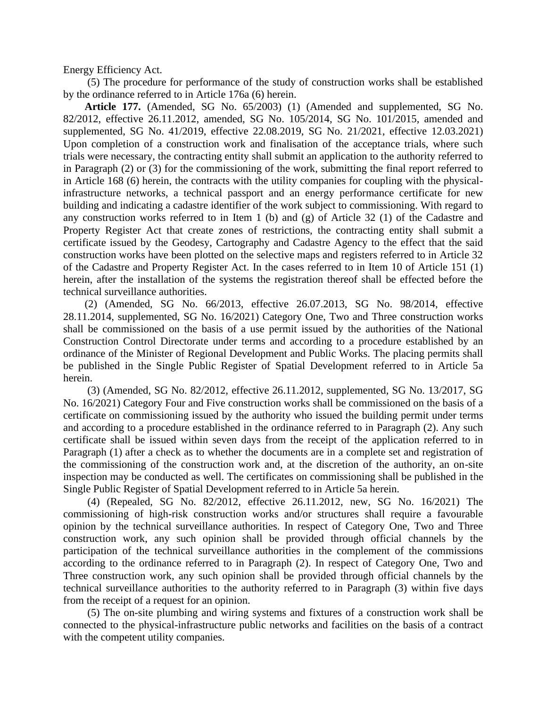Energy Efficiency Act.

(5) The procedure for performance of the study of construction works shall be established by the ordinance referred to in Article 176a (6) herein.

**Article 177.** (Amended, SG No. 65/2003) (1) (Amended and supplemented, SG No. 82/2012, effective 26.11.2012, amended, SG No. 105/2014, SG No. 101/2015, amended and supplemented, SG No. 41/2019, effective 22.08.2019, SG No. 21/2021, effective 12.03.2021) Upon completion of a construction work and finalisation of the acceptance trials, where such trials were necessary, the contracting entity shall submit an application to the authority referred to in Paragraph (2) or (3) for the commissioning of the work, submitting the final report referred to in Article 168 (6) herein, the contracts with the utility companies for coupling with the physicalinfrastructure networks, a technical passport and an energy performance certificate for new building and indicating a cadastre identifier of the work subject to commissioning. With regard to any construction works referred to in Item 1 (b) and (g) of Article 32 (1) of the Cadastre and Property Register Act that create zones of restrictions, the contracting entity shall submit a certificate issued by the Geodesy, Cartography and Cadastre Agency to the effect that the said construction works have been plotted on the selective maps and registers referred to in Article 32 of the Cadastre and Property Register Act. In the cases referred to in Item 10 of Article 151 (1) herein, after the installation of the systems the registration thereof shall be effected before the technical surveillance authorities.

(2) (Amended, SG No. 66/2013, effective 26.07.2013, SG No. 98/2014, effective 28.11.2014, supplemented, SG No. 16/2021) Category One, Two and Three construction works shall be commissioned on the basis of a use permit issued by the authorities of the National Construction Control Directorate under terms and according to a procedure established by an ordinance of the Minister of Regional Development and Public Works. The placing permits shall be published in the Single Public Register of Spatial Development referred to in Article 5a herein.

(3) (Amended, SG No. 82/2012, effective 26.11.2012, supplemented, SG No. 13/2017, SG No. 16/2021) Category Four and Five construction works shall be commissioned on the basis of a certificate on commissioning issued by the authority who issued the building permit under terms and according to a procedure established in the ordinance referred to in Paragraph (2). Any such certificate shall be issued within seven days from the receipt of the application referred to in Paragraph (1) after a check as to whether the documents are in a complete set and registration of the commissioning of the construction work and, at the discretion of the authority, an on-site inspection may be conducted as well. The certificates on commissioning shall be published in the Single Public Register of Spatial Development referred to in Article 5a herein.

(4) (Repealed, SG No. 82/2012, effective 26.11.2012, new, SG No. 16/2021) The commissioning of high-risk construction works and/or structures shall require a favourable opinion by the technical surveillance authorities. In respect of Category One, Two and Three construction work, any such opinion shall be provided through official channels by the participation of the technical surveillance authorities in the complement of the commissions according to the ordinance referred to in Paragraph (2). In respect of Category One, Two and Three construction work, any such opinion shall be provided through official channels by the technical surveillance authorities to the authority referred to in Paragraph (3) within five days from the receipt of a request for an opinion.

(5) The on-site plumbing and wiring systems and fixtures of a construction work shall be connected to the physical-infrastructure public networks and facilities on the basis of a contract with the competent utility companies.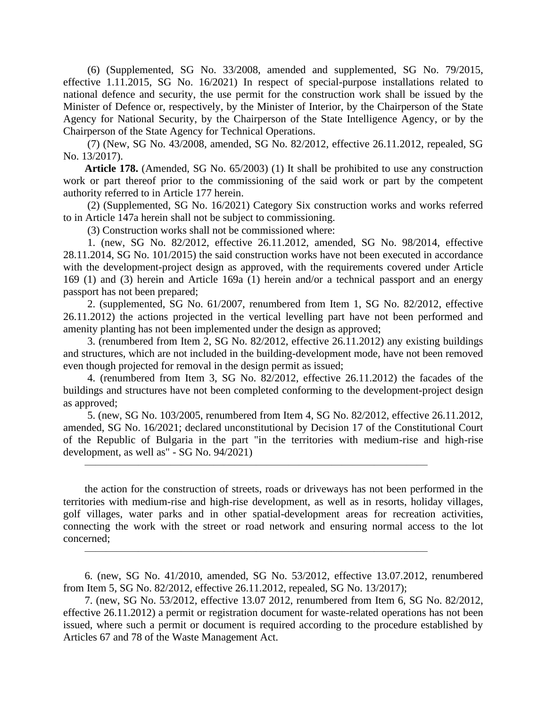(6) (Supplemented, SG No. 33/2008, amended and supplemented, SG No. 79/2015, effective 1.11.2015, SG No. 16/2021) In respect of special-purpose installations related to national defence and security, the use permit for the construction work shall be issued by the Minister of Defence or, respectively, by the Minister of Interior, by the Chairperson of the State Agency for National Security, by the Chairperson of the State Intelligence Agency, or by the Chairperson of the State Agency for Technical Operations.

(7) (New, SG No. 43/2008, amended, SG No. 82/2012, effective 26.11.2012, repealed, SG No. 13/2017).

**Article 178.** (Amended, SG No. 65/2003) (1) It shall be prohibited to use any construction work or part thereof prior to the commissioning of the said work or part by the competent authority referred to in Article 177 herein.

(2) (Supplemented, SG No. 16/2021) Category Six construction works and works referred to in Article 147a herein shall not be subject to commissioning.

(3) Construction works shall not be commissioned where:

1. (new, SG No. 82/2012, effective 26.11.2012, amended, SG No. 98/2014, effective 28.11.2014, SG No. 101/2015) the said construction works have not been executed in accordance with the development-project design as approved, with the requirements covered under Article 169 (1) and (3) herein and Article 169a (1) herein and/or a technical passport and an energy passport has not been prepared;

2. (supplemented, SG No. 61/2007, renumbered from Item 1, SG No. 82/2012, effective 26.11.2012) the actions projected in the vertical levelling part have not been performed and amenity planting has not been implemented under the design as approved;

3. (renumbered from Item 2, SG No. 82/2012, effective 26.11.2012) any existing buildings and structures, which are not included in the building-development mode, have not been removed even though projected for removal in the design permit as issued;

4. (renumbered from Item 3, SG No. 82/2012, effective 26.11.2012) the facades of the buildings and structures have not been completed conforming to the development-project design as approved;

5. (new, SG No. 103/2005, renumbered from Item 4, SG No. 82/2012, effective 26.11.2012, amended, SG No. 16/2021; declared unconstitutional by Decision 17 of the Constitutional Court of the Republic of Bulgaria in the part "in the territories with medium-rise and high-rise development, as well as" - SG No. 94/2021)

 $\overline{\phantom{a}}$  , and the contract of the contract of the contract of the contract of the contract of the contract of the contract of the contract of the contract of the contract of the contract of the contract of the contrac

 $\overline{\phantom{a}}$  , and the contract of the contract of the contract of the contract of the contract of the contract of the contract of the contract of the contract of the contract of the contract of the contract of the contrac

the action for the construction of streets, roads or driveways has not been performed in the territories with medium-rise and high-rise development, as well as in resorts, holiday villages, golf villages, water parks and in other spatial-development areas for recreation activities, connecting the work with the street or road network and ensuring normal access to the lot concerned;

6. (new, SG No. 41/2010, amended, SG No. 53/2012, effective 13.07.2012, renumbered from Item 5, SG No. 82/2012, effective 26.11.2012, repealed, SG No. 13/2017);

7. (new, SG No. 53/2012, effective 13.07 2012, renumbered from Item 6, SG No. 82/2012, effective 26.11.2012) a permit or registration document for waste-related operations has not been issued, where such a permit or document is required according to the procedure established by Articles 67 and 78 of the Waste Management Act.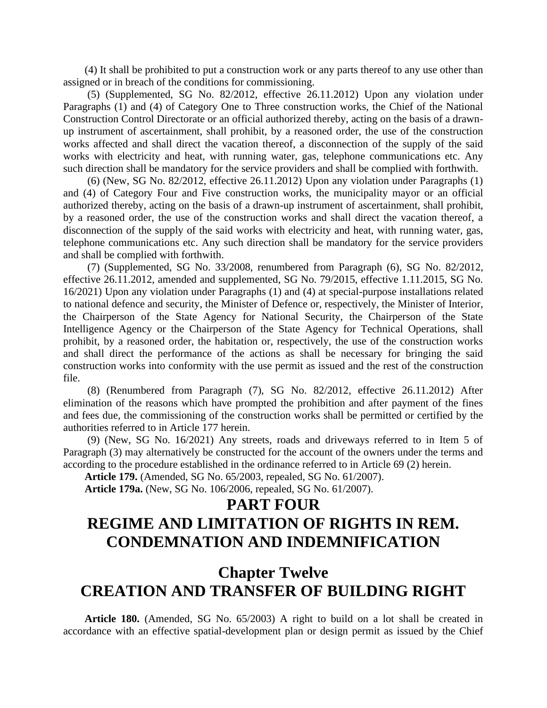(4) It shall be prohibited to put a construction work or any parts thereof to any use other than assigned or in breach of the conditions for commissioning.

(5) (Supplemented, SG No. 82/2012, effective 26.11.2012) Upon any violation under Paragraphs (1) and (4) of Category One to Three construction works, the Chief of the National Construction Control Directorate or an official authorized thereby, acting on the basis of a drawnup instrument of ascertainment, shall prohibit, by a reasoned order, the use of the construction works affected and shall direct the vacation thereof, a disconnection of the supply of the said works with electricity and heat, with running water, gas, telephone communications etc. Any such direction shall be mandatory for the service providers and shall be complied with forthwith.

(6) (New, SG No. 82/2012, effective 26.11.2012) Upon any violation under Paragraphs (1) and (4) of Category Four and Five construction works, the municipality mayor or an official authorized thereby, acting on the basis of a drawn-up instrument of ascertainment, shall prohibit, by a reasoned order, the use of the construction works and shall direct the vacation thereof, a disconnection of the supply of the said works with electricity and heat, with running water, gas, telephone communications etc. Any such direction shall be mandatory for the service providers and shall be complied with forthwith.

(7) (Supplemented, SG No. 33/2008, renumbered from Paragraph (6), SG No. 82/2012, effective 26.11.2012, amended and supplemented, SG No. 79/2015, effective 1.11.2015, SG No. 16/2021) Upon any violation under Paragraphs (1) and (4) at special-purpose installations related to national defence and security, the Minister of Defence or, respectively, the Minister of Interior, the Chairperson of the State Agency for National Security, the Chairperson of the State Intelligence Agency or the Chairperson of the State Agency for Technical Operations, shall prohibit, by a reasoned order, the habitation or, respectively, the use of the construction works and shall direct the performance of the actions as shall be necessary for bringing the said construction works into conformity with the use permit as issued and the rest of the construction file.

(8) (Renumbered from Paragraph (7), SG No. 82/2012, effective 26.11.2012) After elimination of the reasons which have prompted the prohibition and after payment of the fines and fees due, the commissioning of the construction works shall be permitted or certified by the authorities referred to in Article 177 herein.

(9) (New, SG No. 16/2021) Any streets, roads and driveways referred to in Item 5 of Paragraph (3) may alternatively be constructed for the account of the owners under the terms and according to the procedure established in the ordinance referred to in Article 69 (2) herein.

**Article 179.** (Amended, SG No. 65/2003, repealed, SG No. 61/2007).

**Article 179a.** (New, SG No. 106/2006, repealed, SG No. 61/2007).

### **PART FOUR**

# **REGIME AND LIMITATION OF RIGHTS IN REM. CONDEMNATION AND INDEMNIFICATION**

# **Chapter Twelve CREATION AND TRANSFER OF BUILDING RIGHT**

**Article 180.** (Amended, SG No. 65/2003) A right to build on a lot shall be created in accordance with an effective spatial-development plan or design permit as issued by the Chief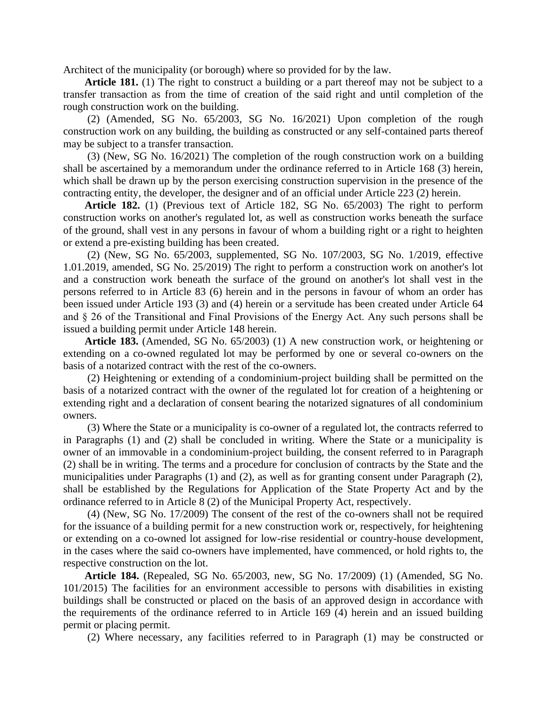Architect of the municipality (or borough) where so provided for by the law.

**Article 181.** (1) The right to construct a building or a part thereof may not be subject to a transfer transaction as from the time of creation of the said right and until completion of the rough construction work on the building.

(2) (Amended, SG No. 65/2003, SG No. 16/2021) Upon completion of the rough construction work on any building, the building as constructed or any self-contained parts thereof may be subject to a transfer transaction.

(3) (New, SG No. 16/2021) The completion of the rough construction work on a building shall be ascertained by a memorandum under the ordinance referred to in Article 168 (3) herein, which shall be drawn up by the person exercising construction supervision in the presence of the contracting entity, the developer, the designer and of an official under Article 223 (2) herein.

**Article 182.** (1) (Previous text of Article 182, SG No. 65/2003) The right to perform construction works on another's regulated lot, as well as construction works beneath the surface of the ground, shall vest in any persons in favour of whom a building right or a right to heighten or extend a pre-existing building has been created.

(2) (New, SG No. 65/2003, supplemented, SG No. 107/2003, SG No. 1/2019, effective 1.01.2019, amended, SG No. 25/2019) The right to perform a construction work on another's lot and a construction work beneath the surface of the ground on another's lot shall vest in the persons referred to in Article 83 (6) herein and in the persons in favour of whom an order has been issued under Article 193 (3) and (4) herein or a servitude has been created under Article 64 and § 26 of the Transitional and Final Provisions of the Energy Act. Any such persons shall be issued a building permit under Article 148 herein.

**Article 183.** (Amended, SG No. 65/2003) (1) A new construction work, or heightening or extending on a co-owned regulated lot may be performed by one or several co-owners on the basis of a notarized contract with the rest of the co-owners.

(2) Heightening or extending of a condominium-project building shall be permitted on the basis of a notarized contract with the owner of the regulated lot for creation of a heightening or extending right and a declaration of consent bearing the notarized signatures of all condominium owners.

(3) Where the State or a municipality is co-owner of a regulated lot, the contracts referred to in Paragraphs (1) and (2) shall be concluded in writing. Where the State or a municipality is owner of an immovable in a condominium-project building, the consent referred to in Paragraph (2) shall be in writing. The terms and a procedure for conclusion of contracts by the State and the municipalities under Paragraphs (1) and (2), as well as for granting consent under Paragraph (2), shall be established by the Regulations for Application of the State Property Act and by the ordinance referred to in Article 8 (2) of the Municipal Property Act, respectively.

(4) (New, SG No. 17/2009) The consent of the rest of the co-owners shall not be required for the issuance of a building permit for a new construction work or, respectively, for heightening or extending on a co-owned lot assigned for low-rise residential or country-house development, in the cases where the said co-owners have implemented, have commenced, or hold rights to, the respective construction on the lot.

**Article 184.** (Repealed, SG No. 65/2003, new, SG No. 17/2009) (1) (Amended, SG No. 101/2015) The facilities for an environment accessible to persons with disabilities in existing buildings shall be constructed or placed on the basis of an approved design in accordance with the requirements of the ordinance referred to in Article 169 (4) herein and an issued building permit or placing permit.

(2) Where necessary, any facilities referred to in Paragraph (1) may be constructed or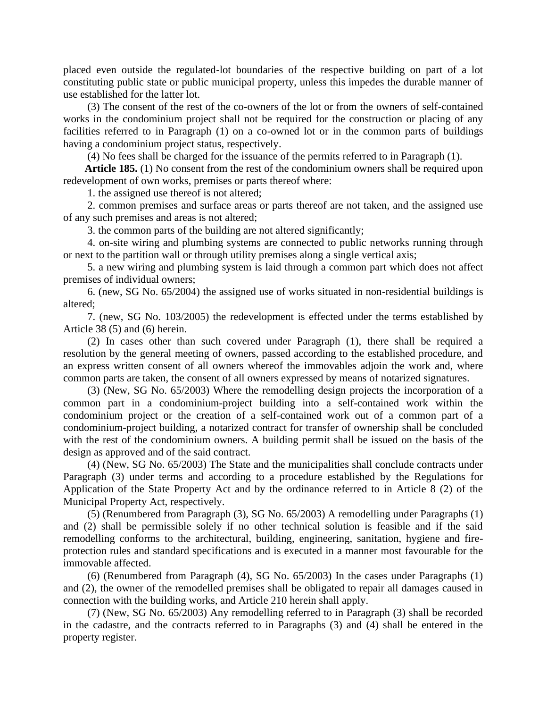placed even outside the regulated-lot boundaries of the respective building on part of a lot constituting public state or public municipal property, unless this impedes the durable manner of use established for the latter lot.

(3) The consent of the rest of the co-owners of the lot or from the owners of self-contained works in the condominium project shall not be required for the construction or placing of any facilities referred to in Paragraph (1) on a co-owned lot or in the common parts of buildings having a condominium project status, respectively.

(4) No fees shall be charged for the issuance of the permits referred to in Paragraph (1).

**Article 185.** (1) No consent from the rest of the condominium owners shall be required upon redevelopment of own works, premises or parts thereof where:

1. the assigned use thereof is not altered;

2. common premises and surface areas or parts thereof are not taken, and the assigned use of any such premises and areas is not altered;

3. the common parts of the building are not altered significantly;

4. on-site wiring and plumbing systems are connected to public networks running through or next to the partition wall or through utility premises along a single vertical axis;

5. a new wiring and plumbing system is laid through a common part which does not affect premises of individual owners;

6. (new, SG No. 65/2004) the assigned use of works situated in non-residential buildings is altered;

7. (new, SG No. 103/2005) the redevelopment is effected under the terms established by Article 38 (5) and (6) herein.

(2) In cases other than such covered under Paragraph (1), there shall be required a resolution by the general meeting of owners, passed according to the established procedure, and an express written consent of all owners whereof the immovables adjoin the work and, where common parts are taken, the consent of all owners expressed by means of notarized signatures.

(3) (New, SG No. 65/2003) Where the remodelling design projects the incorporation of a common part in a condominium-project building into a self-contained work within the condominium project or the creation of a self-contained work out of a common part of a condominium-project building, a notarized contract for transfer of ownership shall be concluded with the rest of the condominium owners. A building permit shall be issued on the basis of the design as approved and of the said contract.

(4) (New, SG No. 65/2003) The State and the municipalities shall conclude contracts under Paragraph (3) under terms and according to a procedure established by the Regulations for Application of the State Property Act and by the ordinance referred to in Article 8 (2) of the Municipal Property Act, respectively.

(5) (Renumbered from Paragraph (3), SG No. 65/2003) A remodelling under Paragraphs (1) and (2) shall be permissible solely if no other technical solution is feasible and if the said remodelling conforms to the architectural, building, engineering, sanitation, hygiene and fireprotection rules and standard specifications and is executed in a manner most favourable for the immovable affected.

(6) (Renumbered from Paragraph (4), SG No. 65/2003) In the cases under Paragraphs (1) and (2), the owner of the remodelled premises shall be obligated to repair all damages caused in connection with the building works, and Article 210 herein shall apply.

(7) (New, SG No. 65/2003) Any remodelling referred to in Paragraph (3) shall be recorded in the cadastre, and the contracts referred to in Paragraphs (3) and (4) shall be entered in the property register.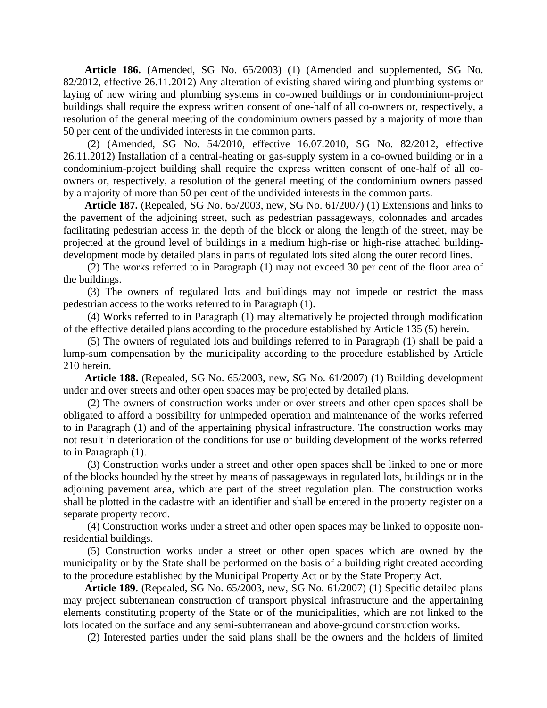**Article 186.** (Amended, SG No. 65/2003) (1) (Amended and supplemented, SG No. 82/2012, effective 26.11.2012) Any alteration of existing shared wiring and plumbing systems or laying of new wiring and plumbing systems in co-owned buildings or in condominium-project buildings shall require the express written consent of one-half of all co-owners or, respectively, a resolution of the general meeting of the condominium owners passed by a majority of more than 50 per cent of the undivided interests in the common parts.

(2) (Amended, SG No. 54/2010, effective 16.07.2010, SG No. 82/2012, effective 26.11.2012) Installation of a central-heating or gas-supply system in a co-owned building or in a condominium-project building shall require the express written consent of one-half of all coowners or, respectively, a resolution of the general meeting of the condominium owners passed by a majority of more than 50 per cent of the undivided interests in the common parts.

**Article 187.** (Repealed, SG No. 65/2003, new, SG No. 61/2007) (1) Extensions and links to the pavement of the adjoining street, such as pedestrian passageways, colonnades and arcades facilitating pedestrian access in the depth of the block or along the length of the street, may be projected at the ground level of buildings in a medium high-rise or high-rise attached buildingdevelopment mode by detailed plans in parts of regulated lots sited along the outer record lines.

(2) The works referred to in Paragraph (1) may not exceed 30 per cent of the floor area of the buildings.

(3) The owners of regulated lots and buildings may not impede or restrict the mass pedestrian access to the works referred to in Paragraph (1).

(4) Works referred to in Paragraph (1) may alternatively be projected through modification of the effective detailed plans according to the procedure established by Article 135 (5) herein.

(5) The owners of regulated lots and buildings referred to in Paragraph (1) shall be paid a lump-sum compensation by the municipality according to the procedure established by Article 210 herein.

**Article 188.** (Repealed, SG No. 65/2003, new, SG No. 61/2007) (1) Building development under and over streets and other open spaces may be projected by detailed plans.

(2) The owners of construction works under or over streets and other open spaces shall be obligated to afford a possibility for unimpeded operation and maintenance of the works referred to in Paragraph (1) and of the appertaining physical infrastructure. The construction works may not result in deterioration of the conditions for use or building development of the works referred to in Paragraph (1).

(3) Construction works under a street and other open spaces shall be linked to one or more of the blocks bounded by the street by means of passageways in regulated lots, buildings or in the adjoining pavement area, which are part of the street regulation plan. The construction works shall be plotted in the cadastre with an identifier and shall be entered in the property register on a separate property record.

(4) Construction works under a street and other open spaces may be linked to opposite nonresidential buildings.

(5) Construction works under a street or other open spaces which are owned by the municipality or by the State shall be performed on the basis of a building right created according to the procedure established by the Municipal Property Act or by the State Property Act.

**Article 189.** (Repealed, SG No. 65/2003, new, SG No. 61/2007) (1) Specific detailed plans may project subterranean construction of transport physical infrastructure and the appertaining elements constituting property of the State or of the municipalities, which are not linked to the lots located on the surface and any semi-subterranean and above-ground construction works.

(2) Interested parties under the said plans shall be the owners and the holders of limited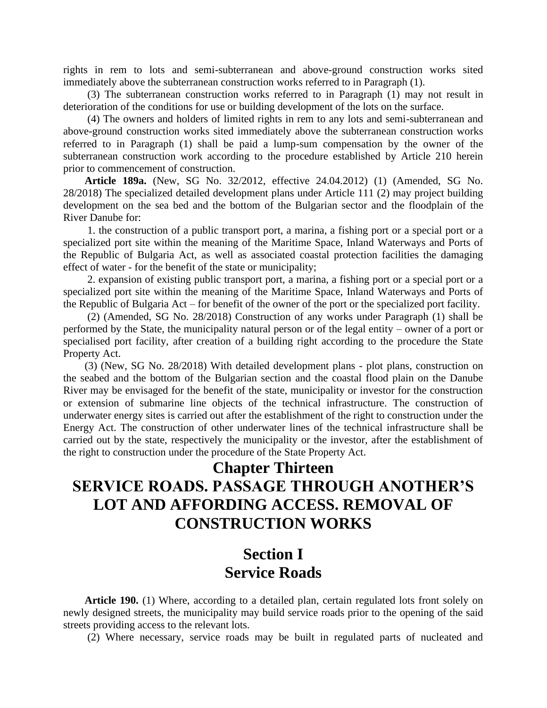rights in rem to lots and semi-subterranean and above-ground construction works sited immediately above the subterranean construction works referred to in Paragraph (1).

(3) The subterranean construction works referred to in Paragraph (1) may not result in deterioration of the conditions for use or building development of the lots on the surface.

(4) The owners and holders of limited rights in rem to any lots and semi-subterranean and above-ground construction works sited immediately above the subterranean construction works referred to in Paragraph (1) shall be paid a lump-sum compensation by the owner of the subterranean construction work according to the procedure established by Article 210 herein prior to commencement of construction.

**Article 189a.** (New, SG No. 32/2012, effective 24.04.2012) (1) (Amended, SG No. 28/2018) The specialized detailed development plans under Article 111 (2) may project building development on the sea bed and the bottom of the Bulgarian sector and the floodplain of the River Danube for:

1. the construction of a public transport port, a marina, a fishing port or a special port or a specialized port site within the meaning of the Maritime Space, Inland Waterways and Ports of the Republic of Bulgaria Act, as well as associated coastal protection facilities the damaging effect of water - for the benefit of the state or municipality;

2. expansion of existing public transport port, a marina, a fishing port or a special port or a specialized port site within the meaning of the Maritime Space, Inland Waterways and Ports of the Republic of Bulgaria Act – for benefit of the owner of the port or the specialized port facility.

(2) (Amended, SG No. 28/2018) Construction of any works under Paragraph (1) shall be performed by the State, the municipality natural person or of the legal entity – owner of a port or specialised port facility, after creation of a building right according to the procedure the State Property Act.

(3) (New, SG No. 28/2018) With detailed development plans - plot plans, construction on the seabed and the bottom of the Bulgarian section and the coastal flood plain on the Danube River may be envisaged for the benefit of the state, municipality or investor for the construction or extension of submarine line objects of the technical infrastructure. The construction of underwater energy sites is carried out after the establishment of the right to construction under the Energy Act. The construction of other underwater lines of the technical infrastructure shall be carried out by the state, respectively the municipality or the investor, after the establishment of the right to construction under the procedure of the State Property Act.

#### **Chapter Thirteen**

# **SERVICE ROADS. PASSAGE THROUGH ANOTHER'S LOT AND AFFORDING ACCESS. REMOVAL OF CONSTRUCTION WORKS**

### **Section I Service Roads**

**Article 190.** (1) Where, according to a detailed plan, certain regulated lots front solely on newly designed streets, the municipality may build service roads prior to the opening of the said streets providing access to the relevant lots.

(2) Where necessary, service roads may be built in regulated parts of nucleated and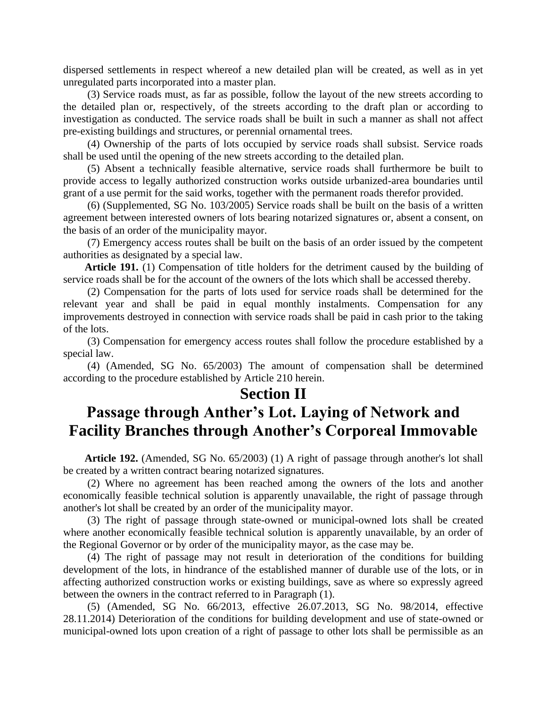dispersed settlements in respect whereof a new detailed plan will be created, as well as in yet unregulated parts incorporated into a master plan.

(3) Service roads must, as far as possible, follow the layout of the new streets according to the detailed plan or, respectively, of the streets according to the draft plan or according to investigation as conducted. The service roads shall be built in such a manner as shall not affect pre-existing buildings and structures, or perennial ornamental trees.

(4) Ownership of the parts of lots occupied by service roads shall subsist. Service roads shall be used until the opening of the new streets according to the detailed plan.

(5) Absent a technically feasible alternative, service roads shall furthermore be built to provide access to legally authorized construction works outside urbanized-area boundaries until grant of a use permit for the said works, together with the permanent roads therefor provided.

(6) (Supplemented, SG No. 103/2005) Service roads shall be built on the basis of a written agreement between interested owners of lots bearing notarized signatures or, absent a consent, on the basis of an order of the municipality mayor.

(7) Emergency access routes shall be built on the basis of an order issued by the competent authorities as designated by a special law.

**Article 191.** (1) Compensation of title holders for the detriment caused by the building of service roads shall be for the account of the owners of the lots which shall be accessed thereby.

(2) Compensation for the parts of lots used for service roads shall be determined for the relevant year and shall be paid in equal monthly instalments. Compensation for any improvements destroyed in connection with service roads shall be paid in cash prior to the taking of the lots.

(3) Compensation for emergency access routes shall follow the procedure established by a special law.

(4) (Amended, SG No. 65/2003) The amount of compensation shall be determined according to the procedure established by Article 210 herein.

#### **Section II**

### **Passage through Anther's Lot. Laying of Network and Facility Branches through Another's Corporeal Immovable**

**Article 192.** (Amended, SG No. 65/2003) (1) A right of passage through another's lot shall be created by a written contract bearing notarized signatures.

(2) Where no agreement has been reached among the owners of the lots and another economically feasible technical solution is apparently unavailable, the right of passage through another's lot shall be created by an order of the municipality mayor.

(3) The right of passage through state-owned or municipal-owned lots shall be created where another economically feasible technical solution is apparently unavailable, by an order of the Regional Governor or by order of the municipality mayor, as the case may be.

(4) The right of passage may not result in deterioration of the conditions for building development of the lots, in hindrance of the established manner of durable use of the lots, or in affecting authorized construction works or existing buildings, save as where so expressly agreed between the owners in the contract referred to in Paragraph (1).

(5) (Amended, SG No. 66/2013, effective 26.07.2013, SG No. 98/2014, effective 28.11.2014) Deterioration of the conditions for building development and use of state-owned or municipal-owned lots upon creation of a right of passage to other lots shall be permissible as an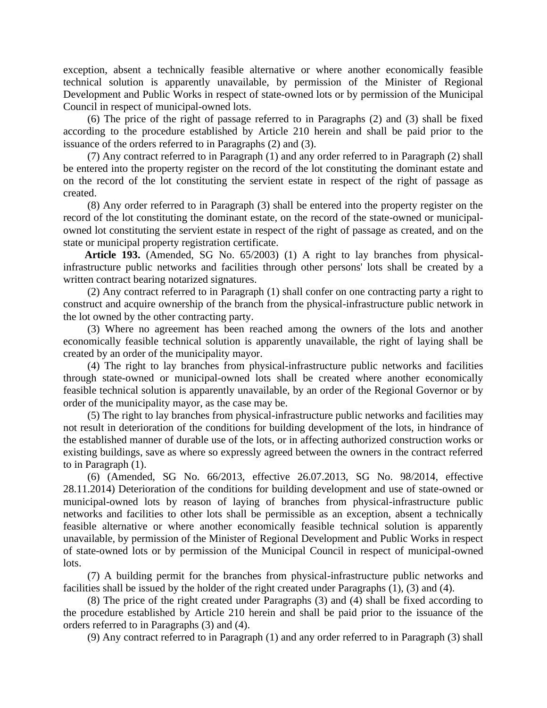exception, absent a technically feasible alternative or where another economically feasible technical solution is apparently unavailable, by permission of the Minister of Regional Development and Public Works in respect of state-owned lots or by permission of the Municipal Council in respect of municipal-owned lots.

(6) The price of the right of passage referred to in Paragraphs (2) and (3) shall be fixed according to the procedure established by Article 210 herein and shall be paid prior to the issuance of the orders referred to in Paragraphs (2) and (3).

(7) Any contract referred to in Paragraph (1) and any order referred to in Paragraph (2) shall be entered into the property register on the record of the lot constituting the dominant estate and on the record of the lot constituting the servient estate in respect of the right of passage as created.

(8) Any order referred to in Paragraph (3) shall be entered into the property register on the record of the lot constituting the dominant estate, on the record of the state-owned or municipalowned lot constituting the servient estate in respect of the right of passage as created, and on the state or municipal property registration certificate.

**Article 193.** (Amended, SG No. 65/2003) (1) A right to lay branches from physicalinfrastructure public networks and facilities through other persons' lots shall be created by a written contract bearing notarized signatures.

(2) Any contract referred to in Paragraph (1) shall confer on one contracting party a right to construct and acquire ownership of the branch from the physical-infrastructure public network in the lot owned by the other contracting party.

(3) Where no agreement has been reached among the owners of the lots and another economically feasible technical solution is apparently unavailable, the right of laying shall be created by an order of the municipality mayor.

(4) The right to lay branches from physical-infrastructure public networks and facilities through state-owned or municipal-owned lots shall be created where another economically feasible technical solution is apparently unavailable, by an order of the Regional Governor or by order of the municipality mayor, as the case may be.

(5) The right to lay branches from physical-infrastructure public networks and facilities may not result in deterioration of the conditions for building development of the lots, in hindrance of the established manner of durable use of the lots, or in affecting authorized construction works or existing buildings, save as where so expressly agreed between the owners in the contract referred to in Paragraph (1).

(6) (Amended, SG No. 66/2013, effective 26.07.2013, SG No. 98/2014, effective 28.11.2014) Deterioration of the conditions for building development and use of state-owned or municipal-owned lots by reason of laying of branches from physical-infrastructure public networks and facilities to other lots shall be permissible as an exception, absent a technically feasible alternative or where another economically feasible technical solution is apparently unavailable, by permission of the Minister of Regional Development and Public Works in respect of state-owned lots or by permission of the Municipal Council in respect of municipal-owned lots.

(7) A building permit for the branches from physical-infrastructure public networks and facilities shall be issued by the holder of the right created under Paragraphs (1), (3) and (4).

(8) The price of the right created under Paragraphs (3) and (4) shall be fixed according to the procedure established by Article 210 herein and shall be paid prior to the issuance of the orders referred to in Paragraphs (3) and (4).

(9) Any contract referred to in Paragraph (1) and any order referred to in Paragraph (3) shall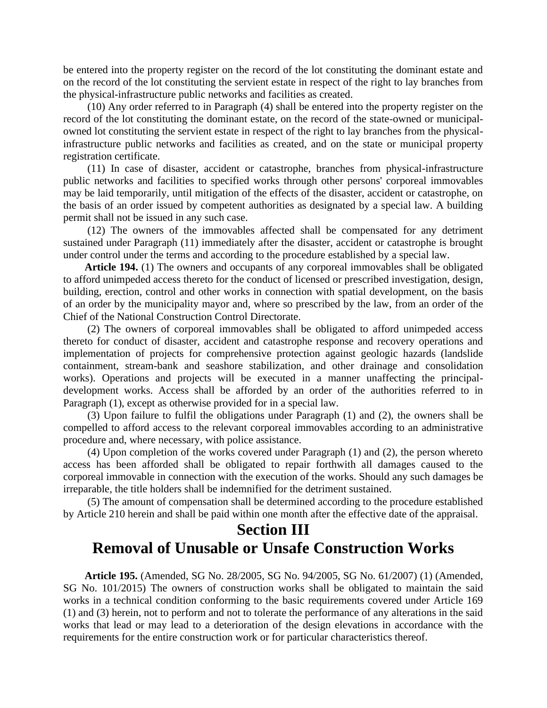be entered into the property register on the record of the lot constituting the dominant estate and on the record of the lot constituting the servient estate in respect of the right to lay branches from the physical-infrastructure public networks and facilities as created.

(10) Any order referred to in Paragraph (4) shall be entered into the property register on the record of the lot constituting the dominant estate, on the record of the state-owned or municipalowned lot constituting the servient estate in respect of the right to lay branches from the physicalinfrastructure public networks and facilities as created, and on the state or municipal property registration certificate.

(11) In case of disaster, accident or catastrophe, branches from physical-infrastructure public networks and facilities to specified works through other persons' corporeal immovables may be laid temporarily, until mitigation of the effects of the disaster, accident or catastrophe, on the basis of an order issued by competent authorities as designated by a special law. A building permit shall not be issued in any such case.

(12) The owners of the immovables affected shall be compensated for any detriment sustained under Paragraph (11) immediately after the disaster, accident or catastrophe is brought under control under the terms and according to the procedure established by a special law.

**Article 194.** (1) The owners and occupants of any corporeal immovables shall be obligated to afford unimpeded access thereto for the conduct of licensed or prescribed investigation, design, building, erection, control and other works in connection with spatial development, on the basis of an order by the municipality mayor and, where so prescribed by the law, from an order of the Chief of the National Construction Control Directorate.

(2) The owners of corporeal immovables shall be obligated to afford unimpeded access thereto for conduct of disaster, accident and catastrophe response and recovery operations and implementation of projects for comprehensive protection against geologic hazards (landslide containment, stream-bank and seashore stabilization, and other drainage and consolidation works). Operations and projects will be executed in a manner unaffecting the principaldevelopment works. Access shall be afforded by an order of the authorities referred to in Paragraph (1), except as otherwise provided for in a special law.

(3) Upon failure to fulfil the obligations under Paragraph (1) and (2), the owners shall be compelled to afford access to the relevant corporeal immovables according to an administrative procedure and, where necessary, with police assistance.

(4) Upon completion of the works covered under Paragraph (1) and (2), the person whereto access has been afforded shall be obligated to repair forthwith all damages caused to the corporeal immovable in connection with the execution of the works. Should any such damages be irreparable, the title holders shall be indemnified for the detriment sustained.

(5) The amount of compensation shall be determined according to the procedure established by Article 210 herein and shall be paid within one month after the effective date of the appraisal.

### **Section III Removal of Unusable or Unsafe Construction Works**

**Article 195.** (Amended, SG No. 28/2005, SG No. 94/2005, SG No. 61/2007) (1) (Amended, SG No. 101/2015) The owners of construction works shall be obligated to maintain the said works in a technical condition conforming to the basic requirements covered under Article 169 (1) and (3) herein, not to perform and not to tolerate the performance of any alterations in the said works that lead or may lead to a deterioration of the design elevations in accordance with the requirements for the entire construction work or for particular characteristics thereof.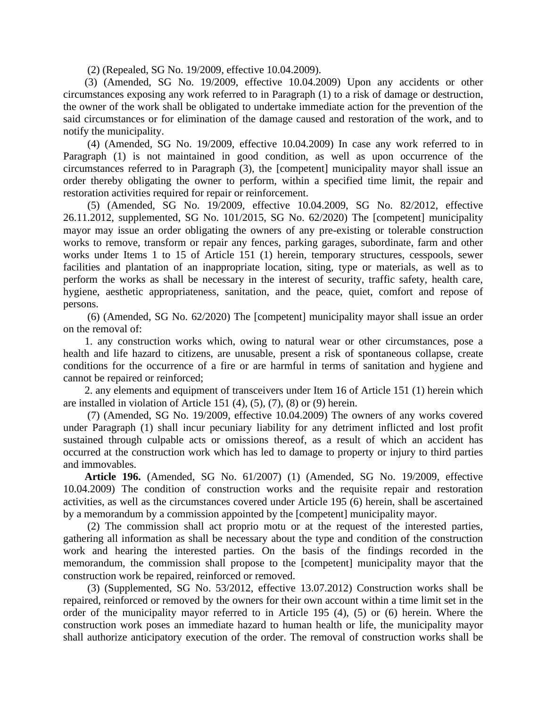(2) (Repealed, SG No. 19/2009, effective 10.04.2009).

(3) (Amended, SG No. 19/2009, effective 10.04.2009) Upon any accidents or other circumstances exposing any work referred to in Paragraph (1) to a risk of damage or destruction, the owner of the work shall be obligated to undertake immediate action for the prevention of the said circumstances or for elimination of the damage caused and restoration of the work, and to notify the municipality.

(4) (Amended, SG No. 19/2009, effective 10.04.2009) In case any work referred to in Paragraph (1) is not maintained in good condition, as well as upon occurrence of the circumstances referred to in Paragraph (3), the [competent] municipality mayor shall issue an order thereby obligating the owner to perform, within a specified time limit, the repair and restoration activities required for repair or reinforcement.

(5) (Amended, SG No. 19/2009, effective 10.04.2009, SG No. 82/2012, effective 26.11.2012, supplemented, SG No. 101/2015, SG No. 62/2020) The [competent] municipality mayor may issue an order obligating the owners of any pre-existing or tolerable construction works to remove, transform or repair any fences, parking garages, subordinate, farm and other works under Items 1 to 15 of Article 151 (1) herein, temporary structures, cesspools, sewer facilities and plantation of an inappropriate location, siting, type or materials, as well as to perform the works as shall be necessary in the interest of security, traffic safety, health care, hygiene, aesthetic appropriateness, sanitation, and the peace, quiet, comfort and repose of persons.

(6) (Amended, SG No. 62/2020) The [competent] municipality mayor shall issue an order on the removal of:

1. any construction works which, owing to natural wear or other circumstances, pose a health and life hazard to citizens, are unusable, present a risk of spontaneous collapse, create conditions for the occurrence of a fire or are harmful in terms of sanitation and hygiene and cannot be repaired or reinforced;

2. any elements and equipment of transceivers under Item 16 of Article 151 (1) herein which are installed in violation of Article 151  $(4)$ ,  $(5)$ ,  $(7)$ ,  $(8)$  or  $(9)$  herein.

(7) (Amended, SG No. 19/2009, effective 10.04.2009) The owners of any works covered under Paragraph (1) shall incur pecuniary liability for any detriment inflicted and lost profit sustained through culpable acts or omissions thereof, as a result of which an accident has occurred at the construction work which has led to damage to property or injury to third parties and immovables.

**Article 196.** (Amended, SG No. 61/2007) (1) (Amended, SG No. 19/2009, effective 10.04.2009) The condition of construction works and the requisite repair and restoration activities, as well as the circumstances covered under Article 195 (6) herein, shall be ascertained by a memorandum by a commission appointed by the [competent] municipality mayor.

(2) The commission shall act proprio motu or at the request of the interested parties, gathering all information as shall be necessary about the type and condition of the construction work and hearing the interested parties. On the basis of the findings recorded in the memorandum, the commission shall propose to the [competent] municipality mayor that the construction work be repaired, reinforced or removed.

(3) (Supplemented, SG No. 53/2012, effective 13.07.2012) Construction works shall be repaired, reinforced or removed by the owners for their own account within a time limit set in the order of the municipality mayor referred to in Article 195 (4), (5) or (6) herein. Where the construction work poses an immediate hazard to human health or life, the municipality mayor shall authorize anticipatory execution of the order. The removal of construction works shall be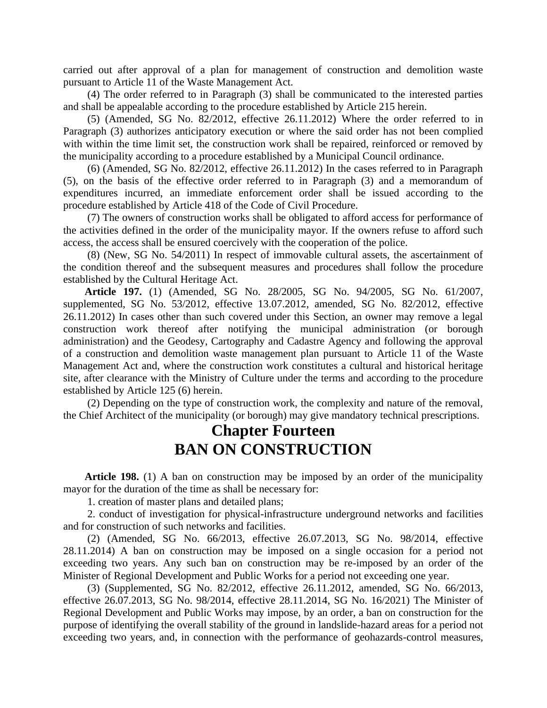carried out after approval of a plan for management of construction and demolition waste pursuant to Article 11 of the Waste Management Act.

(4) The order referred to in Paragraph (3) shall be communicated to the interested parties and shall be appealable according to the procedure established by Article 215 herein.

(5) (Amended, SG No. 82/2012, effective 26.11.2012) Where the order referred to in Paragraph (3) authorizes anticipatory execution or where the said order has not been complied with within the time limit set, the construction work shall be repaired, reinforced or removed by the municipality according to a procedure established by a Municipal Council ordinance.

(6) (Amended, SG No. 82/2012, effective 26.11.2012) In the cases referred to in Paragraph (5), on the basis of the effective order referred to in Paragraph (3) and a memorandum of expenditures incurred, an immediate enforcement order shall be issued according to the procedure established by Article 418 of the Code of Civil Procedure.

(7) The owners of construction works shall be obligated to afford access for performance of the activities defined in the order of the municipality mayor. If the owners refuse to afford such access, the access shall be ensured coercively with the cooperation of the police.

(8) (New, SG No. 54/2011) In respect of immovable cultural assets, the ascertainment of the condition thereof and the subsequent measures and procedures shall follow the procedure established by the Cultural Heritage Act.

**Article 197.** (1) (Amended, SG No. 28/2005, SG No. 94/2005, SG No. 61/2007, supplemented, SG No. 53/2012, effective 13.07.2012, amended, SG No. 82/2012, effective 26.11.2012) In cases other than such covered under this Section, an owner may remove a legal construction work thereof after notifying the municipal administration (or borough administration) and the Geodesy, Cartography and Cadastre Agency and following the approval of a construction and demolition waste management plan pursuant to Article 11 of the Waste Management Act and, where the construction work constitutes a cultural and historical heritage site, after clearance with the Ministry of Culture under the terms and according to the procedure established by Article 125 (6) herein.

(2) Depending on the type of construction work, the complexity and nature of the removal, the Chief Architect of the municipality (or borough) may give mandatory technical prescriptions.

### **Chapter Fourteen BAN ON CONSTRUCTION**

**Article 198.** (1) A ban on construction may be imposed by an order of the municipality mayor for the duration of the time as shall be necessary for:

1. creation of master plans and detailed plans;

2. conduct of investigation for physical-infrastructure underground networks and facilities and for construction of such networks and facilities.

(2) (Amended, SG No. 66/2013, effective 26.07.2013, SG No. 98/2014, effective 28.11.2014) A ban on construction may be imposed on a single occasion for a period not exceeding two years. Any such ban on construction may be re-imposed by an order of the Minister of Regional Development and Public Works for a period not exceeding one year.

(3) (Supplemented, SG No. 82/2012, effective 26.11.2012, amended, SG No. 66/2013, effective 26.07.2013, SG No. 98/2014, effective 28.11.2014, SG No. 16/2021) The Minister of Regional Development and Public Works may impose, by an order, a ban on construction for the purpose of identifying the overall stability of the ground in landslide-hazard areas for a period not exceeding two years, and, in connection with the performance of geohazards-control measures,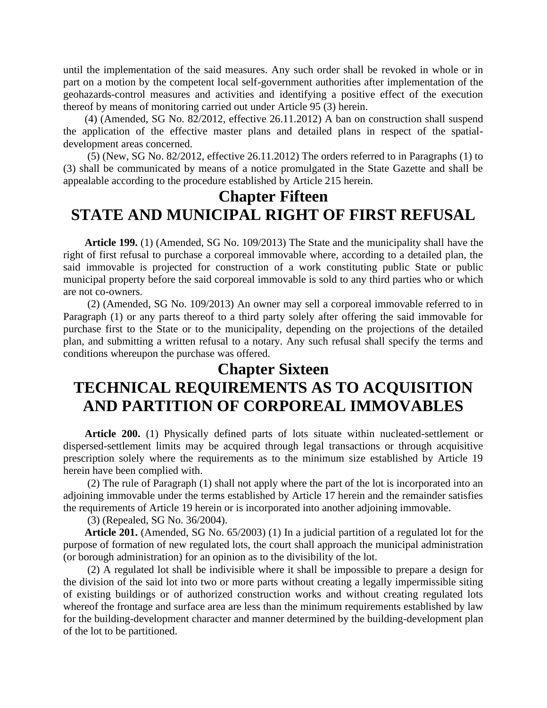until the implementation of the said measures. Any such order shall be revoked in whole or in part on a motion by the competent local self-government authorities after implementation of the geohazards-control measures and activities and identifying a positive effect of the execution thereof by means of monitoring carried out under Article 95 (3) herein.

(4) (Amended, SG No. 82/2012, effective 26.11.2012) A ban on construction shall suspend the application of the effective master plans and detailed plans in respect of the spatialdevelopment areas concerned.

(5) (New, SG No. 82/2012, effective 26.11.2012) The orders referred to in Paragraphs (1) to (3) shall be communicated by means of a notice promulgated in the State Gazette and shall be appealable according to the procedure established by Article 215 herein.

### **Chapter Fifteen STATE AND MUNICIPAL RIGHT OF FIRST REFUSAL**

**Article 199.** (1) (Amended, SG No. 109/2013) The State and the municipality shall have the right of first refusal to purchase a corporeal immovable where, according to a detailed plan, the said immovable is projected for construction of a work constituting public State or public municipal property before the said corporeal immovable is sold to any third parties who or which are not co-owners.

(2) (Amended, SG No. 109/2013) An owner may sell a corporeal immovable referred to in Paragraph (1) or any parts thereof to a third party solely after offering the said immovable for purchase first to the State or to the municipality, depending on the projections of the detailed plan, and submitting a written refusal to a notary. Any such refusal shall specify the terms and conditions whereupon the purchase was offered.

### **Chapter Sixteen**

# **TECHNICAL REQUIREMENTS AS TO ACQUISITION AND PARTITION OF CORPOREAL IMMOVABLES**

**Article 200.** (1) Physically defined parts of lots situate within nucleated-settlement or dispersed-settlement limits may be acquired through legal transactions or through acquisitive prescription solely where the requirements as to the minimum size established by Article 19 herein have been complied with.

(2) The rule of Paragraph (1) shall not apply where the part of the lot is incorporated into an adjoining immovable under the terms established by Article 17 herein and the remainder satisfies the requirements of Article 19 herein or is incorporated into another adjoining immovable.

(3) (Repealed, SG No. 36/2004).

**Article 201.** (Amended, SG No. 65/2003) (1) In a judicial partition of a regulated lot for the purpose of formation of new regulated lots, the court shall approach the municipal administration (or borough administration) for an opinion as to the divisibility of the lot.

(2) A regulated lot shall be indivisible where it shall be impossible to prepare a design for the division of the said lot into two or more parts without creating a legally impermissible siting of existing buildings or of authorized construction works and without creating regulated lots whereof the frontage and surface area are less than the minimum requirements established by law for the building-development character and manner determined by the building-development plan of the lot to be partitioned.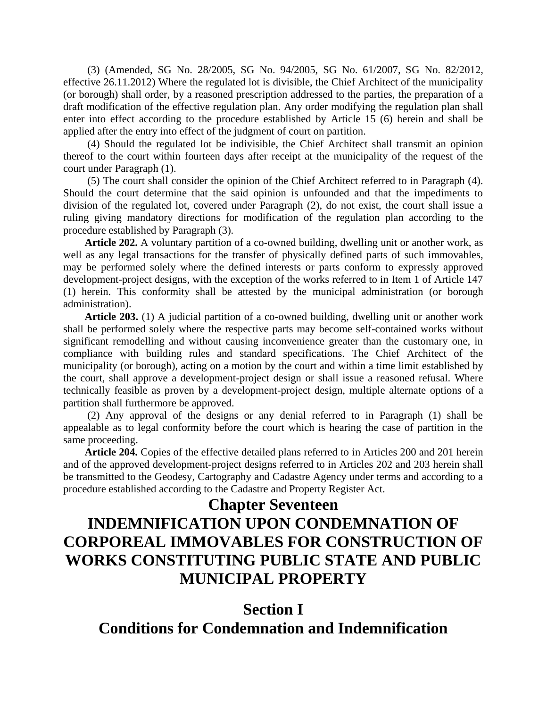(3) (Amended, SG No. 28/2005, SG No. 94/2005, SG No. 61/2007, SG No. 82/2012, effective 26.11.2012) Where the regulated lot is divisible, the Chief Architect of the municipality (or borough) shall order, by a reasoned prescription addressed to the parties, the preparation of a draft modification of the effective regulation plan. Any order modifying the regulation plan shall enter into effect according to the procedure established by Article 15 (6) herein and shall be applied after the entry into effect of the judgment of court on partition.

(4) Should the regulated lot be indivisible, the Chief Architect shall transmit an opinion thereof to the court within fourteen days after receipt at the municipality of the request of the court under Paragraph (1).

(5) The court shall consider the opinion of the Chief Architect referred to in Paragraph (4). Should the court determine that the said opinion is unfounded and that the impediments to division of the regulated lot, covered under Paragraph (2), do not exist, the court shall issue a ruling giving mandatory directions for modification of the regulation plan according to the procedure established by Paragraph (3).

**Article 202.** A voluntary partition of a co-owned building, dwelling unit or another work, as well as any legal transactions for the transfer of physically defined parts of such immovables, may be performed solely where the defined interests or parts conform to expressly approved development-project designs, with the exception of the works referred to in Item 1 of Article 147 (1) herein. This conformity shall be attested by the municipal administration (or borough administration).

**Article 203.** (1) A judicial partition of a co-owned building, dwelling unit or another work shall be performed solely where the respective parts may become self-contained works without significant remodelling and without causing inconvenience greater than the customary one, in compliance with building rules and standard specifications. The Chief Architect of the municipality (or borough), acting on a motion by the court and within a time limit established by the court, shall approve a development-project design or shall issue a reasoned refusal. Where technically feasible as proven by a development-project design, multiple alternate options of a partition shall furthermore be approved.

(2) Any approval of the designs or any denial referred to in Paragraph (1) shall be appealable as to legal conformity before the court which is hearing the case of partition in the same proceeding.

**Article 204.** Copies of the effective detailed plans referred to in Articles 200 and 201 herein and of the approved development-project designs referred to in Articles 202 and 203 herein shall be transmitted to the Geodesy, Cartography and Cadastre Agency under terms and according to a procedure established according to the Cadastre and Property Register Act.

#### **Chapter Seventeen**

# **INDEMNIFICATION UPON CONDEMNATION OF CORPOREAL IMMOVABLES FOR CONSTRUCTION OF WORKS CONSTITUTING PUBLIC STATE AND PUBLIC MUNICIPAL PROPERTY**

### **Section I Conditions for Condemnation and Indemnification**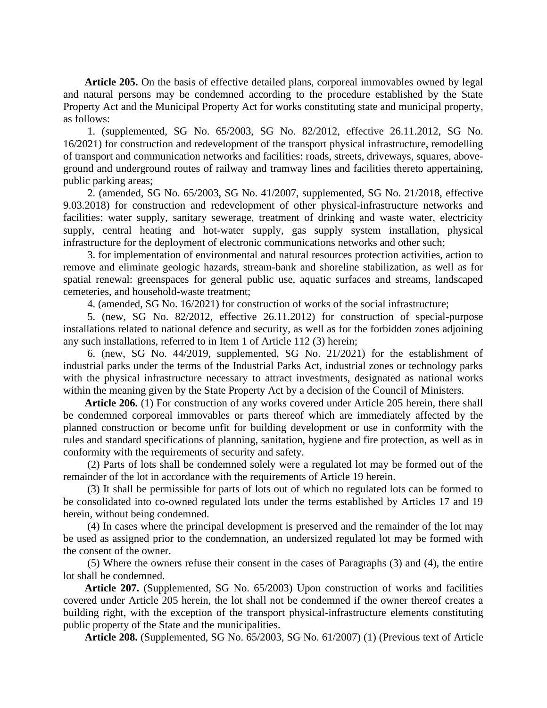**Article 205.** On the basis of effective detailed plans, corporeal immovables owned by legal and natural persons may be condemned according to the procedure established by the State Property Act and the Municipal Property Act for works constituting state and municipal property, as follows:

1. (supplemented, SG No. 65/2003, SG No. 82/2012, effective 26.11.2012, SG No. 16/2021) for construction and redevelopment of the transport physical infrastructure, remodelling of transport and communication networks and facilities: roads, streets, driveways, squares, aboveground and underground routes of railway and tramway lines and facilities thereto appertaining, public parking areas;

2. (amended, SG No. 65/2003, SG No. 41/2007, supplemented, SG No. 21/2018, effective 9.03.2018) for construction and redevelopment of other physical-infrastructure networks and facilities: water supply, sanitary sewerage, treatment of drinking and waste water, electricity supply, central heating and hot-water supply, gas supply system installation, physical infrastructure for the deployment of electronic communications networks and other such;

3. for implementation of environmental and natural resources protection activities, action to remove and eliminate geologic hazards, stream-bank and shoreline stabilization, as well as for spatial renewal: greenspaces for general public use, aquatic surfaces and streams, landscaped cemeteries, and household-waste treatment;

4. (amended, SG No. 16/2021) for construction of works of the social infrastructure;

5. (new, SG No. 82/2012, effective 26.11.2012) for construction of special-purpose installations related to national defence and security, as well as for the forbidden zones adjoining any such installations, referred to in Item 1 of Article 112 (3) herein;

6. (new, SG No. 44/2019, supplemented, SG No. 21/2021) for the establishment of industrial parks under the terms of the Industrial Parks Act, industrial zones or technology parks with the physical infrastructure necessary to attract investments, designated as national works within the meaning given by the State Property Act by a decision of the Council of Ministers.

**Article 206.** (1) For construction of any works covered under Article 205 herein, there shall be condemned corporeal immovables or parts thereof which are immediately affected by the planned construction or become unfit for building development or use in conformity with the rules and standard specifications of planning, sanitation, hygiene and fire protection, as well as in conformity with the requirements of security and safety.

(2) Parts of lots shall be condemned solely were a regulated lot may be formed out of the remainder of the lot in accordance with the requirements of Article 19 herein.

(3) It shall be permissible for parts of lots out of which no regulated lots can be formed to be consolidated into co-owned regulated lots under the terms established by Articles 17 and 19 herein, without being condemned.

(4) In cases where the principal development is preserved and the remainder of the lot may be used as assigned prior to the condemnation, an undersized regulated lot may be formed with the consent of the owner.

(5) Where the owners refuse their consent in the cases of Paragraphs (3) and (4), the entire lot shall be condemned.

**Article 207.** (Supplemented, SG No. 65/2003) Upon construction of works and facilities covered under Article 205 herein, the lot shall not be condemned if the owner thereof creates a building right, with the exception of the transport physical-infrastructure elements constituting public property of the State and the municipalities.

**Article 208.** (Supplemented, SG No. 65/2003, SG No. 61/2007) (1) (Previous text of Article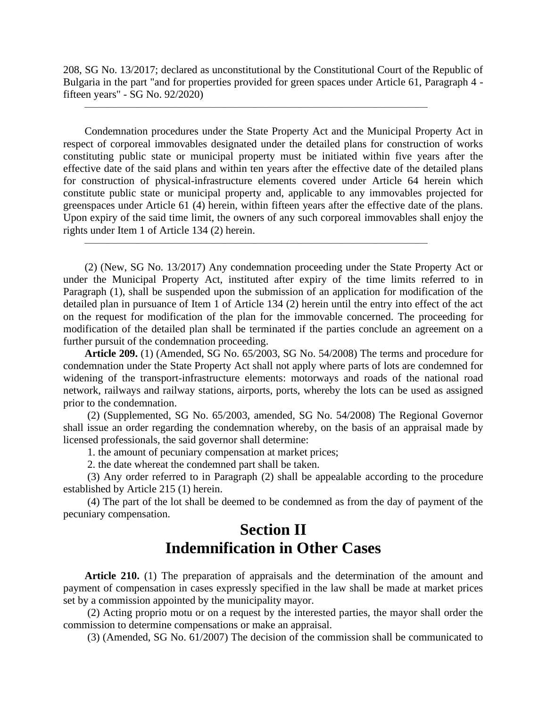208, SG No. 13/2017; declared as unconstitutional by the Constitutional Court of the Republic of Bulgaria in the part "and for properties provided for green spaces under Article 61, Paragraph 4 fifteen years" - SG No. 92/2020)

 $\overline{\phantom{a}}$  , and the contract of the contract of the contract of the contract of the contract of the contract of the contract of the contract of the contract of the contract of the contract of the contract of the contrac

 $\overline{\phantom{a}}$  , and the contract of the contract of the contract of the contract of the contract of the contract of the contract of the contract of the contract of the contract of the contract of the contract of the contrac

Condemnation procedures under the State Property Act and the Municipal Property Act in respect of corporeal immovables designated under the detailed plans for construction of works constituting public state or municipal property must be initiated within five years after the effective date of the said plans and within ten years after the effective date of the detailed plans for construction of physical-infrastructure elements covered under Article 64 herein which constitute public state or municipal property and, applicable to any immovables projected for greenspaces under Article 61 (4) herein, within fifteen years after the effective date of the plans. Upon expiry of the said time limit, the owners of any such corporeal immovables shall enjoy the rights under Item 1 of Article 134 (2) herein.

(2) (New, SG No. 13/2017) Any condemnation proceeding under the State Property Act or under the Municipal Property Act, instituted after expiry of the time limits referred to in Paragraph (1), shall be suspended upon the submission of an application for modification of the detailed plan in pursuance of Item 1 of Article 134 (2) herein until the entry into effect of the act on the request for modification of the plan for the immovable concerned. The proceeding for modification of the detailed plan shall be terminated if the parties conclude an agreement on a further pursuit of the condemnation proceeding.

**Article 209.** (1) (Amended, SG No. 65/2003, SG No. 54/2008) The terms and procedure for condemnation under the State Property Act shall not apply where parts of lots are condemned for widening of the transport-infrastructure elements: motorways and roads of the national road network, railways and railway stations, airports, ports, whereby the lots can be used as assigned prior to the condemnation.

(2) (Supplemented, SG No. 65/2003, amended, SG No. 54/2008) The Regional Governor shall issue an order regarding the condemnation whereby, on the basis of an appraisal made by licensed professionals, the said governor shall determine:

1. the amount of pecuniary compensation at market prices;

2. the date whereat the condemned part shall be taken.

(3) Any order referred to in Paragraph (2) shall be appealable according to the procedure established by Article 215 (1) herein.

(4) The part of the lot shall be deemed to be condemned as from the day of payment of the pecuniary compensation.

### **Section II Indemnification in Other Cases**

**Article 210.** (1) The preparation of appraisals and the determination of the amount and payment of compensation in cases expressly specified in the law shall be made at market prices set by a commission appointed by the municipality mayor.

(2) Acting proprio motu or on a request by the interested parties, the mayor shall order the commission to determine compensations or make an appraisal.

(3) (Amended, SG No. 61/2007) The decision of the commission shall be communicated to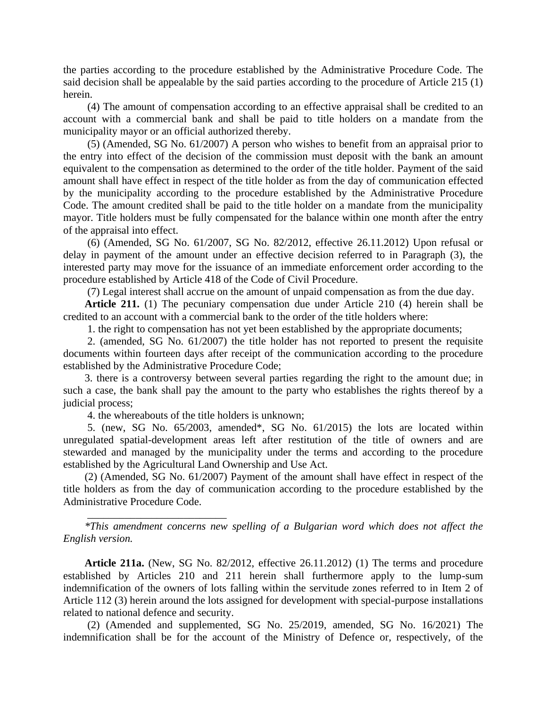the parties according to the procedure established by the Administrative Procedure Code. The said decision shall be appealable by the said parties according to the procedure of Article 215 (1) herein.

(4) The amount of compensation according to an effective appraisal shall be credited to an account with a commercial bank and shall be paid to title holders on a mandate from the municipality mayor or an official authorized thereby.

(5) (Amended, SG No. 61/2007) A person who wishes to benefit from an appraisal prior to the entry into effect of the decision of the commission must deposit with the bank an amount equivalent to the compensation as determined to the order of the title holder. Payment of the said amount shall have effect in respect of the title holder as from the day of communication effected by the municipality according to the procedure established by the Administrative Procedure Code. The amount credited shall be paid to the title holder on a mandate from the municipality mayor. Title holders must be fully compensated for the balance within one month after the entry of the appraisal into effect.

(6) (Amended, SG No. 61/2007, SG No. 82/2012, effective 26.11.2012) Upon refusal or delay in payment of the amount under an effective decision referred to in Paragraph (3), the interested party may move for the issuance of an immediate enforcement order according to the procedure established by Article 418 of the Code of Civil Procedure.

(7) Legal interest shall accrue on the amount of unpaid compensation as from the due day.

**Article 211.** (1) The pecuniary compensation due under Article 210 (4) herein shall be credited to an account with a commercial bank to the order of the title holders where:

1. the right to compensation has not yet been established by the appropriate documents;

2. (amended, SG No. 61/2007) the title holder has not reported to present the requisite documents within fourteen days after receipt of the communication according to the procedure established by the Administrative Procedure Code;

3. there is a controversy between several parties regarding the right to the amount due; in such a case, the bank shall pay the amount to the party who establishes the rights thereof by a judicial process;

4. the whereabouts of the title holders is unknown;

\_\_\_\_\_\_\_\_\_\_\_\_\_\_\_\_\_\_\_\_\_\_\_\_\_\_

5. (new, SG No. 65/2003, amended\*, SG No. 61/2015) the lots are located within unregulated spatial-development areas left after restitution of the title of owners and are stewarded and managed by the municipality under the terms and according to the procedure established by the Agricultural Land Ownership and Use Act.

(2) (Amended, SG No. 61/2007) Payment of the amount shall have effect in respect of the title holders as from the day of communication according to the procedure established by the Administrative Procedure Code.

*\*This amendment concerns new spelling of a Bulgarian word which does not affect the English version.*

**Article 211a.** (New, SG No. 82/2012, effective 26.11.2012) (1) The terms and procedure established by Articles 210 and 211 herein shall furthermore apply to the lump-sum indemnification of the owners of lots falling within the servitude zones referred to in Item 2 of Article 112 (3) herein around the lots assigned for development with special-purpose installations related to national defence and security.

(2) (Amended and supplemented, SG No. 25/2019, amended, SG No. 16/2021) The indemnification shall be for the account of the Ministry of Defence or, respectively, of the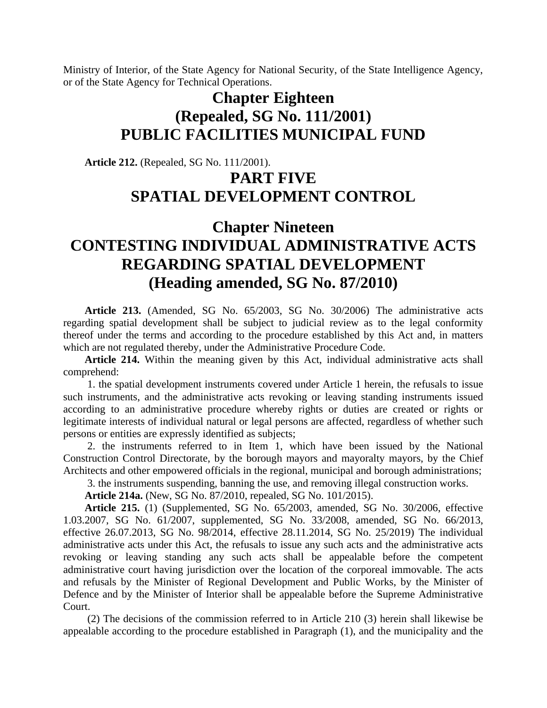Ministry of Interior, of the State Agency for National Security, of the State Intelligence Agency, or of the State Agency for Technical Operations.

# **Chapter Eighteen (Repealed, SG No. 111/2001) PUBLIC FACILITIES MUNICIPAL FUND**

**Article 212.** (Repealed, SG No. 111/2001).

## **PART FIVE SPATIAL DEVELOPMENT CONTROL**

# **Chapter Nineteen CONTESTING INDIVIDUAL ADMINISTRATIVE ACTS REGARDING SPATIAL DEVELOPMENT (Heading amended, SG No. 87/2010)**

**Article 213.** (Amended, SG No. 65/2003, SG No. 30/2006) The administrative acts regarding spatial development shall be subject to judicial review as to the legal conformity thereof under the terms and according to the procedure established by this Act and, in matters which are not regulated thereby, under the Administrative Procedure Code.

**Article 214.** Within the meaning given by this Act, individual administrative acts shall comprehend:

1. the spatial development instruments covered under Article 1 herein, the refusals to issue such instruments, and the administrative acts revoking or leaving standing instruments issued according to an administrative procedure whereby rights or duties are created or rights or legitimate interests of individual natural or legal persons are affected, regardless of whether such persons or entities are expressly identified as subjects;

2. the instruments referred to in Item 1, which have been issued by the National Construction Control Directorate, by the borough mayors and mayoralty mayors, by the Chief Architects and other empowered officials in the regional, municipal and borough administrations;

3. the instruments suspending, banning the use, and removing illegal construction works.

**Article 214a.** (New, SG No. 87/2010, repealed, SG No. 101/2015).

**Article 215.** (1) (Supplemented, SG No. 65/2003, amended, SG No. 30/2006, effective 1.03.2007, SG No. 61/2007, supplemented, SG No. 33/2008, amended, SG No. 66/2013, effective 26.07.2013, SG No. 98/2014, effective 28.11.2014, SG No. 25/2019) The individual administrative acts under this Act, the refusals to issue any such acts and the administrative acts revoking or leaving standing any such acts shall be appealable before the competent administrative court having jurisdiction over the location of the corporeal immovable. The acts and refusals by the Minister of Regional Development and Public Works, by the Minister of Defence and by the Minister of Interior shall be appealable before the Supreme Administrative Court.

(2) The decisions of the commission referred to in Article 210 (3) herein shall likewise be appealable according to the procedure established in Paragraph (1), and the municipality and the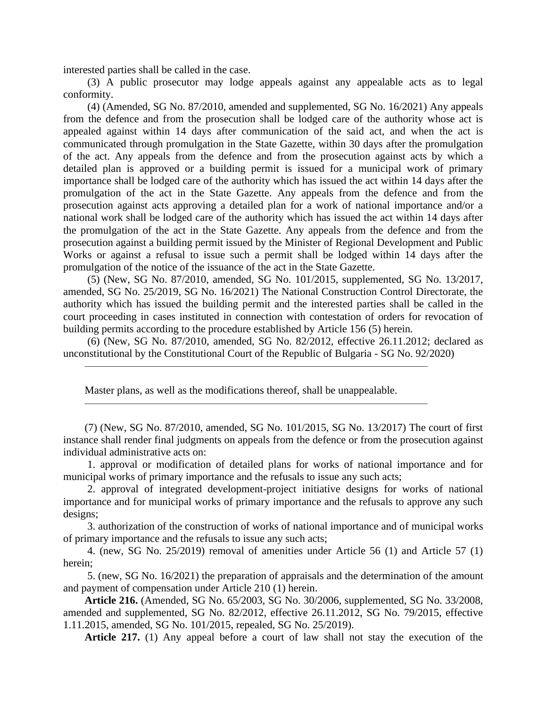interested parties shall be called in the case.

(3) A public prosecutor may lodge appeals against any appealable acts as to legal conformity.

(4) (Amended, SG No. 87/2010, amended and supplemented, SG No. 16/2021) Any appeals from the defence and from the prosecution shall be lodged care of the authority whose act is appealed against within 14 days after communication of the said act, and when the act is communicated through promulgation in the State Gazette, within 30 days after the promulgation of the act. Any appeals from the defence and from the prosecution against acts by which a detailed plan is approved or a building permit is issued for a municipal work of primary importance shall be lodged care of the authority which has issued the act within 14 days after the promulgation of the act in the State Gazette. Any appeals from the defence and from the prosecution against acts approving a detailed plan for a work of national importance and/or a national work shall be lodged care of the authority which has issued the act within 14 days after the promulgation of the act in the State Gazette. Any appeals from the defence and from the prosecution against a building permit issued by the Minister of Regional Development and Public Works or against a refusal to issue such a permit shall be lodged within 14 days after the promulgation of the notice of the issuance of the act in the State Gazette.

(5) (New, SG No. 87/2010, amended, SG No. 101/2015, supplemented, SG No. 13/2017, amended, SG No. 25/2019, SG No. 16/2021) The National Construction Control Directorate, the authority which has issued the building permit and the interested parties shall be called in the court proceeding in cases instituted in connection with contestation of orders for revocation of building permits according to the procedure established by Article 156 (5) herein.

(6) (New, SG No. 87/2010, amended, SG No. 82/2012, effective 26.11.2012; declared as unconstitutional by the Constitutional Court of the Republic of Bulgaria - SG No. 92/2020)

Master plans, as well as the modifications thereof, shall be unappealable.

 $\overline{\phantom{a}}$  , and the contract of the contract of the contract of the contract of the contract of the contract of the contract of the contract of the contract of the contract of the contract of the contract of the contrac

 $\overline{\phantom{a}}$  , and the contract of the contract of the contract of the contract of the contract of the contract of the contract of the contract of the contract of the contract of the contract of the contract of the contrac

(7) (New, SG No. 87/2010, amended, SG No. 101/2015, SG No. 13/2017) The court of first instance shall render final judgments on appeals from the defence or from the prosecution against individual administrative acts on:

1. approval or modification of detailed plans for works of national importance and for municipal works of primary importance and the refusals to issue any such acts;

2. approval of integrated development-project initiative designs for works of national importance and for municipal works of primary importance and the refusals to approve any such designs;

3. authorization of the construction of works of national importance and of municipal works of primary importance and the refusals to issue any such acts;

4. (new, SG No. 25/2019) removal of amenities under Article 56 (1) and Article 57 (1) herein;

5. (new, SG No. 16/2021) the preparation of appraisals and the determination of the amount and payment of compensation under Article 210 (1) herein.

**Article 216.** (Amended, SG No. 65/2003, SG No. 30/2006, supplemented, SG No. 33/2008, amended and supplemented, SG No. 82/2012, effective 26.11.2012, SG No. 79/2015, effective 1.11.2015, amended, SG No. 101/2015, repealed, SG No. 25/2019).

**Article 217.** (1) Any appeal before a court of law shall not stay the execution of the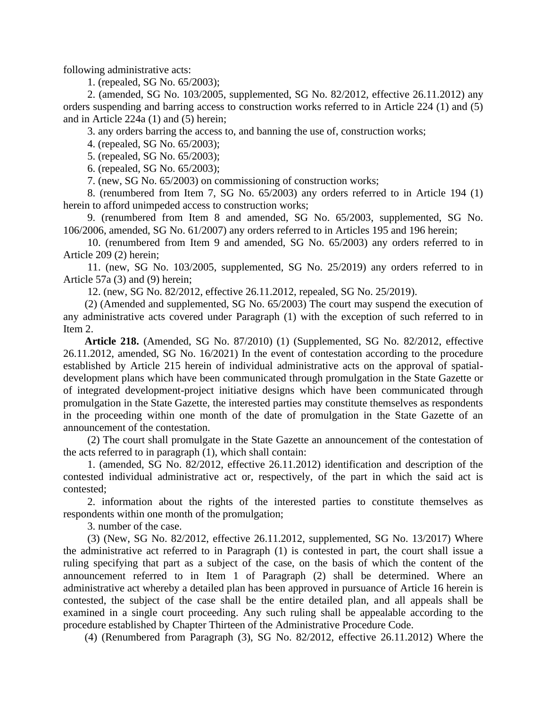following administrative acts:

1. (repealed, SG No. 65/2003);

2. (amended, SG No. 103/2005, supplemented, SG No. 82/2012, effective 26.11.2012) any orders suspending and barring access to construction works referred to in Article 224 (1) and (5) and in Article 224a (1) and (5) herein;

3. any orders barring the access to, and banning the use of, construction works;

4. (repealed, SG No. 65/2003);

5. (repealed, SG No. 65/2003);

6. (repealed, SG No. 65/2003);

7. (new, SG No. 65/2003) on commissioning of construction works;

8. (renumbered from Item 7, SG No. 65/2003) any orders referred to in Article 194 (1) herein to afford unimpeded access to construction works;

9. (renumbered from Item 8 and amended, SG No. 65/2003, supplemented, SG No. 106/2006, amended, SG No. 61/2007) any orders referred to in Articles 195 and 196 herein;

10. (renumbered from Item 9 and amended, SG No. 65/2003) any orders referred to in Article 209 (2) herein;

11. (new, SG No. 103/2005, supplemented, SG No. 25/2019) any orders referred to in Article 57a (3) and (9) herein;

12. (new, SG No. 82/2012, effective 26.11.2012, repealed, SG No. 25/2019).

(2) (Amended and supplemented, SG No. 65/2003) The court may suspend the execution of any administrative acts covered under Paragraph (1) with the exception of such referred to in Item 2.

**Article 218.** (Amended, SG No. 87/2010) (1) (Supplemented, SG No. 82/2012, effective 26.11.2012, amended, SG No. 16/2021) In the event of contestation according to the procedure established by Article 215 herein of individual administrative acts on the approval of spatialdevelopment plans which have been communicated through promulgation in the State Gazette or of integrated development-project initiative designs which have been communicated through promulgation in the State Gazette, the interested parties may constitute themselves as respondents in the proceeding within one month of the date of promulgation in the State Gazette of an announcement of the contestation.

(2) The court shall promulgate in the State Gazette an announcement of the contestation of the acts referred to in paragraph (1), which shall contain:

1. (amended, SG No. 82/2012, effective 26.11.2012) identification and description of the contested individual administrative act or, respectively, of the part in which the said act is contested;

2. information about the rights of the interested parties to constitute themselves as respondents within one month of the promulgation;

3. number of the case.

(3) (New, SG No. 82/2012, effective 26.11.2012, supplemented, SG No. 13/2017) Where the administrative act referred to in Paragraph (1) is contested in part, the court shall issue a ruling specifying that part as a subject of the case, on the basis of which the content of the announcement referred to in Item 1 of Paragraph (2) shall be determined. Where an administrative act whereby a detailed plan has been approved in pursuance of Article 16 herein is contested, the subject of the case shall be the entire detailed plan, and all appeals shall be examined in a single court proceeding. Any such ruling shall be appealable according to the procedure established by Chapter Thirteen of the Administrative Procedure Code.

(4) (Renumbered from Paragraph (3), SG No. 82/2012, effective 26.11.2012) Where the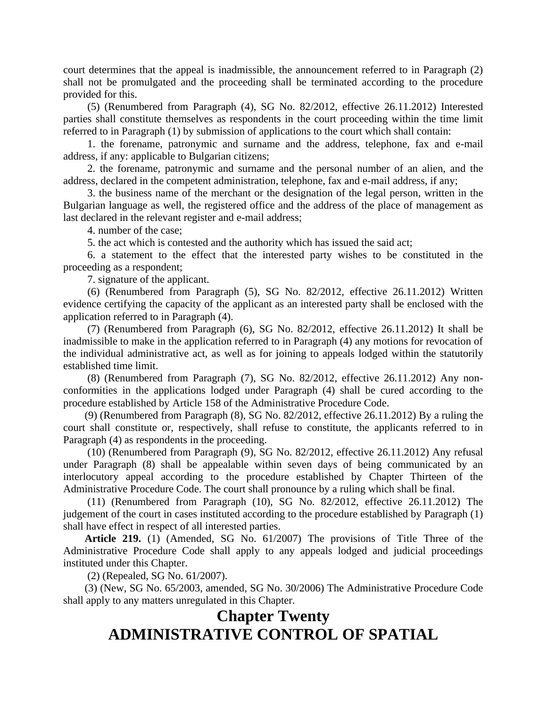court determines that the appeal is inadmissible, the announcement referred to in Paragraph (2) shall not be promulgated and the proceeding shall be terminated according to the procedure provided for this.

(5) (Renumbered from Paragraph (4), SG No. 82/2012, effective 26.11.2012) Interested parties shall constitute themselves as respondents in the court proceeding within the time limit referred to in Paragraph (1) by submission of applications to the court which shall contain:

1. the forename, patronymic and surname and the address, telephone, fax and e-mail address, if any: applicable to Bulgarian citizens;

2. the forename, patronymic and surname and the personal number of an alien, and the address, declared in the competent administration, telephone, fax and e-mail address, if any;

3. the business name of the merchant or the designation of the legal person, written in the Bulgarian language as well, the registered office and the address of the place of management as last declared in the relevant register and e-mail address;

4. number of the case;

5. the act which is contested and the authority which has issued the said act;

6. a statement to the effect that the interested party wishes to be constituted in the proceeding as a respondent;

7. signature of the applicant.

(6) (Renumbered from Paragraph (5), SG No. 82/2012, effective 26.11.2012) Written evidence certifying the capacity of the applicant as an interested party shall be enclosed with the application referred to in Paragraph (4).

(7) (Renumbered from Paragraph (6), SG No. 82/2012, effective 26.11.2012) It shall be inadmissible to make in the application referred to in Paragraph (4) any motions for revocation of the individual administrative act, as well as for joining to appeals lodged within the statutorily established time limit.

(8) (Renumbered from Paragraph (7), SG No. 82/2012, effective 26.11.2012) Any nonconformities in the applications lodged under Paragraph (4) shall be cured according to the procedure established by Article 158 of the Administrative Procedure Code.

(9) (Renumbered from Paragraph (8), SG No. 82/2012, effective 26.11.2012) By a ruling the court shall constitute or, respectively, shall refuse to constitute, the applicants referred to in Paragraph (4) as respondents in the proceeding.

(10) (Renumbered from Paragraph (9), SG No. 82/2012, effective 26.11.2012) Any refusal under Paragraph (8) shall be appealable within seven days of being communicated by an interlocutory appeal according to the procedure established by Chapter Thirteen of the Administrative Procedure Code. The court shall pronounce by a ruling which shall be final.

(11) (Renumbered from Paragraph (10), SG No. 82/2012, effective 26.11.2012) The judgement of the court in cases instituted according to the procedure established by Paragraph (1) shall have effect in respect of all interested parties.

**Article 219.** (1) (Amended, SG No. 61/2007) The provisions of Title Three of the Administrative Procedure Code shall apply to any appeals lodged and judicial proceedings instituted under this Chapter.

(2) (Repealed, SG No. 61/2007).

(3) (New, SG No. 65/2003, amended, SG No. 30/2006) The Administrative Procedure Code shall apply to any matters unregulated in this Chapter.

# **Chapter Twenty ADMINISTRATIVE CONTROL OF SPATIAL**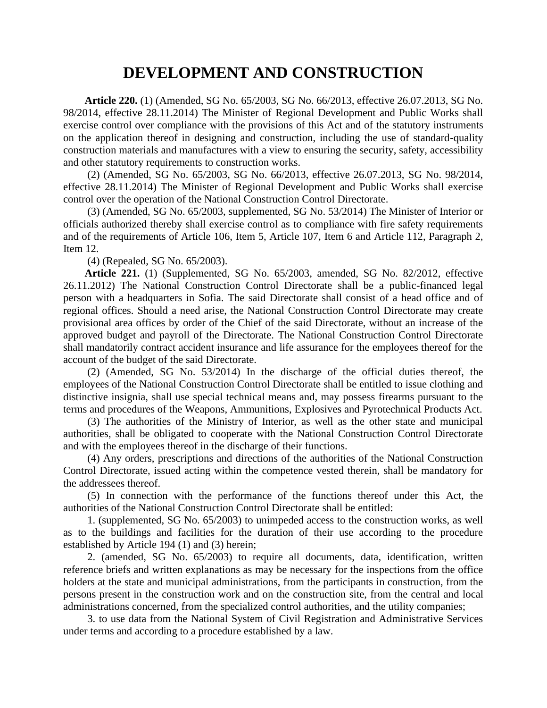### **DEVELOPMENT AND CONSTRUCTION**

**Article 220.** (1) (Amended, SG No. 65/2003, SG No. 66/2013, effective 26.07.2013, SG No. 98/2014, effective 28.11.2014) The Minister of Regional Development and Public Works shall exercise control over compliance with the provisions of this Act and of the statutory instruments on the application thereof in designing and construction, including the use of standard-quality construction materials and manufactures with a view to ensuring the security, safety, accessibility and other statutory requirements to construction works.

(2) (Amended, SG No. 65/2003, SG No. 66/2013, effective 26.07.2013, SG No. 98/2014, effective 28.11.2014) The Minister of Regional Development and Public Works shall exercise control over the operation of the National Construction Control Directorate.

(3) (Amended, SG No. 65/2003, supplemented, SG No. 53/2014) The Minister of Interior or officials authorized thereby shall exercise control as to compliance with fire safety requirements and of the requirements of Article 106, Item 5, Article 107, Item 6 and Article 112, Paragraph 2, Item 12.

(4) (Repealed, SG No. 65/2003).

**Article 221.** (1) (Supplemented, SG No. 65/2003, amended, SG No. 82/2012, effective 26.11.2012) The National Construction Control Directorate shall be a public-financed legal person with a headquarters in Sofia. The said Directorate shall consist of a head office and of regional offices. Should a need arise, the National Construction Control Directorate may create provisional area offices by order of the Chief of the said Directorate, without an increase of the approved budget and payroll of the Directorate. The National Construction Control Directorate shall mandatorily contract accident insurance and life assurance for the employees thereof for the account of the budget of the said Directorate.

(2) (Amended, SG No. 53/2014) In the discharge of the official duties thereof, the employees of the National Construction Control Directorate shall be entitled to issue clothing and distinctive insignia, shall use special technical means and, may possess firearms pursuant to the terms and procedures of the Weapons, Ammunitions, Explosives and Pyrotechnical Products Act.

(3) The authorities of the Ministry of Interior, as well as the other state and municipal authorities, shall be obligated to cooperate with the National Construction Control Directorate and with the employees thereof in the discharge of their functions.

(4) Any orders, prescriptions and directions of the authorities of the National Construction Control Directorate, issued acting within the competence vested therein, shall be mandatory for the addressees thereof.

(5) In connection with the performance of the functions thereof under this Act, the authorities of the National Construction Control Directorate shall be entitled:

1. (supplemented, SG No. 65/2003) to unimpeded access to the construction works, as well as to the buildings and facilities for the duration of their use according to the procedure established by Article 194 (1) and (3) herein;

2. (amended, SG No. 65/2003) to require all documents, data, identification, written reference briefs and written explanations as may be necessary for the inspections from the office holders at the state and municipal administrations, from the participants in construction, from the persons present in the construction work and on the construction site, from the central and local administrations concerned, from the specialized control authorities, and the utility companies;

3. to use data from the National System of Civil Registration and Administrative Services under terms and according to a procedure established by a law.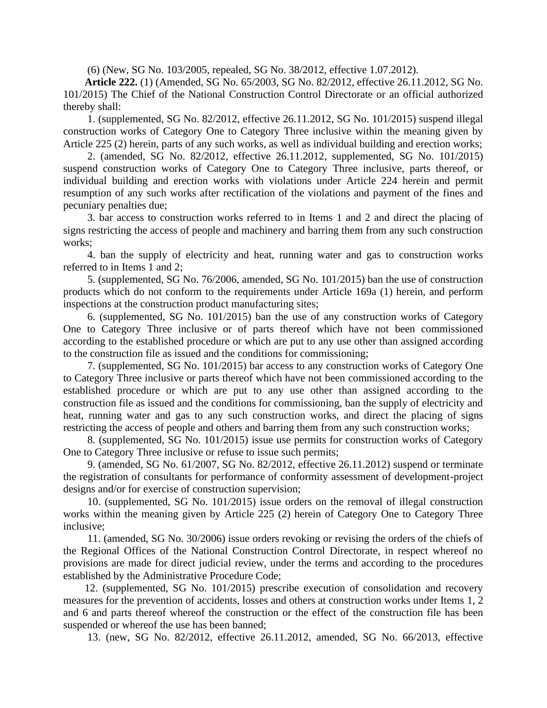(6) (New, SG No. 103/2005, repealed, SG No. 38/2012, effective 1.07.2012).

**Article 222.** (1) (Amended, SG No. 65/2003, SG No. 82/2012, effective 26.11.2012, SG No. 101/2015) The Chief of the National Construction Control Directorate or an official authorized thereby shall:

1. (supplemented, SG No. 82/2012, effective 26.11.2012, SG No. 101/2015) suspend illegal construction works of Category One to Category Three inclusive within the meaning given by Article 225 (2) herein, parts of any such works, as well as individual building and erection works;

2. (amended, SG No. 82/2012, effective 26.11.2012, supplemented, SG No. 101/2015) suspend construction works of Category One to Category Three inclusive, parts thereof, or individual building and erection works with violations under Article 224 herein and permit resumption of any such works after rectification of the violations and payment of the fines and pecuniary penalties due;

3. bar access to construction works referred to in Items 1 and 2 and direct the placing of signs restricting the access of people and machinery and barring them from any such construction works;

4. ban the supply of electricity and heat, running water and gas to construction works referred to in Items 1 and 2;

5. (supplemented, SG No. 76/2006, amended, SG No. 101/2015) ban the use of construction products which do not conform to the requirements under Article 169a (1) herein, and perform inspections at the construction product manufacturing sites;

6. (supplemented, SG No. 101/2015) ban the use of any construction works of Category One to Category Three inclusive or of parts thereof which have not been commissioned according to the established procedure or which are put to any use other than assigned according to the construction file as issued and the conditions for commissioning;

7. (supplemented, SG No. 101/2015) bar access to any construction works of Category One to Category Three inclusive or parts thereof which have not been commissioned according to the established procedure or which are put to any use other than assigned according to the construction file as issued and the conditions for commissioning, ban the supply of electricity and heat, running water and gas to any such construction works, and direct the placing of signs restricting the access of people and others and barring them from any such construction works;

8. (supplemented, SG No. 101/2015) issue use permits for construction works of Category One to Category Three inclusive or refuse to issue such permits;

9. (amended, SG No. 61/2007, SG No. 82/2012, effective 26.11.2012) suspend or terminate the registration of consultants for performance of conformity assessment of development-project designs and/or for exercise of construction supervision;

10. (supplemented, SG No. 101/2015) issue orders on the removal of illegal construction works within the meaning given by Article 225 (2) herein of Category One to Category Three inclusive;

11. (amended, SG No. 30/2006) issue orders revoking or revising the orders of the chiefs of the Regional Offices of the National Construction Control Directorate, in respect whereof no provisions are made for direct judicial review, under the terms and according to the procedures established by the Administrative Procedure Code;

12. (supplemented, SG No. 101/2015) prescribe execution of consolidation and recovery measures for the prevention of accidents, losses and others at construction works under Items 1, 2 and 6 and parts thereof whereof the construction or the effect of the construction file has been suspended or whereof the use has been banned;

13. (new, SG No. 82/2012, effective 26.11.2012, amended, SG No. 66/2013, effective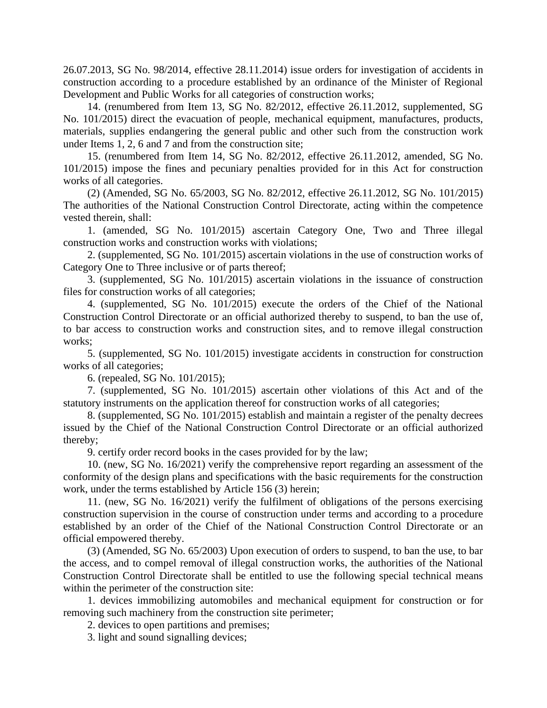26.07.2013, SG No. 98/2014, effective 28.11.2014) issue orders for investigation of accidents in construction according to a procedure established by an ordinance of the Minister of Regional Development and Public Works for all categories of construction works;

14. (renumbered from Item 13, SG No. 82/2012, effective 26.11.2012, supplemented, SG No. 101/2015) direct the evacuation of people, mechanical equipment, manufactures, products, materials, supplies endangering the general public and other such from the construction work under Items 1, 2, 6 and 7 and from the construction site;

15. (renumbered from Item 14, SG No. 82/2012, effective 26.11.2012, amended, SG No. 101/2015) impose the fines and pecuniary penalties provided for in this Act for construction works of all categories.

(2) (Amended, SG No. 65/2003, SG No. 82/2012, effective 26.11.2012, SG No. 101/2015) The authorities of the National Construction Control Directorate, acting within the competence vested therein, shall:

1. (amended, SG No. 101/2015) ascertain Category One, Two and Three illegal construction works and construction works with violations;

2. (supplemented, SG No. 101/2015) ascertain violations in the use of construction works of Category One to Three inclusive or of parts thereof;

3. (supplemented, SG No. 101/2015) ascertain violations in the issuance of construction files for construction works of all categories;

4. (supplemented, SG No. 101/2015) execute the orders of the Chief of the National Construction Control Directorate or an official authorized thereby to suspend, to ban the use of, to bar access to construction works and construction sites, and to remove illegal construction works:

5. (supplemented, SG No. 101/2015) investigate accidents in construction for construction works of all categories;

6. (repealed, SG No. 101/2015);

7. (supplemented, SG No. 101/2015) ascertain other violations of this Act and of the statutory instruments on the application thereof for construction works of all categories;

8. (supplemented, SG No. 101/2015) establish and maintain a register of the penalty decrees issued by the Chief of the National Construction Control Directorate or an official authorized thereby;

9. certify order record books in the cases provided for by the law;

10. (new, SG No. 16/2021) verify the comprehensive report regarding an assessment of the conformity of the design plans and specifications with the basic requirements for the construction work, under the terms established by Article 156 (3) herein;

11. (new, SG No. 16/2021) verify the fulfilment of obligations of the persons exercising construction supervision in the course of construction under terms and according to a procedure established by an order of the Chief of the National Construction Control Directorate or an official empowered thereby.

(3) (Amended, SG No. 65/2003) Upon execution of orders to suspend, to ban the use, to bar the access, and to compel removal of illegal construction works, the authorities of the National Construction Control Directorate shall be entitled to use the following special technical means within the perimeter of the construction site:

1. devices immobilizing automobiles and mechanical equipment for construction or for removing such machinery from the construction site perimeter;

2. devices to open partitions and premises;

3. light and sound signalling devices;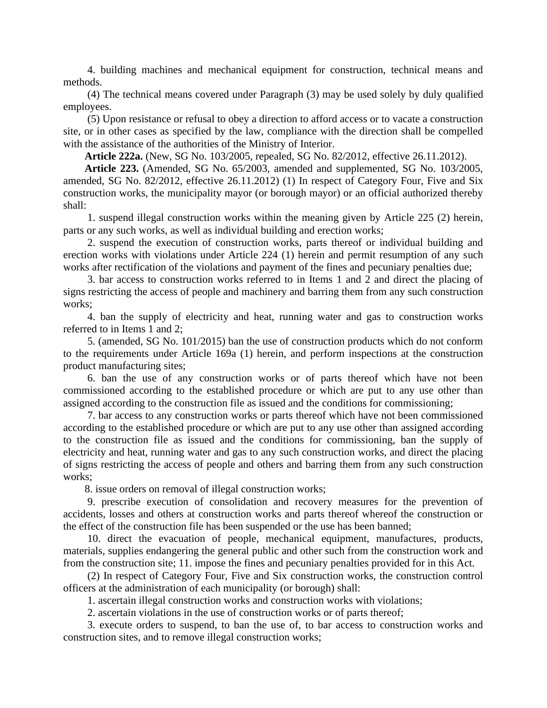4. building machines and mechanical equipment for construction, technical means and methods.

(4) The technical means covered under Paragraph (3) may be used solely by duly qualified employees.

(5) Upon resistance or refusal to obey a direction to afford access or to vacate a construction site, or in other cases as specified by the law, compliance with the direction shall be compelled with the assistance of the authorities of the Ministry of Interior.

**Article 222a.** (New, SG No. 103/2005, repealed, SG No. 82/2012, effective 26.11.2012).

**Article 223.** (Amended, SG No. 65/2003, amended and supplemented, SG No. 103/2005, amended, SG No. 82/2012, effective 26.11.2012) (1) In respect of Category Four, Five and Six construction works, the municipality mayor (or borough mayor) or an official authorized thereby shall:

1. suspend illegal construction works within the meaning given by Article 225 (2) herein, parts or any such works, as well as individual building and erection works;

2. suspend the execution of construction works, parts thereof or individual building and erection works with violations under Article 224 (1) herein and permit resumption of any such works after rectification of the violations and payment of the fines and pecuniary penalties due;

3. bar access to construction works referred to in Items 1 and 2 and direct the placing of signs restricting the access of people and machinery and barring them from any such construction works:

4. ban the supply of electricity and heat, running water and gas to construction works referred to in Items 1 and 2;

5. (amended, SG No. 101/2015) ban the use of construction products which do not conform to the requirements under Article 169a (1) herein, and perform inspections at the construction product manufacturing sites;

6. ban the use of any construction works or of parts thereof which have not been commissioned according to the established procedure or which are put to any use other than assigned according to the construction file as issued and the conditions for commissioning;

7. bar access to any construction works or parts thereof which have not been commissioned according to the established procedure or which are put to any use other than assigned according to the construction file as issued and the conditions for commissioning, ban the supply of electricity and heat, running water and gas to any such construction works, and direct the placing of signs restricting the access of people and others and barring them from any such construction works:

8. issue orders on removal of illegal construction works;

9. prescribe execution of consolidation and recovery measures for the prevention of accidents, losses and others at construction works and parts thereof whereof the construction or the effect of the construction file has been suspended or the use has been banned;

10. direct the evacuation of people, mechanical equipment, manufactures, products, materials, supplies endangering the general public and other such from the construction work and from the construction site; 11. impose the fines and pecuniary penalties provided for in this Act.

(2) In respect of Category Four, Five and Six construction works, the construction control officers at the administration of each municipality (or borough) shall:

1. ascertain illegal construction works and construction works with violations;

2. ascertain violations in the use of construction works or of parts thereof;

3. execute orders to suspend, to ban the use of, to bar access to construction works and construction sites, and to remove illegal construction works;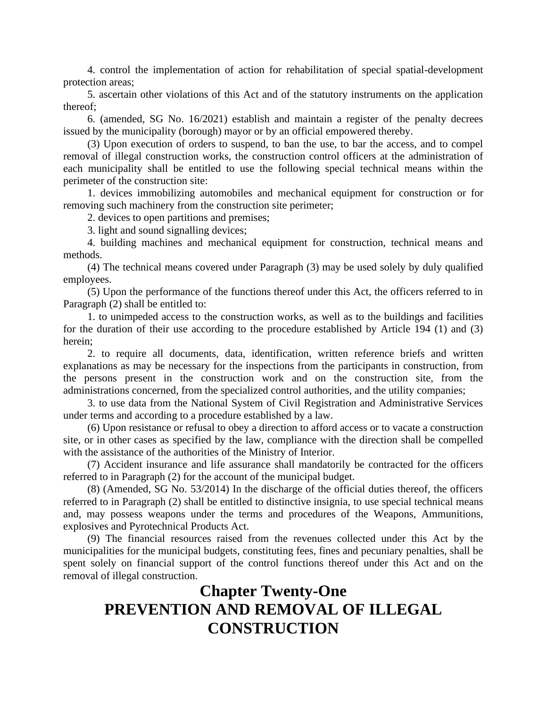4. control the implementation of action for rehabilitation of special spatial-development protection areas;

5. ascertain other violations of this Act and of the statutory instruments on the application thereof;

6. (amended, SG No. 16/2021) establish and maintain a register of the penalty decrees issued by the municipality (borough) mayor or by an official empowered thereby.

(3) Upon execution of orders to suspend, to ban the use, to bar the access, and to compel removal of illegal construction works, the construction control officers at the administration of each municipality shall be entitled to use the following special technical means within the perimeter of the construction site:

1. devices immobilizing automobiles and mechanical equipment for construction or for removing such machinery from the construction site perimeter;

2. devices to open partitions and premises;

3. light and sound signalling devices;

4. building machines and mechanical equipment for construction, technical means and methods.

(4) The technical means covered under Paragraph (3) may be used solely by duly qualified employees.

(5) Upon the performance of the functions thereof under this Act, the officers referred to in Paragraph (2) shall be entitled to:

1. to unimpeded access to the construction works, as well as to the buildings and facilities for the duration of their use according to the procedure established by Article 194 (1) and (3) herein;

2. to require all documents, data, identification, written reference briefs and written explanations as may be necessary for the inspections from the participants in construction, from the persons present in the construction work and on the construction site, from the administrations concerned, from the specialized control authorities, and the utility companies;

3. to use data from the National System of Civil Registration and Administrative Services under terms and according to a procedure established by a law.

(6) Upon resistance or refusal to obey a direction to afford access or to vacate a construction site, or in other cases as specified by the law, compliance with the direction shall be compelled with the assistance of the authorities of the Ministry of Interior.

(7) Accident insurance and life assurance shall mandatorily be contracted for the officers referred to in Paragraph (2) for the account of the municipal budget.

(8) (Amended, SG No. 53/2014) In the discharge of the official duties thereof, the officers referred to in Paragraph (2) shall be entitled to distinctive insignia, to use special technical means and, may possess weapons under the terms and procedures of the Weapons, Ammunitions, explosives and Pyrotechnical Products Act.

(9) The financial resources raised from the revenues collected under this Act by the municipalities for the municipal budgets, constituting fees, fines and pecuniary penalties, shall be spent solely on financial support of the control functions thereof under this Act and on the removal of illegal construction.

# **Chapter Twenty-One PREVENTION AND REMOVAL OF ILLEGAL CONSTRUCTION**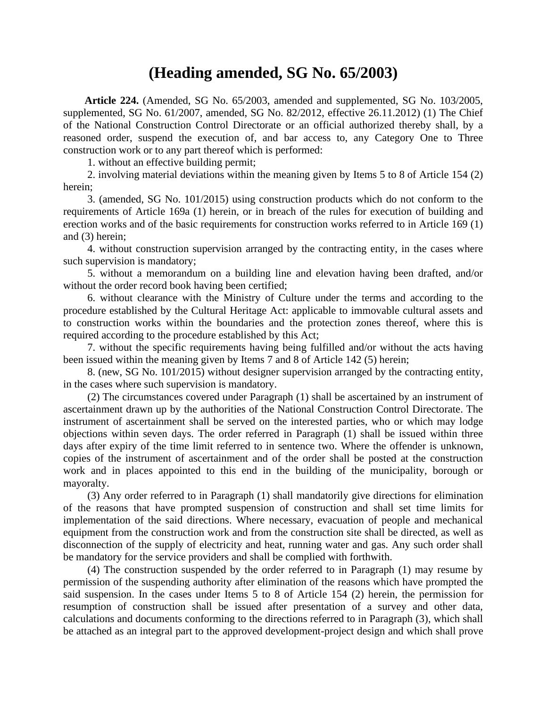### **(Heading amended, SG No. 65/2003)**

**Article 224.** (Amended, SG No. 65/2003, amended and supplemented, SG No. 103/2005, supplemented, SG No. 61/2007, amended, SG No. 82/2012, effective 26.11.2012) (1) The Chief of the National Construction Control Directorate or an official authorized thereby shall, by a reasoned order, suspend the execution of, and bar access to, any Category One to Three construction work or to any part thereof which is performed:

1. without an effective building permit;

2. involving material deviations within the meaning given by Items 5 to 8 of Article 154 (2) herein;

3. (amended, SG No. 101/2015) using construction products which do not conform to the requirements of Article 169a (1) herein, or in breach of the rules for execution of building and erection works and of the basic requirements for construction works referred to in Article 169 (1) and (3) herein;

4. without construction supervision arranged by the contracting entity, in the cases where such supervision is mandatory;

5. without a memorandum on a building line and elevation having been drafted, and/or without the order record book having been certified;

6. without clearance with the Ministry of Culture under the terms and according to the procedure established by the Cultural Heritage Act: applicable to immovable cultural assets and to construction works within the boundaries and the protection zones thereof, where this is required according to the procedure established by this Act;

7. without the specific requirements having being fulfilled and/or without the acts having been issued within the meaning given by Items 7 and 8 of Article 142 (5) herein;

8. (new, SG No. 101/2015) without designer supervision arranged by the contracting entity, in the cases where such supervision is mandatory.

(2) The circumstances covered under Paragraph (1) shall be ascertained by an instrument of ascertainment drawn up by the authorities of the National Construction Control Directorate. The instrument of ascertainment shall be served on the interested parties, who or which may lodge objections within seven days. The order referred in Paragraph (1) shall be issued within three days after expiry of the time limit referred to in sentence two. Where the offender is unknown, copies of the instrument of ascertainment and of the order shall be posted at the construction work and in places appointed to this end in the building of the municipality, borough or mayoralty.

(3) Any order referred to in Paragraph (1) shall mandatorily give directions for elimination of the reasons that have prompted suspension of construction and shall set time limits for implementation of the said directions. Where necessary, evacuation of people and mechanical equipment from the construction work and from the construction site shall be directed, as well as disconnection of the supply of electricity and heat, running water and gas. Any such order shall be mandatory for the service providers and shall be complied with forthwith.

(4) The construction suspended by the order referred to in Paragraph (1) may resume by permission of the suspending authority after elimination of the reasons which have prompted the said suspension. In the cases under Items 5 to 8 of Article 154 (2) herein, the permission for resumption of construction shall be issued after presentation of a survey and other data, calculations and documents conforming to the directions referred to in Paragraph (3), which shall be attached as an integral part to the approved development-project design and which shall prove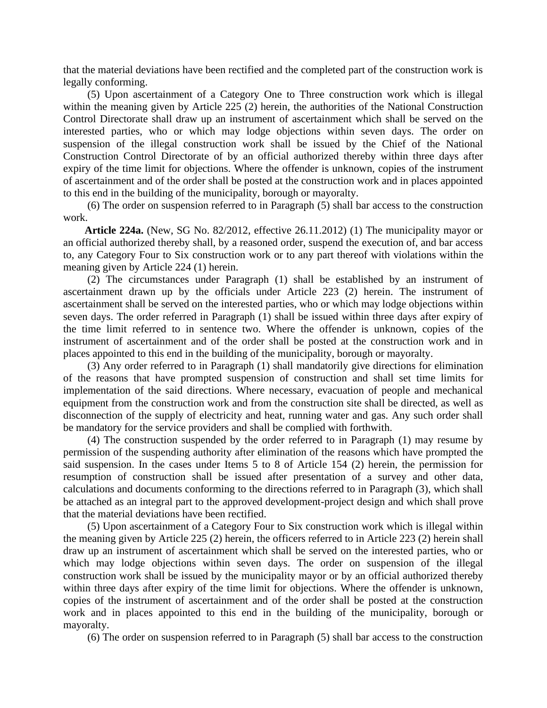that the material deviations have been rectified and the completed part of the construction work is legally conforming.

(5) Upon ascertainment of a Category One to Three construction work which is illegal within the meaning given by Article 225 (2) herein, the authorities of the National Construction Control Directorate shall draw up an instrument of ascertainment which shall be served on the interested parties, who or which may lodge objections within seven days. The order on suspension of the illegal construction work shall be issued by the Chief of the National Construction Control Directorate of by an official authorized thereby within three days after expiry of the time limit for objections. Where the offender is unknown, copies of the instrument of ascertainment and of the order shall be posted at the construction work and in places appointed to this end in the building of the municipality, borough or mayoralty.

(6) The order on suspension referred to in Paragraph (5) shall bar access to the construction work.

**Article 224a.** (New, SG No. 82/2012, effective 26.11.2012) (1) The municipality mayor or an official authorized thereby shall, by a reasoned order, suspend the execution of, and bar access to, any Category Four to Six construction work or to any part thereof with violations within the meaning given by Article 224 (1) herein.

(2) The circumstances under Paragraph (1) shall be established by an instrument of ascertainment drawn up by the officials under Article 223 (2) herein. The instrument of ascertainment shall be served on the interested parties, who or which may lodge objections within seven days. The order referred in Paragraph (1) shall be issued within three days after expiry of the time limit referred to in sentence two. Where the offender is unknown, copies of the instrument of ascertainment and of the order shall be posted at the construction work and in places appointed to this end in the building of the municipality, borough or mayoralty.

(3) Any order referred to in Paragraph (1) shall mandatorily give directions for elimination of the reasons that have prompted suspension of construction and shall set time limits for implementation of the said directions. Where necessary, evacuation of people and mechanical equipment from the construction work and from the construction site shall be directed, as well as disconnection of the supply of electricity and heat, running water and gas. Any such order shall be mandatory for the service providers and shall be complied with forthwith.

(4) The construction suspended by the order referred to in Paragraph (1) may resume by permission of the suspending authority after elimination of the reasons which have prompted the said suspension. In the cases under Items 5 to 8 of Article 154 (2) herein, the permission for resumption of construction shall be issued after presentation of a survey and other data, calculations and documents conforming to the directions referred to in Paragraph (3), which shall be attached as an integral part to the approved development-project design and which shall prove that the material deviations have been rectified.

(5) Upon ascertainment of a Category Four to Six construction work which is illegal within the meaning given by Article 225 (2) herein, the officers referred to in Article 223 (2) herein shall draw up an instrument of ascertainment which shall be served on the interested parties, who or which may lodge objections within seven days. The order on suspension of the illegal construction work shall be issued by the municipality mayor or by an official authorized thereby within three days after expiry of the time limit for objections. Where the offender is unknown, copies of the instrument of ascertainment and of the order shall be posted at the construction work and in places appointed to this end in the building of the municipality, borough or mayoralty.

(6) The order on suspension referred to in Paragraph (5) shall bar access to the construction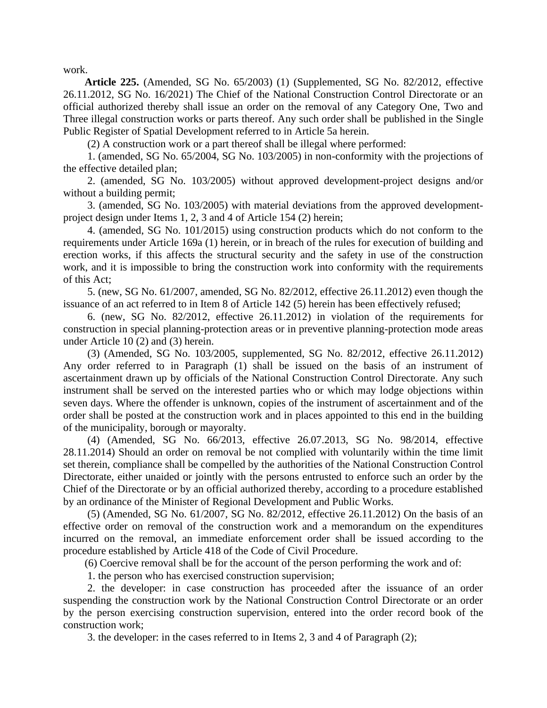work.

**Article 225.** (Amended, SG No. 65/2003) (1) (Supplemented, SG No. 82/2012, effective 26.11.2012, SG No. 16/2021) The Chief of the National Construction Control Directorate or an official authorized thereby shall issue an order on the removal of any Category One, Two and Three illegal construction works or parts thereof. Any such order shall be published in the Single Public Register of Spatial Development referred to in Article 5a herein.

(2) A construction work or a part thereof shall be illegal where performed:

1. (amended, SG No. 65/2004, SG No. 103/2005) in non-conformity with the projections of the effective detailed plan;

2. (amended, SG No. 103/2005) without approved development-project designs and/or without a building permit;

3. (amended, SG No. 103/2005) with material deviations from the approved developmentproject design under Items 1, 2, 3 and 4 of Article 154 (2) herein;

4. (amended, SG No. 101/2015) using construction products which do not conform to the requirements under Article 169a (1) herein, or in breach of the rules for execution of building and erection works, if this affects the structural security and the safety in use of the construction work, and it is impossible to bring the construction work into conformity with the requirements of this Act;

5. (new, SG No. 61/2007, amended, SG No. 82/2012, effective 26.11.2012) even though the issuance of an act referred to in Item 8 of Article 142 (5) herein has been effectively refused;

6. (new, SG No. 82/2012, effective 26.11.2012) in violation of the requirements for construction in special planning-protection areas or in preventive planning-protection mode areas under Article 10 (2) and (3) herein.

(3) (Amended, SG No. 103/2005, supplemented, SG No. 82/2012, effective 26.11.2012) Any order referred to in Paragraph (1) shall be issued on the basis of an instrument of ascertainment drawn up by officials of the National Construction Control Directorate. Any such instrument shall be served on the interested parties who or which may lodge objections within seven days. Where the offender is unknown, copies of the instrument of ascertainment and of the order shall be posted at the construction work and in places appointed to this end in the building of the municipality, borough or mayoralty.

(4) (Amended, SG No. 66/2013, effective 26.07.2013, SG No. 98/2014, effective 28.11.2014) Should an order on removal be not complied with voluntarily within the time limit set therein, compliance shall be compelled by the authorities of the National Construction Control Directorate, either unaided or jointly with the persons entrusted to enforce such an order by the Chief of the Directorate or by an official authorized thereby, according to a procedure established by an ordinance of the Minister of Regional Development and Public Works.

(5) (Amended, SG No. 61/2007, SG No. 82/2012, effective 26.11.2012) On the basis of an effective order on removal of the construction work and a memorandum on the expenditures incurred on the removal, an immediate enforcement order shall be issued according to the procedure established by Article 418 of the Code of Civil Procedure.

(6) Coercive removal shall be for the account of the person performing the work and of:

1. the person who has exercised construction supervision;

2. the developer: in case construction has proceeded after the issuance of an order suspending the construction work by the National Construction Control Directorate or an order by the person exercising construction supervision, entered into the order record book of the construction work;

3. the developer: in the cases referred to in Items 2, 3 and 4 of Paragraph (2);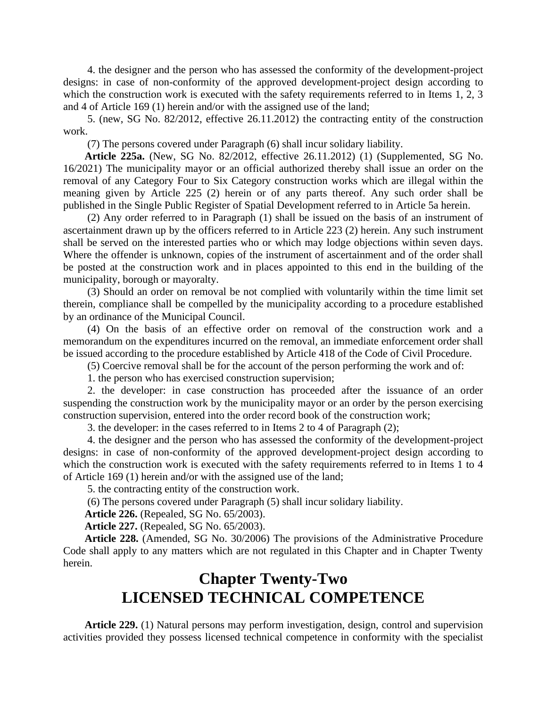4. the designer and the person who has assessed the conformity of the development-project designs: in case of non-conformity of the approved development-project design according to which the construction work is executed with the safety requirements referred to in Items 1, 2, 3 and 4 of Article 169 (1) herein and/or with the assigned use of the land;

5. (new, SG No. 82/2012, effective 26.11.2012) the contracting entity of the construction work.

(7) The persons covered under Paragraph (6) shall incur solidary liability.

**Article 225a.** (New, SG No. 82/2012, effective 26.11.2012) (1) (Supplemented, SG No. 16/2021) The municipality mayor or an official authorized thereby shall issue an order on the removal of any Category Four to Six Category construction works which are illegal within the meaning given by Article 225 (2) herein or of any parts thereof. Any such order shall be published in the Single Public Register of Spatial Development referred to in Article 5a herein.

(2) Any order referred to in Paragraph (1) shall be issued on the basis of an instrument of ascertainment drawn up by the officers referred to in Article 223 (2) herein. Any such instrument shall be served on the interested parties who or which may lodge objections within seven days. Where the offender is unknown, copies of the instrument of ascertainment and of the order shall be posted at the construction work and in places appointed to this end in the building of the municipality, borough or mayoralty.

(3) Should an order on removal be not complied with voluntarily within the time limit set therein, compliance shall be compelled by the municipality according to a procedure established by an ordinance of the Municipal Council.

(4) On the basis of an effective order on removal of the construction work and a memorandum on the expenditures incurred on the removal, an immediate enforcement order shall be issued according to the procedure established by Article 418 of the Code of Civil Procedure.

(5) Coercive removal shall be for the account of the person performing the work and of:

1. the person who has exercised construction supervision;

2. the developer: in case construction has proceeded after the issuance of an order suspending the construction work by the municipality mayor or an order by the person exercising construction supervision, entered into the order record book of the construction work;

3. the developer: in the cases referred to in Items 2 to 4 of Paragraph (2);

4. the designer and the person who has assessed the conformity of the development-project designs: in case of non-conformity of the approved development-project design according to which the construction work is executed with the safety requirements referred to in Items 1 to 4 of Article 169 (1) herein and/or with the assigned use of the land;

5. the contracting entity of the construction work.

(6) The persons covered under Paragraph (5) shall incur solidary liability.

**Article 226.** (Repealed, SG No. 65/2003).

**Article 227.** (Repealed, SG No. 65/2003).

**Article 228.** (Amended, SG No. 30/2006) The provisions of the Administrative Procedure Code shall apply to any matters which are not regulated in this Chapter and in Chapter Twenty herein.

# **Chapter Twenty-Two LICENSED TECHNICAL COMPETENCE**

**Article 229.** (1) Natural persons may perform investigation, design, control and supervision activities provided they possess licensed technical competence in conformity with the specialist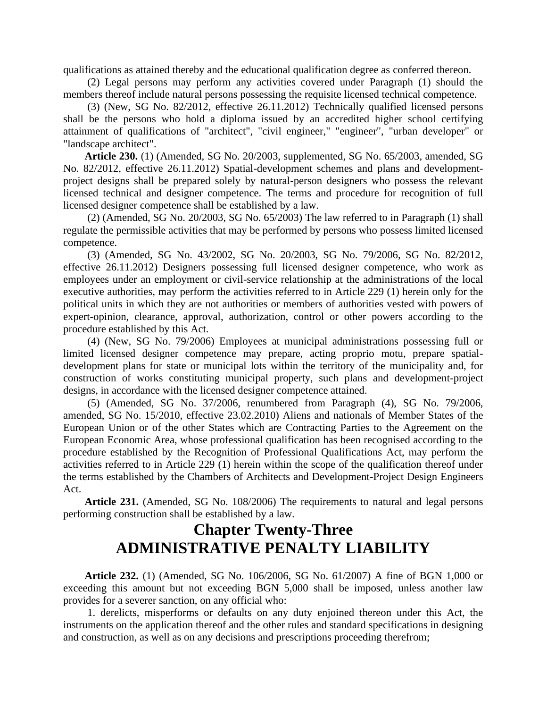qualifications as attained thereby and the educational qualification degree as conferred thereon.

(2) Legal persons may perform any activities covered under Paragraph (1) should the members thereof include natural persons possessing the requisite licensed technical competence.

(3) (New, SG No. 82/2012, effective 26.11.2012) Technically qualified licensed persons shall be the persons who hold a diploma issued by an accredited higher school certifying attainment of qualifications of "architect", "civil engineer," "engineer", "urban developer" or "landscape architect".

**Article 230.** (1) (Amended, SG No. 20/2003, supplemented, SG No. 65/2003, amended, SG No. 82/2012, effective 26.11.2012) Spatial-development schemes and plans and developmentproject designs shall be prepared solely by natural-person designers who possess the relevant licensed technical and designer competence. The terms and procedure for recognition of full licensed designer competence shall be established by a law.

(2) (Amended, SG No. 20/2003, SG No. 65/2003) The law referred to in Paragraph (1) shall regulate the permissible activities that may be performed by persons who possess limited licensed competence.

(3) (Amended, SG No. 43/2002, SG No. 20/2003, SG No. 79/2006, SG No. 82/2012, effective 26.11.2012) Designers possessing full licensed designer competence, who work as employees under an employment or civil-service relationship at the administrations of the local executive authorities, may perform the activities referred to in Article 229 (1) herein only for the political units in which they are not authorities or members of authorities vested with powers of expert-opinion, clearance, approval, authorization, control or other powers according to the procedure established by this Act.

(4) (New, SG No. 79/2006) Employees at municipal administrations possessing full or limited licensed designer competence may prepare, acting proprio motu, prepare spatialdevelopment plans for state or municipal lots within the territory of the municipality and, for construction of works constituting municipal property, such plans and development-project designs, in accordance with the licensed designer competence attained.

(5) (Amended, SG No. 37/2006, renumbered from Paragraph (4), SG No. 79/2006, amended, SG No. 15/2010, effective 23.02.2010) Aliens and nationals of Member States of the European Union or of the other States which are Contracting Parties to the Agreement on the European Economic Area, whose professional qualification has been recognised according to the procedure established by the Recognition of Professional Qualifications Act, may perform the activities referred to in Article 229 (1) herein within the scope of the qualification thereof under the terms established by the Chambers of Architects and Development-Project Design Engineers Act.

**Article 231.** (Amended, SG No. 108/2006) The requirements to natural and legal persons performing construction shall be established by a law.

### **Chapter Twenty-Three ADMINISTRATIVE PENALTY LIABILITY**

**Article 232.** (1) (Amended, SG No. 106/2006, SG No. 61/2007) A fine of BGN 1,000 or exceeding this amount but not exceeding BGN 5,000 shall be imposed, unless another law provides for a severer sanction, on any official who:

1. derelicts, misperforms or defaults on any duty enjoined thereon under this Act, the instruments on the application thereof and the other rules and standard specifications in designing and construction, as well as on any decisions and prescriptions proceeding therefrom;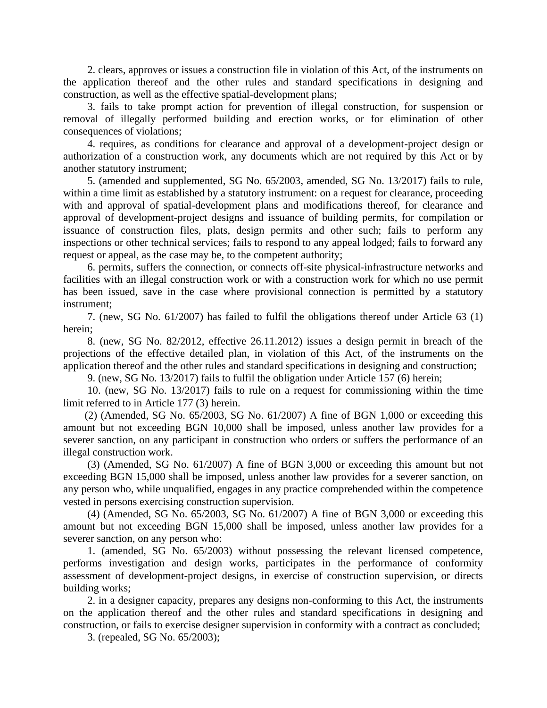2. clears, approves or issues a construction file in violation of this Act, of the instruments on the application thereof and the other rules and standard specifications in designing and construction, as well as the effective spatial-development plans;

3. fails to take prompt action for prevention of illegal construction, for suspension or removal of illegally performed building and erection works, or for elimination of other consequences of violations;

4. requires, as conditions for clearance and approval of a development-project design or authorization of a construction work, any documents which are not required by this Act or by another statutory instrument;

5. (amended and supplemented, SG No. 65/2003, amended, SG No. 13/2017) fails to rule, within a time limit as established by a statutory instrument: on a request for clearance, proceeding with and approval of spatial-development plans and modifications thereof, for clearance and approval of development-project designs and issuance of building permits, for compilation or issuance of construction files, plats, design permits and other such; fails to perform any inspections or other technical services; fails to respond to any appeal lodged; fails to forward any request or appeal, as the case may be, to the competent authority;

6. permits, suffers the connection, or connects off-site physical-infrastructure networks and facilities with an illegal construction work or with a construction work for which no use permit has been issued, save in the case where provisional connection is permitted by a statutory instrument;

7. (new, SG No. 61/2007) has failed to fulfil the obligations thereof under Article 63 (1) herein;

8. (new, SG No. 82/2012, effective 26.11.2012) issues a design permit in breach of the projections of the effective detailed plan, in violation of this Act, of the instruments on the application thereof and the other rules and standard specifications in designing and construction;

9. (new, SG No. 13/2017) fails to fulfil the obligation under Article 157 (6) herein;

10. (new, SG No. 13/2017) fails to rule on a request for commissioning within the time limit referred to in Article 177 (3) herein.

(2) (Amended, SG No. 65/2003, SG No. 61/2007) A fine of BGN 1,000 or exceeding this amount but not exceeding BGN 10,000 shall be imposed, unless another law provides for a severer sanction, on any participant in construction who orders or suffers the performance of an illegal construction work.

(3) (Amended, SG No. 61/2007) A fine of BGN 3,000 or exceeding this amount but not exceeding BGN 15,000 shall be imposed, unless another law provides for a severer sanction, on any person who, while unqualified, engages in any practice comprehended within the competence vested in persons exercising construction supervision.

(4) (Amended, SG No. 65/2003, SG No. 61/2007) A fine of BGN 3,000 or exceeding this amount but not exceeding BGN 15,000 shall be imposed, unless another law provides for a severer sanction, on any person who:

1. (amended, SG No. 65/2003) without possessing the relevant licensed competence, performs investigation and design works, participates in the performance of conformity assessment of development-project designs, in exercise of construction supervision, or directs building works;

2. in a designer capacity, prepares any designs non-conforming to this Act, the instruments on the application thereof and the other rules and standard specifications in designing and construction, or fails to exercise designer supervision in conformity with a contract as concluded;

3. (repealed, SG No. 65/2003);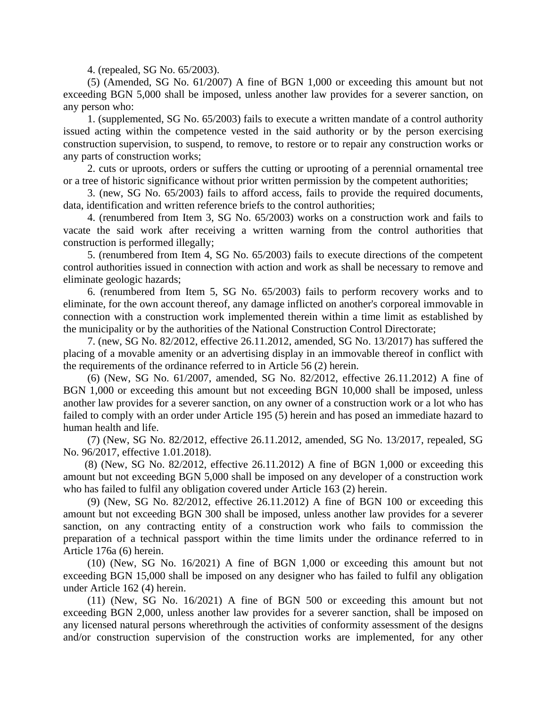4. (repealed, SG No. 65/2003).

(5) (Amended, SG No. 61/2007) A fine of BGN 1,000 or exceeding this amount but not exceeding BGN 5,000 shall be imposed, unless another law provides for a severer sanction, on any person who:

1. (supplemented, SG No. 65/2003) fails to execute a written mandate of a control authority issued acting within the competence vested in the said authority or by the person exercising construction supervision, to suspend, to remove, to restore or to repair any construction works or any parts of construction works;

2. cuts or uproots, orders or suffers the cutting or uprooting of a perennial ornamental tree or a tree of historic significance without prior written permission by the competent authorities;

3. (new, SG No. 65/2003) fails to afford access, fails to provide the required documents, data, identification and written reference briefs to the control authorities;

4. (renumbered from Item 3, SG No. 65/2003) works on a construction work and fails to vacate the said work after receiving a written warning from the control authorities that construction is performed illegally;

5. (renumbered from Item 4, SG No. 65/2003) fails to execute directions of the competent control authorities issued in connection with action and work as shall be necessary to remove and eliminate geologic hazards;

6. (renumbered from Item 5, SG No. 65/2003) fails to perform recovery works and to eliminate, for the own account thereof, any damage inflicted on another's corporeal immovable in connection with a construction work implemented therein within a time limit as established by the municipality or by the authorities of the National Construction Control Directorate;

7. (new, SG No. 82/2012, effective 26.11.2012, amended, SG No. 13/2017) has suffered the placing of a movable amenity or an advertising display in an immovable thereof in conflict with the requirements of the ordinance referred to in Article 56 (2) herein.

(6) (New, SG No. 61/2007, amended, SG No. 82/2012, effective 26.11.2012) A fine of BGN 1,000 or exceeding this amount but not exceeding BGN 10,000 shall be imposed, unless another law provides for a severer sanction, on any owner of a construction work or a lot who has failed to comply with an order under Article 195 (5) herein and has posed an immediate hazard to human health and life.

(7) (New, SG No. 82/2012, effective 26.11.2012, amended, SG No. 13/2017, repealed, SG No. 96/2017, effective 1.01.2018).

(8) (New, SG No. 82/2012, effective 26.11.2012) A fine of BGN 1,000 or exceeding this amount but not exceeding BGN 5,000 shall be imposed on any developer of a construction work who has failed to fulfil any obligation covered under Article 163 (2) herein.

(9) (New, SG No. 82/2012, effective 26.11.2012) A fine of BGN 100 or exceeding this amount but not exceeding BGN 300 shall be imposed, unless another law provides for a severer sanction, on any contracting entity of a construction work who fails to commission the preparation of a technical passport within the time limits under the ordinance referred to in Article 176a (6) herein.

(10) (New, SG No. 16/2021) A fine of BGN 1,000 or exceeding this amount but not exceeding BGN 15,000 shall be imposed on any designer who has failed to fulfil any obligation under Article 162 (4) herein.

(11) (New, SG No. 16/2021) A fine of BGN 500 or exceeding this amount but not exceeding BGN 2,000, unless another law provides for a severer sanction, shall be imposed on any licensed natural persons wherethrough the activities of conformity assessment of the designs and/or construction supervision of the construction works are implemented, for any other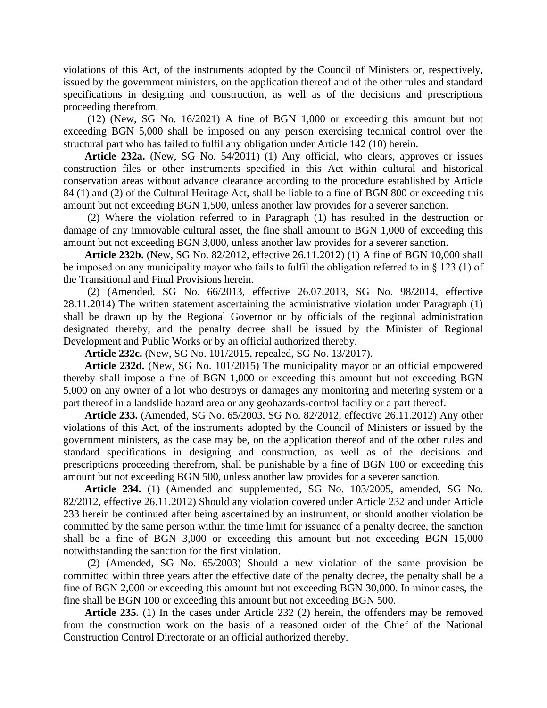violations of this Act, of the instruments adopted by the Council of Ministers or, respectively, issued by the government ministers, on the application thereof and of the other rules and standard specifications in designing and construction, as well as of the decisions and prescriptions proceeding therefrom.

(12) (New, SG No. 16/2021) A fine of BGN 1,000 or exceeding this amount but not exceeding BGN 5,000 shall be imposed on any person exercising technical control over the structural part who has failed to fulfil any obligation under Article 142 (10) herein.

**Article 232a.** (New, SG No. 54/2011) (1) Any official, who clears, approves or issues construction files or other instruments specified in this Act within cultural and historical conservation areas without advance clearance according to the procedure established by Article 84 (1) and (2) of the Cultural Heritage Act, shall be liable to a fine of BGN 800 or exceeding this amount but not exceeding BGN 1,500, unless another law provides for a severer sanction.

(2) Where the violation referred to in Paragraph (1) has resulted in the destruction or damage of any immovable cultural asset, the fine shall amount to BGN 1,000 of exceeding this amount but not exceeding BGN 3,000, unless another law provides for a severer sanction.

**Article 232b.** (New, SG No. 82/2012, effective 26.11.2012) (1) A fine of BGN 10,000 shall be imposed on any municipality mayor who fails to fulfil the obligation referred to in § 123 (1) of the Transitional and Final Provisions herein.

(2) (Amended, SG No. 66/2013, effective 26.07.2013, SG No. 98/2014, effective 28.11.2014) The written statement ascertaining the administrative violation under Paragraph (1) shall be drawn up by the Regional Governor or by officials of the regional administration designated thereby, and the penalty decree shall be issued by the Minister of Regional Development and Public Works or by an official authorized thereby.

**Article 232c.** (New, SG No. 101/2015, repealed, SG No. 13/2017).

**Article 232d.** (New, SG No. 101/2015) The municipality mayor or an official empowered thereby shall impose a fine of BGN 1,000 or exceeding this amount but not exceeding BGN 5,000 on any owner of a lot who destroys or damages any monitoring and metering system or a part thereof in a landslide hazard area or any geohazards-control facility or a part thereof.

**Article 233.** (Amended, SG No. 65/2003, SG No. 82/2012, effective 26.11.2012) Any other violations of this Act, of the instruments adopted by the Council of Ministers or issued by the government ministers, as the case may be, on the application thereof and of the other rules and standard specifications in designing and construction, as well as of the decisions and prescriptions proceeding therefrom, shall be punishable by a fine of BGN 100 or exceeding this amount but not exceeding BGN 500, unless another law provides for a severer sanction.

**Article 234.** (1) (Amended and supplemented, SG No. 103/2005, amended, SG No. 82/2012, effective 26.11.2012) Should any violation covered under Article 232 and under Article 233 herein be continued after being ascertained by an instrument, or should another violation be committed by the same person within the time limit for issuance of a penalty decree, the sanction shall be a fine of BGN 3,000 or exceeding this amount but not exceeding BGN 15,000 notwithstanding the sanction for the first violation.

(2) (Amended, SG No. 65/2003) Should a new violation of the same provision be committed within three years after the effective date of the penalty decree, the penalty shall be a fine of BGN 2,000 or exceeding this amount but not exceeding BGN 30,000. In minor cases, the fine shall be BGN 100 or exceeding this amount but not exceeding BGN 500.

**Article 235.** (1) In the cases under Article 232 (2) herein, the offenders may be removed from the construction work on the basis of a reasoned order of the Chief of the National Construction Control Directorate or an official authorized thereby.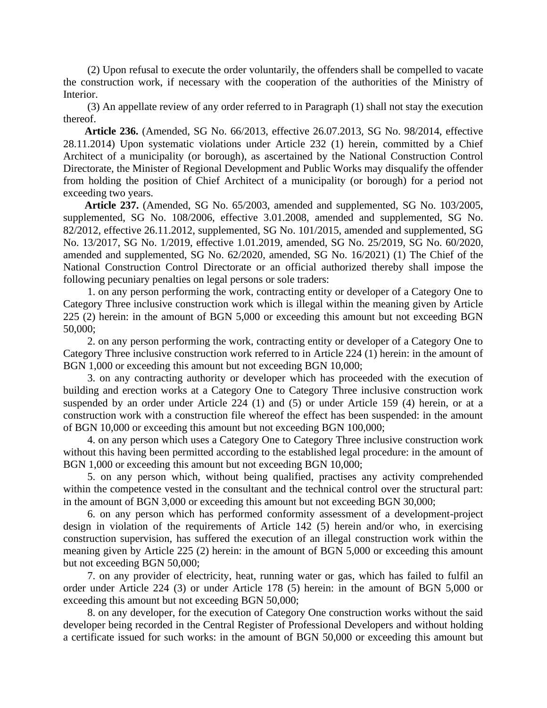(2) Upon refusal to execute the order voluntarily, the offenders shall be compelled to vacate the construction work, if necessary with the cooperation of the authorities of the Ministry of Interior.

(3) An appellate review of any order referred to in Paragraph (1) shall not stay the execution thereof.

**Article 236.** (Amended, SG No. 66/2013, effective 26.07.2013, SG No. 98/2014, effective 28.11.2014) Upon systematic violations under Article 232 (1) herein, committed by a Chief Architect of a municipality (or borough), as ascertained by the National Construction Control Directorate, the Minister of Regional Development and Public Works may disqualify the offender from holding the position of Chief Architect of a municipality (or borough) for a period not exceeding two years.

**Article 237.** (Amended, SG No. 65/2003, amended and supplemented, SG No. 103/2005, supplemented, SG No. 108/2006, effective 3.01.2008, amended and supplemented, SG No. 82/2012, effective 26.11.2012, supplemented, SG No. 101/2015, amended and supplemented, SG No. 13/2017, SG No. 1/2019, effective 1.01.2019, amended, SG No. 25/2019, SG No. 60/2020, amended and supplemented, SG No. 62/2020, amended, SG No. 16/2021) (1) The Chief of the National Construction Control Directorate or an official authorized thereby shall impose the following pecuniary penalties on legal persons or sole traders:

1. on any person performing the work, contracting entity or developer of a Category One to Category Three inclusive construction work which is illegal within the meaning given by Article 225 (2) herein: in the amount of BGN 5,000 or exceeding this amount but not exceeding BGN 50,000;

2. on any person performing the work, contracting entity or developer of a Category One to Category Three inclusive construction work referred to in Article 224 (1) herein: in the amount of BGN 1,000 or exceeding this amount but not exceeding BGN 10,000;

3. on any contracting authority or developer which has proceeded with the execution of building and erection works at a Category One to Category Three inclusive construction work suspended by an order under Article 224 (1) and (5) or under Article 159 (4) herein, or at a construction work with a construction file whereof the effect has been suspended: in the amount of BGN 10,000 or exceeding this amount but not exceeding BGN 100,000;

4. on any person which uses a Category One to Category Three inclusive construction work without this having been permitted according to the established legal procedure: in the amount of BGN 1,000 or exceeding this amount but not exceeding BGN 10,000;

5. on any person which, without being qualified, practises any activity comprehended within the competence vested in the consultant and the technical control over the structural part: in the amount of BGN 3,000 or exceeding this amount but not exceeding BGN 30,000;

6. on any person which has performed conformity assessment of a development-project design in violation of the requirements of Article 142 (5) herein and/or who, in exercising construction supervision, has suffered the execution of an illegal construction work within the meaning given by Article 225 (2) herein: in the amount of BGN 5,000 or exceeding this amount but not exceeding BGN 50,000;

7. on any provider of electricity, heat, running water or gas, which has failed to fulfil an order under Article 224 (3) or under Article 178 (5) herein: in the amount of BGN 5,000 or exceeding this amount but not exceeding BGN 50,000;

8. on any developer, for the execution of Category One construction works without the said developer being recorded in the Central Register of Professional Developers and without holding a certificate issued for such works: in the amount of BGN 50,000 or exceeding this amount but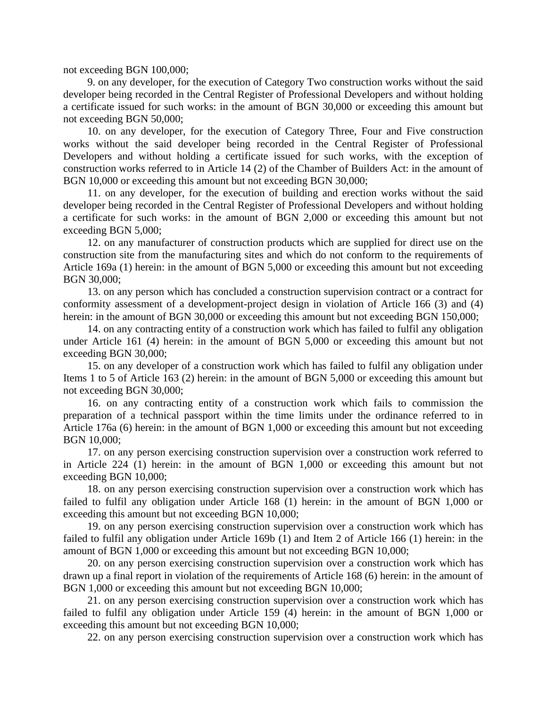not exceeding BGN 100,000;

9. on any developer, for the execution of Category Two construction works without the said developer being recorded in the Central Register of Professional Developers and without holding a certificate issued for such works: in the amount of BGN 30,000 or exceeding this amount but not exceeding BGN 50,000;

10. on any developer, for the execution of Category Three, Four and Five construction works without the said developer being recorded in the Central Register of Professional Developers and without holding a certificate issued for such works, with the exception of construction works referred to in Article 14 (2) of the Chamber of Builders Act: in the amount of BGN 10,000 or exceeding this amount but not exceeding BGN 30,000;

11. on any developer, for the execution of building and erection works without the said developer being recorded in the Central Register of Professional Developers and without holding a certificate for such works: in the amount of BGN 2,000 or exceeding this amount but not exceeding BGN 5,000;

12. on any manufacturer of construction products which are supplied for direct use on the construction site from the manufacturing sites and which do not conform to the requirements of Article 169a (1) herein: in the amount of BGN 5,000 or exceeding this amount but not exceeding BGN 30,000;

13. on any person which has concluded a construction supervision contract or a contract for conformity assessment of a development-project design in violation of Article 166 (3) and (4) herein: in the amount of BGN 30,000 or exceeding this amount but not exceeding BGN 150,000;

14. on any contracting entity of a construction work which has failed to fulfil any obligation under Article 161 (4) herein: in the amount of BGN 5,000 or exceeding this amount but not exceeding BGN 30,000;

15. on any developer of a construction work which has failed to fulfil any obligation under Items 1 to 5 of Article 163 (2) herein: in the amount of BGN 5,000 or exceeding this amount but not exceeding BGN 30,000;

16. on any contracting entity of a construction work which fails to commission the preparation of a technical passport within the time limits under the ordinance referred to in Article 176a (6) herein: in the amount of BGN 1,000 or exceeding this amount but not exceeding BGN 10,000;

17. on any person exercising construction supervision over a construction work referred to in Article 224 (1) herein: in the amount of BGN 1,000 or exceeding this amount but not exceeding BGN 10,000;

18. on any person exercising construction supervision over a construction work which has failed to fulfil any obligation under Article 168 (1) herein: in the amount of BGN 1,000 or exceeding this amount but not exceeding BGN 10,000;

19. on any person exercising construction supervision over a construction work which has failed to fulfil any obligation under Article 169b (1) and Item 2 of Article 166 (1) herein: in the amount of BGN 1,000 or exceeding this amount but not exceeding BGN 10,000;

20. on any person exercising construction supervision over a construction work which has drawn up a final report in violation of the requirements of Article 168 (6) herein: in the amount of BGN 1,000 or exceeding this amount but not exceeding BGN 10,000;

21. on any person exercising construction supervision over a construction work which has failed to fulfil any obligation under Article 159 (4) herein: in the amount of BGN 1,000 or exceeding this amount but not exceeding BGN 10,000;

22. on any person exercising construction supervision over a construction work which has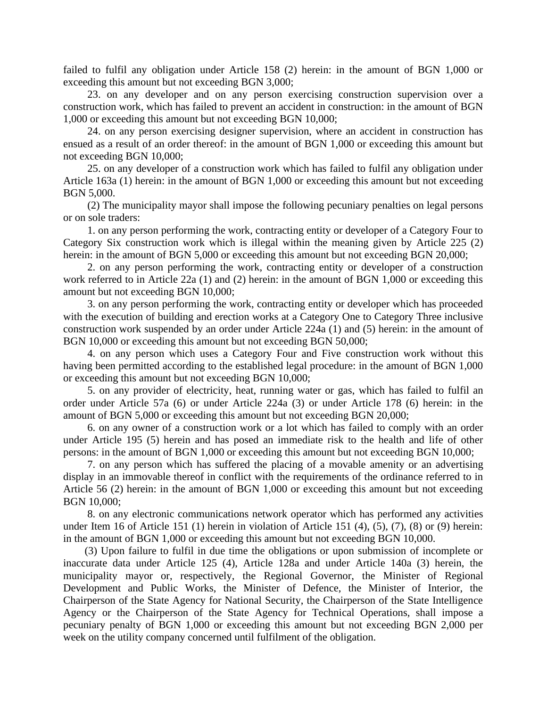failed to fulfil any obligation under Article 158 (2) herein: in the amount of BGN 1,000 or exceeding this amount but not exceeding BGN 3,000;

23. on any developer and on any person exercising construction supervision over a construction work, which has failed to prevent an accident in construction: in the amount of BGN 1,000 or exceeding this amount but not exceeding BGN 10,000;

24. on any person exercising designer supervision, where an accident in construction has ensued as a result of an order thereof: in the amount of BGN 1,000 or exceeding this amount but not exceeding BGN 10,000;

25. on any developer of a construction work which has failed to fulfil any obligation under Article 163a (1) herein: in the amount of BGN 1,000 or exceeding this amount but not exceeding BGN 5,000.

(2) The municipality mayor shall impose the following pecuniary penalties on legal persons or on sole traders:

1. on any person performing the work, contracting entity or developer of a Category Four to Category Six construction work which is illegal within the meaning given by Article 225 (2) herein: in the amount of BGN 5,000 or exceeding this amount but not exceeding BGN 20,000;

2. on any person performing the work, contracting entity or developer of a construction work referred to in Article 22a (1) and (2) herein: in the amount of BGN 1,000 or exceeding this amount but not exceeding BGN 10,000;

3. on any person performing the work, contracting entity or developer which has proceeded with the execution of building and erection works at a Category One to Category Three inclusive construction work suspended by an order under Article 224a (1) and (5) herein: in the amount of BGN 10,000 or exceeding this amount but not exceeding BGN 50,000;

4. on any person which uses a Category Four and Five construction work without this having been permitted according to the established legal procedure: in the amount of BGN 1,000 or exceeding this amount but not exceeding BGN 10,000;

5. on any provider of electricity, heat, running water or gas, which has failed to fulfil an order under Article 57a (6) or under Article 224a (3) or under Article 178 (6) herein: in the amount of BGN 5,000 or exceeding this amount but not exceeding BGN 20,000;

6. on any owner of a construction work or a lot which has failed to comply with an order under Article 195 (5) herein and has posed an immediate risk to the health and life of other persons: in the amount of BGN 1,000 or exceeding this amount but not exceeding BGN 10,000;

7. on any person which has suffered the placing of a movable amenity or an advertising display in an immovable thereof in conflict with the requirements of the ordinance referred to in Article 56 (2) herein: in the amount of BGN 1,000 or exceeding this amount but not exceeding BGN 10,000;

8. on any electronic communications network operator which has performed any activities under Item 16 of Article 151 (1) herein in violation of Article 151 (4), (5), (7), (8) or (9) herein: in the amount of BGN 1,000 or exceeding this amount but not exceeding BGN 10,000.

(3) Upon failure to fulfil in due time the obligations or upon submission of incomplete or inaccurate data under Article 125 (4), Article 128a and under Article 140a (3) herein, the municipality mayor or, respectively, the Regional Governor, the Minister of Regional Development and Public Works, the Minister of Defence, the Minister of Interior, the Chairperson of the State Agency for National Security, the Chairperson of the State Intelligence Agency or the Chairperson of the State Agency for Technical Operations, shall impose a pecuniary penalty of BGN 1,000 or exceeding this amount but not exceeding BGN 2,000 per week on the utility company concerned until fulfilment of the obligation.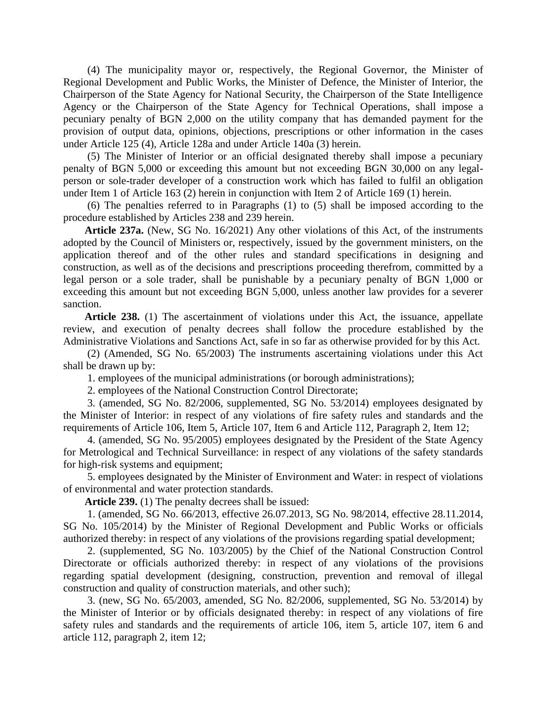(4) The municipality mayor or, respectively, the Regional Governor, the Minister of Regional Development and Public Works, the Minister of Defence, the Minister of Interior, the Chairperson of the State Agency for National Security, the Chairperson of the State Intelligence Agency or the Chairperson of the State Agency for Technical Operations, shall impose a pecuniary penalty of BGN 2,000 on the utility company that has demanded payment for the provision of output data, opinions, objections, prescriptions or other information in the cases under Article 125 (4), Article 128a and under Article 140a (3) herein.

(5) The Minister of Interior or an official designated thereby shall impose a pecuniary penalty of BGN 5,000 or exceeding this amount but not exceeding BGN 30,000 on any legalperson or sole-trader developer of a construction work which has failed to fulfil an obligation under Item 1 of Article 163 (2) herein in conjunction with Item 2 of Article 169 (1) herein.

(6) The penalties referred to in Paragraphs (1) to (5) shall be imposed according to the procedure established by Articles 238 and 239 herein.

**Article 237a.** (New, SG No. 16/2021) Any other violations of this Act, of the instruments adopted by the Council of Ministers or, respectively, issued by the government ministers, on the application thereof and of the other rules and standard specifications in designing and construction, as well as of the decisions and prescriptions proceeding therefrom, committed by a legal person or a sole trader, shall be punishable by a pecuniary penalty of BGN 1,000 or exceeding this amount but not exceeding BGN 5,000, unless another law provides for a severer sanction.

**Article 238.** (1) The ascertainment of violations under this Act, the issuance, appellate review, and execution of penalty decrees shall follow the procedure established by the Administrative Violations and Sanctions Act, safe in so far as otherwise provided for by this Act.

(2) (Amended, SG No. 65/2003) The instruments ascertaining violations under this Act shall be drawn up by:

1. employees of the municipal administrations (or borough administrations);

2. employees of the National Construction Control Directorate;

3. (amended, SG No. 82/2006, supplemented, SG No. 53/2014) employees designated by the Minister of Interior: in respect of any violations of fire safety rules and standards and the requirements of Article 106, Item 5, Article 107, Item 6 and Article 112, Paragraph 2, Item 12;

4. (amended, SG No. 95/2005) employees designated by the President of the State Agency for Metrological and Technical Surveillance: in respect of any violations of the safety standards for high-risk systems and equipment;

5. employees designated by the Minister of Environment and Water: in respect of violations of environmental and water protection standards.

**Article 239.** (1) The penalty decrees shall be issued:

1. (amended, SG No. 66/2013, effective 26.07.2013, SG No. 98/2014, effective 28.11.2014, SG No. 105/2014) by the Minister of Regional Development and Public Works or officials authorized thereby: in respect of any violations of the provisions regarding spatial development;

2. (supplemented, SG No. 103/2005) by the Chief of the National Construction Control Directorate or officials authorized thereby: in respect of any violations of the provisions regarding spatial development (designing, construction, prevention and removal of illegal construction and quality of construction materials, and other such);

3. (new, SG No. 65/2003, amended, SG No. 82/2006, supplemented, SG No. 53/2014) by the Minister of Interior or by officials designated thereby: in respect of any violations of fire safety rules and standards and the requirements of article 106, item 5, article 107, item 6 and article 112, paragraph 2, item 12;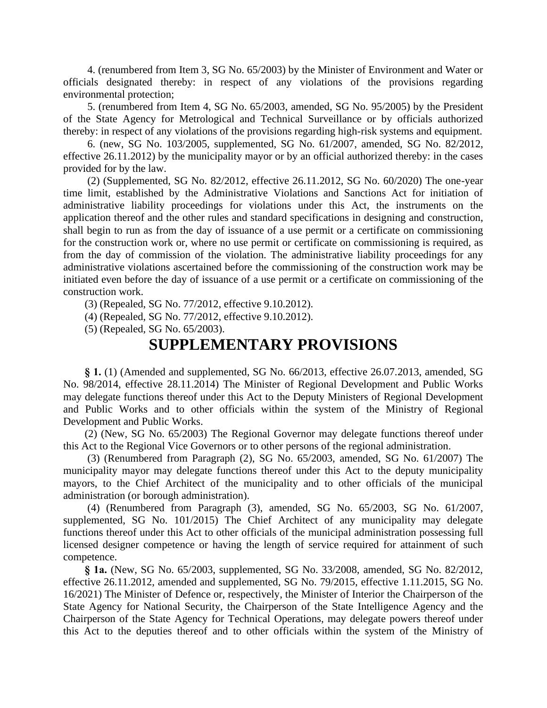4. (renumbered from Item 3, SG No. 65/2003) by the Minister of Environment and Water or officials designated thereby: in respect of any violations of the provisions regarding environmental protection;

5. (renumbered from Item 4, SG No. 65/2003, amended, SG No. 95/2005) by the President of the State Agency for Metrological and Technical Surveillance or by officials authorized thereby: in respect of any violations of the provisions regarding high-risk systems and equipment.

6. (new, SG No. 103/2005, supplemented, SG No. 61/2007, amended, SG No. 82/2012, effective 26.11.2012) by the municipality mayor or by an official authorized thereby: in the cases provided for by the law.

(2) (Supplemented, SG No. 82/2012, effective 26.11.2012, SG No. 60/2020) The one-year time limit, established by the Administrative Violations and Sanctions Act for initiation of administrative liability proceedings for violations under this Act, the instruments on the application thereof and the other rules and standard specifications in designing and construction, shall begin to run as from the day of issuance of a use permit or a certificate on commissioning for the construction work or, where no use permit or certificate on commissioning is required, as from the day of commission of the violation. The administrative liability proceedings for any administrative violations ascertained before the commissioning of the construction work may be initiated even before the day of issuance of a use permit or a certificate on commissioning of the construction work.

(3) (Repealed, SG No. 77/2012, effective 9.10.2012).

(4) (Repealed, SG No. 77/2012, effective 9.10.2012).

(5) (Repealed, SG No. 65/2003).

# **SUPPLEMENTARY PROVISIONS**

**§ 1.** (1) (Amended and supplemented, SG No. 66/2013, effective 26.07.2013, amended, SG No. 98/2014, effective 28.11.2014) The Minister of Regional Development and Public Works may delegate functions thereof under this Act to the Deputy Ministers of Regional Development and Public Works and to other officials within the system of the Ministry of Regional Development and Public Works.

(2) (New, SG No. 65/2003) The Regional Governor may delegate functions thereof under this Act to the Regional Vice Governors or to other persons of the regional administration.

(3) (Renumbered from Paragraph (2), SG No. 65/2003, amended, SG No. 61/2007) The municipality mayor may delegate functions thereof under this Act to the deputy municipality mayors, to the Chief Architect of the municipality and to other officials of the municipal administration (or borough administration).

(4) (Renumbered from Paragraph (3), amended, SG No. 65/2003, SG No. 61/2007, supplemented, SG No. 101/2015) The Chief Architect of any municipality may delegate functions thereof under this Act to other officials of the municipal administration possessing full licensed designer competence or having the length of service required for attainment of such competence.

**§ 1a.** (New, SG No. 65/2003, supplemented, SG No. 33/2008, amended, SG No. 82/2012, effective 26.11.2012, amended and supplemented, SG No. 79/2015, effective 1.11.2015, SG No. 16/2021) The Minister of Defence or, respectively, the Minister of Interior the Chairperson of the State Agency for National Security, the Chairperson of the State Intelligence Agency and the Chairperson of the State Agency for Technical Operations, may delegate powers thereof under this Act to the deputies thereof and to other officials within the system of the Ministry of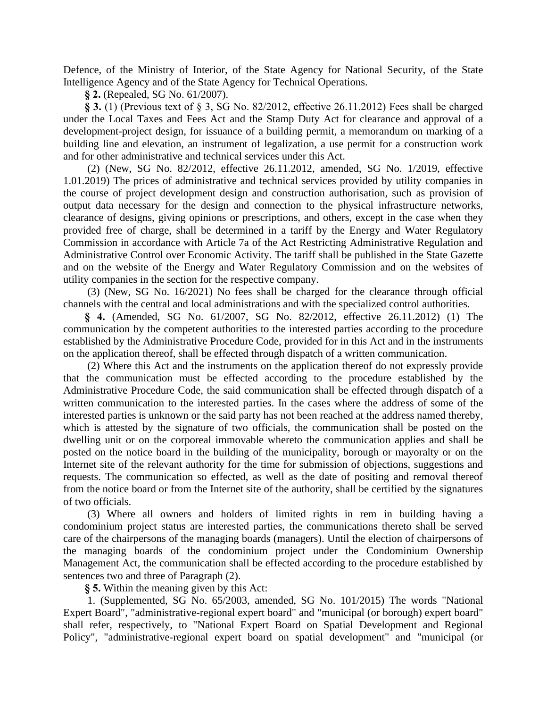Defence, of the Ministry of Interior, of the State Agency for National Security, of the State Intelligence Agency and of the State Agency for Technical Operations.

**§ 2.** (Repealed, SG No. 61/2007).

**§ 3.** (1) (Previous text of § 3, SG No. 82/2012, effective 26.11.2012) Fees shall be charged under the Local Taxes and Fees Act and the Stamp Duty Act for clearance and approval of a development-project design, for issuance of a building permit, a memorandum on marking of a building line and elevation, an instrument of legalization, a use permit for a construction work and for other administrative and technical services under this Act.

(2) (New, SG No. 82/2012, effective 26.11.2012, amended, SG No. 1/2019, effective 1.01.2019) The prices of administrative and technical services provided by utility companies in the course of project development design and construction authorisation, such as provision of output data necessary for the design and connection to the physical infrastructure networks, clearance of designs, giving opinions or prescriptions, and others, except in the case when they provided free of charge, shall be determined in a tariff by the Energy and Water Regulatory Commission in accordance with Article 7a of the Act Restricting Administrative Regulation and Administrative Control over Economic Activity. The tariff shall be published in the State Gazette and on the website of the Energy and Water Regulatory Commission and on the websites of utility companies in the section for the respective company.

(3) (New, SG No. 16/2021) No fees shall be charged for the clearance through official channels with the central and local administrations and with the specialized control authorities.

**§ 4.** (Amended, SG No. 61/2007, SG No. 82/2012, effective 26.11.2012) (1) The communication by the competent authorities to the interested parties according to the procedure established by the Administrative Procedure Code, provided for in this Act and in the instruments on the application thereof, shall be effected through dispatch of a written communication.

(2) Where this Act and the instruments on the application thereof do not expressly provide that the communication must be effected according to the procedure established by the Administrative Procedure Code, the said communication shall be effected through dispatch of a written communication to the interested parties. In the cases where the address of some of the interested parties is unknown or the said party has not been reached at the address named thereby, which is attested by the signature of two officials, the communication shall be posted on the dwelling unit or on the corporeal immovable whereto the communication applies and shall be posted on the notice board in the building of the municipality, borough or mayoralty or on the Internet site of the relevant authority for the time for submission of objections, suggestions and requests. The communication so effected, as well as the date of positing and removal thereof from the notice board or from the Internet site of the authority, shall be certified by the signatures of two officials.

(3) Where all owners and holders of limited rights in rem in building having a condominium project status are interested parties, the communications thereto shall be served care of the chairpersons of the managing boards (managers). Until the election of chairpersons of the managing boards of the condominium project under the Condominium Ownership Management Act, the communication shall be effected according to the procedure established by sentences two and three of Paragraph (2).

**§ 5.** Within the meaning given by this Act:

1. (Supplemented, SG No. 65/2003, amended, SG No. 101/2015) The words "National Expert Board", "administrative-regional expert board" and "municipal (or borough) expert board" shall refer, respectively, to "National Expert Board on Spatial Development and Regional Policy", "administrative-regional expert board on spatial development" and "municipal (or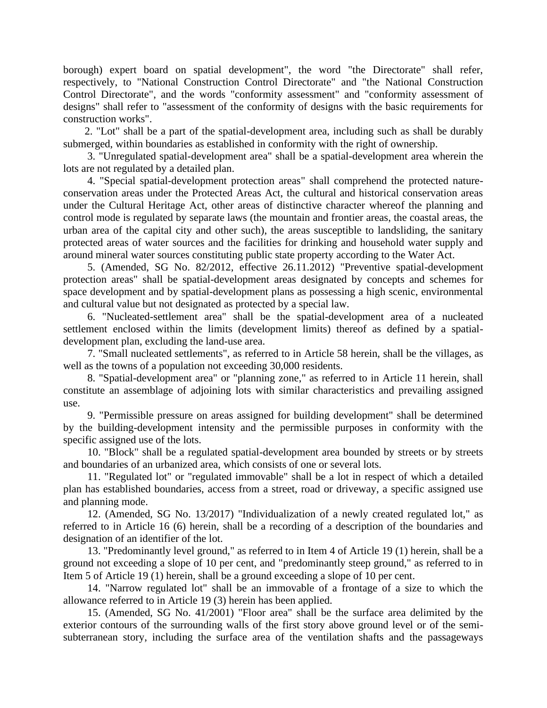borough) expert board on spatial development", the word "the Directorate" shall refer, respectively, to "National Construction Control Directorate" and "the National Construction Control Directorate", and the words "conformity assessment" and "conformity assessment of designs" shall refer to "assessment of the conformity of designs with the basic requirements for construction works".

2. "Lot" shall be a part of the spatial-development area, including such as shall be durably submerged, within boundaries as established in conformity with the right of ownership.

3. "Unregulated spatial-development area" shall be a spatial-development area wherein the lots are not regulated by a detailed plan.

4. "Special spatial-development protection areas" shall comprehend the protected natureconservation areas under the Protected Areas Act, the cultural and historical conservation areas under the Cultural Heritage Act, other areas of distinctive character whereof the planning and control mode is regulated by separate laws (the mountain and frontier areas, the coastal areas, the urban area of the capital city and other such), the areas susceptible to landsliding, the sanitary protected areas of water sources and the facilities for drinking and household water supply and around mineral water sources constituting public state property according to the Water Act.

5. (Amended, SG No. 82/2012, effective 26.11.2012) "Preventive spatial-development protection areas" shall be spatial-development areas designated by concepts and schemes for space development and by spatial-development plans as possessing a high scenic, environmental and cultural value but not designated as protected by a special law.

6. "Nucleated-settlement area" shall be the spatial-development area of a nucleated settlement enclosed within the limits (development limits) thereof as defined by a spatialdevelopment plan, excluding the land-use area.

7. "Small nucleated settlements", as referred to in Article 58 herein, shall be the villages, as well as the towns of a population not exceeding 30,000 residents.

8. "Spatial-development area" or "planning zone," as referred to in Article 11 herein, shall constitute an assemblage of adjoining lots with similar characteristics and prevailing assigned use.

9. "Permissible pressure on areas assigned for building development" shall be determined by the building-development intensity and the permissible purposes in conformity with the specific assigned use of the lots.

10. "Block" shall be a regulated spatial-development area bounded by streets or by streets and boundaries of an urbanized area, which consists of one or several lots.

11. "Regulated lot" or "regulated immovable" shall be a lot in respect of which a detailed plan has established boundaries, access from a street, road or driveway, a specific assigned use and planning mode.

12. (Amended, SG No. 13/2017) "Individualization of a newly created regulated lot," as referred to in Article 16 (6) herein, shall be a recording of a description of the boundaries and designation of an identifier of the lot.

13. "Predominantly level ground," as referred to in Item 4 of Article 19 (1) herein, shall be a ground not exceeding a slope of 10 per cent, and "predominantly steep ground," as referred to in Item 5 of Article 19 (1) herein, shall be a ground exceeding a slope of 10 per cent.

14. "Narrow regulated lot" shall be an immovable of a frontage of a size to which the allowance referred to in Article 19 (3) herein has been applied.

15. (Amended, SG No. 41/2001) "Floor area" shall be the surface area delimited by the exterior contours of the surrounding walls of the first story above ground level or of the semisubterranean story, including the surface area of the ventilation shafts and the passageways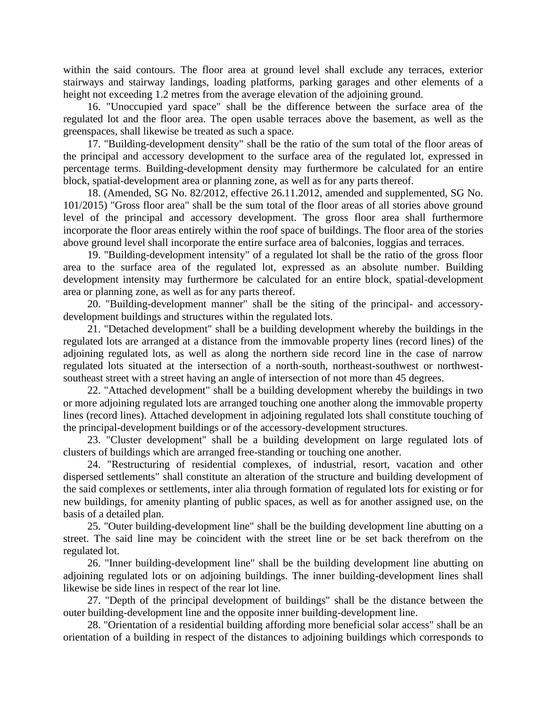within the said contours. The floor area at ground level shall exclude any terraces, exterior stairways and stairway landings, loading platforms, parking garages and other elements of a height not exceeding 1.2 metres from the average elevation of the adjoining ground.

16. "Unoccupied yard space" shall be the difference between the surface area of the regulated lot and the floor area. The open usable terraces above the basement, as well as the greenspaces, shall likewise be treated as such a space.

17. "Building-development density" shall be the ratio of the sum total of the floor areas of the principal and accessory development to the surface area of the regulated lot, expressed in percentage terms. Building-development density may furthermore be calculated for an entire block, spatial-development area or planning zone, as well as for any parts thereof.

18. (Amended, SG No. 82/2012, effective 26.11.2012, amended and supplemented, SG No. 101/2015) "Gross floor area" shall be the sum total of the floor areas of all stories above ground level of the principal and accessory development. The gross floor area shall furthermore incorporate the floor areas entirely within the roof space of buildings. The floor area of the stories above ground level shall incorporate the entire surface area of balconies, loggias and terraces.

19. "Building-development intensity" of a regulated lot shall be the ratio of the gross floor area to the surface area of the regulated lot, expressed as an absolute number. Building development intensity may furthermore be calculated for an entire block, spatial-development area or planning zone, as well as for any parts thereof.

20. "Building-development manner" shall be the siting of the principal- and accessorydevelopment buildings and structures within the regulated lots.

21. "Detached development" shall be a building development whereby the buildings in the regulated lots are arranged at a distance from the immovable property lines (record lines) of the adjoining regulated lots, as well as along the northern side record line in the case of narrow regulated lots situated at the intersection of a north-south, northeast-southwest or northwestsoutheast street with a street having an angle of intersection of not more than 45 degrees.

22. "Attached development" shall be a building development whereby the buildings in two or more adjoining regulated lots are arranged touching one another along the immovable property lines (record lines). Attached development in adjoining regulated lots shall constitute touching of the principal-development buildings or of the accessory-development structures.

23. "Cluster development" shall be a building development on large regulated lots of clusters of buildings which are arranged free-standing or touching one another.

24. "Restructuring of residential complexes, of industrial, resort, vacation and other dispersed settlements" shall constitute an alteration of the structure and building development of the said complexes or settlements, inter alia through formation of regulated lots for existing or for new buildings, for amenity planting of public spaces, as well as for another assigned use, on the basis of a detailed plan.

25. "Outer building-development line" shall be the building development line abutting on a street. The said line may be coincident with the street line or be set back therefrom on the regulated lot.

26. "Inner building-development line" shall be the building development line abutting on adjoining regulated lots or on adjoining buildings. The inner building-development lines shall likewise be side lines in respect of the rear lot line.

27. "Depth of the principal development of buildings" shall be the distance between the outer building-development line and the opposite inner building-development line.

28. "Orientation of a residential building affording more beneficial solar access" shall be an orientation of a building in respect of the distances to adjoining buildings which corresponds to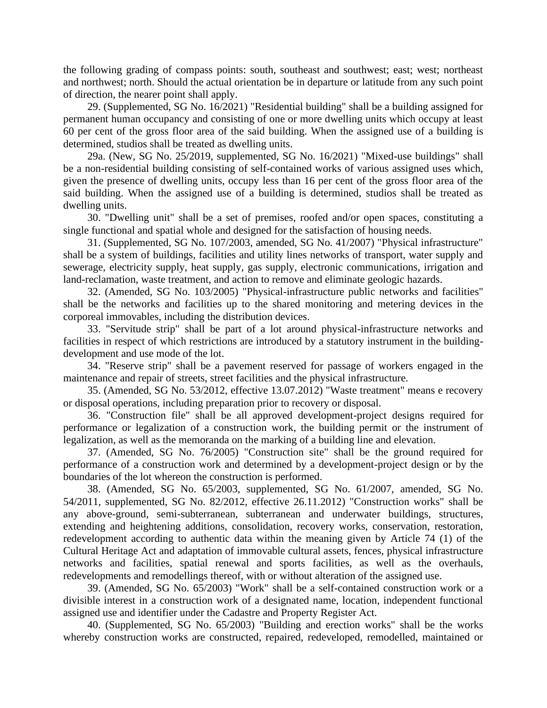the following grading of compass points: south, southeast and southwest; east; west; northeast and northwest; north. Should the actual orientation be in departure or latitude from any such point of direction, the nearer point shall apply.

29. (Supplemented, SG No. 16/2021) "Residential building" shall be a building assigned for permanent human occupancy and consisting of one or more dwelling units which occupy at least 60 per cent of the gross floor area of the said building. When the assigned use of a building is determined, studios shall be treated as dwelling units.

29a. (New, SG No. 25/2019, supplemented, SG No. 16/2021) "Mixed-use buildings" shall be a non-residential building consisting of self-contained works of various assigned uses which, given the presence of dwelling units, occupy less than 16 per cent of the gross floor area of the said building. When the assigned use of a building is determined, studios shall be treated as dwelling units.

30. "Dwelling unit" shall be a set of premises, roofed and/or open spaces, constituting a single functional and spatial whole and designed for the satisfaction of housing needs.

31. (Supplemented, SG No. 107/2003, amended, SG No. 41/2007) "Physical infrastructure" shall be a system of buildings, facilities and utility lines networks of transport, water supply and sewerage, electricity supply, heat supply, gas supply, electronic communications, irrigation and land-reclamation, waste treatment, and action to remove and eliminate geologic hazards.

32. (Amended, SG No. 103/2005) "Physical-infrastructure public networks and facilities" shall be the networks and facilities up to the shared monitoring and metering devices in the corporeal immovables, including the distribution devices.

33. "Servitude strip" shall be part of a lot around physical-infrastructure networks and facilities in respect of which restrictions are introduced by a statutory instrument in the buildingdevelopment and use mode of the lot.

34. "Reserve strip" shall be a pavement reserved for passage of workers engaged in the maintenance and repair of streets, street facilities and the physical infrastructure.

35. (Amended, SG No. 53/2012, effective 13.07.2012) "Waste treatment" means e recovery or disposal operations, including preparation prior to recovery or disposal.

36. "Construction file" shall be all approved development-project designs required for performance or legalization of a construction work, the building permit or the instrument of legalization, as well as the memoranda on the marking of a building line and elevation.

37. (Amended, SG No. 76/2005) "Construction site" shall be the ground required for performance of a construction work and determined by a development-project design or by the boundaries of the lot whereon the construction is performed.

38. (Amended, SG No. 65/2003, supplemented, SG No. 61/2007, amended, SG No. 54/2011, supplemented, SG No. 82/2012, effective 26.11.2012) "Construction works" shall be any above-ground, semi-subterranean, subterranean and underwater buildings, structures, extending and heightening additions, consolidation, recovery works, conservation, restoration, redevelopment according to authentic data within the meaning given by Article 74 (1) of the Cultural Heritage Act and adaptation of immovable cultural assets, fences, physical infrastructure networks and facilities, spatial renewal and sports facilities, as well as the overhauls, redevelopments and remodellings thereof, with or without alteration of the assigned use.

39. (Amended, SG No. 65/2003) "Work" shall be a self-contained construction work or a divisible interest in a construction work of a designated name, location, independent functional assigned use and identifier under the Cadastre and Property Register Act.

40. (Supplemented, SG No. 65/2003) "Building and erection works" shall be the works whereby construction works are constructed, repaired, redeveloped, remodelled, maintained or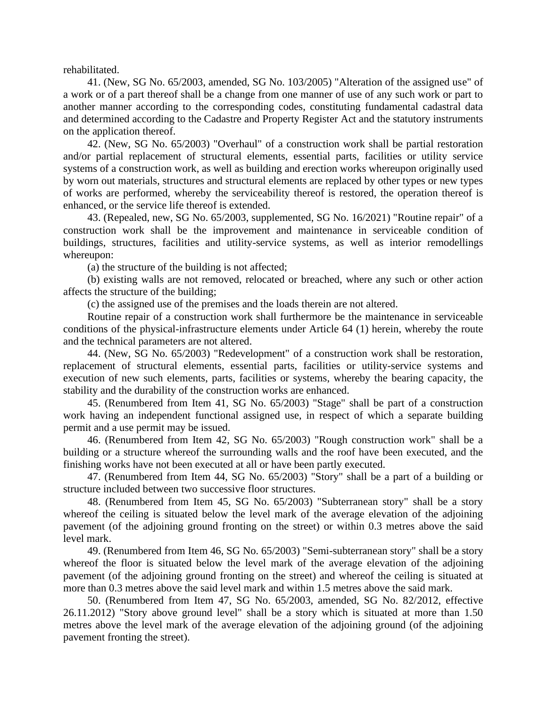rehabilitated.

41. (New, SG No. 65/2003, amended, SG No. 103/2005) "Alteration of the assigned use" of a work or of a part thereof shall be a change from one manner of use of any such work or part to another manner according to the corresponding codes, constituting fundamental cadastral data and determined according to the Cadastre and Property Register Act and the statutory instruments on the application thereof.

42. (New, SG No. 65/2003) "Overhaul" of a construction work shall be partial restoration and/or partial replacement of structural elements, essential parts, facilities or utility service systems of a construction work, as well as building and erection works whereupon originally used by worn out materials, structures and structural elements are replaced by other types or new types of works are performed, whereby the serviceability thereof is restored, the operation thereof is enhanced, or the service life thereof is extended.

43. (Repealed, new, SG No. 65/2003, supplemented, SG No. 16/2021) "Routine repair" of a construction work shall be the improvement and maintenance in serviceable condition of buildings, structures, facilities and utility-service systems, as well as interior remodellings whereupon:

(a) the structure of the building is not affected;

(b) existing walls are not removed, relocated or breached, where any such or other action affects the structure of the building;

(c) the assigned use of the premises and the loads therein are not altered.

Routine repair of a construction work shall furthermore be the maintenance in serviceable conditions of the physical-infrastructure elements under Article 64 (1) herein, whereby the route and the technical parameters are not altered.

44. (New, SG No. 65/2003) "Redevelopment" of a construction work shall be restoration, replacement of structural elements, essential parts, facilities or utility-service systems and execution of new such elements, parts, facilities or systems, whereby the bearing capacity, the stability and the durability of the construction works are enhanced.

45. (Renumbered from Item 41, SG No. 65/2003) "Stage" shall be part of a construction work having an independent functional assigned use, in respect of which a separate building permit and a use permit may be issued.

46. (Renumbered from Item 42, SG No. 65/2003) "Rough construction work" shall be a building or a structure whereof the surrounding walls and the roof have been executed, and the finishing works have not been executed at all or have been partly executed.

47. (Renumbered from Item 44, SG No. 65/2003) "Story" shall be a part of a building or structure included between two successive floor structures.

48. (Renumbered from Item 45, SG No. 65/2003) "Subterranean story" shall be a story whereof the ceiling is situated below the level mark of the average elevation of the adjoining pavement (of the adjoining ground fronting on the street) or within 0.3 metres above the said level mark.

49. (Renumbered from Item 46, SG No. 65/2003) "Semi-subterranean story" shall be a story whereof the floor is situated below the level mark of the average elevation of the adjoining pavement (of the adjoining ground fronting on the street) and whereof the ceiling is situated at more than 0.3 metres above the said level mark and within 1.5 metres above the said mark.

50. (Renumbered from Item 47, SG No. 65/2003, amended, SG No. 82/2012, effective 26.11.2012) "Story above ground level" shall be a story which is situated at more than 1.50 metres above the level mark of the average elevation of the adjoining ground (of the adjoining pavement fronting the street).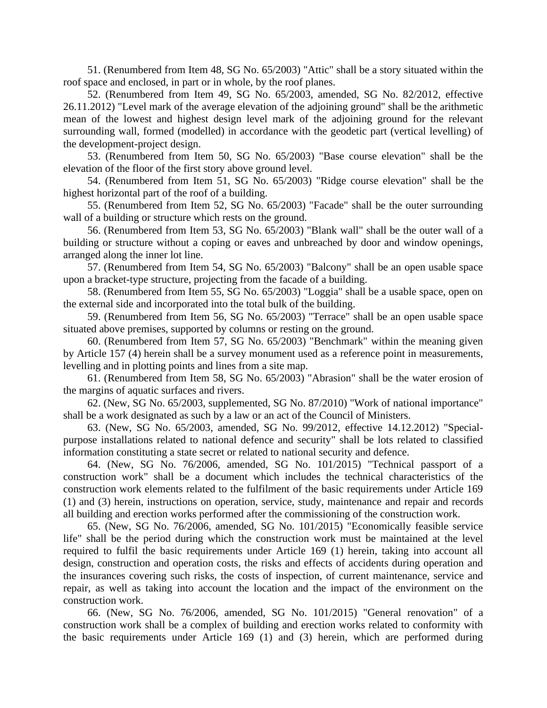51. (Renumbered from Item 48, SG No. 65/2003) "Attic" shall be a story situated within the roof space and enclosed, in part or in whole, by the roof planes.

52. (Renumbered from Item 49, SG No. 65/2003, amended, SG No. 82/2012, effective 26.11.2012) "Level mark of the average elevation of the adjoining ground" shall be the arithmetic mean of the lowest and highest design level mark of the adjoining ground for the relevant surrounding wall, formed (modelled) in accordance with the geodetic part (vertical levelling) of the development-project design.

53. (Renumbered from Item 50, SG No. 65/2003) "Base course elevation" shall be the elevation of the floor of the first story above ground level.

54. (Renumbered from Item 51, SG No. 65/2003) "Ridge course elevation" shall be the highest horizontal part of the roof of a building.

55. (Renumbered from Item 52, SG No. 65/2003) "Facade" shall be the outer surrounding wall of a building or structure which rests on the ground.

56. (Renumbered from Item 53, SG No. 65/2003) "Blank wall" shall be the outer wall of a building or structure without a coping or eaves and unbreached by door and window openings, arranged along the inner lot line.

57. (Renumbered from Item 54, SG No. 65/2003) "Balcony" shall be an open usable space upon a bracket-type structure, projecting from the facade of a building.

58. (Renumbered from Item 55, SG No. 65/2003) "Loggia" shall be a usable space, open on the external side and incorporated into the total bulk of the building.

59. (Renumbered from Item 56, SG No. 65/2003) "Terrace" shall be an open usable space situated above premises, supported by columns or resting on the ground.

60. (Renumbered from Item 57, SG No. 65/2003) "Benchmark" within the meaning given by Article 157 (4) herein shall be a survey monument used as a reference point in measurements, levelling and in plotting points and lines from a site map.

61. (Renumbered from Item 58, SG No. 65/2003) "Abrasion" shall be the water erosion of the margins of aquatic surfaces and rivers.

62. (New, SG No. 65/2003, supplemented, SG No. 87/2010) "Work of national importance" shall be a work designated as such by a law or an act of the Council of Ministers.

63. (New, SG No. 65/2003, amended, SG No. 99/2012, effective 14.12.2012) "Specialpurpose installations related to national defence and security" shall be lots related to classified information constituting a state secret or related to national security and defence.

64. (New, SG No. 76/2006, amended, SG No. 101/2015) "Technical passport of a construction work" shall be a document which includes the technical characteristics of the construction work elements related to the fulfilment of the basic requirements under Article 169 (1) and (3) herein, instructions on operation, service, study, maintenance and repair and records all building and erection works performed after the commissioning of the construction work.

65. (New, SG No. 76/2006, amended, SG No. 101/2015) "Economically feasible service life" shall be the period during which the construction work must be maintained at the level required to fulfil the basic requirements under Article 169 (1) herein, taking into account all design, construction and operation costs, the risks and effects of accidents during operation and the insurances covering such risks, the costs of inspection, of current maintenance, service and repair, as well as taking into account the location and the impact of the environment on the construction work.

66. (New, SG No. 76/2006, amended, SG No. 101/2015) "General renovation" of a construction work shall be a complex of building and erection works related to conformity with the basic requirements under Article 169 (1) and (3) herein, which are performed during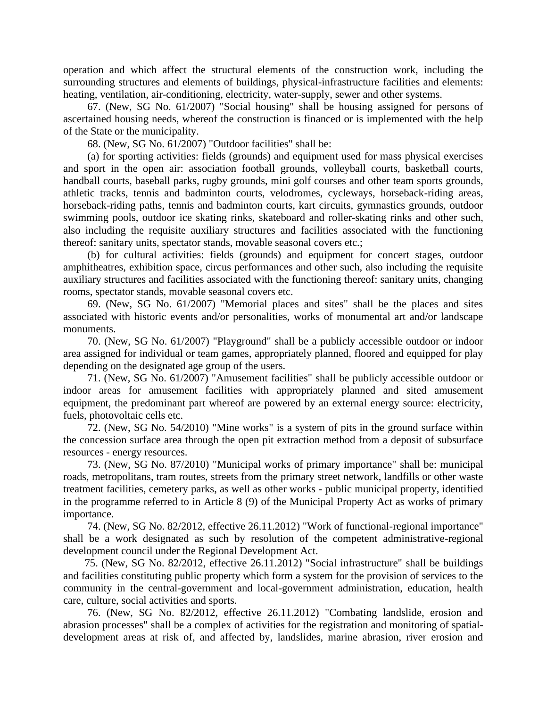operation and which affect the structural elements of the construction work, including the surrounding structures and elements of buildings, physical-infrastructure facilities and elements: heating, ventilation, air-conditioning, electricity, water-supply, sewer and other systems.

67. (New, SG No. 61/2007) "Social housing" shall be housing assigned for persons of ascertained housing needs, whereof the construction is financed or is implemented with the help of the State or the municipality.

68. (New, SG No. 61/2007) "Outdoor facilities" shall be:

(a) for sporting activities: fields (grounds) and equipment used for mass physical exercises and sport in the open air: association football grounds, volleyball courts, basketball courts, handball courts, baseball parks, rugby grounds, mini golf courses and other team sports grounds, athletic tracks, tennis and badminton courts, velodromes, cycleways, horseback-riding areas, horseback-riding paths, tennis and badminton courts, kart circuits, gymnastics grounds, outdoor swimming pools, outdoor ice skating rinks, skateboard and roller-skating rinks and other such, also including the requisite auxiliary structures and facilities associated with the functioning thereof: sanitary units, spectator stands, movable seasonal covers etc.;

(b) for cultural activities: fields (grounds) and equipment for concert stages, outdoor amphitheatres, exhibition space, circus performances and other such, also including the requisite auxiliary structures and facilities associated with the functioning thereof: sanitary units, changing rooms, spectator stands, movable seasonal covers etc.

69. (New, SG No. 61/2007) "Memorial places and sites" shall be the places and sites associated with historic events and/or personalities, works of monumental art and/or landscape monuments.

70. (New, SG No. 61/2007) "Playground" shall be a publicly accessible outdoor or indoor area assigned for individual or team games, appropriately planned, floored and equipped for play depending on the designated age group of the users.

71. (New, SG No. 61/2007) "Amusement facilities" shall be publicly accessible outdoor or indoor areas for amusement facilities with appropriately planned and sited amusement equipment, the predominant part whereof are powered by an external energy source: electricity, fuels, photovoltaic cells etc.

72. (New, SG No. 54/2010) "Mine works" is a system of pits in the ground surface within the concession surface area through the open pit extraction method from a deposit of subsurface resources - energy resources.

73. (New, SG No. 87/2010) "Municipal works of primary importance" shall be: municipal roads, metropolitans, tram routes, streets from the primary street network, landfills or other waste treatment facilities, cemetery parks, as well as other works - public municipal property, identified in the programme referred to in Article 8 (9) of the Municipal Property Act as works of primary importance.

74. (New, SG No. 82/2012, effective 26.11.2012) "Work of functional-regional importance" shall be a work designated as such by resolution of the competent administrative-regional development council under the Regional Development Act.

75. (New, SG No. 82/2012, effective 26.11.2012) "Social infrastructure" shall be buildings and facilities constituting public property which form a system for the provision of services to the community in the central-government and local-government administration, education, health care, culture, social activities and sports.

76. (New, SG No. 82/2012, effective 26.11.2012) "Combating landslide, erosion and abrasion processes" shall be a complex of activities for the registration and monitoring of spatialdevelopment areas at risk of, and affected by, landslides, marine abrasion, river erosion and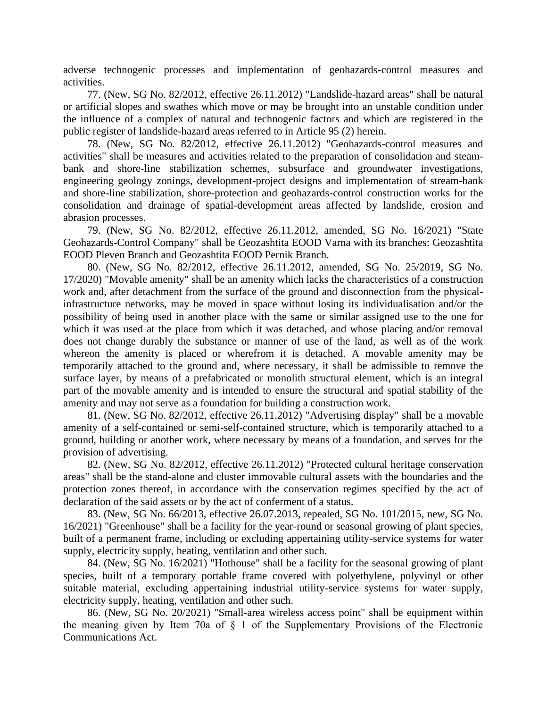adverse technogenic processes and implementation of geohazards-control measures and activities.

77. (New, SG No. 82/2012, effective 26.11.2012) "Landslide-hazard areas" shall be natural or artificial slopes and swathes which move or may be brought into an unstable condition under the influence of a complex of natural and technogenic factors and which are registered in the public register of landslide-hazard areas referred to in Article 95 (2) herein.

78. (New, SG No. 82/2012, effective 26.11.2012) "Geohazards-control measures and activities" shall be measures and activities related to the preparation of consolidation and steambank and shore-line stabilization schemes, subsurface and groundwater investigations, engineering geology zonings, development-project designs and implementation of stream-bank and shore-line stabilization, shore-protection and geohazards-control construction works for the consolidation and drainage of spatial-development areas affected by landslide, erosion and abrasion processes.

79. (New, SG No. 82/2012, effective 26.11.2012, amended, SG No. 16/2021) "State Geohazards-Control Company" shall be Geozashtita EOOD Varna with its branches: Geozashtita EOOD Pleven Branch and Geozashtita EOOD Pernik Branch.

80. (New, SG No. 82/2012, effective 26.11.2012, amended, SG No. 25/2019, SG No. 17/2020) "Movable amenity" shall be an amenity which lacks the characteristics of a construction work and, after detachment from the surface of the ground and disconnection from the physicalinfrastructure networks, may be moved in space without losing its individualisation and/or the possibility of being used in another place with the same or similar assigned use to the one for which it was used at the place from which it was detached, and whose placing and/or removal does not change durably the substance or manner of use of the land, as well as of the work whereon the amenity is placed or wherefrom it is detached. A movable amenity may be temporarily attached to the ground and, where necessary, it shall be admissible to remove the surface layer, by means of a prefabricated or monolith structural element, which is an integral part of the movable amenity and is intended to ensure the structural and spatial stability of the amenity and may not serve as a foundation for building a construction work.

81. (New, SG No. 82/2012, effective 26.11.2012) "Advertising display" shall be a movable amenity of a self-contained or semi-self-contained structure, which is temporarily attached to a ground, building or another work, where necessary by means of a foundation, and serves for the provision of advertising.

82. (New, SG No. 82/2012, effective 26.11.2012) "Protected cultural heritage conservation areas" shall be the stand-alone and cluster immovable cultural assets with the boundaries and the protection zones thereof, in accordance with the conservation regimes specified by the act of declaration of the said assets or by the act of conferment of a status.

83. (New, SG No. 66/2013, effective 26.07.2013, repealed, SG No. 101/2015, new, SG No. 16/2021) "Greenhouse" shall be a facility for the year-round or seasonal growing of plant species, built of a permanent frame, including or excluding appertaining utility-service systems for water supply, electricity supply, heating, ventilation and other such.

84. (New, SG No. 16/2021) "Hothouse" shall be a facility for the seasonal growing of plant species, built of a temporary portable frame covered with polyethylene, polyvinyl or other suitable material, excluding appertaining industrial utility-service systems for water supply, electricity supply, heating, ventilation and other such.

86. (New, SG No. 20/2021) "Small-area wireless access point" shall be equipment within the meaning given by Item 70a of § 1 of the Supplementary Provisions of the Electronic Communications Act.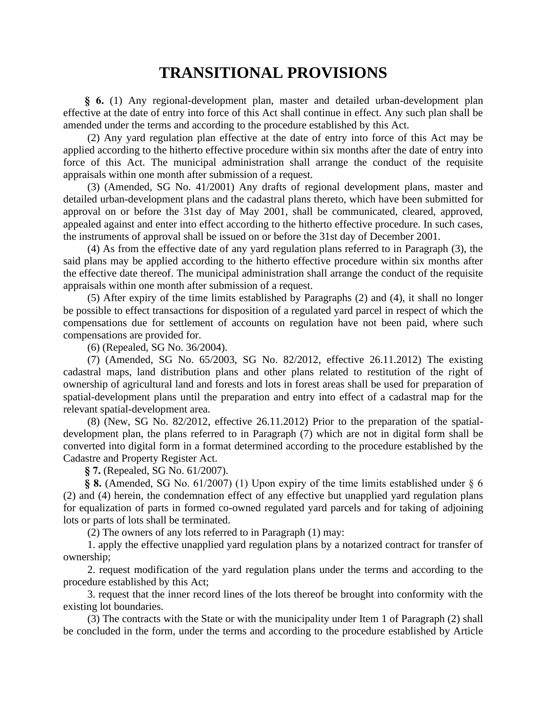# **TRANSITIONAL PROVISIONS**

**§ 6.** (1) Any regional-development plan, master and detailed urban-development plan effective at the date of entry into force of this Act shall continue in effect. Any such plan shall be amended under the terms and according to the procedure established by this Act.

(2) Any yard regulation plan effective at the date of entry into force of this Act may be applied according to the hitherto effective procedure within six months after the date of entry into force of this Act. The municipal administration shall arrange the conduct of the requisite appraisals within one month after submission of a request.

(3) (Amended, SG No. 41/2001) Any drafts of regional development plans, master and detailed urban-development plans and the cadastral plans thereto, which have been submitted for approval on or before the 31st day of May 2001, shall be communicated, cleared, approved, appealed against and enter into effect according to the hitherto effective procedure. In such cases, the instruments of approval shall be issued on or before the 31st day of December 2001.

(4) As from the effective date of any yard regulation plans referred to in Paragraph (3), the said plans may be applied according to the hitherto effective procedure within six months after the effective date thereof. The municipal administration shall arrange the conduct of the requisite appraisals within one month after submission of a request.

(5) After expiry of the time limits established by Paragraphs (2) and (4), it shall no longer be possible to effect transactions for disposition of a regulated yard parcel in respect of which the compensations due for settlement of accounts on regulation have not been paid, where such compensations are provided for.

(6) (Repealed, SG No. 36/2004).

(7) (Amended, SG No. 65/2003, SG No. 82/2012, effective 26.11.2012) The existing cadastral maps, land distribution plans and other plans related to restitution of the right of ownership of agricultural land and forests and lots in forest areas shall be used for preparation of spatial-development plans until the preparation and entry into effect of a cadastral map for the relevant spatial-development area.

(8) (New, SG No. 82/2012, effective 26.11.2012) Prior to the preparation of the spatialdevelopment plan, the plans referred to in Paragraph (7) which are not in digital form shall be converted into digital form in a format determined according to the procedure established by the Cadastre and Property Register Act.

**§ 7.** (Repealed, SG No. 61/2007).

**§ 8.** (Amended, SG No. 61/2007) (1) Upon expiry of the time limits established under § 6 (2) and (4) herein, the condemnation effect of any effective but unapplied yard regulation plans for equalization of parts in formed co-owned regulated yard parcels and for taking of adjoining lots or parts of lots shall be terminated.

(2) The owners of any lots referred to in Paragraph (1) may:

1. apply the effective unapplied yard regulation plans by a notarized contract for transfer of ownership;

2. request modification of the yard regulation plans under the terms and according to the procedure established by this Act;

3. request that the inner record lines of the lots thereof be brought into conformity with the existing lot boundaries.

(3) The contracts with the State or with the municipality under Item 1 of Paragraph (2) shall be concluded in the form, under the terms and according to the procedure established by Article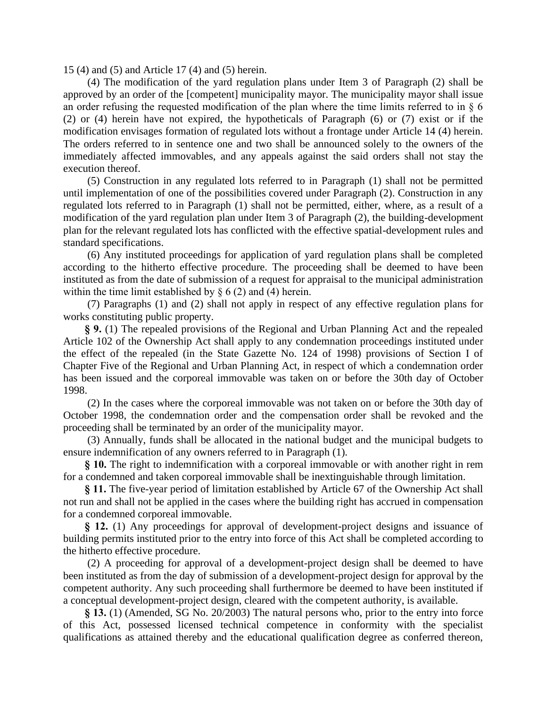15 (4) and (5) and Article 17 (4) and (5) herein.

(4) The modification of the yard regulation plans under Item 3 of Paragraph (2) shall be approved by an order of the [competent] municipality mayor. The municipality mayor shall issue an order refusing the requested modification of the plan where the time limits referred to in § 6 (2) or (4) herein have not expired, the hypotheticals of Paragraph (6) or (7) exist or if the modification envisages formation of regulated lots without a frontage under Article 14 (4) herein. The orders referred to in sentence one and two shall be announced solely to the owners of the immediately affected immovables, and any appeals against the said orders shall not stay the execution thereof.

(5) Construction in any regulated lots referred to in Paragraph (1) shall not be permitted until implementation of one of the possibilities covered under Paragraph (2). Construction in any regulated lots referred to in Paragraph (1) shall not be permitted, either, where, as a result of a modification of the yard regulation plan under Item 3 of Paragraph (2), the building-development plan for the relevant regulated lots has conflicted with the effective spatial-development rules and standard specifications.

(6) Any instituted proceedings for application of yard regulation plans shall be completed according to the hitherto effective procedure. The proceeding shall be deemed to have been instituted as from the date of submission of a request for appraisal to the municipal administration within the time limit established by  $\S 6(2)$  and (4) herein.

(7) Paragraphs (1) and (2) shall not apply in respect of any effective regulation plans for works constituting public property.

**§ 9.** (1) The repealed provisions of the Regional and Urban Planning Act and the repealed Article 102 of the Ownership Act shall apply to any condemnation proceedings instituted under the effect of the repealed (in the State Gazette No. 124 of 1998) provisions of Section I of Chapter Five of the Regional and Urban Planning Act, in respect of which a condemnation order has been issued and the corporeal immovable was taken on or before the 30th day of October 1998.

(2) In the cases where the corporeal immovable was not taken on or before the 30th day of October 1998, the condemnation order and the compensation order shall be revoked and the proceeding shall be terminated by an order of the municipality mayor.

(3) Annually, funds shall be allocated in the national budget and the municipal budgets to ensure indemnification of any owners referred to in Paragraph (1).

**§ 10.** The right to indemnification with a corporeal immovable or with another right in rem for a condemned and taken corporeal immovable shall be inextinguishable through limitation.

**§ 11.** The five-year period of limitation established by Article 67 of the Ownership Act shall not run and shall not be applied in the cases where the building right has accrued in compensation for a condemned corporeal immovable.

**§ 12.** (1) Any proceedings for approval of development-project designs and issuance of building permits instituted prior to the entry into force of this Act shall be completed according to the hitherto effective procedure.

(2) A proceeding for approval of a development-project design shall be deemed to have been instituted as from the day of submission of a development-project design for approval by the competent authority. Any such proceeding shall furthermore be deemed to have been instituted if a conceptual development-project design, cleared with the competent authority, is available.

**§ 13.** (1) (Amended, SG No. 20/2003) The natural persons who, prior to the entry into force of this Act, possessed licensed technical competence in conformity with the specialist qualifications as attained thereby and the educational qualification degree as conferred thereon,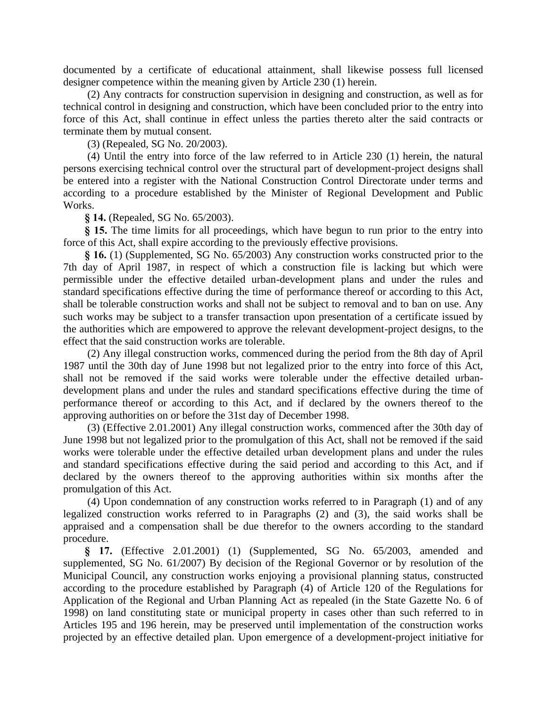documented by a certificate of educational attainment, shall likewise possess full licensed designer competence within the meaning given by Article 230 (1) herein.

(2) Any contracts for construction supervision in designing and construction, as well as for technical control in designing and construction, which have been concluded prior to the entry into force of this Act, shall continue in effect unless the parties thereto alter the said contracts or terminate them by mutual consent.

(3) (Repealed, SG No. 20/2003).

(4) Until the entry into force of the law referred to in Article 230 (1) herein, the natural persons exercising technical control over the structural part of development-project designs shall be entered into a register with the National Construction Control Directorate under terms and according to a procedure established by the Minister of Regional Development and Public Works.

**§ 14.** (Repealed, SG No. 65/2003).

**§ 15.** The time limits for all proceedings, which have begun to run prior to the entry into force of this Act, shall expire according to the previously effective provisions.

**§ 16.** (1) (Supplemented, SG No. 65/2003) Any construction works constructed prior to the 7th day of April 1987, in respect of which a construction file is lacking but which were permissible under the effective detailed urban-development plans and under the rules and standard specifications effective during the time of performance thereof or according to this Act, shall be tolerable construction works and shall not be subject to removal and to ban on use. Any such works may be subject to a transfer transaction upon presentation of a certificate issued by the authorities which are empowered to approve the relevant development-project designs, to the effect that the said construction works are tolerable.

(2) Any illegal construction works, commenced during the period from the 8th day of April 1987 until the 30th day of June 1998 but not legalized prior to the entry into force of this Act, shall not be removed if the said works were tolerable under the effective detailed urbandevelopment plans and under the rules and standard specifications effective during the time of performance thereof or according to this Act, and if declared by the owners thereof to the approving authorities on or before the 31st day of December 1998.

(3) (Effective 2.01.2001) Any illegal construction works, commenced after the 30th day of June 1998 but not legalized prior to the promulgation of this Act, shall not be removed if the said works were tolerable under the effective detailed urban development plans and under the rules and standard specifications effective during the said period and according to this Act, and if declared by the owners thereof to the approving authorities within six months after the promulgation of this Act.

(4) Upon condemnation of any construction works referred to in Paragraph (1) and of any legalized construction works referred to in Paragraphs (2) and (3), the said works shall be appraised and a compensation shall be due therefor to the owners according to the standard procedure.

**§ 17.** (Effective 2.01.2001) (1) (Supplemented, SG No. 65/2003, amended and supplemented, SG No. 61/2007) By decision of the Regional Governor or by resolution of the Municipal Council, any construction works enjoying a provisional planning status, constructed according to the procedure established by Paragraph (4) of Article 120 of the Regulations for Application of the Regional and Urban Planning Act as repealed (in the State Gazette No. 6 of 1998) on land constituting state or municipal property in cases other than such referred to in Articles 195 and 196 herein, may be preserved until implementation of the construction works projected by an effective detailed plan. Upon emergence of a development-project initiative for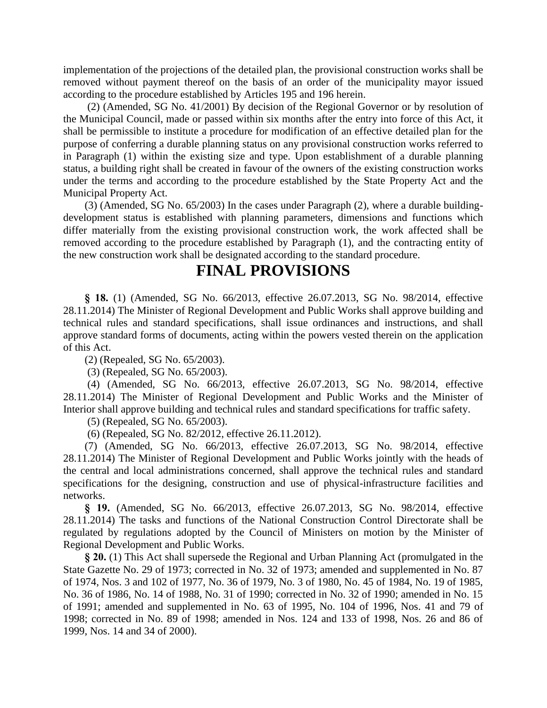implementation of the projections of the detailed plan, the provisional construction works shall be removed without payment thereof on the basis of an order of the municipality mayor issued according to the procedure established by Articles 195 and 196 herein.

(2) (Amended, SG No. 41/2001) By decision of the Regional Governor or by resolution of the Municipal Council, made or passed within six months after the entry into force of this Act, it shall be permissible to institute a procedure for modification of an effective detailed plan for the purpose of conferring a durable planning status on any provisional construction works referred to in Paragraph (1) within the existing size and type. Upon establishment of a durable planning status, a building right shall be created in favour of the owners of the existing construction works under the terms and according to the procedure established by the State Property Act and the Municipal Property Act.

(3) (Amended, SG No. 65/2003) In the cases under Paragraph (2), where a durable buildingdevelopment status is established with planning parameters, dimensions and functions which differ materially from the existing provisional construction work, the work affected shall be removed according to the procedure established by Paragraph (1), and the contracting entity of the new construction work shall be designated according to the standard procedure.

# **FINAL PROVISIONS**

**§ 18.** (1) (Amended, SG No. 66/2013, effective 26.07.2013, SG No. 98/2014, effective 28.11.2014) The Minister of Regional Development and Public Works shall approve building and technical rules and standard specifications, shall issue ordinances and instructions, and shall approve standard forms of documents, acting within the powers vested therein on the application of this Act.

(2) (Repealed, SG No. 65/2003).

(3) (Repealed, SG No. 65/2003).

(4) (Amended, SG No. 66/2013, effective 26.07.2013, SG No. 98/2014, effective 28.11.2014) The Minister of Regional Development and Public Works and the Minister of Interior shall approve building and technical rules and standard specifications for traffic safety.

(5) (Repealed, SG No. 65/2003).

(6) (Repealed, SG No. 82/2012, effective 26.11.2012).

(7) (Amended, SG No. 66/2013, effective 26.07.2013, SG No. 98/2014, effective 28.11.2014) The Minister of Regional Development and Public Works jointly with the heads of the central and local administrations concerned, shall approve the technical rules and standard specifications for the designing, construction and use of physical-infrastructure facilities and networks.

**§ 19.** (Amended, SG No. 66/2013, effective 26.07.2013, SG No. 98/2014, effective 28.11.2014) The tasks and functions of the National Construction Control Directorate shall be regulated by regulations adopted by the Council of Ministers on motion by the Minister of Regional Development and Public Works.

**§ 20.** (1) This Act shall supersede the Regional and Urban Planning Act (promulgated in the State Gazette No. 29 of 1973; corrected in No. 32 of 1973; amended and supplemented in No. 87 of 1974, Nos. 3 and 102 of 1977, No. 36 of 1979, No. 3 of 1980, No. 45 of 1984, No. 19 of 1985, No. 36 of 1986, No. 14 of 1988, No. 31 of 1990; corrected in No. 32 of 1990; amended in No. 15 of 1991; amended and supplemented in No. 63 of 1995, No. 104 of 1996, Nos. 41 and 79 of 1998; corrected in No. 89 of 1998; amended in Nos. 124 and 133 of 1998, Nos. 26 and 86 of 1999, Nos. 14 and 34 of 2000).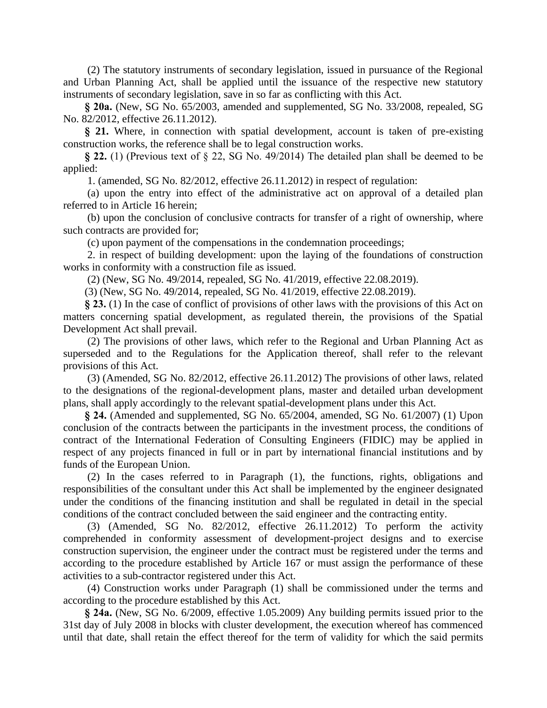(2) The statutory instruments of secondary legislation, issued in pursuance of the Regional and Urban Planning Act, shall be applied until the issuance of the respective new statutory instruments of secondary legislation, save in so far as conflicting with this Act.

**§ 20a.** (New, SG No. 65/2003, amended and supplemented, SG No. 33/2008, repealed, SG No. 82/2012, effective 26.11.2012).

**§ 21.** Where, in connection with spatial development, account is taken of pre-existing construction works, the reference shall be to legal construction works.

**§ 22.** (1) (Previous text of § 22, SG No. 49/2014) The detailed plan shall be deemed to be applied:

1. (amended, SG No. 82/2012, effective 26.11.2012) in respect of regulation:

(a) upon the entry into effect of the administrative act on approval of a detailed plan referred to in Article 16 herein;

(b) upon the conclusion of conclusive contracts for transfer of a right of ownership, where such contracts are provided for;

(c) upon payment of the compensations in the condemnation proceedings;

2. in respect of building development: upon the laying of the foundations of construction works in conformity with a construction file as issued.

(2) (New, SG No. 49/2014, repealed, SG No. 41/2019, effective 22.08.2019).

(3) (New, SG No. 49/2014, repealed, SG No. 41/2019, effective 22.08.2019).

**§ 23.** (1) In the case of conflict of provisions of other laws with the provisions of this Act on matters concerning spatial development, as regulated therein, the provisions of the Spatial Development Act shall prevail.

(2) The provisions of other laws, which refer to the Regional and Urban Planning Act as superseded and to the Regulations for the Application thereof, shall refer to the relevant provisions of this Act.

(3) (Amended, SG No. 82/2012, effective 26.11.2012) The provisions of other laws, related to the designations of the regional-development plans, master and detailed urban development plans, shall apply accordingly to the relevant spatial-development plans under this Act.

**§ 24.** (Amended and supplemented, SG No. 65/2004, amended, SG No. 61/2007) (1) Upon conclusion of the contracts between the participants in the investment process, the conditions of contract of the International Federation of Consulting Engineers (FIDIC) may be applied in respect of any projects financed in full or in part by international financial institutions and by funds of the European Union.

(2) In the cases referred to in Paragraph (1), the functions, rights, obligations and responsibilities of the consultant under this Act shall be implemented by the engineer designated under the conditions of the financing institution and shall be regulated in detail in the special conditions of the contract concluded between the said engineer and the contracting entity.

(3) (Amended, SG No. 82/2012, effective 26.11.2012) To perform the activity comprehended in conformity assessment of development-project designs and to exercise construction supervision, the engineer under the contract must be registered under the terms and according to the procedure established by Article 167 or must assign the performance of these activities to a sub-contractor registered under this Act.

(4) Construction works under Paragraph (1) shall be commissioned under the terms and according to the procedure established by this Act.

**§ 24a.** (New, SG No. 6/2009, effective 1.05.2009) Any building permits issued prior to the 31st day of July 2008 in blocks with cluster development, the execution whereof has commenced until that date, shall retain the effect thereof for the term of validity for which the said permits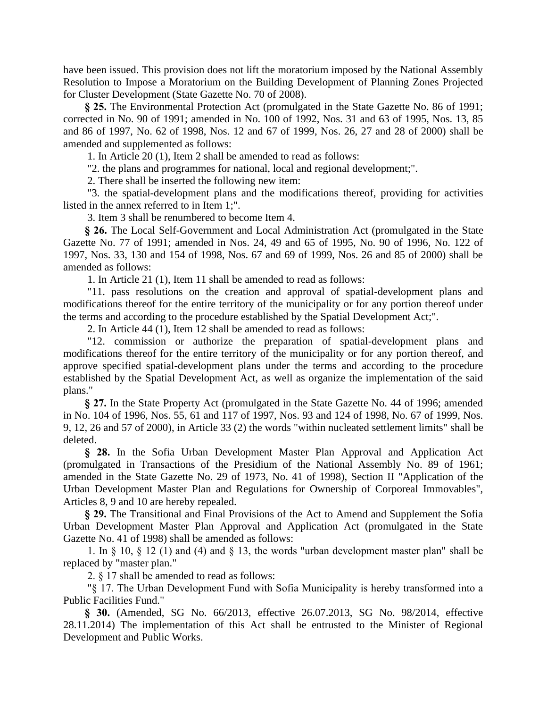have been issued. This provision does not lift the moratorium imposed by the National Assembly Resolution to Impose a Moratorium on the Building Development of Planning Zones Projected for Cluster Development (State Gazette No. 70 of 2008).

**§ 25.** The Environmental Protection Act (promulgated in the State Gazette No. 86 of 1991; corrected in No. 90 of 1991; amended in No. 100 of 1992, Nos. 31 and 63 of 1995, Nos. 13, 85 and 86 of 1997, No. 62 of 1998, Nos. 12 and 67 of 1999, Nos. 26, 27 and 28 of 2000) shall be amended and supplemented as follows:

1. In Article 20 (1), Item 2 shall be amended to read as follows:

"2. the plans and programmes for national, local and regional development;".

2. There shall be inserted the following new item:

"3. the spatial-development plans and the modifications thereof, providing for activities listed in the annex referred to in Item 1;".

3. Item 3 shall be renumbered to become Item 4.

**§ 26.** The Local Self-Government and Local Administration Act (promulgated in the State Gazette No. 77 of 1991; amended in Nos. 24, 49 and 65 of 1995, No. 90 of 1996, No. 122 of 1997, Nos. 33, 130 and 154 of 1998, Nos. 67 and 69 of 1999, Nos. 26 and 85 of 2000) shall be amended as follows:

1. In Article 21 (1), Item 11 shall be amended to read as follows:

"11. pass resolutions on the creation and approval of spatial-development plans and modifications thereof for the entire territory of the municipality or for any portion thereof under the terms and according to the procedure established by the Spatial Development Act;".

2. In Article 44 (1), Item 12 shall be amended to read as follows:

"12. commission or authorize the preparation of spatial-development plans and modifications thereof for the entire territory of the municipality or for any portion thereof, and approve specified spatial-development plans under the terms and according to the procedure established by the Spatial Development Act, as well as organize the implementation of the said plans."

**§ 27.** In the State Property Act (promulgated in the State Gazette No. 44 of 1996; amended in No. 104 of 1996, Nos. 55, 61 and 117 of 1997, Nos. 93 and 124 of 1998, No. 67 of 1999, Nos. 9, 12, 26 and 57 of 2000), in Article 33 (2) the words "within nucleated settlement limits" shall be deleted.

**§ 28.** In the Sofia Urban Development Master Plan Approval and Application Act (promulgated in Transactions of the Presidium of the National Assembly No. 89 of 1961; amended in the State Gazette No. 29 of 1973, No. 41 of 1998), Section II "Application of the Urban Development Master Plan and Regulations for Ownership of Corporeal Immovables", Articles 8, 9 and 10 are hereby repealed.

**§ 29.** The Transitional and Final Provisions of the Act to Amend and Supplement the Sofia Urban Development Master Plan Approval and Application Act (promulgated in the State Gazette No. 41 of 1998) shall be amended as follows:

1. In  $\S$  10,  $\S$  12 (1) and (4) and  $\S$  13, the words "urban development master plan" shall be replaced by "master plan."

2. § 17 shall be amended to read as follows:

"§ 17. The Urban Development Fund with Sofia Municipality is hereby transformed into a Public Facilities Fund."

**§ 30.** (Amended, SG No. 66/2013, effective 26.07.2013, SG No. 98/2014, effective 28.11.2014) The implementation of this Act shall be entrusted to the Minister of Regional Development and Public Works.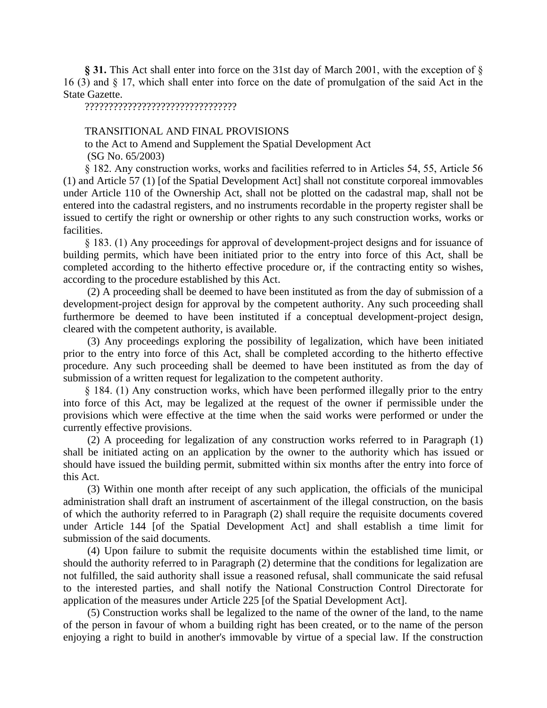**§ 31.** This Act shall enter into force on the 31st day of March 2001, with the exception of § 16 (3) and § 17, which shall enter into force on the date of promulgation of the said Act in the State Gazette.

????????????????????????????????

## TRANSITIONAL AND FINAL PROVISIONS

to the Act to Amend and Supplement the Spatial Development Act (SG No. 65/2003)

§ 182. Any construction works, works and facilities referred to in Articles 54, 55, Article 56 (1) and Article 57 (1) [of the Spatial Development Act] shall not constitute corporeal immovables under Article 110 of the Ownership Act, shall not be plotted on the cadastral map, shall not be entered into the cadastral registers, and no instruments recordable in the property register shall be issued to certify the right or ownership or other rights to any such construction works, works or facilities.

§ 183. (1) Any proceedings for approval of development-project designs and for issuance of building permits, which have been initiated prior to the entry into force of this Act, shall be completed according to the hitherto effective procedure or, if the contracting entity so wishes, according to the procedure established by this Act.

(2) A proceeding shall be deemed to have been instituted as from the day of submission of a development-project design for approval by the competent authority. Any such proceeding shall furthermore be deemed to have been instituted if a conceptual development-project design, cleared with the competent authority, is available.

(3) Any proceedings exploring the possibility of legalization, which have been initiated prior to the entry into force of this Act, shall be completed according to the hitherto effective procedure. Any such proceeding shall be deemed to have been instituted as from the day of submission of a written request for legalization to the competent authority.

§ 184. (1) Any construction works, which have been performed illegally prior to the entry into force of this Act, may be legalized at the request of the owner if permissible under the provisions which were effective at the time when the said works were performed or under the currently effective provisions.

(2) A proceeding for legalization of any construction works referred to in Paragraph (1) shall be initiated acting on an application by the owner to the authority which has issued or should have issued the building permit, submitted within six months after the entry into force of this Act.

(3) Within one month after receipt of any such application, the officials of the municipal administration shall draft an instrument of ascertainment of the illegal construction, on the basis of which the authority referred to in Paragraph (2) shall require the requisite documents covered under Article 144 [of the Spatial Development Act] and shall establish a time limit for submission of the said documents.

(4) Upon failure to submit the requisite documents within the established time limit, or should the authority referred to in Paragraph (2) determine that the conditions for legalization are not fulfilled, the said authority shall issue a reasoned refusal, shall communicate the said refusal to the interested parties, and shall notify the National Construction Control Directorate for application of the measures under Article 225 [of the Spatial Development Act].

(5) Construction works shall be legalized to the name of the owner of the land, to the name of the person in favour of whom a building right has been created, or to the name of the person enjoying a right to build in another's immovable by virtue of a special law. If the construction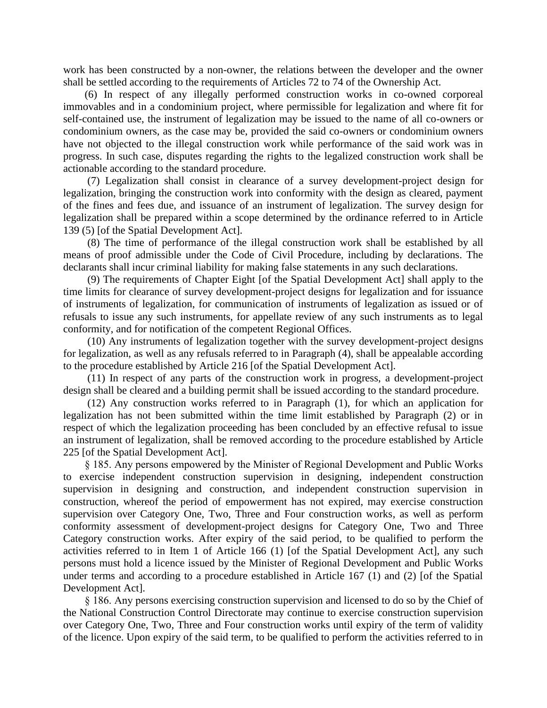work has been constructed by a non-owner, the relations between the developer and the owner shall be settled according to the requirements of Articles 72 to 74 of the Ownership Act.

(6) In respect of any illegally performed construction works in co-owned corporeal immovables and in a condominium project, where permissible for legalization and where fit for self-contained use, the instrument of legalization may be issued to the name of all co-owners or condominium owners, as the case may be, provided the said co-owners or condominium owners have not objected to the illegal construction work while performance of the said work was in progress. In such case, disputes regarding the rights to the legalized construction work shall be actionable according to the standard procedure.

(7) Legalization shall consist in clearance of a survey development-project design for legalization, bringing the construction work into conformity with the design as cleared, payment of the fines and fees due, and issuance of an instrument of legalization. The survey design for legalization shall be prepared within a scope determined by the ordinance referred to in Article 139 (5) [of the Spatial Development Act].

(8) The time of performance of the illegal construction work shall be established by all means of proof admissible under the Code of Civil Procedure, including by declarations. The declarants shall incur criminal liability for making false statements in any such declarations.

(9) The requirements of Chapter Eight [of the Spatial Development Act] shall apply to the time limits for clearance of survey development-project designs for legalization and for issuance of instruments of legalization, for communication of instruments of legalization as issued or of refusals to issue any such instruments, for appellate review of any such instruments as to legal conformity, and for notification of the competent Regional Offices.

(10) Any instruments of legalization together with the survey development-project designs for legalization, as well as any refusals referred to in Paragraph (4), shall be appealable according to the procedure established by Article 216 [of the Spatial Development Act].

(11) In respect of any parts of the construction work in progress, a development-project design shall be cleared and a building permit shall be issued according to the standard procedure.

(12) Any construction works referred to in Paragraph (1), for which an application for legalization has not been submitted within the time limit established by Paragraph (2) or in respect of which the legalization proceeding has been concluded by an effective refusal to issue an instrument of legalization, shall be removed according to the procedure established by Article 225 [of the Spatial Development Act].

§ 185. Any persons empowered by the Minister of Regional Development and Public Works to exercise independent construction supervision in designing, independent construction supervision in designing and construction, and independent construction supervision in construction, whereof the period of empowerment has not expired, may exercise construction supervision over Category One, Two, Three and Four construction works, as well as perform conformity assessment of development-project designs for Category One, Two and Three Category construction works. After expiry of the said period, to be qualified to perform the activities referred to in Item 1 of Article 166 (1) [of the Spatial Development Act], any such persons must hold a licence issued by the Minister of Regional Development and Public Works under terms and according to a procedure established in Article 167 (1) and (2) [of the Spatial Development Act].

§ 186. Any persons exercising construction supervision and licensed to do so by the Chief of the National Construction Control Directorate may continue to exercise construction supervision over Category One, Two, Three and Four construction works until expiry of the term of validity of the licence. Upon expiry of the said term, to be qualified to perform the activities referred to in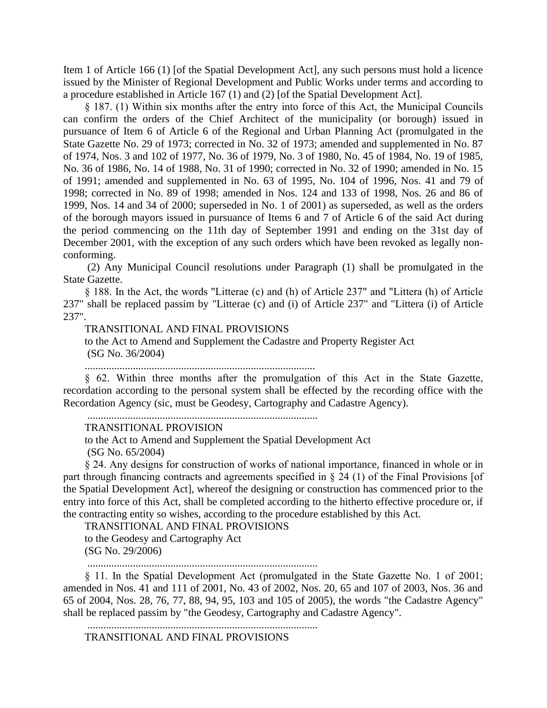Item 1 of Article 166 (1) [of the Spatial Development Act], any such persons must hold a licence issued by the Minister of Regional Development and Public Works under terms and according to a procedure established in Article 167 (1) and (2) [of the Spatial Development Act].

§ 187. (1) Within six months after the entry into force of this Act, the Municipal Councils can confirm the orders of the Chief Architect of the municipality (or borough) issued in pursuance of Item 6 of Article 6 of the Regional and Urban Planning Act (promulgated in the State Gazette No. 29 of 1973; corrected in No. 32 of 1973; amended and supplemented in No. 87 of 1974, Nos. 3 and 102 of 1977, No. 36 of 1979, No. 3 of 1980, No. 45 of 1984, No. 19 of 1985, No. 36 of 1986, No. 14 of 1988, No. 31 of 1990; corrected in No. 32 of 1990; amended in No. 15 of 1991; amended and supplemented in No. 63 of 1995, No. 104 of 1996, Nos. 41 and 79 of 1998; corrected in No. 89 of 1998; amended in Nos. 124 and 133 of 1998, Nos. 26 and 86 of 1999, Nos. 14 and 34 of 2000; superseded in No. 1 of 2001) as superseded, as well as the orders of the borough mayors issued in pursuance of Items 6 and 7 of Article 6 of the said Act during the period commencing on the 11th day of September 1991 and ending on the 31st day of December 2001, with the exception of any such orders which have been revoked as legally nonconforming.

(2) Any Municipal Council resolutions under Paragraph (1) shall be promulgated in the State Gazette.

§ 188. In the Act, the words "Litterae (c) and (h) of Article 237" and "Littera (h) of Article 237" shall be replaced passim by "Litterae (c) and (i) of Article 237" and "Littera (i) of Article 237".

TRANSITIONAL AND FINAL PROVISIONS

to the Act to Amend and Supplement the Cadastre and Property Register Act (SG No. 36/2004)

......................................................................................

§ 62. Within three months after the promulgation of this Act in the State Gazette, recordation according to the personal system shall be effected by the recording office with the Recordation Agency (sic, must be Geodesy, Cartography and Cadastre Agency).

......................................................................................

# TRANSITIONAL PROVISION

to the Act to Amend and Supplement the Spatial Development Act

(SG No. 65/2004)

§ 24. Any designs for construction of works of national importance, financed in whole or in part through financing contracts and agreements specified in § 24 (1) of the Final Provisions [of the Spatial Development Act], whereof the designing or construction has commenced prior to the entry into force of this Act, shall be completed according to the hitherto effective procedure or, if the contracting entity so wishes, according to the procedure established by this Act.

TRANSITIONAL AND FINAL PROVISIONS

to the Geodesy and Cartography Act (SG No. 29/2006)

......................................................................................

§ 11. In the Spatial Development Act (promulgated in the State Gazette No. 1 of 2001; amended in Nos. 41 and 111 of 2001, No. 43 of 2002, Nos. 20, 65 and 107 of 2003, Nos. 36 and 65 of 2004, Nos. 28, 76, 77, 88, 94, 95, 103 and 105 of 2005), the words "the Cadastre Agency" shall be replaced passim by "the Geodesy, Cartography and Cadastre Agency".

......................................................................................

TRANSITIONAL AND FINAL PROVISIONS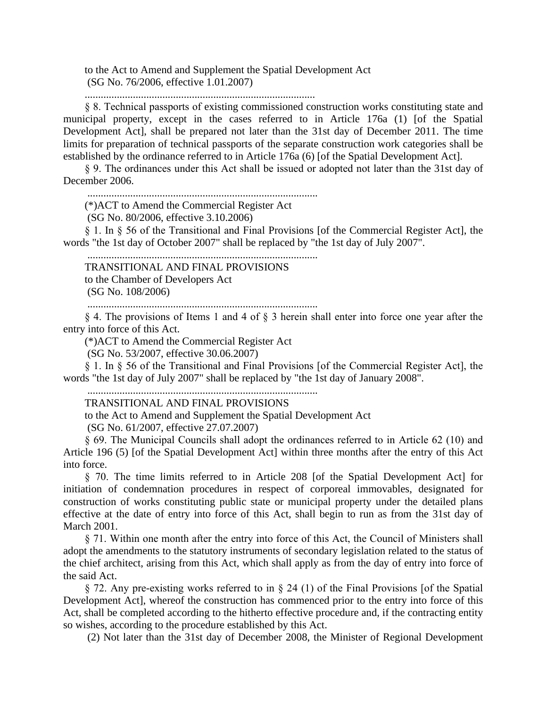to the Act to Amend and Supplement the Spatial Development Act (SG No. 76/2006, effective 1.01.2007)

......................................................................................

§ 8. Technical passports of existing commissioned construction works constituting state and municipal property, except in the cases referred to in Article 176a (1) [of the Spatial Development Act], shall be prepared not later than the 31st day of December 2011. The time limits for preparation of technical passports of the separate construction work categories shall be established by the ordinance referred to in Article 176a (6) [of the Spatial Development Act].

§ 9. The ordinances under this Act shall be issued or adopted not later than the 31st day of December 2006.

......................................................................................

(\*)ACT to Amend the Commercial Register Act

(SG No. 80/2006, effective 3.10.2006)

§ 1. In § 56 of the Transitional and Final Provisions [of the Commercial Register Act], the words "the 1st day of October 2007" shall be replaced by "the 1st day of July 2007".

......................................................................................

TRANSITIONAL AND FINAL PROVISIONS

to the Chamber of Developers Act

(SG No. 108/2006)

......................................................................................

§ 4. The provisions of Items 1 and 4 of § 3 herein shall enter into force one year after the entry into force of this Act.

(\*)ACT to Amend the Commercial Register Act

(SG No. 53/2007, effective 30.06.2007)

§ 1. In § 56 of the Transitional and Final Provisions [of the Commercial Register Act], the words "the 1st day of July 2007" shall be replaced by "the 1st day of January 2008".

......................................................................................

TRANSITIONAL AND FINAL PROVISIONS

to the Act to Amend and Supplement the Spatial Development Act

(SG No. 61/2007, effective 27.07.2007)

§ 69. The Municipal Councils shall adopt the ordinances referred to in Article 62 (10) and Article 196 (5) [of the Spatial Development Act] within three months after the entry of this Act into force.

§ 70. The time limits referred to in Article 208 [of the Spatial Development Act] for initiation of condemnation procedures in respect of corporeal immovables, designated for construction of works constituting public state or municipal property under the detailed plans effective at the date of entry into force of this Act, shall begin to run as from the 31st day of March 2001.

§ 71. Within one month after the entry into force of this Act, the Council of Ministers shall adopt the amendments to the statutory instruments of secondary legislation related to the status of the chief architect, arising from this Act, which shall apply as from the day of entry into force of the said Act.

§ 72. Any pre-existing works referred to in § 24 (1) of the Final Provisions [of the Spatial Development Act], whereof the construction has commenced prior to the entry into force of this Act, shall be completed according to the hitherto effective procedure and, if the contracting entity so wishes, according to the procedure established by this Act.

(2) Not later than the 31st day of December 2008, the Minister of Regional Development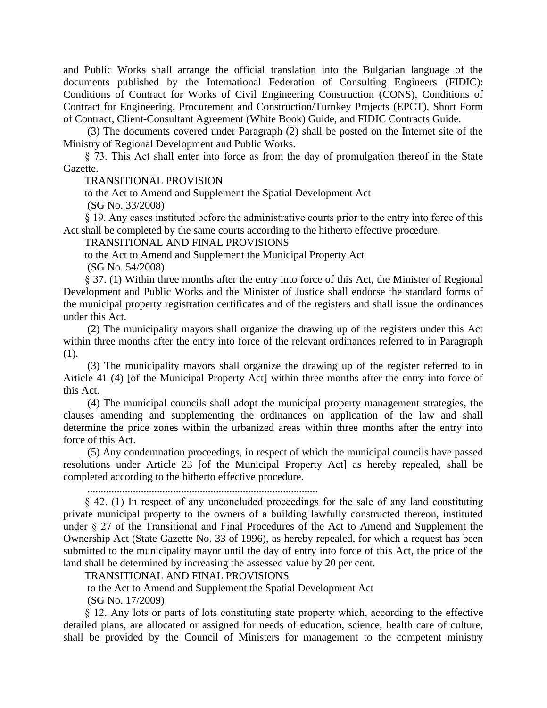and Public Works shall arrange the official translation into the Bulgarian language of the documents published by the International Federation of Consulting Engineers (FIDIC): Conditions of Contract for Works of Civil Engineering Construction (CONS), Conditions of Contract for Engineering, Procurement and Construction/Turnkey Projects (EPCT), Short Form of Contract, Client-Consultant Agreement (White Book) Guide, and FIDIC Contracts Guide.

(3) The documents covered under Paragraph (2) shall be posted on the Internet site of the Ministry of Regional Development and Public Works.

§ 73. This Act shall enter into force as from the day of promulgation thereof in the State Gazette.

#### TRANSITIONAL PROVISION

to the Act to Amend and Supplement the Spatial Development Act

(SG No. 33/2008)

§ 19. Any cases instituted before the administrative courts prior to the entry into force of this Act shall be completed by the same courts according to the hitherto effective procedure.

## TRANSITIONAL AND FINAL PROVISIONS

to the Act to Amend and Supplement the Municipal Property Act

(SG No. 54/2008)

§ 37. (1) Within three months after the entry into force of this Act, the Minister of Regional Development and Public Works and the Minister of Justice shall endorse the standard forms of the municipal property registration certificates and of the registers and shall issue the ordinances under this Act.

(2) The municipality mayors shall organize the drawing up of the registers under this Act within three months after the entry into force of the relevant ordinances referred to in Paragraph (1).

(3) The municipality mayors shall organize the drawing up of the register referred to in Article 41 (4) [of the Municipal Property Act] within three months after the entry into force of this Act.

(4) The municipal councils shall adopt the municipal property management strategies, the clauses amending and supplementing the ordinances on application of the law and shall determine the price zones within the urbanized areas within three months after the entry into force of this Act.

(5) Any condemnation proceedings, in respect of which the municipal councils have passed resolutions under Article 23 [of the Municipal Property Act] as hereby repealed, shall be completed according to the hitherto effective procedure.

......................................................................................

§ 42. (1) In respect of any unconcluded proceedings for the sale of any land constituting private municipal property to the owners of a building lawfully constructed thereon, instituted under § 27 of the Transitional and Final Procedures of the Act to Amend and Supplement the Ownership Act (State Gazette No. 33 of 1996), as hereby repealed, for which a request has been submitted to the municipality mayor until the day of entry into force of this Act, the price of the land shall be determined by increasing the assessed value by 20 per cent.

TRANSITIONAL AND FINAL PROVISIONS

to the Act to Amend and Supplement the Spatial Development Act

(SG No. 17/2009)

§ 12. Any lots or parts of lots constituting state property which, according to the effective detailed plans, are allocated or assigned for needs of education, science, health care of culture, shall be provided by the Council of Ministers for management to the competent ministry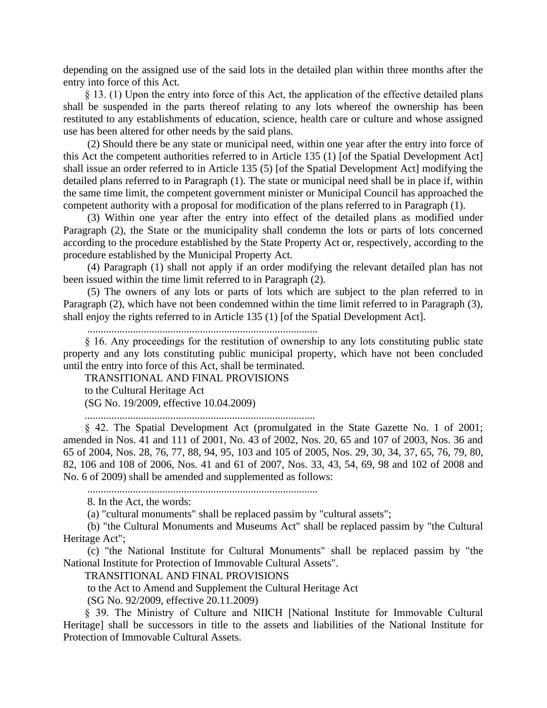depending on the assigned use of the said lots in the detailed plan within three months after the entry into force of this Act.

§ 13. (1) Upon the entry into force of this Act, the application of the effective detailed plans shall be suspended in the parts thereof relating to any lots whereof the ownership has been restituted to any establishments of education, science, health care or culture and whose assigned use has been altered for other needs by the said plans.

(2) Should there be any state or municipal need, within one year after the entry into force of this Act the competent authorities referred to in Article 135 (1) [of the Spatial Development Act] shall issue an order referred to in Article 135 (5) [of the Spatial Development Act] modifying the detailed plans referred to in Paragraph (1). The state or municipal need shall be in place if, within the same time limit, the competent government minister or Municipal Council has approached the competent authority with a proposal for modification of the plans referred to in Paragraph (1).

(3) Within one year after the entry into effect of the detailed plans as modified under Paragraph (2), the State or the municipality shall condemn the lots or parts of lots concerned according to the procedure established by the State Property Act or, respectively, according to the procedure established by the Municipal Property Act.

(4) Paragraph (1) shall not apply if an order modifying the relevant detailed plan has not been issued within the time limit referred to in Paragraph (2).

(5) The owners of any lots or parts of lots which are subject to the plan referred to in Paragraph (2), which have not been condemned within the time limit referred to in Paragraph (3), shall enjoy the rights referred to in Article 135 (1) [of the Spatial Development Act].

......................................................................................

§ 16. Any proceedings for the restitution of ownership to any lots constituting public state property and any lots constituting public municipal property, which have not been concluded until the entry into force of this Act, shall be terminated.

TRANSITIONAL AND FINAL PROVISIONS

to the Cultural Heritage Act

(SG No. 19/2009, effective 10.04.2009)

......................................................................................

§ 42. The Spatial Development Act (promulgated in the State Gazette No. 1 of 2001; amended in Nos. 41 and 111 of 2001, No. 43 of 2002, Nos. 20, 65 and 107 of 2003, Nos. 36 and 65 of 2004, Nos. 28, 76, 77, 88, 94, 95, 103 and 105 of 2005, Nos. 29, 30, 34, 37, 65, 76, 79, 80, 82, 106 and 108 of 2006, Nos. 41 and 61 of 2007, Nos. 33, 43, 54, 69, 98 and 102 of 2008 and No. 6 of 2009) shall be amended and supplemented as follows:

......................................................................................

8. In the Act, the words:

(a) "cultural monuments" shall be replaced passim by "cultural assets";

(b) "the Cultural Monuments and Museums Act" shall be replaced passim by "the Cultural Heritage Act";

(c) "the National Institute for Cultural Monuments" shall be replaced passim by "the National Institute for Protection of Immovable Cultural Assets".

TRANSITIONAL AND FINAL PROVISIONS

to the Act to Amend and Supplement the Cultural Heritage Act

(SG No. 92/2009, effective 20.11.2009)

§ 39. The Ministry of Culture and NIICH [National Institute for Immovable Cultural Heritage] shall be successors in title to the assets and liabilities of the National Institute for Protection of Immovable Cultural Assets.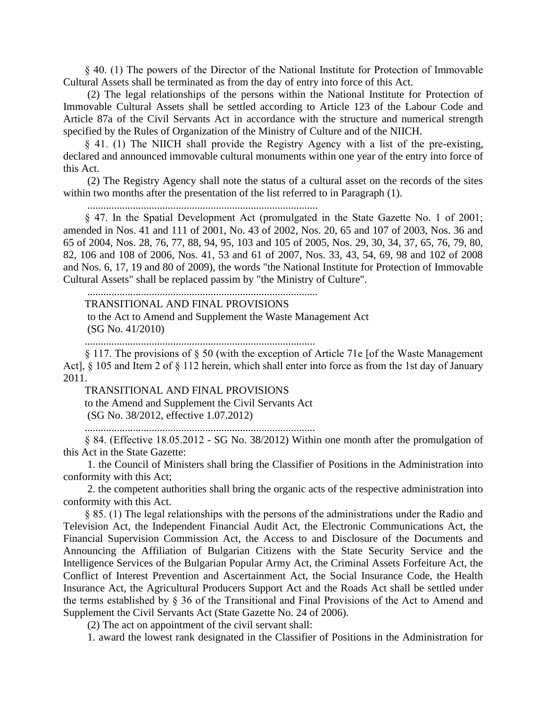§ 40. (1) The powers of the Director of the National Institute for Protection of Immovable Cultural Assets shall be terminated as from the day of entry into force of this Act.

(2) The legal relationships of the persons within the National Institute for Protection of Immovable Cultural Assets shall be settled according to Article 123 of the Labour Code and Article 87a of the Civil Servants Act in accordance with the structure and numerical strength specified by the Rules of Organization of the Ministry of Culture and of the NIICH.

§ 41. (1) The NIICH shall provide the Registry Agency with a list of the pre-existing, declared and announced immovable cultural monuments within one year of the entry into force of this Act.

(2) The Registry Agency shall note the status of a cultural asset on the records of the sites within two months after the presentation of the list referred to in Paragraph  $(1)$ .

......................................................................................

§ 47. In the Spatial Development Act (promulgated in the State Gazette No. 1 of 2001; amended in Nos. 41 and 111 of 2001, No. 43 of 2002, Nos. 20, 65 and 107 of 2003, Nos. 36 and 65 of 2004, Nos. 28, 76, 77, 88, 94, 95, 103 and 105 of 2005, Nos. 29, 30, 34, 37, 65, 76, 79, 80, 82, 106 and 108 of 2006, Nos. 41, 53 and 61 of 2007, Nos. 33, 43, 54, 69, 98 and 102 of 2008 and Nos. 6, 17, 19 and 80 of 2009), the words "the National Institute for Protection of Immovable Cultural Assets" shall be replaced passim by "the Ministry of Culture".

## TRANSITIONAL AND FINAL PROVISIONS

to the Act to Amend and Supplement the Waste Management Act (SG No. 41/2010)

......................................................................................

......................................................................................

§ 117. The provisions of § 50 (with the exception of Article 71e [of the Waste Management Act], § 105 and Item 2 of § 112 herein, which shall enter into force as from the 1st day of January 2011.

TRANSITIONAL AND FINAL PROVISIONS

to the Amend and Supplement the Civil Servants Act

(SG No. 38/2012, effective 1.07.2012)

......................................................................................

§ 84. (Effective 18.05.2012 - SG No. 38/2012) Within one month after the promulgation of this Act in the State Gazette:

1. the Council of Ministers shall bring the Classifier of Positions in the Administration into conformity with this Act;

2. the competent authorities shall bring the organic acts of the respective administration into conformity with this Act.

§ 85. (1) The legal relationships with the persons of the administrations under the Radio and Television Act, the Independent Financial Audit Act, the Electronic Communications Act, the Financial Supervision Commission Act, the Access to and Disclosure of the Documents and Announcing the Affiliation of Bulgarian Citizens with the State Security Service and the Intelligence Services of the Bulgarian Popular Army Act, the Criminal Assets Forfeiture Act, the Conflict of Interest Prevention and Ascertainment Act, the Social Insurance Code, the Health Insurance Act, the Agricultural Producers Support Act and the Roads Act shall be settled under the terms established by § 36 of the Transitional and Final Provisions of the Act to Amend and Supplement the Civil Servants Act (State Gazette No. 24 of 2006).

(2) The act on appointment of the civil servant shall:

1. award the lowest rank designated in the Classifier of Positions in the Administration for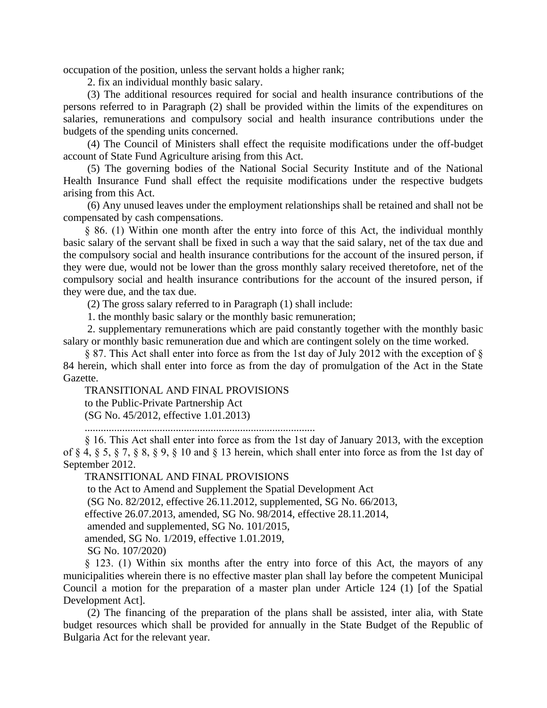occupation of the position, unless the servant holds a higher rank;

2. fix an individual monthly basic salary.

(3) The additional resources required for social and health insurance contributions of the persons referred to in Paragraph (2) shall be provided within the limits of the expenditures on salaries, remunerations and compulsory social and health insurance contributions under the budgets of the spending units concerned.

(4) The Council of Ministers shall effect the requisite modifications under the off-budget account of State Fund Agriculture arising from this Act.

(5) The governing bodies of the National Social Security Institute and of the National Health Insurance Fund shall effect the requisite modifications under the respective budgets arising from this Act.

(6) Any unused leaves under the employment relationships shall be retained and shall not be compensated by cash compensations.

§ 86. (1) Within one month after the entry into force of this Act, the individual monthly basic salary of the servant shall be fixed in such a way that the said salary, net of the tax due and the compulsory social and health insurance contributions for the account of the insured person, if they were due, would not be lower than the gross monthly salary received theretofore, net of the compulsory social and health insurance contributions for the account of the insured person, if they were due, and the tax due.

(2) The gross salary referred to in Paragraph (1) shall include:

1. the monthly basic salary or the monthly basic remuneration;

2. supplementary remunerations which are paid constantly together with the monthly basic salary or monthly basic remuneration due and which are contingent solely on the time worked.

§ 87. This Act shall enter into force as from the 1st day of July 2012 with the exception of § 84 herein, which shall enter into force as from the day of promulgation of the Act in the State Gazette.

TRANSITIONAL AND FINAL PROVISIONS to the Public-Private Partnership Act (SG No. 45/2012, effective 1.01.2013)

......................................................................................

§ 16. This Act shall enter into force as from the 1st day of January 2013, with the exception of § 4, § 5, § 7, § 8, § 9, § 10 and § 13 herein, which shall enter into force as from the 1st day of September 2012.

TRANSITIONAL AND FINAL PROVISIONS

to the Act to Amend and Supplement the Spatial Development Act

(SG No. 82/2012, effective 26.11.2012, supplemented, SG No. 66/2013,

effective 26.07.2013, amended, SG No. 98/2014, effective 28.11.2014,

amended and supplemented, SG No. 101/2015,

amended, SG No. 1/2019, effective 1.01.2019,

SG No. 107/2020)

§ 123. (1) Within six months after the entry into force of this Act, the mayors of any municipalities wherein there is no effective master plan shall lay before the competent Municipal Council a motion for the preparation of a master plan under Article 124 (1) [of the Spatial Development Act].

(2) The financing of the preparation of the plans shall be assisted, inter alia, with State budget resources which shall be provided for annually in the State Budget of the Republic of Bulgaria Act for the relevant year.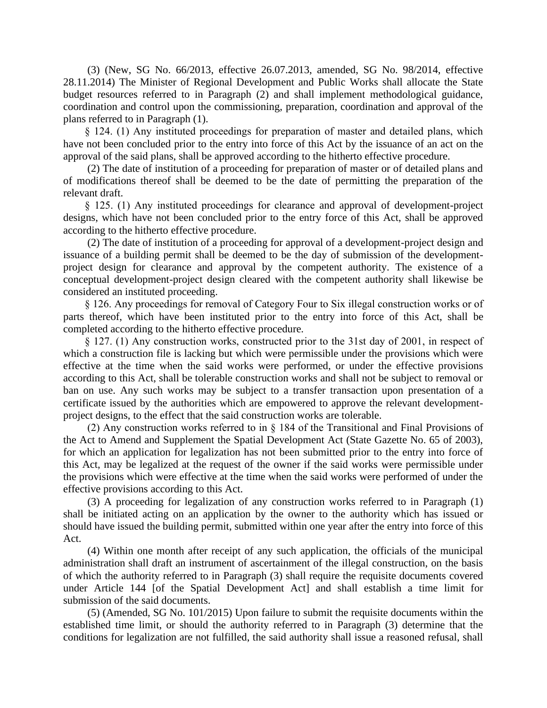(3) (New, SG No. 66/2013, effective 26.07.2013, amended, SG No. 98/2014, effective 28.11.2014) The Minister of Regional Development and Public Works shall allocate the State budget resources referred to in Paragraph (2) and shall implement methodological guidance, coordination and control upon the commissioning, preparation, coordination and approval of the plans referred to in Paragraph (1).

§ 124. (1) Any instituted proceedings for preparation of master and detailed plans, which have not been concluded prior to the entry into force of this Act by the issuance of an act on the approval of the said plans, shall be approved according to the hitherto effective procedure.

(2) The date of institution of a proceeding for preparation of master or of detailed plans and of modifications thereof shall be deemed to be the date of permitting the preparation of the relevant draft.

§ 125. (1) Any instituted proceedings for clearance and approval of development-project designs, which have not been concluded prior to the entry force of this Act, shall be approved according to the hitherto effective procedure.

(2) The date of institution of a proceeding for approval of a development-project design and issuance of a building permit shall be deemed to be the day of submission of the developmentproject design for clearance and approval by the competent authority. The existence of a conceptual development-project design cleared with the competent authority shall likewise be considered an instituted proceeding.

§ 126. Any proceedings for removal of Category Four to Six illegal construction works or of parts thereof, which have been instituted prior to the entry into force of this Act, shall be completed according to the hitherto effective procedure.

§ 127. (1) Any construction works, constructed prior to the 31st day of 2001, in respect of which a construction file is lacking but which were permissible under the provisions which were effective at the time when the said works were performed, or under the effective provisions according to this Act, shall be tolerable construction works and shall not be subject to removal or ban on use. Any such works may be subject to a transfer transaction upon presentation of a certificate issued by the authorities which are empowered to approve the relevant developmentproject designs, to the effect that the said construction works are tolerable.

(2) Any construction works referred to in § 184 of the Transitional and Final Provisions of the Act to Amend and Supplement the Spatial Development Act (State Gazette No. 65 of 2003), for which an application for legalization has not been submitted prior to the entry into force of this Act, may be legalized at the request of the owner if the said works were permissible under the provisions which were effective at the time when the said works were performed of under the effective provisions according to this Act.

(3) A proceeding for legalization of any construction works referred to in Paragraph (1) shall be initiated acting on an application by the owner to the authority which has issued or should have issued the building permit, submitted within one year after the entry into force of this Act.

(4) Within one month after receipt of any such application, the officials of the municipal administration shall draft an instrument of ascertainment of the illegal construction, on the basis of which the authority referred to in Paragraph (3) shall require the requisite documents covered under Article 144 [of the Spatial Development Act] and shall establish a time limit for submission of the said documents.

(5) (Amended, SG No. 101/2015) Upon failure to submit the requisite documents within the established time limit, or should the authority referred to in Paragraph (3) determine that the conditions for legalization are not fulfilled, the said authority shall issue a reasoned refusal, shall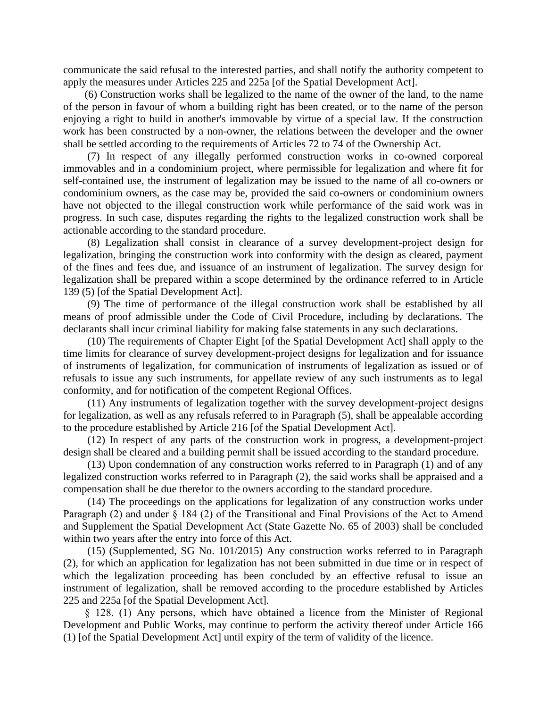communicate the said refusal to the interested parties, and shall notify the authority competent to apply the measures under Articles 225 and 225a [of the Spatial Development Act].

(6) Construction works shall be legalized to the name of the owner of the land, to the name of the person in favour of whom a building right has been created, or to the name of the person enjoying a right to build in another's immovable by virtue of a special law. If the construction work has been constructed by a non-owner, the relations between the developer and the owner shall be settled according to the requirements of Articles 72 to 74 of the Ownership Act.

(7) In respect of any illegally performed construction works in co-owned corporeal immovables and in a condominium project, where permissible for legalization and where fit for self-contained use, the instrument of legalization may be issued to the name of all co-owners or condominium owners, as the case may be, provided the said co-owners or condominium owners have not objected to the illegal construction work while performance of the said work was in progress. In such case, disputes regarding the rights to the legalized construction work shall be actionable according to the standard procedure.

(8) Legalization shall consist in clearance of a survey development-project design for legalization, bringing the construction work into conformity with the design as cleared, payment of the fines and fees due, and issuance of an instrument of legalization. The survey design for legalization shall be prepared within a scope determined by the ordinance referred to in Article 139 (5) [of the Spatial Development Act].

(9) The time of performance of the illegal construction work shall be established by all means of proof admissible under the Code of Civil Procedure, including by declarations. The declarants shall incur criminal liability for making false statements in any such declarations.

(10) The requirements of Chapter Eight [of the Spatial Development Act] shall apply to the time limits for clearance of survey development-project designs for legalization and for issuance of instruments of legalization, for communication of instruments of legalization as issued or of refusals to issue any such instruments, for appellate review of any such instruments as to legal conformity, and for notification of the competent Regional Offices.

(11) Any instruments of legalization together with the survey development-project designs for legalization, as well as any refusals referred to in Paragraph (5), shall be appealable according to the procedure established by Article 216 [of the Spatial Development Act].

(12) In respect of any parts of the construction work in progress, a development-project design shall be cleared and a building permit shall be issued according to the standard procedure.

(13) Upon condemnation of any construction works referred to in Paragraph (1) and of any legalized construction works referred to in Paragraph (2), the said works shall be appraised and a compensation shall be due therefor to the owners according to the standard procedure.

(14) The proceedings on the applications for legalization of any construction works under Paragraph (2) and under § 184 (2) of the Transitional and Final Provisions of the Act to Amend and Supplement the Spatial Development Act (State Gazette No. 65 of 2003) shall be concluded within two years after the entry into force of this Act.

(15) (Supplemented, SG No. 101/2015) Any construction works referred to in Paragraph (2), for which an application for legalization has not been submitted in due time or in respect of which the legalization proceeding has been concluded by an effective refusal to issue an instrument of legalization, shall be removed according to the procedure established by Articles 225 and 225a [of the Spatial Development Act].

§ 128. (1) Any persons, which have obtained a licence from the Minister of Regional Development and Public Works, may continue to perform the activity thereof under Article 166 (1) [of the Spatial Development Act] until expiry of the term of validity of the licence.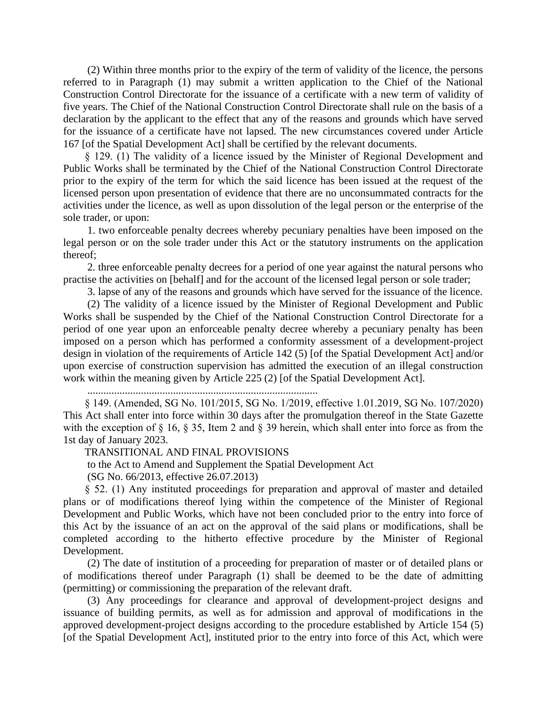(2) Within three months prior to the expiry of the term of validity of the licence, the persons referred to in Paragraph (1) may submit a written application to the Chief of the National Construction Control Directorate for the issuance of a certificate with a new term of validity of five years. The Chief of the National Construction Control Directorate shall rule on the basis of a declaration by the applicant to the effect that any of the reasons and grounds which have served for the issuance of a certificate have not lapsed. The new circumstances covered under Article 167 [of the Spatial Development Act] shall be certified by the relevant documents.

§ 129. (1) The validity of a licence issued by the Minister of Regional Development and Public Works shall be terminated by the Chief of the National Construction Control Directorate prior to the expiry of the term for which the said licence has been issued at the request of the licensed person upon presentation of evidence that there are no unconsummated contracts for the activities under the licence, as well as upon dissolution of the legal person or the enterprise of the sole trader, or upon:

1. two enforceable penalty decrees whereby pecuniary penalties have been imposed on the legal person or on the sole trader under this Act or the statutory instruments on the application thereof;

2. three enforceable penalty decrees for a period of one year against the natural persons who practise the activities on [behalf] and for the account of the licensed legal person or sole trader;

3. lapse of any of the reasons and grounds which have served for the issuance of the licence.

(2) The validity of a licence issued by the Minister of Regional Development and Public Works shall be suspended by the Chief of the National Construction Control Directorate for a period of one year upon an enforceable penalty decree whereby a pecuniary penalty has been imposed on a person which has performed a conformity assessment of a development-project design in violation of the requirements of Article 142 (5) [of the Spatial Development Act] and/or upon exercise of construction supervision has admitted the execution of an illegal construction work within the meaning given by Article 225 (2) [of the Spatial Development Act].

......................................................................................

§ 149. (Amended, SG No. 101/2015, SG No. 1/2019, effective 1.01.2019, SG No. 107/2020) This Act shall enter into force within 30 days after the promulgation thereof in the State Gazette with the exception of § 16, § 35, Item 2 and § 39 herein, which shall enter into force as from the 1st day of January 2023.

TRANSITIONAL AND FINAL PROVISIONS

to the Act to Amend and Supplement the Spatial Development Act

(SG No. 66/2013, effective 26.07.2013)

§ 52. (1) Any instituted proceedings for preparation and approval of master and detailed plans or of modifications thereof lying within the competence of the Minister of Regional Development and Public Works, which have not been concluded prior to the entry into force of this Act by the issuance of an act on the approval of the said plans or modifications, shall be completed according to the hitherto effective procedure by the Minister of Regional Development.

(2) The date of institution of a proceeding for preparation of master or of detailed plans or of modifications thereof under Paragraph (1) shall be deemed to be the date of admitting (permitting) or commissioning the preparation of the relevant draft.

(3) Any proceedings for clearance and approval of development-project designs and issuance of building permits, as well as for admission and approval of modifications in the approved development-project designs according to the procedure established by Article 154 (5) [of the Spatial Development Act], instituted prior to the entry into force of this Act, which were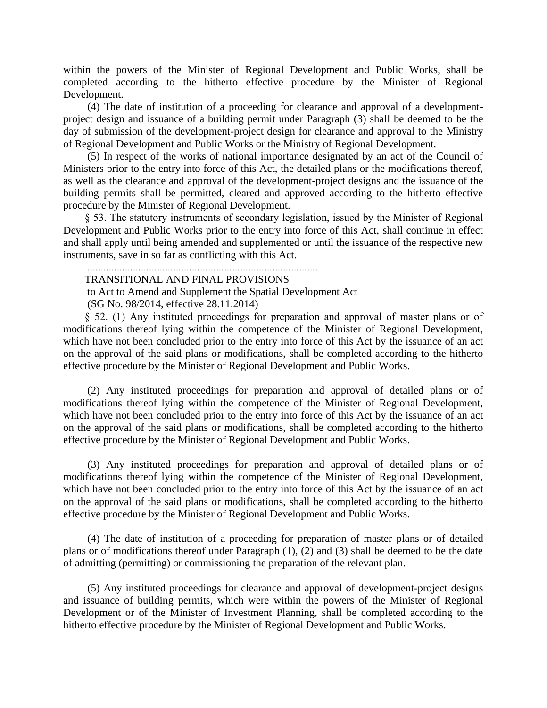within the powers of the Minister of Regional Development and Public Works, shall be completed according to the hitherto effective procedure by the Minister of Regional Development.

(4) The date of institution of a proceeding for clearance and approval of a developmentproject design and issuance of a building permit under Paragraph (3) shall be deemed to be the day of submission of the development-project design for clearance and approval to the Ministry of Regional Development and Public Works or the Ministry of Regional Development.

(5) In respect of the works of national importance designated by an act of the Council of Ministers prior to the entry into force of this Act, the detailed plans or the modifications thereof, as well as the clearance and approval of the development-project designs and the issuance of the building permits shall be permitted, cleared and approved according to the hitherto effective procedure by the Minister of Regional Development.

§ 53. The statutory instruments of secondary legislation, issued by the Minister of Regional Development and Public Works prior to the entry into force of this Act, shall continue in effect and shall apply until being amended and supplemented or until the issuance of the respective new instruments, save in so far as conflicting with this Act.

# ......................................................................................

TRANSITIONAL AND FINAL PROVISIONS

to Act to Amend and Supplement the Spatial Development Act

(SG No. 98/2014, effective 28.11.2014)

§ 52. (1) Any instituted proceedings for preparation and approval of master plans or of modifications thereof lying within the competence of the Minister of Regional Development, which have not been concluded prior to the entry into force of this Act by the issuance of an act on the approval of the said plans or modifications, shall be completed according to the hitherto effective procedure by the Minister of Regional Development and Public Works.

(2) Any instituted proceedings for preparation and approval of detailed plans or of modifications thereof lying within the competence of the Minister of Regional Development, which have not been concluded prior to the entry into force of this Act by the issuance of an act on the approval of the said plans or modifications, shall be completed according to the hitherto effective procedure by the Minister of Regional Development and Public Works.

(3) Any instituted proceedings for preparation and approval of detailed plans or of modifications thereof lying within the competence of the Minister of Regional Development, which have not been concluded prior to the entry into force of this Act by the issuance of an act on the approval of the said plans or modifications, shall be completed according to the hitherto effective procedure by the Minister of Regional Development and Public Works.

(4) The date of institution of a proceeding for preparation of master plans or of detailed plans or of modifications thereof under Paragraph (1), (2) and (3) shall be deemed to be the date of admitting (permitting) or commissioning the preparation of the relevant plan.

(5) Any instituted proceedings for clearance and approval of development-project designs and issuance of building permits, which were within the powers of the Minister of Regional Development or of the Minister of Investment Planning, shall be completed according to the hitherto effective procedure by the Minister of Regional Development and Public Works.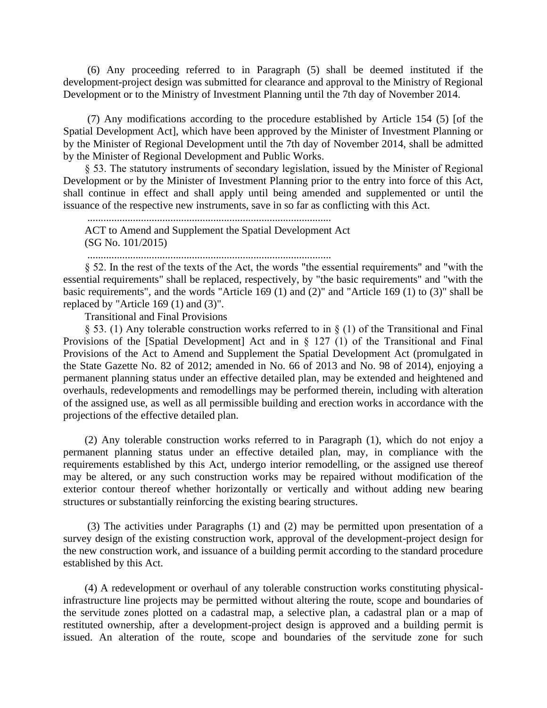(6) Any proceeding referred to in Paragraph (5) shall be deemed instituted if the development-project design was submitted for clearance and approval to the Ministry of Regional Development or to the Ministry of Investment Planning until the 7th day of November 2014.

(7) Any modifications according to the procedure established by Article 154 (5) [of the Spatial Development Act], which have been approved by the Minister of Investment Planning or by the Minister of Regional Development until the 7th day of November 2014, shall be admitted by the Minister of Regional Development and Public Works.

§ 53. The statutory instruments of secondary legislation, issued by the Minister of Regional Development or by the Minister of Investment Planning prior to the entry into force of this Act, shall continue in effect and shall apply until being amended and supplemented or until the issuance of the respective new instruments, save in so far as conflicting with this Act.

ACT to Amend and Supplement the Spatial Development Act (SG No. 101/2015)

...........................................................................................

...........................................................................................

§ 52. In the rest of the texts of the Act, the words "the essential requirements" and "with the essential requirements" shall be replaced, respectively, by "the basic requirements" and "with the basic requirements", and the words "Article 169 (1) and (2)" and "Article 169 (1) to (3)" shall be replaced by "Article 169 (1) and (3)".

Transitional and Final Provisions

§ 53. (1) Any tolerable construction works referred to in § (1) of the Transitional and Final Provisions of the [Spatial Development] Act and in § 127 (1) of the Transitional and Final Provisions of the Act to Amend and Supplement the Spatial Development Act (promulgated in the State Gazette No. 82 of 2012; amended in No. 66 of 2013 and No. 98 of 2014), enjoying a permanent planning status under an effective detailed plan, may be extended and heightened and overhauls, redevelopments and remodellings may be performed therein, including with alteration of the assigned use, as well as all permissible building and erection works in accordance with the projections of the effective detailed plan.

(2) Any tolerable construction works referred to in Paragraph (1), which do not enjoy a permanent planning status under an effective detailed plan, may, in compliance with the requirements established by this Act, undergo interior remodelling, or the assigned use thereof may be altered, or any such construction works may be repaired without modification of the exterior contour thereof whether horizontally or vertically and without adding new bearing structures or substantially reinforcing the existing bearing structures.

(3) The activities under Paragraphs (1) and (2) may be permitted upon presentation of a survey design of the existing construction work, approval of the development-project design for the new construction work, and issuance of a building permit according to the standard procedure established by this Act.

(4) A redevelopment or overhaul of any tolerable construction works constituting physicalinfrastructure line projects may be permitted without altering the route, scope and boundaries of the servitude zones plotted on a cadastral map, a selective plan, a cadastral plan or a map of restituted ownership, after a development-project design is approved and a building permit is issued. An alteration of the route, scope and boundaries of the servitude zone for such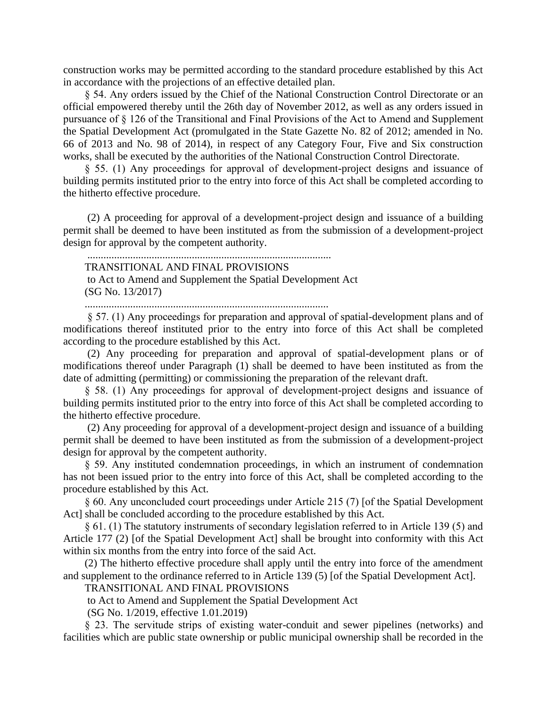construction works may be permitted according to the standard procedure established by this Act in accordance with the projections of an effective detailed plan.

§ 54. Any orders issued by the Chief of the National Construction Control Directorate or an official empowered thereby until the 26th day of November 2012, as well as any orders issued in pursuance of § 126 of the Transitional and Final Provisions of the Act to Amend and Supplement the Spatial Development Act (promulgated in the State Gazette No. 82 of 2012; amended in No. 66 of 2013 and No. 98 of 2014), in respect of any Category Four, Five and Six construction works, shall be executed by the authorities of the National Construction Control Directorate.

§ 55. (1) Any proceedings for approval of development-project designs and issuance of building permits instituted prior to the entry into force of this Act shall be completed according to the hitherto effective procedure.

(2) A proceeding for approval of a development-project design and issuance of a building permit shall be deemed to have been instituted as from the submission of a development-project design for approval by the competent authority.

...........................................................................................

TRANSITIONAL AND FINAL PROVISIONS

to Act to Amend and Supplement the Spatial Development Act (SG No. 13/2017)

...........................................................................................

§ 57. (1) Any proceedings for preparation and approval of spatial-development plans and of modifications thereof instituted prior to the entry into force of this Act shall be completed according to the procedure established by this Act.

(2) Any proceeding for preparation and approval of spatial-development plans or of modifications thereof under Paragraph (1) shall be deemed to have been instituted as from the date of admitting (permitting) or commissioning the preparation of the relevant draft.

§ 58. (1) Any proceedings for approval of development-project designs and issuance of building permits instituted prior to the entry into force of this Act shall be completed according to the hitherto effective procedure.

(2) Any proceeding for approval of a development-project design and issuance of a building permit shall be deemed to have been instituted as from the submission of a development-project design for approval by the competent authority.

§ 59. Any instituted condemnation proceedings, in which an instrument of condemnation has not been issued prior to the entry into force of this Act, shall be completed according to the procedure established by this Act.

§ 60. Any unconcluded court proceedings under Article 215 (7) [of the Spatial Development Act] shall be concluded according to the procedure established by this Act.

§ 61. (1) The statutory instruments of secondary legislation referred to in Article 139 (5) and Article 177 (2) [of the Spatial Development Act] shall be brought into conformity with this Act within six months from the entry into force of the said Act.

(2) The hitherto effective procedure shall apply until the entry into force of the amendment and supplement to the ordinance referred to in Article 139 (5) [of the Spatial Development Act].

TRANSITIONAL AND FINAL PROVISIONS

to Act to Amend and Supplement the Spatial Development Act

(SG No. 1/2019, effective 1.01.2019)

§ 23. The servitude strips of existing water-conduit and sewer pipelines (networks) and facilities which are public state ownership or public municipal ownership shall be recorded in the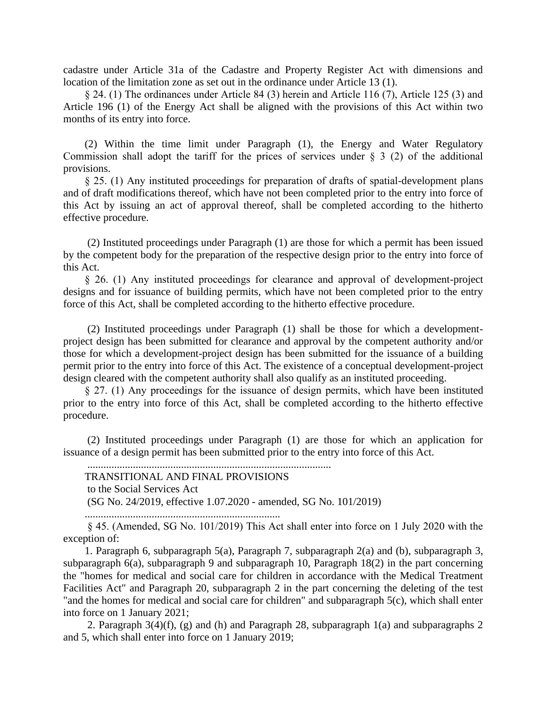cadastre under Article 31a of the Cadastre and Property Register Act with dimensions and location of the limitation zone as set out in the ordinance under Article 13 (1).

§ 24. (1) The ordinances under Article 84 (3) herein and Article 116 (7), Article 125 (3) and Article 196 (1) of the Energy Act shall be aligned with the provisions of this Act within two months of its entry into force.

(2) Within the time limit under Paragraph (1), the Energy and Water Regulatory Commission shall adopt the tariff for the prices of services under  $\S$  3 (2) of the additional provisions.

§ 25. (1) Any instituted proceedings for preparation of drafts of spatial-development plans and of draft modifications thereof, which have not been completed prior to the entry into force of this Act by issuing an act of approval thereof, shall be completed according to the hitherto effective procedure.

(2) Instituted proceedings under Paragraph (1) are those for which a permit has been issued by the competent body for the preparation of the respective design prior to the entry into force of this Act.

§ 26. (1) Any instituted proceedings for clearance and approval of development-project designs and for issuance of building permits, which have not been completed prior to the entry force of this Act, shall be completed according to the hitherto effective procedure.

(2) Instituted proceedings under Paragraph (1) shall be those for which a developmentproject design has been submitted for clearance and approval by the competent authority and/or those for which a development-project design has been submitted for the issuance of a building permit prior to the entry into force of this Act. The existence of a conceptual development-project design cleared with the competent authority shall also qualify as an instituted proceeding.

§ 27. (1) Any proceedings for the issuance of design permits, which have been instituted prior to the entry into force of this Act, shall be completed according to the hitherto effective procedure.

(2) Instituted proceedings under Paragraph (1) are those for which an application for issuance of a design permit has been submitted prior to the entry into force of this Act.

...........................................................................................

TRANSITIONAL AND FINAL PROVISIONS

to the Social Services Act

(SG No. 24/2019, effective 1.07.2020 - amended, SG No. 101/2019)

.........................................................................

§ 45. (Amended, SG No. 101/2019) This Act shall enter into force on 1 July 2020 with the exception of:

1. Paragraph 6, subparagraph 5(a), Paragraph 7, subparagraph 2(a) and (b), subparagraph 3, subparagraph 6(a), subparagraph 9 and subparagraph 10, Paragraph 18(2) in the part concerning the "homes for medical and social care for children in accordance with the Medical Treatment Facilities Act" and Paragraph 20, subparagraph 2 in the part concerning the deleting of the test "and the homes for medical and social care for children" and subparagraph 5(c), which shall enter into force on 1 January 2021;

2. Paragraph 3(4)(f), (g) and (h) and Paragraph 28, subparagraph 1(a) and subparagraphs 2 and 5, which shall enter into force on 1 January 2019;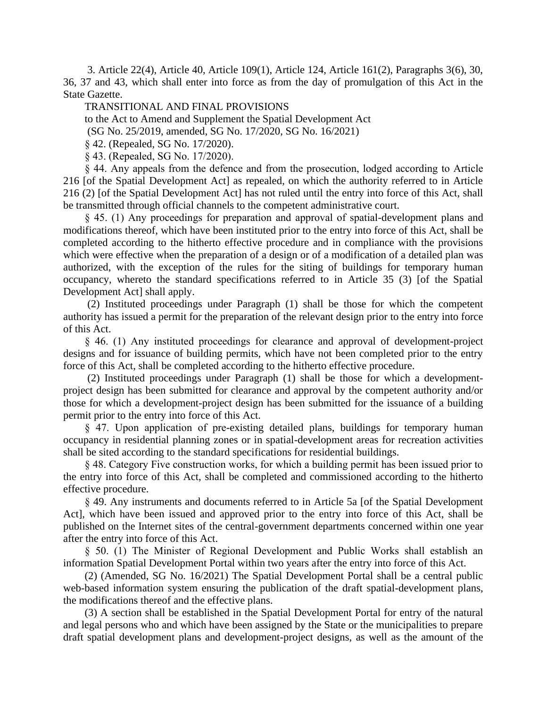3. Article 22(4), Article 40, Article 109(1), Article 124, Article 161(2), Paragraphs 3(6), 30, 36, 37 and 43, which shall enter into force as from the day of promulgation of this Act in the State Gazette.

### TRANSITIONAL AND FINAL PROVISIONS

to the Act to Amend and Supplement the Spatial Development Act

(SG No. 25/2019, amended, SG No. 17/2020, SG No. 16/2021)

§ 42. (Repealed, SG No. 17/2020).

§ 43. (Repealed, SG No. 17/2020).

§ 44. Any appeals from the defence and from the prosecution, lodged according to Article 216 [of the Spatial Development Act] as repealed, on which the authority referred to in Article 216 (2) [of the Spatial Development Act] has not ruled until the entry into force of this Act, shall be transmitted through official channels to the competent administrative court.

§ 45. (1) Any proceedings for preparation and approval of spatial-development plans and modifications thereof, which have been instituted prior to the entry into force of this Act, shall be completed according to the hitherto effective procedure and in compliance with the provisions which were effective when the preparation of a design or of a modification of a detailed plan was authorized, with the exception of the rules for the siting of buildings for temporary human occupancy, whereto the standard specifications referred to in Article 35 (3) [of the Spatial Development Act] shall apply.

(2) Instituted proceedings under Paragraph (1) shall be those for which the competent authority has issued a permit for the preparation of the relevant design prior to the entry into force of this Act.

§ 46. (1) Any instituted proceedings for clearance and approval of development-project designs and for issuance of building permits, which have not been completed prior to the entry force of this Act, shall be completed according to the hitherto effective procedure.

(2) Instituted proceedings under Paragraph (1) shall be those for which a developmentproject design has been submitted for clearance and approval by the competent authority and/or those for which a development-project design has been submitted for the issuance of a building permit prior to the entry into force of this Act.

§ 47. Upon application of pre-existing detailed plans, buildings for temporary human occupancy in residential planning zones or in spatial-development areas for recreation activities shall be sited according to the standard specifications for residential buildings.

§ 48. Category Five construction works, for which a building permit has been issued prior to the entry into force of this Act, shall be completed and commissioned according to the hitherto effective procedure.

§ 49. Any instruments and documents referred to in Article 5a [of the Spatial Development Act], which have been issued and approved prior to the entry into force of this Act, shall be published on the Internet sites of the central-government departments concerned within one year after the entry into force of this Act.

§ 50. (1) The Minister of Regional Development and Public Works shall establish an information Spatial Development Portal within two years after the entry into force of this Act.

(2) (Amended, SG No. 16/2021) The Spatial Development Portal shall be a central public web-based information system ensuring the publication of the draft spatial-development plans, the modifications thereof and the effective plans.

(3) A section shall be established in the Spatial Development Portal for entry of the natural and legal persons who and which have been assigned by the State or the municipalities to prepare draft spatial development plans and development-project designs, as well as the amount of the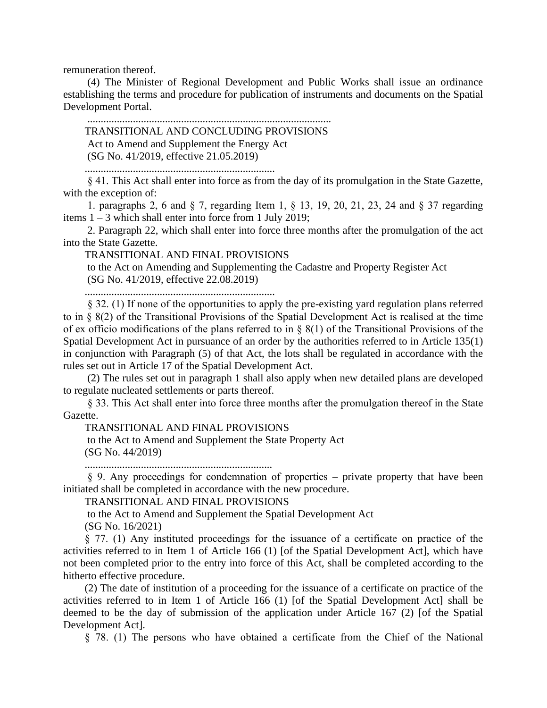remuneration thereof.

(4) The Minister of Regional Development and Public Works shall issue an ordinance establishing the terms and procedure for publication of instruments and documents on the Spatial Development Portal.

........................................................................................... TRANSITIONAL AND CONCLUDING PROVISIONS Act to Amend and Supplement the Energy Act (SG No. 41/2019, effective 21.05.2019)

.......................................................................

§ 41. This Act shall enter into force as from the day of its promulgation in the State Gazette, with the exception of:

1. paragraphs 2, 6 and § 7, regarding Item 1, § 13, 19, 20, 21, 23, 24 and § 37 regarding items 1 – 3 which shall enter into force from 1 July 2019;

2. Paragraph 22, which shall enter into force three months after the promulgation of the act into the State Gazette.

TRANSITIONAL AND FINAL PROVISIONS

to the Act on Amending and Supplementing the Cadastre and Property Register Act (SG No. 41/2019, effective 22.08.2019)

.......................................................................

§ 32. (1) If none of the opportunities to apply the pre-existing yard regulation plans referred to in § 8(2) of the Transitional Provisions of the Spatial Development Act is realised at the time of ex officio modifications of the plans referred to in  $\S$  8(1) of the Transitional Provisions of the Spatial Development Act in pursuance of an order by the authorities referred to in Article 135(1) in conjunction with Paragraph (5) of that Act, the lots shall be regulated in accordance with the rules set out in Article 17 of the Spatial Development Act.

(2) The rules set out in paragraph 1 shall also apply when new detailed plans are developed to regulate nucleated settlements or parts thereof.

§ 33. This Act shall enter into force three months after the promulgation thereof in the State Gazette.

TRANSITIONAL AND FINAL PROVISIONS

to the Act to Amend and Supplement the State Property Act (SG No. 44/2019)

......................................................................

§ 9. Any proceedings for condemnation of properties – private property that have been initiated shall be completed in accordance with the new procedure.

TRANSITIONAL AND FINAL PROVISIONS

to the Act to Amend and Supplement the Spatial Development Act (SG No. 16/2021)

§ 77. (1) Any instituted proceedings for the issuance of a certificate on practice of the activities referred to in Item 1 of Article 166 (1) [of the Spatial Development Act], which have not been completed prior to the entry into force of this Act, shall be completed according to the hitherto effective procedure.

(2) The date of institution of a proceeding for the issuance of a certificate on practice of the activities referred to in Item 1 of Article 166 (1) [of the Spatial Development Act] shall be deemed to be the day of submission of the application under Article 167 (2) [of the Spatial Development Act].

§ 78. (1) The persons who have obtained a certificate from the Chief of the National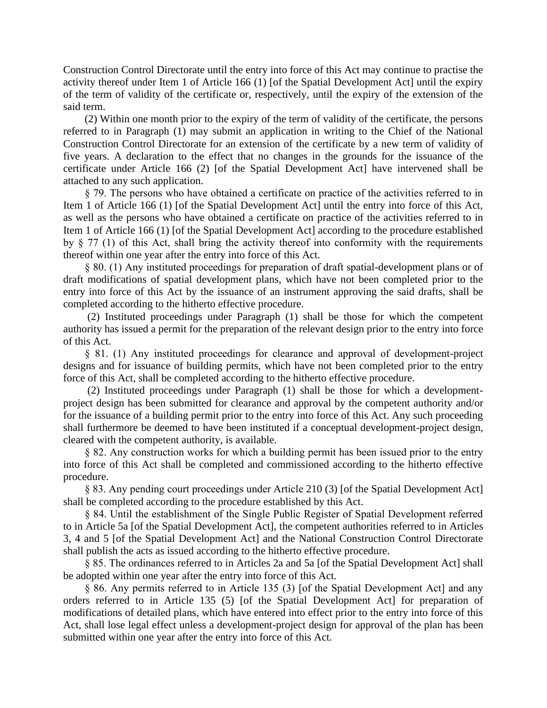Construction Control Directorate until the entry into force of this Act may continue to practise the activity thereof under Item 1 of Article 166 (1) [of the Spatial Development Act] until the expiry of the term of validity of the certificate or, respectively, until the expiry of the extension of the said term.

(2) Within one month prior to the expiry of the term of validity of the certificate, the persons referred to in Paragraph (1) may submit an application in writing to the Chief of the National Construction Control Directorate for an extension of the certificate by a new term of validity of five years. A declaration to the effect that no changes in the grounds for the issuance of the certificate under Article 166 (2) [of the Spatial Development Act] have intervened shall be attached to any such application.

§ 79. The persons who have obtained a certificate on practice of the activities referred to in Item 1 of Article 166 (1) [of the Spatial Development Act] until the entry into force of this Act, as well as the persons who have obtained a certificate on practice of the activities referred to in Item 1 of Article 166 (1) [of the Spatial Development Act] according to the procedure established by  $\S$  77 (1) of this Act, shall bring the activity thereof into conformity with the requirements thereof within one year after the entry into force of this Act.

§ 80. (1) Any instituted proceedings for preparation of draft spatial-development plans or of draft modifications of spatial development plans, which have not been completed prior to the entry into force of this Act by the issuance of an instrument approving the said drafts, shall be completed according to the hitherto effective procedure.

(2) Instituted proceedings under Paragraph (1) shall be those for which the competent authority has issued a permit for the preparation of the relevant design prior to the entry into force of this Act.

§ 81. (1) Any instituted proceedings for clearance and approval of development-project designs and for issuance of building permits, which have not been completed prior to the entry force of this Act, shall be completed according to the hitherto effective procedure.

(2) Instituted proceedings under Paragraph (1) shall be those for which a developmentproject design has been submitted for clearance and approval by the competent authority and/or for the issuance of a building permit prior to the entry into force of this Act. Any such proceeding shall furthermore be deemed to have been instituted if a conceptual development-project design, cleared with the competent authority, is available.

§ 82. Any construction works for which a building permit has been issued prior to the entry into force of this Act shall be completed and commissioned according to the hitherto effective procedure.

§ 83. Any pending court proceedings under Article 210 (3) [of the Spatial Development Act] shall be completed according to the procedure established by this Act.

§ 84. Until the establishment of the Single Public Register of Spatial Development referred to in Article 5a [of the Spatial Development Act], the competent authorities referred to in Articles 3, 4 and 5 [of the Spatial Development Act] and the National Construction Control Directorate shall publish the acts as issued according to the hitherto effective procedure.

§ 85. The ordinances referred to in Articles 2a and 5a [of the Spatial Development Act] shall be adopted within one year after the entry into force of this Act.

§ 86. Any permits referred to in Article 135 (3) [of the Spatial Development Act] and any orders referred to in Article 135 (5) [of the Spatial Development Act] for preparation of modifications of detailed plans, which have entered into effect prior to the entry into force of this Act, shall lose legal effect unless a development-project design for approval of the plan has been submitted within one year after the entry into force of this Act.